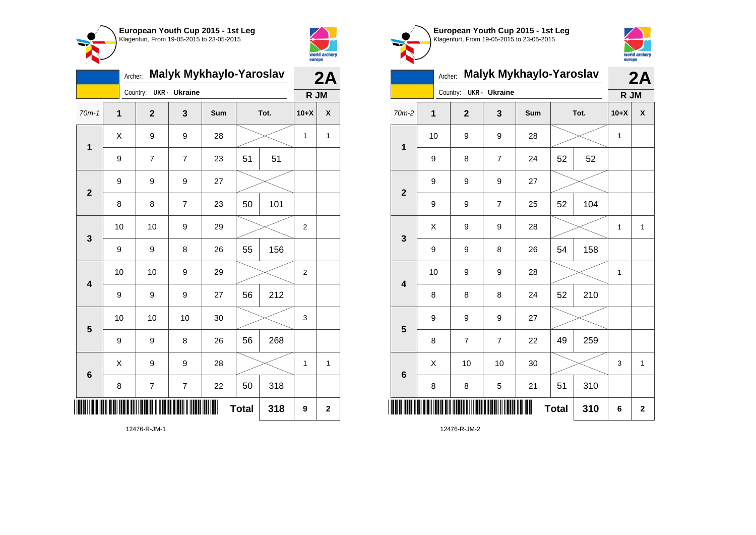



|                         | <b>Malyk Mykhaylo-Yaroslav</b><br>Archer: |  |                         |                      |     |              |     |                |             |
|-------------------------|-------------------------------------------|--|-------------------------|----------------------|-----|--------------|-----|----------------|-------------|
|                         |                                           |  | Country:                | <b>UKR</b> - Ukraine |     |              |     | R JM           |             |
| $70m-1$                 | $\mathbf 1$                               |  | $\overline{\mathbf{2}}$ | 3                    | Sum | Tot.         |     | $10+X$         | X           |
| 1                       | X                                         |  | 9                       | 9                    | 28  |              |     | $\mathbf{1}$   | 1           |
|                         | 9                                         |  | 7                       | $\overline{7}$       | 23  | 51           | 51  |                |             |
| $\mathbf{2}$            | 9                                         |  | 9                       | 9                    | 27  |              |     |                |             |
|                         | 8                                         |  | 8                       | $\overline{7}$       | 23  | 50           | 101 |                |             |
| 3                       | 10                                        |  | 10                      | 9                    | 29  |              |     | $\overline{2}$ |             |
|                         | 9                                         |  | 9                       | 8                    | 26  | 55           | 156 |                |             |
| $\overline{\mathbf{4}}$ | 10                                        |  | 10                      | 9                    | 29  |              |     | $\overline{c}$ |             |
|                         | 9                                         |  | 9                       | 9                    | 27  | 56           | 212 |                |             |
| 5                       | 10                                        |  | 10                      | 10                   | 30  |              |     | 3              |             |
|                         | 9                                         |  | 9                       | 8                    | 26  | 56           | 268 |                |             |
| $6\phantom{1}$          | X                                         |  | 9                       | 9                    | 28  |              |     | 1              | 1           |
|                         | 8                                         |  | $\overline{\mathbf{7}}$ | $\overline{7}$       | 22  | 50           | 318 |                |             |
| IIII                    |                                           |  |                         |                      | III | <b>Total</b> | 318 | 9              | $\mathbf 2$ |
|                         |                                           |  |                         |                      |     |              |     |                |             |



**European Youth Cup 2015 - 1st Leg** Klagenfurt, From 19-05-2015 to 23-05-2015



## Archer: **Malyk Mykhaylo-Yaroslav 2A**

|                         | <b>UKR</b> - Ukraine<br>Country: |                |                  |     |              |      | R JM         |              |
|-------------------------|----------------------------------|----------------|------------------|-----|--------------|------|--------------|--------------|
| $70m-2$                 | $\mathbf 1$                      | $\mathbf{2}$   | 3                | Sum |              | Tot. | $10+X$       | χ            |
| $\mathbf 1$             | 10                               | 9              | 9                | 28  |              |      | $\mathbf{1}$ |              |
|                         | 9                                | 8              | $\overline{7}$   | 24  | 52           | 52   |              |              |
| $\mathbf{2}$            | 9                                | 9              | 9                | 27  |              |      |              |              |
|                         | 9                                | 9              | $\overline{7}$   | 25  | 52           | 104  |              |              |
| $\mathbf{3}$            | X                                | 9              | 9                | 28  |              |      | $\mathbf 1$  | $\mathbf{1}$ |
|                         | 9                                | 9              | 8                | 26  | 54           | 158  |              |              |
| $\overline{\mathbf{4}}$ | 10                               | 9              | $\boldsymbol{9}$ | 28  |              |      | $\mathbf{1}$ |              |
|                         | 8                                | 8              | 8                | 24  | 52           | 210  |              |              |
| ${\bf 5}$               | 9                                | 9              | 9                | 27  |              |      |              |              |
|                         | 8                                | $\overline{7}$ | $\overline{7}$   | 22  | 49           | 259  |              |              |
| $\bf 6$                 | X                                | 10             | 10               | 30  |              |      | 3            | $\mathbf{1}$ |
|                         | 8                                | 8              | 5                | 21  | 51           | 310  |              |              |
|                         |                                  |                |                  | Ш   | <b>Total</b> | 310  | 6            | $\mathbf 2$  |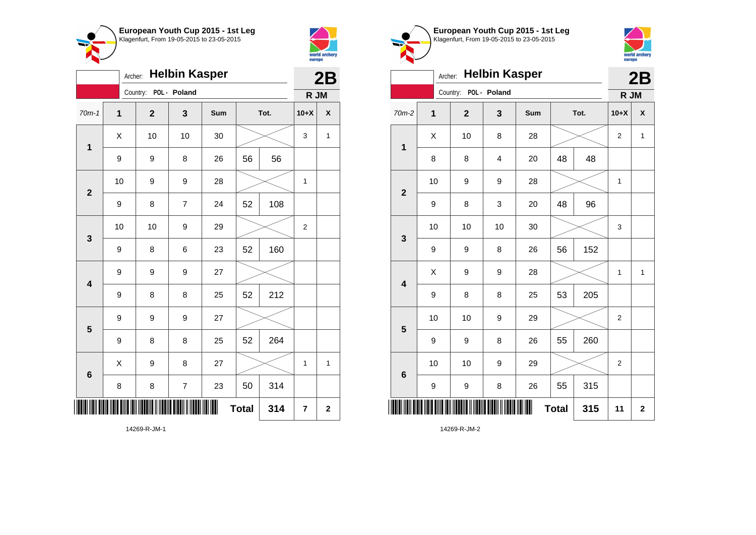



|                         | <b>Helbin Kasper</b><br>Archer: |  |                       |                         |     |              |      |                |              |
|-------------------------|---------------------------------|--|-----------------------|-------------------------|-----|--------------|------|----------------|--------------|
|                         |                                 |  | Country: POL - Poland |                         |     |              |      | R JM           |              |
| $70m-1$                 | $\mathbf{1}$                    |  | $\mathbf{2}$          | 3                       | Sum |              | Tot. | $10+X$         | X            |
| $\mathbf 1$             | Χ                               |  | 10                    | 10                      | 30  |              |      | 3              | 1            |
|                         | $\boldsymbol{9}$                |  | 9                     | 8                       | 26  | 56           | 56   |                |              |
| $\overline{\mathbf{2}}$ | 10                              |  | 9                     | 9                       | 28  |              |      | 1              |              |
|                         | 9                               |  | 8                     | $\overline{7}$          | 24  | 52           | 108  |                |              |
| 3                       | 10                              |  | 10                    | 9                       | 29  |              |      | $\overline{2}$ |              |
|                         | 9                               |  | 8                     | 6                       | 23  | 52           | 160  |                |              |
| $\overline{\mathbf{4}}$ | 9                               |  | 9                     | 9                       | 27  |              |      |                |              |
|                         | 9                               |  | 8                     | 8                       | 25  | 52           | 212  |                |              |
| $\overline{\mathbf{5}}$ | 9                               |  | 9                     | 9                       | 27  |              |      |                |              |
|                         | 9                               |  | 8                     | 8                       | 25  | 52           | 264  |                |              |
| 6                       | Χ                               |  | 9                     | 8                       | 27  |              |      | $\mathbf 1$    | $\mathbf{1}$ |
|                         | 8                               |  | 8                     | $\overline{\mathbf{7}}$ | 23  | 50           | 314  |                |              |
|                         |                                 |  |                       |                         |     | <b>Total</b> | 314  | 7              | $\mathbf 2$  |

Klagenfurt, From 19-05-2015 to 23-05-2015 Archer: **Helbin Kasper** Country: **POL - Poland R JM** 70m-2 **1 2 3 Sum Tot. 10+X X 1**  $\begin{array}{|c|c|c|c|c|c|}\hline \hspace{.1cm}X & \hspace{.1cm} \text{10} & \hspace{.1cm} \text{8} & \hspace{.1cm} \text{28} & \hspace{.1cm} \text{28} & \hspace{.1cm} \text{3} & \hspace{.1cm} \text{2} & \hspace{.1cm} \text{2} & \hspace{.1cm} \text{1} & \hspace{.1cm} \text{2} & \hspace{.1cm} \text{2} & \hspace{.1cm} \text{1} & \hspace{.1cm} \text{2} & \hspace{.1cm} \text{2} & \hspace{$ 8 | 8 | 4 | 20 | 48 | 48 **2** 10 | 9 | 9 | 28 |  $\times$  | 1 9 | 8 | 3 | 20 | 48 | 96 **3** 10 | 10 | 10 | 30 |  $\times$  | 3 9 | 9 | 8 | 26 | 56 | 152 **4**  $X$  | 9 | 9 | 28 |  $\times$  | 1 | 1 9 | 8 | 8 | 25 | 53 | 205 **5** 10 | 10 | 9 | 29 |  $\times$  | 2 9 | 9 | 8 | 26 | 55 | 260

10 | 10 | 9 | 29 |  $\times$  | 2

**Total 315 11 2**

9 | 9 | 8 | 26 | 55 | 315

**European Youth Cup 2015 - 1st Leg**



**2B**

14269-R-JM-2

\*14269-R-JM-2\*

**6**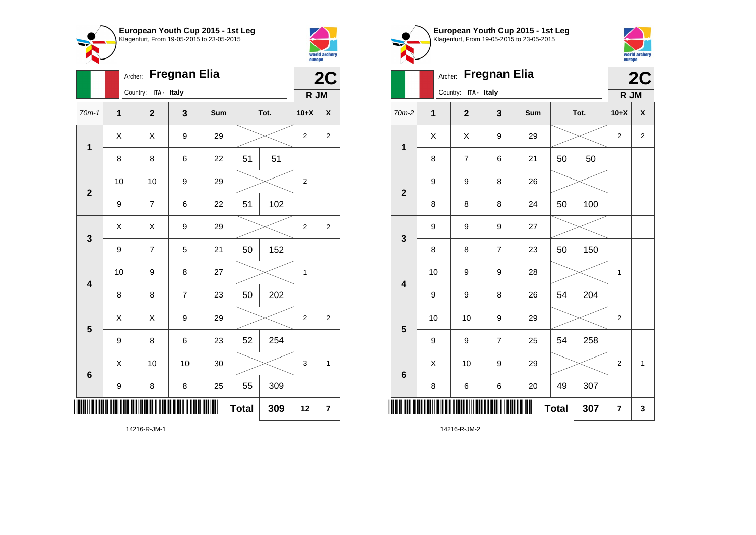



**1**

|                         | Archer:        | <b>Fregnan Elia</b>  |                 |     | 2C           |     |                |                           |
|-------------------------|----------------|----------------------|-----------------|-----|--------------|-----|----------------|---------------------------|
|                         |                | Country: ITA - Italy |                 |     |              |     | R JM           |                           |
| $70m-1$                 | $\overline{1}$ | $\mathbf{2}$         | 3               | Sum | Tot.         |     | $10+X$         | $\boldsymbol{\mathsf{x}}$ |
| 1                       | Χ              | Χ                    | 9               | 29  |              |     | 2              | $\overline{\mathbf{c}}$   |
|                         | 8              | 8                    | 6               | 22  | 51           | 51  |                |                           |
| $\mathbf{2}$            | 10             | 10                   | 9               | 29  |              |     | $\overline{2}$ |                           |
|                         | 9              | $\overline{7}$       | 6               | 22  | 51           | 102 |                |                           |
| $\mathbf{3}$            | Χ              | Χ                    | 9               | 29  |              |     | 2              | $\overline{\mathbf{c}}$   |
|                         | 9              | $\overline{7}$       | 5               | 21  | 50           | 152 |                |                           |
| $\overline{\mathbf{4}}$ | 10             | 9                    | 8               | 27  |              |     | $\mathbf 1$    |                           |
|                         | 8              | 8                    | $\overline{7}$  | 23  | 50           | 202 |                |                           |
| 5                       | X              | X                    | 9               | 29  |              |     | $\overline{2}$ | $\overline{2}$            |
|                         | 9              | 8                    | $6\phantom{1}6$ | 23  | 52           | 254 |                |                           |
| $6\phantom{1}6$         | Χ              | 10                   | 10              | 30  |              |     | 3              | 1                         |
|                         | 9              | 8                    | 8               | 25  | 55           | 309 |                |                           |
| III                     |                |                      |                 |     | <b>Total</b> | 309 | 12             | 7                         |

**European Youth Cup 2015 - 1st Leg** Klagenfurt, From 19-05-2015 to 23-05-2015 Archer: **Fregnan Elia** Country: **ITA - Italy** 70m-2 **1 2 3 Sum Tot. 10+X X**  $X$   $\mid$   $X$   $\mid$   $9$   $\mid$   $29$   $\mid$   $\gg$   $\mid$  2  $\mid$  2 8 | 7 | 6 | 21 | 50 | 50 9 9 8 26

**2C**

world archery<br>europe

**R JM**

|                         | 9           | 9            | 8                        | 26 |    |     |                  |              |
|-------------------------|-------------|--------------|--------------------------|----|----|-----|------------------|--------------|
| $\mathbf{2}$            | 8           | 8            | 8                        | 24 | 50 | 100 |                  |              |
|                         | 9           | 9            | $\boldsymbol{9}$         | 27 |    |     |                  |              |
| $\mathbf{3}$            | 8           | 8            | $\overline{\mathcal{I}}$ | 23 | 50 | 150 |                  |              |
|                         | 10          | 9            | $\boldsymbol{9}$         | 28 |    |     | 1                |              |
| $\overline{\mathbf{4}}$ | 9           | 9            | 8                        | 26 | 54 | 204 |                  |              |
|                         | 10          | $10$         | $\boldsymbol{9}$         | 29 |    |     | $\mathbf 2$      |              |
| $5\phantom{.0}$         | 9           | 9            | $\boldsymbol{7}$         | 25 | 54 | 258 |                  |              |
| $\bf 6$                 | $\mathsf X$ | 10           | $\boldsymbol{9}$         | 29 |    |     | $\boldsymbol{2}$ | $\mathbf{1}$ |
|                         | 8           | 6            | 6                        | 20 | 49 | 307 |                  |              |
| ║                       |             | <b>Total</b> | 307                      | 7  | 3  |     |                  |              |

14216-R-JM-2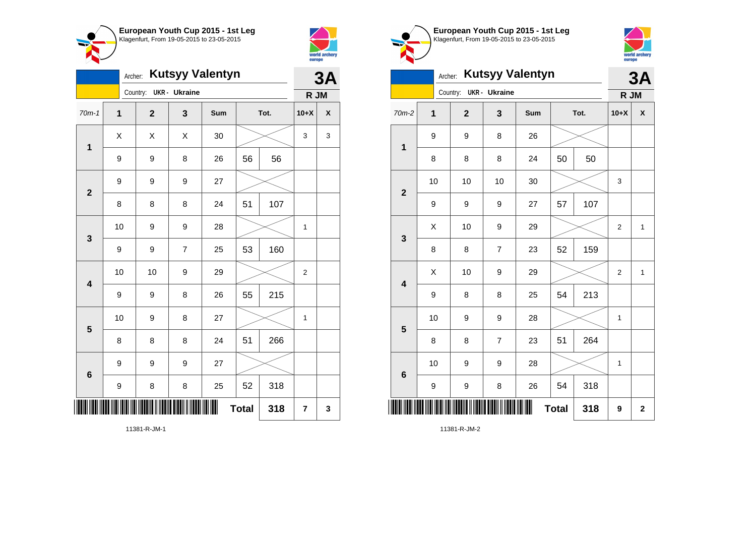

Country: **UKR - Ukraine**

9 9 9 27

**1**

**2**

**3**

**4**

**5**

**6**

Archer: **Kutsyy Valentyn**

70m-1 **1 2 3 Sum Tot. 10+X X**

9 | 9 | 8 | 26 | 56 | 56

8 | 8 | 8 | 24 | 51 | 107

9 | 9 | 7 | 25 | 53 | 160

 $9 \mid 9 \mid 8 \mid 26 \mid 55 \mid 215$ 

8 | 8 | 8 | 24 | 51 | 266

9 | 8 | 8 | 25 | 52 | 318

**Total 318 7 3**

9 9 9 27

10 | 9 | 9 | 28 |  $\times$  | 1

10 | 10 | 9 | 29 |  $\times$  | 2

10 | 9 | 8 | 27 |  $\times$  | 1

 $X \quad | \quad X \quad | \quad X \quad | \quad 30 \quad | \quad \textcolor{red}{\textbf{3}} \textcolor{red}{\textbf{2}} \quad | \quad 3 \quad | \quad 3$ 



**3A**

**R JM**

| European Youth Cup 2015 - 1st Leg<br>Klagenfurt, From 19-05-2015 to 23-05-2015 |
|--------------------------------------------------------------------------------|
|                                                                                |
|                                                                                |



|                         | Archer: Kutsyy Valentyn |                |                        |                |     |              |      |                |                           |
|-------------------------|-------------------------|----------------|------------------------|----------------|-----|--------------|------|----------------|---------------------------|
|                         |                         |                | Country: UKR - Ukraine |                |     |              |      | R JM           |                           |
| 70m-2                   |                         | $\overline{1}$ | $\overline{2}$         | 3              | Sum |              | Tot. | $10+X$         | $\boldsymbol{\mathsf{x}}$ |
| $\overline{\mathbf{1}}$ |                         | 9              | 9                      | 8              | 26  |              |      |                |                           |
|                         |                         | 8              | 8                      | 8              | 24  | 50           | 50   |                |                           |
| $\overline{2}$          |                         | 10             | 10                     | 10             | 30  |              |      | 3              |                           |
|                         |                         | 9              | 9                      | 9              | 27  | 57           | 107  |                |                           |
| 3                       |                         | X              | 10                     | 9              | 29  |              |      | $\overline{2}$ | $\mathbf{1}$              |
|                         |                         | 8              | 8                      | $\overline{7}$ | 23  | 52           | 159  |                |                           |
| $\overline{\mathbf{4}}$ |                         | X              | 10                     | 9              | 29  |              |      | $\overline{2}$ | $\mathbf 1$               |
|                         |                         | 9              | 8                      | 8              | 25  | 54           | 213  |                |                           |
| 5                       |                         | 10             | 9                      | 9              | 28  |              |      | 1              |                           |
|                         |                         | 8              | 8                      | $\overline{7}$ | 23  | 51           | 264  |                |                           |
| $6\phantom{1}$          |                         | 10             | 9                      | 9              | 28  |              |      | 1              |                           |
|                         |                         | 9              | 9                      | 8              | 26  | 54           | 318  |                |                           |
|                         |                         |                |                        |                |     | <b>Total</b> | 318  | 9              | $\mathbf 2$               |

11381-R-JM-1

\*11381-R-JM-1\*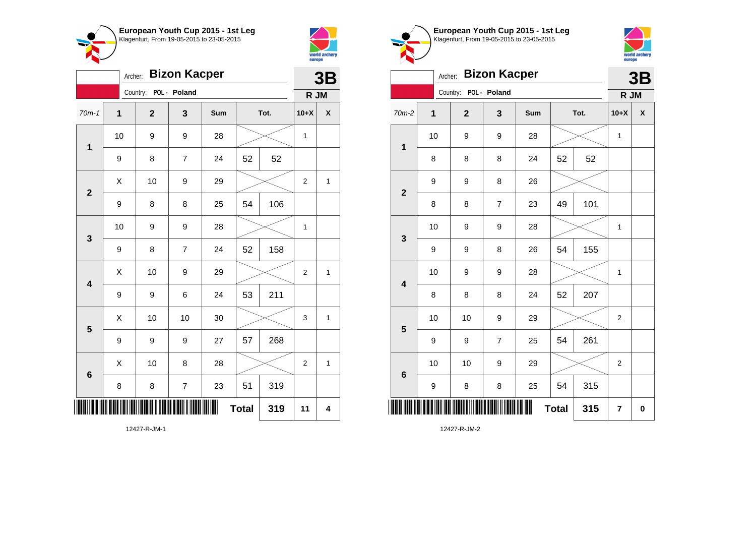



|                         | <b>Bizon Kacper</b><br>Archer: |                |                |     |              |      |                |   |  |  |
|-------------------------|--------------------------------|----------------|----------------|-----|--------------|------|----------------|---|--|--|
|                         |                                | Country:       | POL - Poland   |     |              |      | R JM           |   |  |  |
| $70m-1$                 | $\mathbf{1}$                   | $\overline{2}$ | 3              | Sum |              | Tot. | $10+X$         | X |  |  |
| $\mathbf{1}$            | 10                             | 9              | 9              | 28  |              |      | 1              |   |  |  |
|                         | 9                              | 8              | 7              | 24  | 52           | 52   |                |   |  |  |
| $\overline{\mathbf{2}}$ | X                              | 10             | 9              | 29  |              |      | $\overline{2}$ | 1 |  |  |
|                         | $\boldsymbol{9}$               | 8              | 8              | 25  | 54           | 106  |                |   |  |  |
| 3                       | 10                             | 9              | 9              | 28  |              |      | $\mathbf 1$    |   |  |  |
|                         | 9                              | 8              | $\overline{7}$ | 24  | 52           | 158  |                |   |  |  |
| $\overline{\mathbf{4}}$ | Χ                              | 10             | 9              | 29  |              |      | 2              | 1 |  |  |
|                         | 9                              | 9              | 6              | 24  | 53           | 211  |                |   |  |  |
| 5                       | Χ                              | 10             | 10             | 30  |              |      | 3              | 1 |  |  |
|                         | $\boldsymbol{9}$               | 9              | 9              | 27  | 57           | 268  |                |   |  |  |
| 6                       | X                              | 10             | 8              | 28  |              |      | $\overline{2}$ | 1 |  |  |
|                         | 8                              | 8              | $\overline{7}$ | 23  | 51           | 319  |                |   |  |  |
|                         |                                |                |                |     | <b>Total</b> | 319  | 11             | 4 |  |  |





|                         | <b>Bizon Kacper</b><br>Archer: |                         |                |     |              |     |                |             |  |
|-------------------------|--------------------------------|-------------------------|----------------|-----|--------------|-----|----------------|-------------|--|
|                         |                                | Country: POL - Poland   |                |     |              |     | R JM           |             |  |
| $70m-2$                 | 1                              | $\overline{\mathbf{2}}$ | 3              | Sum | Tot.         |     | $10+X$         | X           |  |
| $\mathbf 1$             | 10                             | 9                       | 9              | 28  |              |     | $\mathbf{1}$   |             |  |
|                         | 8                              | 8                       | 8              | 24  | 52           | 52  |                |             |  |
| $\mathbf{2}$            | 9                              | 9                       | 8              | 26  |              |     |                |             |  |
|                         | 8                              | 8                       | $\overline{7}$ | 23  | 49           | 101 |                |             |  |
| 3                       | 10                             | 9                       | 9              | 28  |              |     | 1              |             |  |
|                         | 9                              | 9                       | 8              | 26  | 54           | 155 |                |             |  |
| $\overline{\mathbf{4}}$ | 10                             | 9                       | 9              | 28  |              |     | 1              |             |  |
|                         | 8                              | 8                       | 8              | 24  | 52           | 207 |                |             |  |
| 5                       | 10                             | 10                      | 9              | 29  |              |     | $\overline{2}$ |             |  |
|                         | 9                              | 9                       | $\overline{7}$ | 25  | 54           | 261 |                |             |  |
| $6\phantom{1}6$         | 10                             | 10                      | 9              | 29  |              |     | $\overline{c}$ |             |  |
|                         | 9                              | 8                       | 8              | 25  | 54           | 315 |                |             |  |
| ║║║                     |                                |                         |                |     | <b>Total</b> | 315 | 7              | $\mathbf 0$ |  |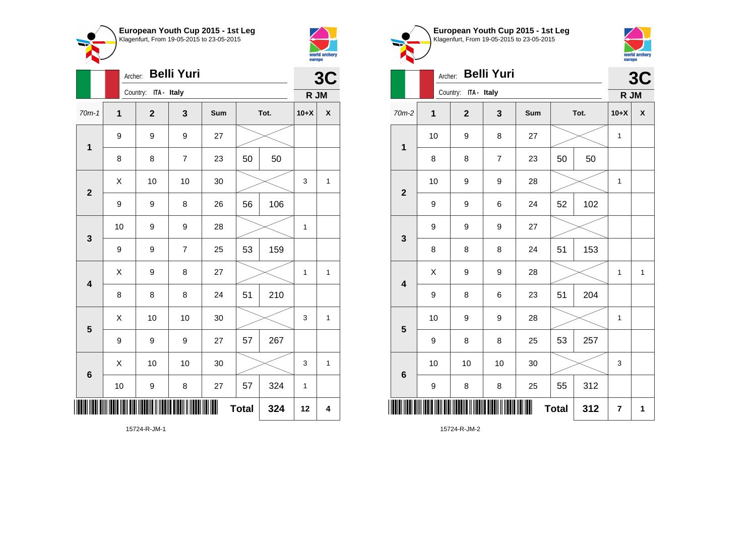



|                         |                  | <b>Belli Yuri</b><br>Archer: |                |     |              |      |             |              |  |  |
|-------------------------|------------------|------------------------------|----------------|-----|--------------|------|-------------|--------------|--|--|
|                         |                  | Country: ITA - Italy         |                |     |              |      | R JM        | 3C           |  |  |
| $70m-1$                 | 1                | $\mathbf{2}$                 | 3              | Sum |              | Tot. | $10+X$      | χ            |  |  |
| $\mathbf 1$             | $\boldsymbol{9}$ | 9                            | 9              | 27  |              |      |             |              |  |  |
|                         | 8                | 8                            | 7              | 23  | 50           | 50   |             |              |  |  |
| $\overline{2}$          | Χ                | 10                           | 10             | 30  |              |      | 3           | 1            |  |  |
|                         | $\boldsymbol{9}$ | 9                            | 8              | 26  | 56           | 106  |             |              |  |  |
| $\mathbf{3}$            | 10               | 9                            | 9              | 28  |              |      | 1           |              |  |  |
|                         | 9                | 9                            | $\overline{7}$ | 25  | 53           | 159  |             |              |  |  |
| $\overline{\mathbf{4}}$ | Χ                | 9                            | 8              | 27  |              |      | 1           | 1            |  |  |
|                         | 8                | 8                            | 8              | 24  | 51           | 210  |             |              |  |  |
| 5                       | X                | 10                           | 10             | 30  |              |      | 3           | $\mathbf{1}$ |  |  |
|                         | 9                | 9                            | 9              | 27  | 57           | 267  |             |              |  |  |
| $6\phantom{1}6$         | Χ                | 10                           | 10             | 30  |              |      | 3           | 1            |  |  |
|                         | 10               | 9                            | 8              | 27  | 57           | 324  | $\mathbf 1$ |              |  |  |
| ║║                      |                  |                              |                | ∭   | <b>Total</b> | 324  | 12          | 4            |  |  |

world archery<br>europe Archer: **Belli Yuri 3C** Country: **ITA - Italy R JM** 70m-2 **1 2 3 Sum Tot. 10+X X** 10 | 9 | 8 | 27 |  $\times$  | 1 **1** 8 | 8 | 7 | 23 | 50 | 50 10 | 9 | 9 | 28 |  $\times$  | 1 **2** 9 | 9 | 6 | 24 | 52 | 102 9 9 9 27 **3** 8 | 8 | 8 | 24 | 51 | 153  $X$  | 9 | 9 | 28 |  $\times$  | 1 | 1 **4** 9 | 8 | 6 | 23 | 51 | 204 10 | 9 | 9 | 28 |  $\times$  | 1 **5** 9 | 8 | 8 | 25 | 53 | 257 10 | 10 | 10 | 30 |  $\swarrow$  | 3 **6** 9 | 8 | 8 | 25 | 55 | 312

 $Total | 312 | 7 | 1$ 

**European Youth Cup 2015 - 1st Leg** Klagenfurt, From 19-05-2015 to 23-05-2015

15724-R-JM-2

\*15724-R-JM-2\*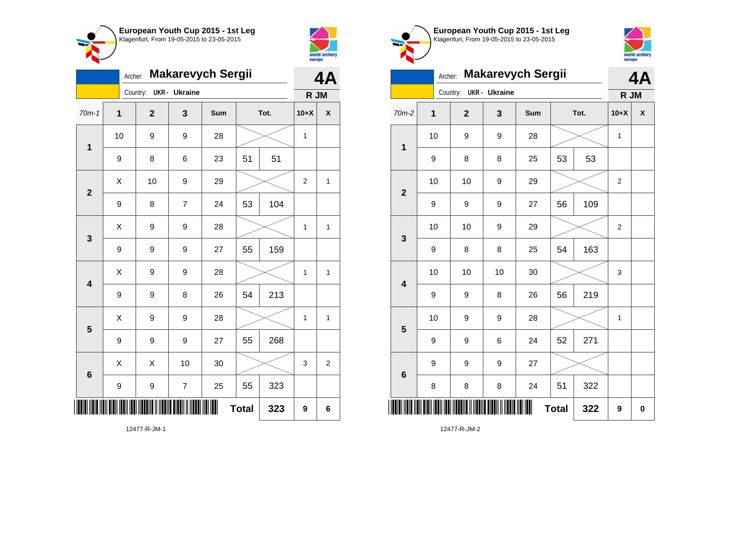



|                         | <b>Makarevych Sergii</b><br>Archer: |              |                |     |      |     |                |                |
|-------------------------|-------------------------------------|--------------|----------------|-----|------|-----|----------------|----------------|
|                         |                                     | Country:     | UKR - Ukraine  |     |      |     | R JM           |                |
| $70m-1$                 | 1                                   | $\mathbf{2}$ | 3              | Sum | Tot. |     | $10+X$         | χ              |
| $\mathbf 1$             | 10                                  | 9            | 9              | 28  |      |     | 1              |                |
|                         | $\boldsymbol{9}$                    | 8            | 6              | 23  | 51   | 51  |                |                |
| $\overline{\mathbf{2}}$ | Χ                                   | 10           | 9              | 29  |      |     | $\overline{2}$ | $\mathbf{1}$   |
|                         | 9                                   | 8            | $\overline{7}$ | 24  | 53   | 104 |                |                |
| 3                       | Χ                                   | 9            | 9              | 28  |      |     | 1              | 1              |
|                         | 9                                   | 9            | 9              | 27  | 55   | 159 |                |                |
| $\overline{\mathbf{4}}$ | Χ                                   | 9            | 9              | 28  |      |     | 1              | 1              |
|                         | $\boldsymbol{9}$                    | 9            | 8              | 26  | 54   | 213 |                |                |
| 5                       | Χ                                   | 9            | 9              | 28  |      |     | 1              | 1              |
|                         | $\boldsymbol{9}$                    | 9            | 9              | 27  | 55   | 268 |                |                |
| $6\phantom{1}6$         | X                                   | X            | 10             | 30  |      |     | 3              | $\overline{c}$ |
|                         | 9                                   | 9            | $\overline{7}$ | 25  | 55   | 323 |                |                |
| ║║                      | ║<br><b>Total</b><br>323            |              |                |     |      |     | 9              | 6              |





|                         | <b>Makarevych Sergii</b><br>Archer: |          |              |                      |     |              |      |                |   |  |
|-------------------------|-------------------------------------|----------|--------------|----------------------|-----|--------------|------|----------------|---|--|
|                         |                                     | Country: |              | <b>UKR</b> - Ukraine |     |              |      | R JM           |   |  |
| 70m-2                   | $\mathbf 1$                         |          | $\mathbf{2}$ | 3                    | Sum |              | Tot. | $10+X$         | X |  |
| $\mathbf 1$             | 10                                  |          | 9            | 9                    | 28  |              |      | $\mathbf{1}$   |   |  |
|                         | 9                                   |          | 8            | 8                    | 25  | 53           | 53   |                |   |  |
| $\overline{\mathbf{2}}$ | 10                                  |          | 10           | $\boldsymbol{9}$     | 29  |              |      | $\overline{c}$ |   |  |
|                         | 9                                   |          | 9            | 9                    | 27  | 56           | 109  |                |   |  |
| 3                       | 10                                  |          | 10           | 9                    | 29  |              |      | $\overline{2}$ |   |  |
|                         | 9                                   |          | 8            | 8                    | 25  | 54           | 163  |                |   |  |
| $\overline{\mathbf{4}}$ | 10                                  |          | 10           | 10                   | 30  |              |      | 3              |   |  |
|                         | 9                                   |          | 9            | 8                    | 26  | 56           | 219  |                |   |  |
| 5                       | 10                                  |          | 9            | $\boldsymbol{9}$     | 28  |              |      | $\mathbf 1$    |   |  |
|                         | 9                                   |          | 9            | 6                    | 24  | 52           | 271  |                |   |  |
| 6                       | 9                                   |          | 9            | 9                    | 27  |              |      |                |   |  |
|                         | 8                                   |          | 8            | 8                    | 24  | 51           | 322  |                |   |  |
| ║║                      |                                     |          |              |                      | ║   | <b>Total</b> | 322  | 9              | 0 |  |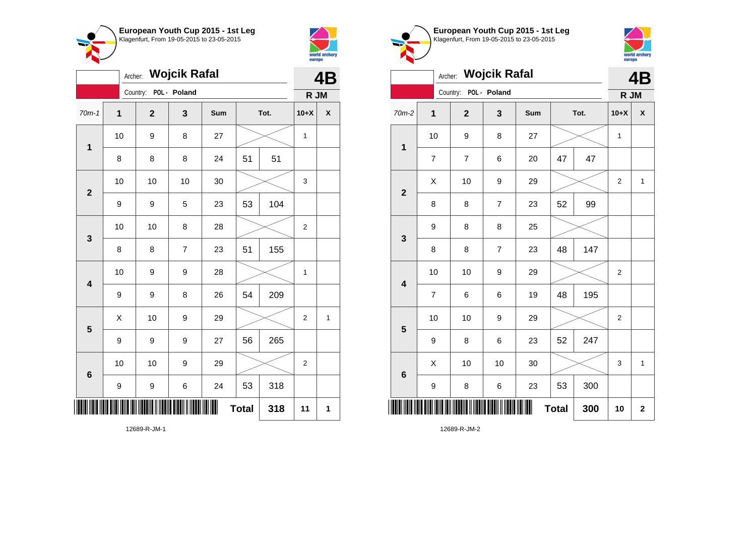



|                         | <b>Wojcik Rafal</b><br>Archer: |    |             |                |     |              |      |                |              |
|-------------------------|--------------------------------|----|-------------|----------------|-----|--------------|------|----------------|--------------|
|                         |                                |    | Country:    | POL - Poland   |     |              |      | R JM           |              |
| $70m-1$                 | 1                              |    | $\mathbf 2$ | 3              | Sum |              | Tot. | $10+X$         | χ            |
| 1                       | 10                             |    | 9           | 8              | 27  |              |      | 1              |              |
|                         | 8                              |    | 8           | 8              | 24  | 51           | 51   |                |              |
| $\overline{\mathbf{2}}$ | 10                             |    | 10          | 10             | 30  |              |      | 3              |              |
|                         | 9                              |    | 9           | 5              | 23  | 53           | 104  |                |              |
| 3                       |                                | 10 | 10          | 8              | 28  |              |      | $\overline{c}$ |              |
|                         | 8                              |    | 8           | $\overline{7}$ | 23  | 51           | 155  |                |              |
| $\overline{\mathbf{4}}$ | 10                             |    | 9           | 9              | 28  |              |      | 1              |              |
|                         | $\boldsymbol{9}$               |    | 9           | 8              | 26  | 54           | 209  |                |              |
| 5                       | X                              |    | 10          | 9              | 29  |              |      | $\overline{2}$ | $\mathbf{1}$ |
|                         | 9                              |    | 9           | 9              | 27  | 56           | 265  |                |              |
| $\boldsymbol{6}$        | 10                             |    | 10          | 9              | 29  |              |      | $\overline{2}$ |              |
|                         | 9                              |    | 9           | 6              | 24  | 53           | 318  |                |              |
| ║                       |                                |    |             |                |     | <b>Total</b> | 318  | 11             | 1            |





|                         | <b>Wojcik Rafal</b><br>Archer: |                         |                          |                |     |              |      |                | 4B           |  |
|-------------------------|--------------------------------|-------------------------|--------------------------|----------------|-----|--------------|------|----------------|--------------|--|
|                         |                                |                         | Country:                 | POL - Poland   |     |              |      | R JM           |              |  |
| 70m-2                   | 1                              |                         | $\mathbf 2$              | 3              | Sum |              | Tot. | $10+X$         | X            |  |
| $\mathbf 1$             |                                | 10                      | 9                        | 8              | 27  |              |      | 1              |              |  |
|                         |                                | $\overline{7}$          | $\overline{\mathcal{I}}$ | 6              | 20  | 47           | 47   |                |              |  |
| $\overline{\mathbf{2}}$ |                                | X                       | 10                       | 9              | 29  |              |      | $\overline{2}$ | $\mathbf{1}$ |  |
|                         |                                | 8                       | 8                        | $\overline{7}$ | 23  | 52           | 99   |                |              |  |
| $\mathbf{3}$            |                                | 9                       | 8                        | 8              | 25  |              |      |                |              |  |
|                         |                                | 8                       | 8                        | $\overline{7}$ | 23  | 48           | 147  |                |              |  |
| $\overline{\mathbf{4}}$ |                                | 10                      | 10                       | 9              | 29  |              |      | $\overline{c}$ |              |  |
|                         |                                | $\overline{\mathbf{7}}$ | 6                        | 6              | 19  | 48           | 195  |                |              |  |
| 5                       |                                | 10                      | 10                       | 9              | 29  |              |      | $\overline{2}$ |              |  |
|                         |                                | 9                       | 8                        | 6              | 23  | 52           | 247  |                |              |  |
| $6\phantom{1}6$         |                                | X                       | 10                       | 10             | 30  |              |      | 3              | 1            |  |
|                         |                                | 9                       | 8                        | 6              | 23  | 53           | 300  |                |              |  |
| ║║║                     |                                |                         |                          |                |     | <b>Total</b> | 300  | 10             | $\mathbf{2}$ |  |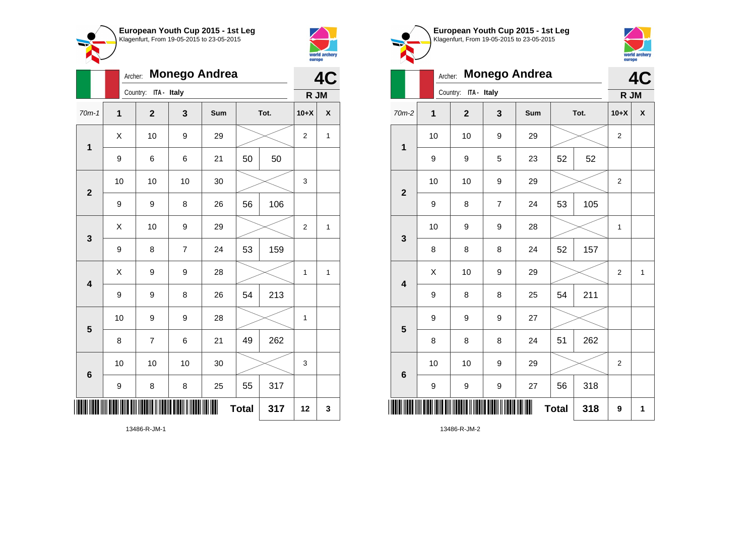



**1**

|                         |             | <b>Monego Andrea</b><br>Archer: |                |     |              |      |                |              |  |
|-------------------------|-------------|---------------------------------|----------------|-----|--------------|------|----------------|--------------|--|
|                         |             | Country: ITA - Italy            |                |     |              |      | R JM           |              |  |
| $70m-1$                 | $\mathbf 1$ | $\overline{\mathbf{2}}$         | 3              | Sum |              | Tot. | $10+X$         | χ            |  |
| 1                       | X           | 10                              | 9              | 29  |              |      | $\overline{2}$ | $\mathbf{1}$ |  |
|                         | 9           | 6                               | 6              | 21  | 50           | 50   |                |              |  |
| $\mathbf{2}$            | 10          | 10                              | 10             | 30  |              |      | 3              |              |  |
|                         | 9           | 9                               | 8              | 26  | 56           | 106  |                |              |  |
| 3                       | Χ           | 10                              | 9              | 29  |              |      | 2              | 1            |  |
|                         | 9           | 8                               | $\overline{7}$ | 24  | 53           | 159  |                |              |  |
| $\overline{\mathbf{4}}$ | X           | 9                               | 9              | 28  |              |      | 1              | $\mathbf{1}$ |  |
|                         | 9           | 9                               | 8              | 26  | 54           | 213  |                |              |  |
| $5\phantom{1}$          | 10          | 9                               | 9              | 28  |              |      | 1              |              |  |
|                         | 8           | $\overline{7}$                  | 6              | 21  | 49           | 262  |                |              |  |
| $6\phantom{1}6$         | 10          | 10                              | 10             | 30  |              |      | 3              |              |  |
|                         | 9           | 8                               | 8              | 25  | 55           | 317  |                |              |  |
| ║║                      |             |                                 |                |     | <b>Total</b> | 317  | 12             | 3            |  |



**4C**

world archery<br>europe

**R JM**

|                         | 9  | 9    | 5                | 23     | 52           | 52  |                  |              |
|-------------------------|----|------|------------------|--------|--------------|-----|------------------|--------------|
| $\mathbf{2}$            | 10 | $10$ | 9                | 29     |              |     | $\boldsymbol{2}$ |              |
|                         | 9  | 8    | $\overline{7}$   | 24     | 53           | 105 |                  |              |
| $\mathbf{3}$            | 10 | 9    | 9                | 28     |              |     | 1                |              |
|                         | 8  | 8    | 8                | 24     | 52           | 157 |                  |              |
| $\overline{\mathbf{4}}$ | X  | $10$ | $\boldsymbol{9}$ | 29     |              |     | $\overline{c}$   | $\mathbf{1}$ |
|                         | 9  | 8    | 8                | 25     | 54           | 211 |                  |              |
| $5\phantom{1}$          | 9  | 9    | 9                | $27\,$ |              |     |                  |              |
|                         | 8  | 8    | 8                | 24     | 51           | 262 |                  |              |
| $\bf 6$                 | 10 | $10$ | 9                | 29     |              |     | $\sqrt{2}$       |              |
|                         | 9  | 9    | 9                | 27     | 56           | 318 |                  |              |
| ║                       |    |      |                  |        | <b>Total</b> | 318 | $\boldsymbol{9}$ | 1            |

13486-R-JM-1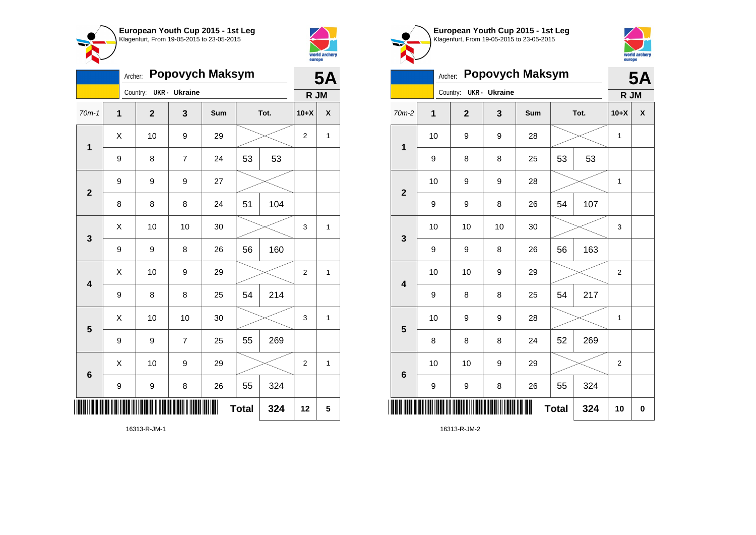



|                         | <b>Popovych Maksym</b><br>Archer: |              |                |     |              |      |                |              |
|-------------------------|-----------------------------------|--------------|----------------|-----|--------------|------|----------------|--------------|
|                         |                                   | Country:     | UKR - Ukraine  |     |              |      | R JM           |              |
| $70m-1$                 | $\mathbf 1$                       | $\mathbf{2}$ | 3              | Sum |              | Tot. | $10+X$         | X            |
| 1                       | X                                 | 10           | 9              | 29  |              |      | $\overline{2}$ | 1            |
|                         | 9                                 | 8            | $\overline{7}$ | 24  | 53           | 53   |                |              |
| $\overline{\mathbf{2}}$ | 9                                 | 9            | 9              | 27  |              |      |                |              |
|                         | 8                                 | 8            | 8              | 24  | 51           | 104  |                |              |
| 3                       | Χ                                 | 10           | 10             | 30  |              |      | 3              | 1            |
|                         | 9                                 | 9            | 8              | 26  | 56           | 160  |                |              |
| $\overline{\mathbf{4}}$ | Χ                                 | 10           | 9              | 29  |              |      | $\overline{2}$ | 1            |
|                         | $\boldsymbol{9}$                  | 8            | 8              | 25  | 54           | 214  |                |              |
| 5                       | Χ                                 | 10           | 10             | 30  |              |      | 3              | $\mathbf{1}$ |
|                         | 9                                 | 9            | $\overline{7}$ | 25  | 55           | 269  |                |              |
| 6                       | X                                 | 10           | 9              | 29  |              |      | $\overline{2}$ | $\mathbf{1}$ |
|                         | 9                                 | 9            | 8              | 26  | 55           | 324  |                |              |
|                         |                                   |              |                |     | <b>Total</b> | 324  | 12             | 5            |







**R JM**

Archer: **Popovych Maksym**

Country: **UKR - Ukraine**

| $70m-2$                 | $\mathbf 1$ | $\mathbf{2}$ | 3  | Sum | Tot.         |     | $10+X$         | $\pmb{\mathsf{X}}$ |
|-------------------------|-------------|--------------|----|-----|--------------|-----|----------------|--------------------|
| $\mathbf 1$             | 10          | 9            | 9  | 28  |              |     | $\mathbf{1}$   |                    |
|                         | 9           | 8            | 8  | 25  | 53           | 53  |                |                    |
| $\overline{\mathbf{2}}$ | $10$        | 9            | 9  | 28  |              |     | $\mathbf{1}$   |                    |
|                         | 9           | 9            | 8  | 26  | 54           | 107 |                |                    |
| 3                       | 10          | 10           | 10 | 30  |              |     | 3              |                    |
|                         | 9           | 9            | 8  | 26  | 56           | 163 |                |                    |
| $\overline{\mathbf{4}}$ | 10          | 10           | 9  | 29  |              |     | 2              |                    |
|                         | 9           | 8            | 8  | 25  | 54           | 217 |                |                    |
| 5                       | $10$        | 9            | 9  | 28  |              |     | $\mathbf{1}$   |                    |
|                         | 8           | 8            | 8  | 24  | 52           | 269 |                |                    |
| 6                       | 10          | 10           | 9  | 29  |              |     | $\overline{c}$ |                    |
|                         | 9           | 9            | 8  | 26  | 55           | 324 |                |                    |
| ║║║                     |             |              |    |     | <b>Total</b> | 324 | 10             | $\pmb{0}$          |

16313-R-JM-2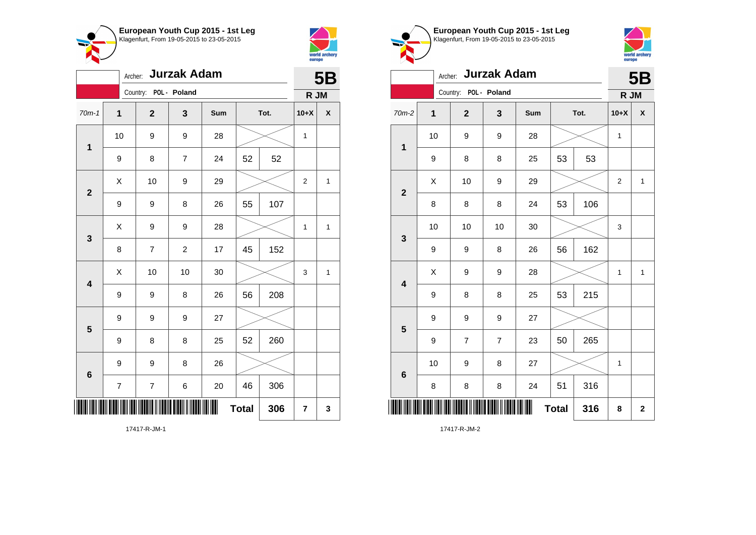



|                         | <b>Jurzak Adam</b><br>Archer: |                         |                |     |              |      |                  |              |  |
|-------------------------|-------------------------------|-------------------------|----------------|-----|--------------|------|------------------|--------------|--|
|                         |                               | Country: POL - Poland   |                |     |              |      | R JM             |              |  |
| $70m-1$                 | 1                             | $\mathbf{2}$            | 3              | Sum |              | Tot. | $10+X$           | χ            |  |
| $\mathbf 1$             | 10                            | 9                       | 9              | 28  |              |      | $\mathbf{1}$     |              |  |
|                         | 9                             | 8                       | $\overline{7}$ | 24  | 52           | 52   |                  |              |  |
| $\mathbf{2}$            | X                             | 10                      | 9              | 29  |              |      | $\boldsymbol{2}$ | 1            |  |
|                         | 9                             | 9                       | 8              | 26  | 55           | 107  |                  |              |  |
| 3                       | X                             | 9                       | 9              | 28  |              |      | 1                | $\mathbf{1}$ |  |
|                         | 8                             | $\overline{\mathbf{7}}$ | $\overline{c}$ | 17  | 45           | 152  |                  |              |  |
| $\overline{\mathbf{4}}$ | X                             | 10                      | 10             | 30  |              |      | 3                | $\mathbf{1}$ |  |
|                         | 9                             | 9                       | 8              | 26  | 56           | 208  |                  |              |  |
| $\overline{\mathbf{5}}$ | 9                             | 9                       | 9              | 27  |              |      |                  |              |  |
|                         | 9                             | 8                       | 8              | 25  | 52           | 260  |                  |              |  |
| 6                       | 9                             | 9                       | 8              | 26  |              |      |                  |              |  |
|                         | $\overline{\mathcal{I}}$      | $\boldsymbol{7}$        | 6              | 20  | 46           | 306  |                  |              |  |
|                         |                               |                         |                |     | <b>Total</b> | 306  | 7                | 3            |  |





|                         | Archer: Jurzak Adam |                       |                |     |              |      |              |                    |
|-------------------------|---------------------|-----------------------|----------------|-----|--------------|------|--------------|--------------------|
|                         |                     | Country: POL - Poland |                |     |              |      | R JM         |                    |
| $70m-2$                 | 1                   | $\mathbf 2$           | 3              | Sum |              | Tot. | $10+X$       | $\pmb{\mathsf{X}}$ |
| $\mathbf 1$             | 10                  | 9                     | 9              | 28  |              |      | $\mathbf{1}$ |                    |
|                         | 9                   | 8                     | 8              | 25  | 53           | 53   |              |                    |
| $\overline{2}$          | X                   | 10                    | 9              | 29  |              |      | 2            | $\mathbf{1}$       |
|                         | 8                   | 8                     | 8              | 24  | 53           | 106  |              |                    |
| $\mathbf{3}$            | 10                  | 10                    | 10             | 30  |              |      | 3            |                    |
|                         | 9                   | 9                     | 8              | 26  | 56           | 162  |              |                    |
| $\overline{\mathbf{4}}$ | Χ                   | 9                     | 9              | 28  |              |      | 1            | $\mathbf{1}$       |
|                         | 9                   | 8                     | 8              | 25  | 53           | 215  |              |                    |
| 5                       | 9                   | 9                     | 9              | 27  |              |      |              |                    |
|                         | 9                   | $\overline{7}$        | $\overline{7}$ | 23  | 50           | 265  |              |                    |
| $6\phantom{1}6$         | 10                  | 9                     | 8              | 27  |              |      | 1            |                    |
|                         | 8                   | 8                     | 8              | 24  | 51           | 316  |              |                    |
| ║║║                     |                     |                       |                |     | <b>Total</b> | 316  | 8            | $\mathbf{2}$       |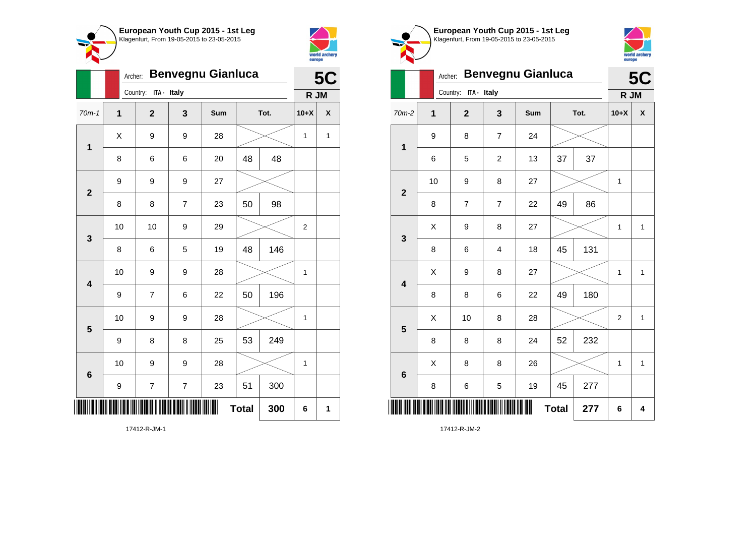



|                         |              | <b>Benvegnu Gianluca</b><br>Archer: |                         |     |              |      |                |   |  |
|-------------------------|--------------|-------------------------------------|-------------------------|-----|--------------|------|----------------|---|--|
|                         |              | Country: ITA - Italy                |                         |     |              |      | R JM           |   |  |
| $70m-1$                 | $\mathbf{1}$ | $\mathbf{2}$                        | 3                       | Sum |              | Tot. | $10+X$         | X |  |
| $\mathbf{1}$            | X            | 9                                   | 9                       | 28  |              |      | 1              | 1 |  |
|                         | 8            | 6                                   | 6                       | 20  | 48           | 48   |                |   |  |
| $\overline{2}$          | 9            | 9                                   | 9                       | 27  |              |      |                |   |  |
|                         | 8            | 8                                   | $\overline{\mathbf{7}}$ | 23  | 50           | 98   |                |   |  |
| 3                       | 10           | 10                                  | 9                       | 29  |              |      | $\overline{2}$ |   |  |
|                         | 8            | 6                                   | 5                       | 19  | 48           | 146  |                |   |  |
| $\overline{\mathbf{4}}$ | 10           | 9                                   | 9                       | 28  |              |      | $\mathbf{1}$   |   |  |
|                         | 9            | $\overline{\mathbf{7}}$             | 6                       | 22  | 50           | 196  |                |   |  |
| 5                       | 10           | 9                                   | 9                       | 28  |              |      | $\mathbf 1$    |   |  |
|                         | 9            | 8                                   | 8                       | 25  | 53           | 249  |                |   |  |
| $\boldsymbol{6}$        | 10           | 9                                   | 9                       | 28  |              |      | $\mathbf 1$    |   |  |
|                         | 9            | 7                                   | $\overline{\mathbf{7}}$ | 23  | 51           | 300  |                |   |  |
|                         |              |                                     |                         | III | <b>Total</b> | 300  | 6              | 1 |  |

Klagenfurt, From 19-05-2015 to 23-05-2015 world archery<br>europe Archer: **Benvegnu Gianluca 5C** Country: **ITA - Italy R JM** 70m-2 **1 2 3 Sum Tot. 10+X X** 9 8 7 24 **1** 6 5 2 13 37 37 10 | 9 | 8 | 27 |  $\times$  | 1 **2** 8 | 7 | 7 | 22 | 49 | 86  $\begin{array}{|c|c|c|c|c|c|}\hline \hspace{.1cm}X & \hspace{.1cm}9 & \hspace{.1cm}8 & \hspace{.1cm}27 & \hspace{.1cm}1&\hspace{.1cm}\hline \end{array}$ **3** 8 | 6 | 4 | 18 | 45 | 131  $X$  | 9 | 8 | 27 |  $\times$  | 1 | 1 **4** 8 | 8 | 6 | 22 | 49 | 180  $\begin{array}{|c|c|c|c|c|c|}\hline \hspace{.1cm}X & \hspace{.1cm} \text{10} & \hspace{.1cm} \text{8} & \hspace{.1cm} \text{28} & \hspace{.1cm} \text{28} & \hspace{.1cm} \text{\large $\times$} & \hspace{.1cm} \text{2} & \hspace{.1cm} \text{1} \end{array}$ **5** 8 | 8 | 8 | 24 | 52 | 232  $\begin{array}{|c|c|c|c|c|}\hline \hspace{0.8cm}X & \hspace{0.8cm}8 & \hspace{0.8cm}8 & \hspace{0.8cm}8 & \hspace{0.8cm}26 & \hspace{0.8cm}26 & \hspace{0.8cm}\hline \end{array} \hspace{0.2cm}\longrightarrow \hspace{0.2cm} \begin{array}{|c|c|c|c|c|c|}\hline \hspace{0.8cm}1 & \hspace{0.8cm}1 & \hspace{0.8cm}1 & \hspace{0.8cm}1 & \hspace{0.8cm}1 & \hspace{0.8cm}1 & \hspace{0.8cm}1 &$ **6** 8 | 6 | 5 | 19 | 45 | 277 \*17412-R-JM-2\* **Total 277 6 4**

**European Youth Cup 2015 - 1st Leg**

17412-R-JM-2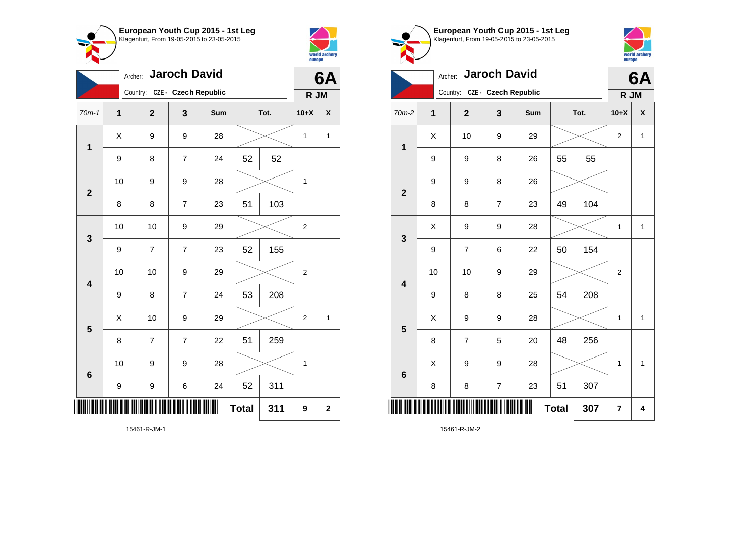



| <b>Jaroch David</b><br>Archer: |             |                               |                         |     |              |      |                | 6A          |
|--------------------------------|-------------|-------------------------------|-------------------------|-----|--------------|------|----------------|-------------|
|                                |             | Country: CZE - Czech Republic |                         |     |              |      | R JM           |             |
| $70m-1$                        | $\mathbf 1$ | $\overline{2}$                | 3                       | Sum |              | Tot. | $10+X$         | X           |
| 1                              | X           | 9                             | 9                       | 28  |              |      | 1              | 1           |
|                                | 9           | 8                             | $\overline{7}$          | 24  | 52           | 52   |                |             |
| $\overline{\mathbf{2}}$        | 10          | 9                             | 9                       | 28  |              |      | $\mathbf 1$    |             |
|                                | 8           | 8                             | $\overline{\mathbf{7}}$ | 23  | 51           | 103  |                |             |
| 3                              | 10          | 10                            | 9                       | 29  |              |      | $\overline{c}$ |             |
|                                | 9           | $\overline{7}$                | $\overline{7}$          | 23  | 52           | 155  |                |             |
| $\overline{\mathbf{4}}$        | 10          | 10                            | 9                       | 29  |              |      | $\overline{2}$ |             |
|                                | 9           | 8                             | $\overline{7}$          | 24  | 53           | 208  |                |             |
| $\overline{\mathbf{5}}$        | X           | 10                            | 9                       | 29  |              |      | 2              | 1           |
|                                | 8           | 7                             | 7                       | 22  | 51           | 259  |                |             |
| 6                              | 10          | 9                             | 9                       | 28  |              |      | $\mathbf 1$    |             |
|                                | 9           | 9                             | 6                       | 24  | 52           | 311  |                |             |
|                                |             |                               |                         | ║║  | <b>Total</b> | 311  | 9              | $\mathbf 2$ |

world archery<br>europe Archer: **Jaroch David 6A** Country: **CZE - Czech Republic R JM** 70m-2 **1 2 3 Sum Tot. 10+X X**  $\begin{array}{|c|c|c|c|c|c|}\hline \hspace{.1cm}X & \hspace{.1cm} & \textbf{10} & \hspace{.1cm} & \textbf{9} & \hspace{.1cm} & \textbf{29} & \hspace{.1cm} & \hspace{.1cm} & \hspace{.1cm} & \hspace{.1cm} & \hspace{.1cm} & \hspace{.1cm} & \hspace{.1cm} & \hspace{.1cm} & \hspace{.1cm} & \hspace{.1cm} & \hspace{.1cm} & \hspace{.1cm} & \hspace{.1cm} & \hspace{.1cm} & \hspace{.1cm} & \hspace{$ **1** 9 | 9 | 8 | 26 | 55 | 55 9 | 9 | 8 | 26 **2** 8 | 8 | 7 | 23 | 49 | 104  $\begin{array}{|c|c|c|c|c|c|}\hline \hspace{.1cm}X & \hspace{.1cm} 9 & \hspace{.1cm} 9 & \hspace{.1cm} 28 & \hspace{.1cm} 28 & \hspace{.1cm} & \hline \end{array} \hspace{.2cm} \begin{array}{c} \hline \hspace{.1cm}X & \hspace{.1cm} 1 & \hspace{.1cm} 1 & \hspace{.1cm} 1 \hspace{.1cm} \end{array}$ **3** 9 | 7 | 6 | 22 | 50 | 154 10 | 10 | 9 | 29 |  $\times$  | 2 **4** 9 | 8 | 8 | 25 | 54 | 208  $X$  | 9 | 9 | 28 |  $\times$  | 1 | 1 **5** 8 | 7 | 5 | 20 | 48 | 256  $X$  | 9 | 9 | 28 |  $\times$  | 1 | 1 **6** 8 | 8 | 7 | 23 | 51 | 307 \*15461-R-JM-2\* **Total**  $307$   $7$   $4$ 

**European Youth Cup 2015 - 1st Leg** Klagenfurt, From 19-05-2015 to 23-05-2015

15461-R-JM-2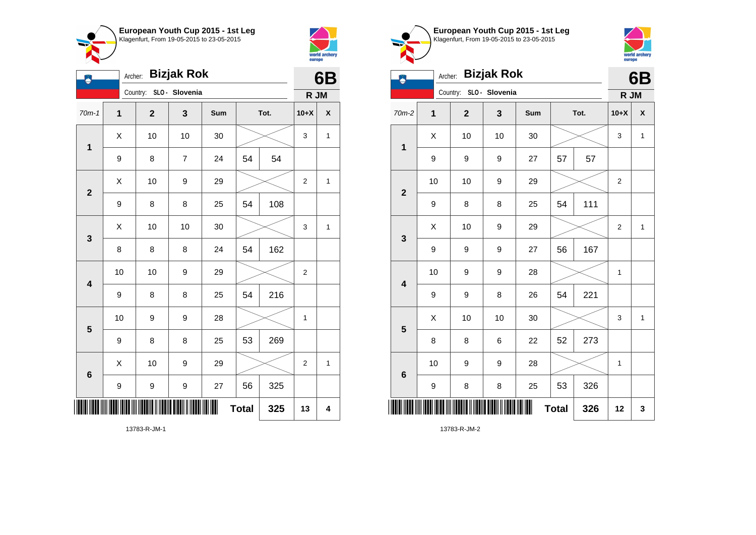

Archer: **Bizjak Rok**



| ۵                       | Archer:     |              |                         | 6B  |              |      |                |                    |
|-------------------------|-------------|--------------|-------------------------|-----|--------------|------|----------------|--------------------|
|                         |             |              | Country: SLO - Slovenia |     |              |      | R JM           |                    |
| $70m-1$                 | $\mathbf 1$ | $\mathbf{2}$ | 3                       | Sum |              | Tot. | $10+X$         | $\pmb{\mathsf{X}}$ |
| $\overline{\mathbf{1}}$ | X           | 10           | 10                      | 30  |              |      | 3              | 1                  |
|                         | 9           | 8            | $\overline{7}$          | 24  | 54           | 54   |                |                    |
| $\mathbf{2}$            | X           | 10           | 9                       | 29  |              |      | $\overline{2}$ | $\mathbf{1}$       |
|                         | 9           | 8            | 8                       | 25  | 54           | 108  |                |                    |
| 3                       | X           | 10           | 10                      | 30  |              |      | 3              | $\mathbf{1}$       |
|                         | 8           | 8            | 8                       | 24  | 54           | 162  |                |                    |
| $\overline{\mathbf{4}}$ | 10          | 10           | 9                       | 29  |              |      | $\overline{2}$ |                    |
|                         | 9           | 8            | 8                       | 25  | 54           | 216  |                |                    |
| $\overline{\mathbf{5}}$ | 10          | 9            | 9                       | 28  |              |      | 1              |                    |
|                         | 9           | 8            | 8                       | 25  | 53           | 269  |                |                    |
| 6                       | X           | 10           | 9                       | 29  |              |      | $\overline{2}$ | 1                  |
|                         | 9           | 9            | 9                       | 27  | 56           | 325  |                |                    |
| IIII                    |             |              |                         | III | <b>Total</b> | 325  | 13             | 4                  |



13783-R-JM-2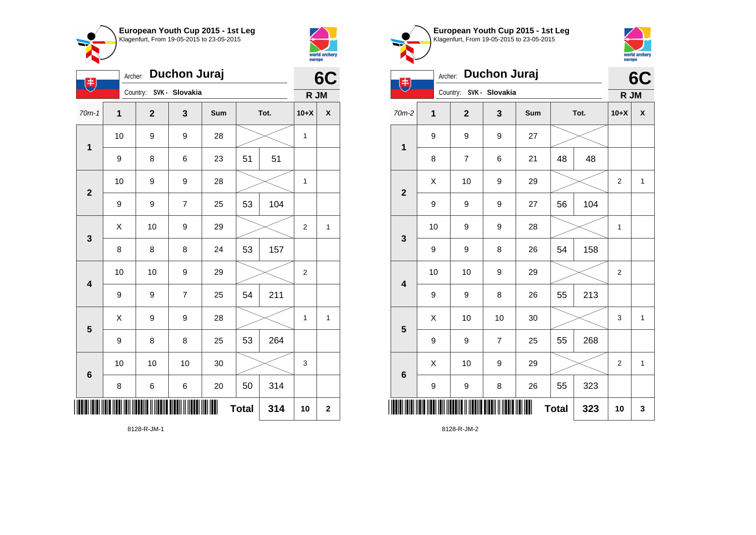



| Duchon Juraj<br>Archer:<br>$\left( \frac{1}{2} \right)$ |                  |                         |                |     |              |      |                | 6C          |
|---------------------------------------------------------|------------------|-------------------------|----------------|-----|--------------|------|----------------|-------------|
|                                                         |                  | Country: SVK - Slovakia |                |     |              |      | R JM           |             |
| $70m-1$                                                 | 1                | $\overline{\mathbf{2}}$ | 3              | Sum |              | Tot. | $10+X$         | χ           |
| $\mathbf 1$                                             | 10               | 9                       | 9              | 28  |              |      | 1              |             |
|                                                         | 9                | 8                       | 6              | 23  | 51           | 51   |                |             |
| $\mathbf{2}$                                            | 10               | 9                       | 9              | 28  |              |      | 1              |             |
|                                                         | 9                | 9                       | $\overline{7}$ | 25  | 53           | 104  |                |             |
| 3                                                       | X                | 10                      | 9              | 29  |              |      | $\overline{2}$ | 1           |
|                                                         | 8                | 8                       | 8              | 24  | 53           | 157  |                |             |
| $\overline{\mathbf{4}}$                                 | 10               | 10                      | 9              | 29  |              |      | $\overline{2}$ |             |
|                                                         | $\boldsymbol{9}$ | 9                       | $\overline{7}$ | 25  | 54           | 211  |                |             |
| $\overline{\mathbf{5}}$                                 | X                | 9                       | 9              | 28  |              |      | 1              | 1           |
|                                                         | 9                | 8                       | 8              | 25  | 53           | 264  |                |             |
| 6                                                       | 10               | 10                      | 10             | 30  |              |      | 3              |             |
|                                                         | 8                | 6                       | 6              | 20  | 50           | 314  |                |             |
|                                                         |                  |                         |                |     | <b>Total</b> | 314  | 10             | $\mathbf 2$ |

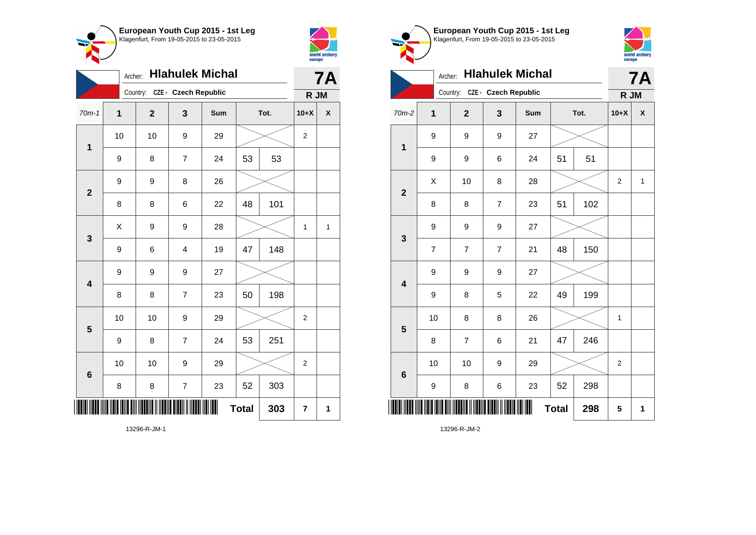



| $\sim$                  |              |              |                               |     |              |      | europe           |           |
|-------------------------|--------------|--------------|-------------------------------|-----|--------------|------|------------------|-----------|
|                         | Archer:      |              | <b>Hlahulek Michal</b>        |     |              |      |                  | <b>7A</b> |
|                         |              |              | Country: CZE - Czech Republic |     |              |      | R JM             |           |
| $70m-1$                 | $\mathbf{1}$ | $\mathbf{2}$ | 3                             | Sum |              | Tot. | $10+X$           | χ         |
| $\mathbf 1$             | 10           | 10           | 9                             | 29  |              |      | $\boldsymbol{2}$ |           |
|                         | 9            | 8            | $\overline{7}$                | 24  | 53           | 53   |                  |           |
|                         | 9            | 9            | 8                             | 26  |              |      |                  |           |
| $\mathbf{2}$            | 8            | 8            | 6                             | 22  | 48           | 101  |                  |           |
|                         | X            | 9            | 9                             | 28  |              |      | 1                | 1         |
| $\mathbf{3}$            | 9            | 6            | $\overline{4}$                | 19  | 47           | 148  |                  |           |
|                         | 9            | 9            | 9                             | 27  |              |      |                  |           |
| $\overline{\mathbf{4}}$ | 8            | 8            | $\overline{7}$                | 23  | 50           | 198  |                  |           |
|                         | 10           | 10           | 9                             | 29  |              |      | 2                |           |
| 5                       | 9            | 8            | $\overline{7}$                | 24  | 53           | 251  |                  |           |
| $6\phantom{1}6$         | 10           | 10           | 9                             | 29  |              |      | 2                |           |
|                         | 8            | 8            | $\overline{7}$                | 23  | 52           | 303  |                  |           |
|                         |              |              |                               |     | <b>Total</b> | 303  | 7                | 1         |



**Total 298 5 1**

13296-R-JM-2

\*13296-R-JM-2\*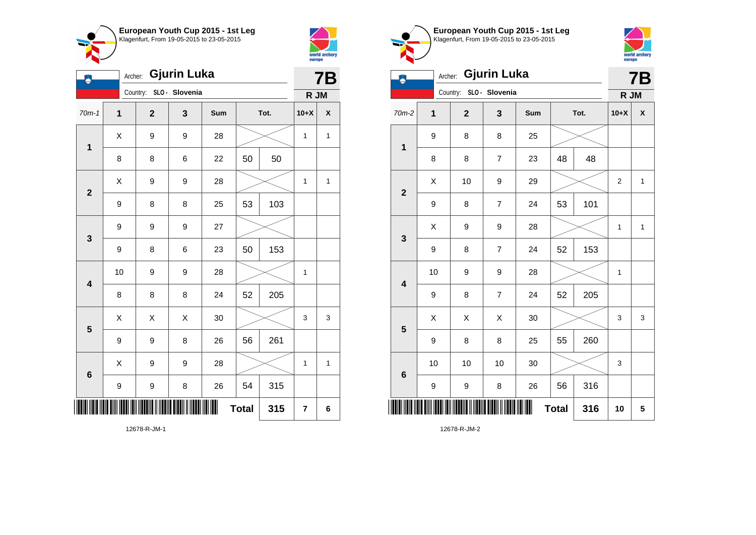



| ÿ                       | Archer:     |                         |   | 7B  |              |      |        |              |
|-------------------------|-------------|-------------------------|---|-----|--------------|------|--------|--------------|
|                         |             | Country: SLO - Slovenia |   |     |              |      | R JM   |              |
| $70m-1$                 | $\mathbf 1$ | $\mathbf{2}$            | 3 | Sum |              | Tot. | $10+X$ | X            |
| $\mathbf{1}$            | X           | 9                       | 9 | 28  |              |      | 1      | $\mathbf{1}$ |
|                         | 8           | 8                       | 6 | 22  | 50           | 50   |        |              |
| $\overline{2}$          | Χ           | 9                       | 9 | 28  |              |      | 1      | 1            |
|                         | 9           | 8                       | 8 | 25  | 53           | 103  |        |              |
| 3                       | 9           | 9                       | 9 | 27  |              |      |        |              |
|                         | 9           | 8                       | 6 | 23  | 50           | 153  |        |              |
| $\overline{\mathbf{4}}$ | 10          | 9                       | 9 | 28  |              |      | 1      |              |
|                         | 8           | 8                       | 8 | 24  | 52           | 205  |        |              |
| 5                       | X           | X                       | X | 30  |              |      | 3      | 3            |
|                         | 9           | 9                       | 8 | 26  | 56           | 261  |        |              |
| 6                       | X           | 9                       | 9 | 28  |              |      | 1      | 1            |
|                         | 9           | 9                       | 8 | 26  | 54           | 315  |        |              |
| IIII                    |             |                         |   | ∭   | <b>Total</b> | 315  | 7      | 6            |

Klagenfurt, From 19-05-2015 to 23-05-2015 world archery<br>europe Archer: **Gjurin Luka 7B** Country: **SLO - Slovenia R JM** 70m-2 **1 2 3 Sum Tot. 10+X X** 9 8 8 25 **1** 8 | 8 | 7 | 23 | 48 | 48  $\begin{array}{|c|c|c|c|c|c|}\hline \hspace{.1cm}X & \hspace{.1cm} & \textbf{10} & \hspace{.1cm} & \textbf{9} & \hspace{.1cm} & \textbf{29} & \hspace{.1cm} & \hspace{.1cm} & \hspace{.1cm} & \hspace{.1cm} & \hspace{.1cm} & \hspace{.1cm} & \hspace{.1cm} & \hspace{.1cm} & \hspace{.1cm} & \hspace{.1cm} & \hspace{.1cm} & \hspace{.1cm} & \hspace{.1cm} & \hspace{.1cm} & \hspace{.1cm} & \hspace{$ **2** 9 | 8 | 7 | 24 | 53 | 101  $\begin{array}{|c|c|c|c|c|c|}\hline \hspace{.1cm}X & \hspace{.1cm} 9 & \hspace{.1cm} 9 & \hspace{.1cm} 28 & \hspace{.1cm} 28 & \hspace{.1cm} & \hline \end{array} \hspace{.2cm} \begin{array}{c} \hline \hspace{.1cm}X & \hspace{.1cm} 1 & \hspace{.1cm} 1 & \hspace{.1cm} 1 \hspace{.1cm} \end{array}$ **3** 9 | 8 | 7 | 24 | 52 | 153 10 | 9 | 9 | 28 |  $\times$  | 1 **4** 9 | 8 | 7 | 24 | 52 | 205  $\begin{array}{|c|c|c|c|c|}\hline \hspace{0.8cm}X & X & X & 30 & \nearrow & \end{array} \hspace{0.2cm} \begin{array}{|c|c|c|c|c|}\hline \hspace{0.8cm}X & 3 & 3 & 3 \end{array}$ **5** 9 | 8 | 8 | 25 | 55 | 260 10 | 10 | 10 | 30 |  $\times$  | 3 **6** 9 | 9 | 8 | 26 | 56 | 316 \*12678-R-JM-2\* **Total 316 10 5**

**European Youth Cup 2015 - 1st Leg**

12678-R-JM-1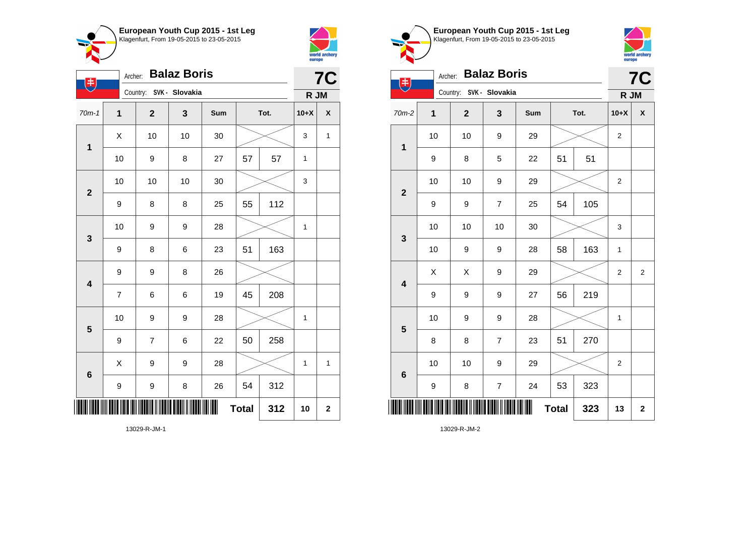



| $(\ddag)$               | Archer:          |                         |    | <b>7C</b> |              |      |             |             |
|-------------------------|------------------|-------------------------|----|-----------|--------------|------|-------------|-------------|
|                         |                  | Country: SVK - Slovakia |    |           |              |      | R JM        |             |
| $70m-1$                 | $\mathbf 1$      | $\overline{\mathbf{2}}$ | 3  | Sum       |              | Tot. | $10+X$      | X           |
| $\mathbf 1$             | X                | 10                      | 10 | 30        |              |      | 3           | $\mathbf 1$ |
|                         | 10               | 9                       | 8  | 27        | 57           | 57   | 1           |             |
| $\mathbf{2}$            | 10               | 10                      | 10 | 30        |              |      | $\mathsf 3$ |             |
|                         | 9                | 8                       | 8  | 25        | 55           | 112  |             |             |
| 3                       | 10               | 9                       | 9  | 28        |              |      | 1           |             |
|                         | 9                | 8                       | 6  | 23        | 51           | 163  |             |             |
| $\overline{\mathbf{4}}$ | 9                | 9                       | 8  | 26        |              |      |             |             |
|                         | $\overline{7}$   | 6                       | 6  | 19        | 45           | 208  |             |             |
| 5                       | 10               | 9                       | 9  | 28        |              |      | 1           |             |
|                         | 9                | $\overline{7}$          | 6  | 22        | 50           | 258  |             |             |
| $\bf 6$                 | X                | 9                       | 9  | 28        |              |      | 1           | 1           |
|                         | $\boldsymbol{9}$ | 9                       | 8  | 26        | 54           | 312  |             |             |
|                         |                  |                         |    |           | <b>Total</b> | 312  | 10          | $\mathbf 2$ |





|                         | <b>Balaz Boris</b><br>Archer:<br>书 |              |                         |     |              |      |                |                    |  |
|-------------------------|------------------------------------|--------------|-------------------------|-----|--------------|------|----------------|--------------------|--|
|                         |                                    |              | Country: SVK - Slovakia |     |              |      | R JM           |                    |  |
| 70m-2                   | 1                                  | $\mathbf{2}$ | 3                       | Sum |              | Tot. | $10+X$         | $\pmb{\mathsf{X}}$ |  |
| $\mathbf 1$             | 10                                 | 10           | 9                       | 29  |              |      | $\overline{2}$ |                    |  |
|                         | 9                                  | 8            | 5                       | 22  | 51           | 51   |                |                    |  |
| $\overline{2}$          | 10                                 | 10           | 9                       | 29  |              |      | $\overline{2}$ |                    |  |
|                         | 9                                  | 9            | $\overline{7}$          | 25  | 54           | 105  |                |                    |  |
| $\mathbf{3}$            | 10                                 | 10           | 10                      | 30  |              |      | 3              |                    |  |
|                         | 10                                 | 9            | 9                       | 28  | 58           | 163  | $\mathbf{1}$   |                    |  |
| $\overline{\mathbf{4}}$ | Χ                                  | Χ            | 9                       | 29  |              |      | $\overline{2}$ | $\overline{2}$     |  |
|                         | 9                                  | 9            | 9                       | 27  | 56           | 219  |                |                    |  |
| 5                       | 10                                 | 9            | 9                       | 28  |              |      | $\mathbf{1}$   |                    |  |
|                         | 8                                  | 8            | $\overline{7}$          | 23  | 51           | 270  |                |                    |  |
| $6\phantom{1}6$         | 10                                 | 10           | 9                       | 29  |              |      | $\overline{2}$ |                    |  |
|                         | 9                                  | 8            | 7                       | 24  | 53           | 323  |                |                    |  |
| ║║║                     |                                    |              |                         | Ш   | <b>Total</b> | 323  | 13             | $\mathbf 2$        |  |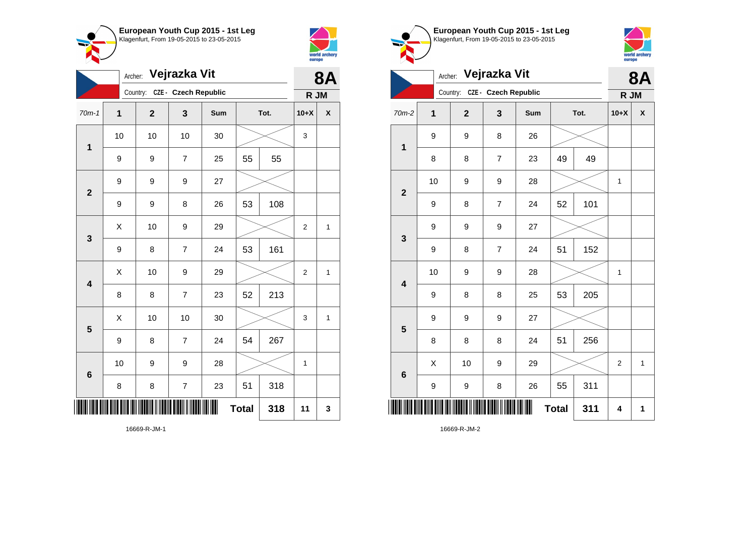



|                         |                  | Vejrazka Vit<br>Archer: |                          |     |              |      |                |              |
|-------------------------|------------------|-------------------------|--------------------------|-----|--------------|------|----------------|--------------|
|                         |                  | Country:                | CZE - Czech Republic     |     |              |      | R JM           |              |
| $70m-1$                 | 1                | $\overline{\mathbf{2}}$ | 3                        | Sum |              | Tot. | $10+X$         | X            |
| 1                       | 10               | 10                      | 10                       | 30  |              |      | 3              |              |
|                         | 9                | 9                       | $\overline{7}$           | 25  | 55           | 55   |                |              |
| $\overline{2}$          | 9                | 9                       | 9                        | 27  |              |      |                |              |
|                         | $\boldsymbol{9}$ | 9                       | 8                        | 26  | 53           | 108  |                |              |
| 3                       | X                | 10                      | 9                        | 29  |              |      | $\overline{2}$ | $\mathbf{1}$ |
|                         | 9                | 8                       | $\overline{7}$           | 24  | 53           | 161  |                |              |
| $\overline{\mathbf{4}}$ | X                | 10                      | 9                        | 29  |              |      | $\overline{2}$ | $\mathbf{1}$ |
|                         | 8                | 8                       | $\overline{7}$           | 23  | 52           | 213  |                |              |
| 5                       | X                | 10                      | 10                       | 30  |              |      | 3              | $\mathbf{1}$ |
|                         | 9                | 8                       | $\overline{7}$           | 24  | 54           | 267  |                |              |
| 6                       | 10               | 9                       | 9                        | 28  |              |      | $\mathbf 1$    |              |
|                         | 8                | 8                       | $\overline{\mathcal{I}}$ | 23  | 51           | 318  |                |              |
|                         |                  |                         |                          | ║║  | <b>Total</b> | 318  | 11             | 3            |

Klagenfurt, From 19-05-2015 to 23-05-2015 world archery<br>europe Archer: **Vejrazka Vit 8A** Country: **CZE - Czech Republic R JM** 70m-2 **1 2 3 Sum Tot. 10+X X** 9 9 8 26 **1** 8 8 7 23 49 49 10 | 9 | 9 | 28 |  $\times$  | 1 **2** 9 | 8 | 7 | 24 | 52 | 101 9 9 9 27 **3** 9 | 8 | 7 | 24 | 51 | 152 10 | 9 | 9 | 28 |  $\times$  | 1 **4** 9 | 8 | 8 | 25 | 53 | 205 9 9 9 27 **5** 8 | 8 | 8 | 24 | 51 | 256  $\begin{array}{|c|c|c|c|c|c|}\hline \hspace{.1cm}X & \hspace{.1cm} \text{ 10} & \hspace{.1cm} \text{9} & \hspace{.1cm} \text{29} & \hspace{.1cm} \text{20} & \hspace{.1cm} \text{3} & \hspace{.1cm} \text{2} & \hspace{.1cm} \text{21} & \hspace{.1cm} \text{11} & \hspace{.1cm} \hline \end{array}$ **6** 9 | 9 | 8 | 26 | 55 | 311 \*16669-R-JM-2\*  $Total | 311 | 4 | 1$ 

**European Youth Cup 2015 - 1st Leg**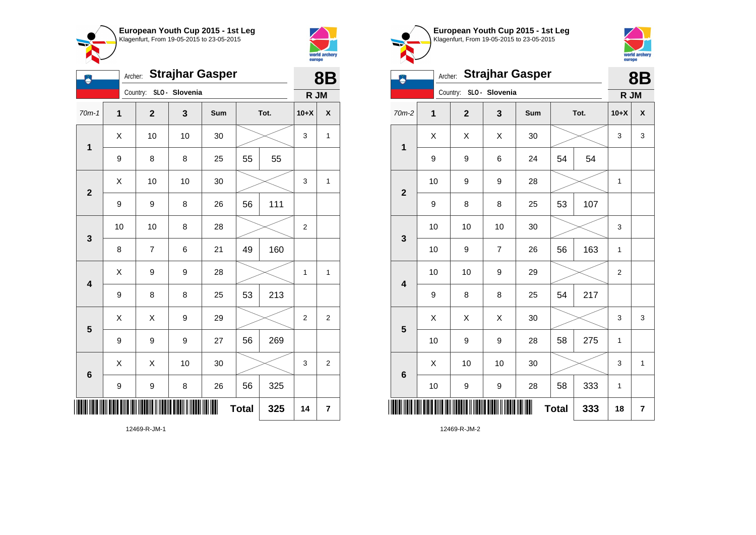



| Ą                       | <b>Strajhar Gasper</b><br>Archer: |  |                         |                |     |              |      |                | <b>8B</b>      |
|-------------------------|-----------------------------------|--|-------------------------|----------------|-----|--------------|------|----------------|----------------|
|                         |                                   |  | Country:                | SLO - Slovenia |     |              |      | R JM           |                |
| $70m-1$                 | 1                                 |  | $\overline{\mathbf{2}}$ | 3              | Sum |              | Tot. | $10+X$         | χ              |
| $\mathbf{1}$            | X                                 |  | 10                      | 10             | 30  |              |      | 3              | 1              |
|                         | $\boldsymbol{9}$                  |  | 8                       | 8              | 25  | 55           | 55   |                |                |
| $\overline{2}$          | X                                 |  | 10                      | 10             | 30  |              |      | 3              | 1              |
|                         | 9                                 |  | 9                       | 8              | 26  | 56           | 111  |                |                |
| 3                       | 10                                |  | 10                      | 8              | 28  |              |      | 2              |                |
|                         | 8                                 |  | $\overline{\mathbf{7}}$ | 6              | 21  | 49           | 160  |                |                |
| $\overline{\mathbf{4}}$ | X                                 |  | 9                       | 9              | 28  |              |      | 1              | 1              |
|                         | 9                                 |  | 8                       | 8              | 25  | 53           | 213  |                |                |
| 5                       | X                                 |  | Χ                       | 9              | 29  |              |      | $\overline{2}$ | 2              |
|                         | 9                                 |  | 9                       | 9              | 27  | 56           | 269  |                |                |
| $6\phantom{1}$          | X                                 |  | Χ                       | 10             | 30  |              |      | 3              | $\overline{2}$ |
|                         | 9                                 |  | 9                       | 8              | 26  | 56           | 325  |                |                |
|                         |                                   |  |                         |                |     | <b>Total</b> | 325  | 14             | 7              |

world archery europe Archer: **Strajhar Gasper 8B** Country: **SLO - Slovenia R JM** 70m-2 **1 2 3 Sum Tot. 10+X X**  $X \quad | \quad X \quad | \quad X \quad | \quad 30 \quad | \quad \textcolor{red}{\textbf{3}} \textcolor{red}{\textbf{2}} \sim \quad | \quad 3 \quad | \quad 3$ **1** 9 | 9 | 6 | 24 | 54 | 54 10 | 9 | 9 | 28 |  $\times$  | 1 **2** 9 | 8 | 8 | 25 | 53 | 107 10 | 10 | 10 | 30 |  $\times$  | 3 **3** 10 | 9 | 7 | 26 | 56 | 163 | 1 10 | 10 | 9 | 29 |  $\times$  | 2 **4** 9 | 8 | 8 | 25 | 54 | 217  $\begin{array}{|c|c|c|c|c|}\hline \hspace{0.8cm}X & X & X & 30 & \nearrow & \end{array} \hspace{0.2cm} \begin{array}{|c|c|c|c|c|}\hline \hspace{0.8cm}X & 3 & 3 & 3 \end{array}$ **5** 10 | 9 | 9 | 28 | 58 | 275 | 1  $\begin{array}{|c|c|c|c|c|c|}\hline \hspace{.1cm}X & \hspace{.1cm} \text{ 10} & \hspace{.1cm} \text{ 10} & \hspace{.1cm} \text{ 30} & \hspace{.1cm} \end{array} \hspace{.2cm} \begin{array}{|c|c|c|c|c|c|}\hline \hspace{.1cm}X & \hspace{.1cm} \text{ 3} & \hspace{.1cm} \text{ 1} & \hspace{.1cm} \text{ 4} & \hspace{.1cm} \end{array}$ **6** 10 | 9 | 9 | 28 | 58 | 333 | 1 \*12469-R-JM-2\* **Total 333 18 7**

**European Youth Cup 2015 - 1st Leg** Klagenfurt, From 19-05-2015 to 23-05-2015

12469-R-JM-1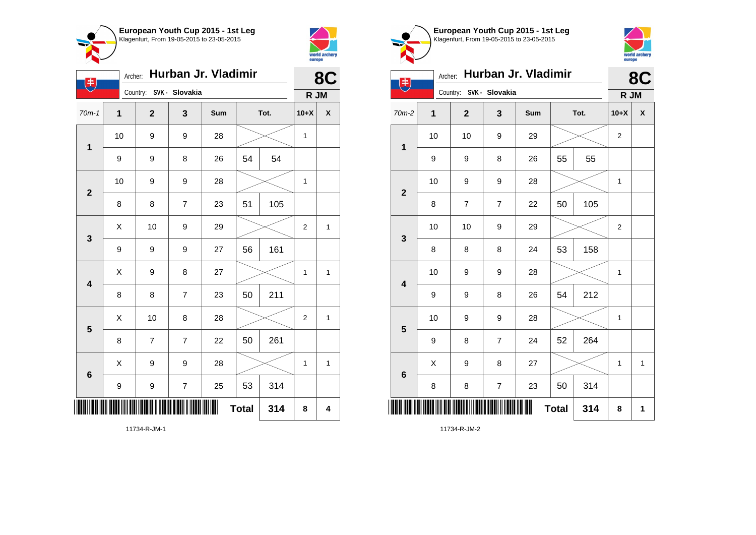



|                         | Hurban Jr. Vladimir<br>Archer:<br>电 |                         |                |     |              |      |                | 8C           |
|-------------------------|-------------------------------------|-------------------------|----------------|-----|--------------|------|----------------|--------------|
|                         |                                     | Country: SVK - Slovakia |                |     |              |      | R JM           |              |
| $70m-1$                 | 1                                   | $\mathbf{2}$            | 3              | Sum |              | Tot. | $10+X$         | X            |
| $\mathbf 1$             | 10                                  | 9                       | 9              | 28  |              |      | $\mathbf{1}$   |              |
|                         | 9                                   | 9                       | 8              | 26  | 54           | 54   |                |              |
| $\mathbf{2}$            | 10                                  | 9                       | 9              | 28  |              |      | 1              |              |
|                         | 8                                   | 8                       | $\overline{7}$ | 23  | 51           | 105  |                |              |
| 3                       | Χ                                   | 10                      | 9              | 29  |              |      | $\overline{c}$ | $\mathbf{1}$ |
|                         | 9                                   | 9                       | 9              | 27  | 56           | 161  |                |              |
| $\overline{\mathbf{4}}$ | Χ                                   | 9                       | 8              | 27  |              |      | $\mathbf{1}$   | 1            |
|                         | 8                                   | 8                       | $\overline{7}$ | 23  | 50           | 211  |                |              |
| 5                       | Χ                                   | 10                      | 8              | 28  |              |      | $\overline{2}$ | $\mathbf{1}$ |
|                         | 8                                   | 7                       | $\overline{7}$ | 22  | 50           | 261  |                |              |
| 6                       | X                                   | 9                       | 9              | 28  |              |      | $\mathbf{1}$   | 1            |
|                         | 9                                   | 9                       | $\overline{7}$ | 25  | 53           | 314  |                |              |
|                         |                                     |                         |                |     | <b>Total</b> | 314  | 8              | 4            |



 $\textbf{Total}$  314 8 1

11734-R-JM-1

11734-R-JM-2

\*11734-R-JM-2\*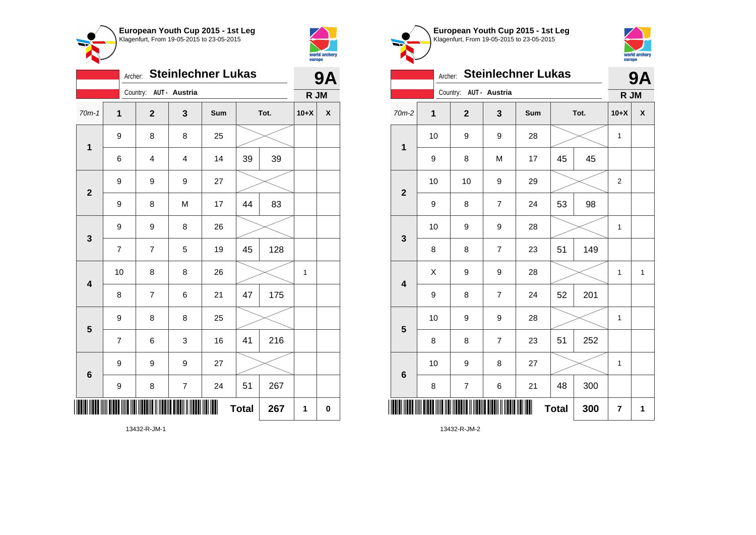

**1**

**2**

**3**

**4**

**5**

**6**



|        | europe | world archery |       |                          |         |                        |     | Klagenfurt, From 19-05-2015 to 23-05-2015 |  |
|--------|--------|---------------|-------|--------------------------|---------|------------------------|-----|-------------------------------------------|--|
|        |        | <b>9A</b>     |       |                          | Archer: |                        |     | <b>Steinlechner Luk</b>                   |  |
|        | R JM   |               |       |                          |         | Country: AUT - Austria |     |                                           |  |
| Tot.   | $10+X$ | X             | 70m-2 | 1                        |         | $\mathbf{2}$           | 3   | Sum                                       |  |
|        |        |               |       | 10                       |         | 9                      | 9   | 28                                        |  |
| $\sim$ |        |               | 1     | $\overline{\phantom{a}}$ |         | $\sim$                 | . . | $\overline{\phantom{a}}$                  |  |



europe Archer: **Steinlechner Lukas 9A** Country: **AUT - Austria R JM** 70m-2 **1 2 3 Sum Tot. 10+X X** 10 | 9 | 9 | 28 |  $\times$  | 1 9 | 8 | M | 17 | 45 | 45 10 | 10 | 9 | 29 |  $\times$  | 2 **2** 9 | 8 | 7 | 24 | 53 | 98 10 | 9 | 9 | 28 |  $\times$  | 1 **3** 8 | 8 | 7 | 23 | 51 | 149  $X$  | 9 | 9 | 28 |  $\times$  | 1 | 1 **4** 9 8 7 24 52 201 10 | 9 | 9 | 28 |  $\times$  | 1 **5** 8 | 8 | 7 | 23 | 51 | 252 10 | 9 | 8 | 27 |  $\times$  | 1 **6** 8 | 7 | 6 | 21 | 48 | 300 \*13432-R-JM-2\*  $Total | 300 | 7 | 1$ 13432-R-JM-2

**European Youth Cup 2015 - 1st Leg**

world archer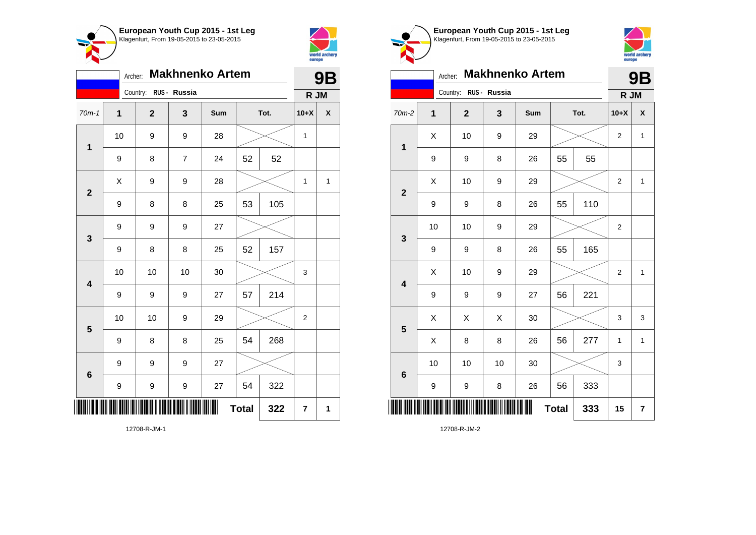



|                         | <b>Makhnenko Artem</b><br>Archer: |                       |                |     |              |      |                | <b>9B</b>          |
|-------------------------|-----------------------------------|-----------------------|----------------|-----|--------------|------|----------------|--------------------|
|                         |                                   | Country: RUS - Russia |                |     |              |      | R JM           |                    |
| $70m-1$                 | $\mathbf 1$                       | $\overline{2}$        | 3              | Sum |              | Tot. | $10+X$         | $\pmb{\mathsf{X}}$ |
| $\mathbf 1$             | 10                                | 9                     | 9              | 28  |              |      | $\mathbf{1}$   |                    |
|                         | 9                                 | 8                     | $\overline{7}$ | 24  | 52           | 52   |                |                    |
| $\overline{\mathbf{2}}$ | X                                 | 9                     | 9              | 28  |              |      | 1              | $\mathbf{1}$       |
|                         | $\boldsymbol{9}$                  | 8                     | 8              | 25  | 53           | 105  |                |                    |
| 3                       | 9                                 | 9                     | 9              | 27  |              |      |                |                    |
|                         | 9                                 | 8                     | 8              | 25  | 52           | 157  |                |                    |
| 4                       | 10                                | 10                    | 10             | 30  |              |      | 3              |                    |
|                         | $\boldsymbol{9}$                  | 9                     | 9              | 27  | 57           | 214  |                |                    |
| 5                       | 10                                | 10                    | 9              | 29  |              |      | $\overline{2}$ |                    |
|                         | 9                                 | 8                     | 8              | 25  | 54           | 268  |                |                    |
| 6                       | 9                                 | 9                     | 9              | 27  |              |      |                |                    |
|                         | $\boldsymbol{9}$                  | 9                     | 9              | 27  | 54           | 322  |                |                    |
|                         |                                   |                       |                |     | <b>Total</b> | 322  | 7              | 1                  |

world archer europe Archer: **Makhnenko Artem 9B** Country: **RUS - Russia R JM** 70m-2 **1 2 3 Sum Tot. 10+X X**  $\begin{array}{|c|c|c|c|c|c|}\hline \hspace{.1cm}X & \hspace{.1cm} & \textbf{10} & \hspace{.1cm} & \textbf{9} & \hspace{.1cm} & \textbf{29} & \hspace{.1cm} & \hspace{.1cm} & \hspace{.1cm} & \hspace{.1cm} & \hspace{.1cm} & \hspace{.1cm} & \hspace{.1cm} & \hspace{.1cm} & \hspace{.1cm} & \hspace{.1cm} & \hspace{.1cm} & \hspace{.1cm} & \hspace{.1cm} & \hspace{.1cm} & \hspace{.1cm} & \hspace{$ **1** 9 | 9 | 8 | 26 | 55 | 55  $\begin{array}{|c|c|c|c|c|c|}\hline \hspace{.1cm}X & \hspace{.1cm} & \textbf{10} & \hspace{.1cm} & \textbf{9} & \hspace{.1cm} & \textbf{29} & \hspace{.1cm} & \hspace{.1cm} & \hspace{.1cm} & \hspace{.1cm} & \hspace{.1cm} & \hspace{.1cm} & \hspace{.1cm} & \hspace{.1cm} & \hspace{.1cm} & \hspace{.1cm} & \hspace{.1cm} & \hspace{.1cm} & \hspace{.1cm} & \hspace{.1cm} & \hspace{.1cm} & \hspace{$ **2** 9 | 9 | 8 | 26 | 55 | 110 10 | 10 | 9 | 29 |  $\times$  | 2 **3** 9 | 9 | 8 | 26 | 55 | 165  $\begin{array}{|c|c|c|c|c|c|}\hline \hspace{.1cm}X & \hspace{.1cm} \text{ 10} & \hspace{.1cm} \text{9} & \hspace{.1cm} \text{29} & \hspace{.1cm} \text{20} & \hspace{.1cm} \text{3} & \hspace{.1cm} \text{2} & \hspace{.1cm} \text{21} & \hspace{.1cm} \text{11} & \hspace{.1cm} \hline \end{array}$ **4** 9 9 9 27 56 221  $\begin{array}{|c|c|c|c|c|}\hline \hspace{0.8cm}X & X & X & 30 & \nearrow & \end{array} \hspace{0.2cm} \begin{array}{|c|c|c|c|c|}\hline \hspace{0.8cm}X & 3 & 3 & 3 \end{array}$ **5** X | 8 | 8 | 26 | **56 | 277** | 1 | 1 10 | 10 | 10 | 30 |  $\times$  | 3 **6** 9 | 9 | 8 | 26 | 56 | 333 \*12708-R-JM-2\* **Total 333 15 7**

**European Youth Cup 2015 - 1st Leg** Klagenfurt, From 19-05-2015 to 23-05-2015

12708-R-JM-2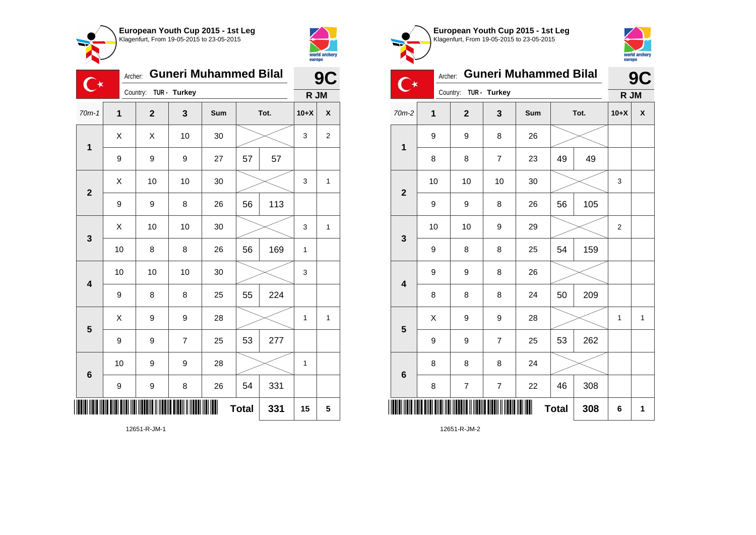



|                         | <b>Guneri Muhammed Bilal</b><br>Archer: |             |                |     |              |      |              | 9C           |
|-------------------------|-----------------------------------------|-------------|----------------|-----|--------------|------|--------------|--------------|
|                         |                                         | Country:    | TUR - Turkey   |     |              |      | R JM         |              |
| $70m-1$                 | $\mathbf{1}$                            | $\mathbf 2$ | 3              | Sum |              | Tot. | $10+X$       | χ            |
| $\mathbf{1}$            | X                                       | Χ           | 10             | 30  |              |      | 3            | 2            |
|                         | 9                                       | 9           | 9              | 27  | 57           | 57   |              |              |
| $\overline{\mathbf{2}}$ | Χ                                       | 10          | 10             | 30  |              |      | 3            | $\mathbf{1}$ |
|                         | 9                                       | 9           | 8              | 26  | 56           | 113  |              |              |
| 3                       | X                                       | 10          | 10             | 30  |              |      | 3            | $\mathbf{1}$ |
|                         | 10                                      | 8           | 8              | 26  | 56           | 169  | $\mathbf{1}$ |              |
| $\overline{\mathbf{4}}$ | 10                                      | 10          | 10             | 30  |              |      | 3            |              |
|                         | 9                                       | 8           | 8              | 25  | 55           | 224  |              |              |
| 5                       | Χ                                       | 9           | 9              | 28  |              |      | 1            | 1            |
|                         | 9                                       | 9           | $\overline{7}$ | 25  | 53           | 277  |              |              |
| 6                       | 10                                      | 9           | 9              | 28  |              |      | $\mathbf{1}$ |              |
|                         | 9                                       | 9           | 8              | 26  | 54           | 331  |              |              |
|                         |                                         |             |                |     | <b>Total</b> | 331  | 15           | 5            |





|                         | <b>Guneri Muhammed Bilal</b><br>Archer: |                       |                  |     |              |      |                  | 9C |
|-------------------------|-----------------------------------------|-----------------------|------------------|-----|--------------|------|------------------|----|
|                         |                                         | Country: TUR - Turkey |                  |     |              |      | R JM             |    |
| 70m-2                   | 1                                       | $\mathbf{2}$          | 3                | Sum |              | Tot. | $10+X$           | X  |
| $\mathbf 1$             | 9                                       | 9                     | 8                | 26  |              |      |                  |    |
|                         | 8                                       | 8                     | $\overline{7}$   | 23  | 49           | 49   |                  |    |
| $\overline{\mathbf{2}}$ | 10                                      | 10                    | 10               | 30  |              |      | 3                |    |
|                         | 9                                       | 9                     | 8                | 26  | 56           | 105  |                  |    |
| $\mathbf{3}$            | 10                                      | 10                    | 9                | 29  |              |      | $\boldsymbol{2}$ |    |
|                         | 9                                       | 8                     | 8                | 25  | 54           | 159  |                  |    |
| $\overline{\mathbf{4}}$ | 9                                       | 9                     | 8                | 26  |              |      |                  |    |
|                         | 8                                       | 8                     | 8                | 24  | 50           | 209  |                  |    |
| 5                       | Χ                                       | 9                     | 9                | 28  |              |      | 1                | 1  |
|                         | 9                                       | 9                     | $\overline{7}$   | 25  | 53           | 262  |                  |    |
| 6                       | 8                                       | 8                     | 8                | 24  |              |      |                  |    |
|                         | 8                                       | $\boldsymbol{7}$      | $\boldsymbol{7}$ | 22  | 46           | 308  |                  |    |
| ║                       |                                         |                       |                  |     | <b>Total</b> | 308  | 6                | 1  |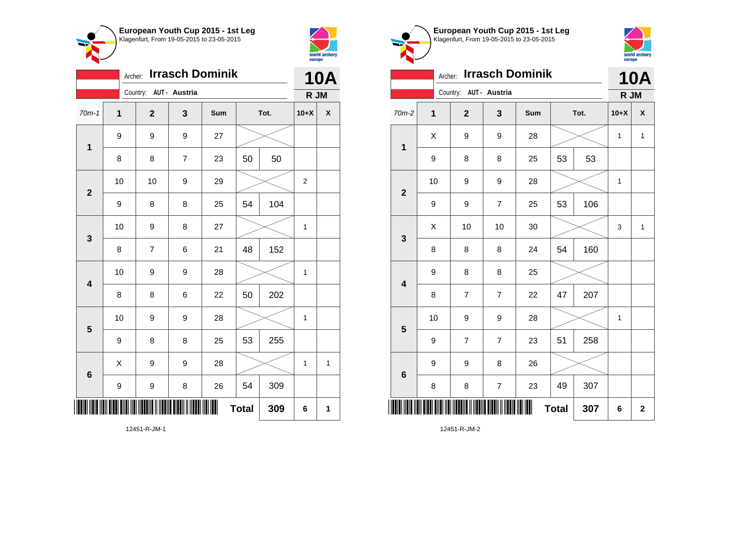



|                         | <b>Irrasch Dominik</b><br>Archer: |                         |                |     |              |      |                |                    |
|-------------------------|-----------------------------------|-------------------------|----------------|-----|--------------|------|----------------|--------------------|
|                         |                                   | Country: AUT - Austria  |                |     |              |      | R JM           |                    |
| $70m-1$                 | 1                                 | $\mathbf 2$             | 3              | Sum |              | Tot. | $10+X$         | $\pmb{\mathsf{X}}$ |
| 1                       | 9                                 | 9                       | 9              | 27  |              |      |                |                    |
|                         | 8                                 | 8                       | $\overline{7}$ | 23  | 50           | 50   |                |                    |
| $\mathbf{2}$            | 10                                | 10                      | 9              | 29  |              |      | $\overline{2}$ |                    |
|                         | 9                                 | 8                       | 8              | 25  | 54           | 104  |                |                    |
| 3                       | 10                                | 9                       | 8              | 27  |              |      | 1              |                    |
|                         | 8                                 | $\overline{\mathbf{7}}$ | 6              | 21  | 48           | 152  |                |                    |
| $\overline{\mathbf{4}}$ | 10                                | 9                       | 9              | 28  |              |      | 1              |                    |
|                         | 8                                 | 8                       | 6              | 22  | 50           | 202  |                |                    |
| 5                       | 10                                | 9                       | 9              | 28  |              |      | 1              |                    |
|                         | 9                                 | 8                       | 8              | 25  | 53           | 255  |                |                    |
| $6\phantom{1}6$         | X                                 | 9                       | 9              | 28  |              |      | 1              | 1                  |
|                         | 9                                 | 9                       | 8              | 26  | 54           | 309  |                |                    |
| ║║                      |                                   |                         |                | III | <b>Total</b> | 309  | 6              | 1                  |

world archery<br>europe Archer: **Irrasch Dominik 10A** Country: **AUT - Austria R JM** 70m-2 **1 2 3 Sum Tot. 10+X X**  $X$  | 9 | 9 | 28 |  $\times$  | 1 | 1 **1** 9 | 8 | 8 | 25 | 53 | 53 10 | 9 | 9 | 28 |  $\times$  | 1 **2** 9 | 9 | 7 | 25 | 53 | 106  $\textsf{X}$  | 10 | 10 | 30 |  $\textcolor{blue}{\swarrow}$  | 3 | 1 **3** 8 | 8 | 8 | 24 | 54 | 160 9 8 8 25 **4** 8 7 7 22 47 207 10 | 9 | 9 | 28 |  $\times$  | 1 **5** 9 | 7 | 7 | 23 | 51 | 258 9 | 9 | 8 | 26 **6** 8 | 8 | 7 | 23 | 49 | 307 \*12451-R-JM-2\* **Total 307 6 2**

**European Youth Cup 2015 - 1st Leg** Klagenfurt, From 19-05-2015 to 23-05-2015

12451-R-JM-2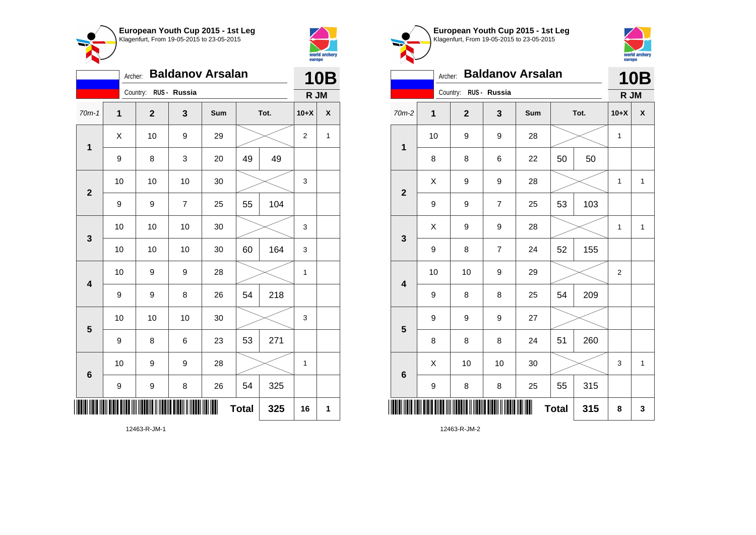



|                         | <b>Baldanov Arsalan</b><br>Archer: |                         |    |     |              |      |                |             |  |
|-------------------------|------------------------------------|-------------------------|----|-----|--------------|------|----------------|-------------|--|
|                         |                                    | Country: RUS - Russia   |    |     |              |      | R JM           |             |  |
| $70m-1$                 | $\mathbf 1$                        | $\overline{\mathbf{2}}$ | 3  | Sum |              | Tot. | $10+X$         | χ           |  |
| 1                       | Χ                                  | 10                      | 9  | 29  |              |      | $\overline{2}$ | $\mathbf 1$ |  |
|                         | $\boldsymbol{9}$                   | 8                       | 3  | 20  | 49           | 49   |                |             |  |
| $\overline{2}$          | 10                                 | 10                      | 10 | 30  |              |      | 3              |             |  |
|                         | 9                                  | 9                       | 7  | 25  | 55           | 104  |                |             |  |
| 3                       | 10                                 | 10                      | 10 | 30  |              |      | 3              |             |  |
|                         | 10                                 | 10                      | 10 | 30  | 60           | 164  | 3              |             |  |
| $\overline{\mathbf{4}}$ | 10                                 | 9                       | 9  | 28  |              |      | 1              |             |  |
|                         | 9                                  | 9                       | 8  | 26  | 54           | 218  |                |             |  |
| 5                       | 10                                 | 10                      | 10 | 30  |              |      | 3              |             |  |
|                         | 9                                  | 8                       | 6  | 23  | 53           | 271  |                |             |  |
| 6                       | 10                                 | 9                       | 9  | 28  |              |      | 1              |             |  |
|                         | 9                                  | 9                       | 8  | 26  | 54           | 325  |                |             |  |
|                         |                                    |                         |    |     | <b>Total</b> | 325  | 16             | 1           |  |

**European Youth Cup 2015 - 1st Leg** Klagenfurt, From 19-05-2015 to 23-05-2015 world archery<br>europe Archer: **Baldanov Arsalan 10B** Country: **RUS - Russia R JM** 70m-2 **1 2 3 Sum Tot. 10+X X** 10 | 9 | 9 | 28 |  $\times$  | 1 **1** 8 | 8 | 6 | 22 | 50 | 50  $X$  | 9 | 9 | 28 |  $\times$  | 1 | 1 **2** 9 | 9 | 7 | 25 | 53 | 103  $\begin{array}{|c|c|c|c|c|c|}\hline \hspace{.1cm}X & \hspace{.1cm} 9 & \hspace{.1cm} 9 & \hspace{.1cm} 28 & \hspace{.1cm} 28 & \hspace{.1cm} & \hline \end{array} \hspace{.2cm} \begin{array}{c} \hline \hspace{.1cm}X & \hspace{.1cm} 1 & \hspace{.1cm} 1 & \hspace{.1cm} 1 \hspace{.1cm} \end{array}$ **3** 9 | 8 | 7 | 24 | 52 | 155 10 | 10 | 9 | 29 |  $\times$  | 2 **4** 9 | 8 | 8 | 25 | 54 | 209 9 9 9 27 **5** 8 | 8 | 8 | 24 | 51 | 260  $\begin{array}{|c|c|c|c|c|c|}\hline \hspace{.1cm}X & \hspace{.1cm} \text{ 10} & \hspace{.1cm} \text{ 10} & \hspace{.1cm} \text{ 30} & \hspace{.1cm} \end{array} \hspace{.2cm} \begin{array}{|c|c|c|c|c|c|}\hline \hspace{.1cm}X & \hspace{.1cm} \text{ 3} & \hspace{.1cm} \text{ 1} & \hspace{.1cm} \text{ 4} & \hspace{.1cm} \end{array}$ **6** 9 | 8 | 8 | 25 | 55 | 315 \*12463-R-JM-2\*  $Total \, | \, 315 \, | \, 8 \, | \, 3$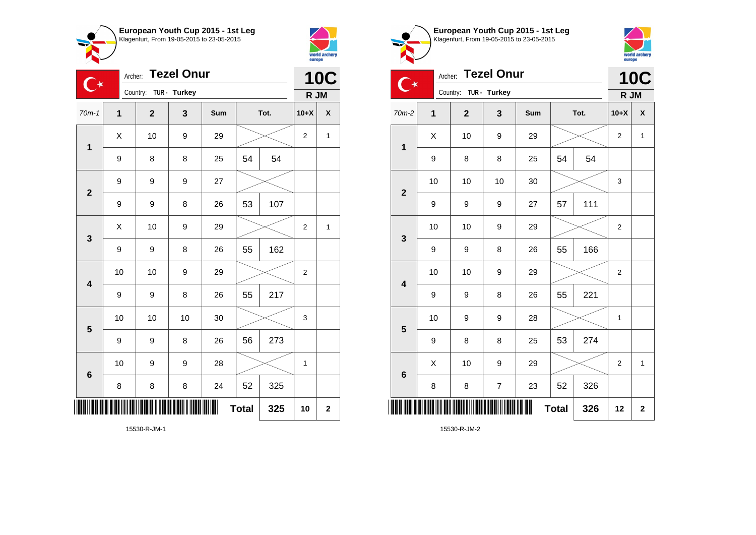



 $\bullet$ --

|                         | <b>Tezel Onur</b><br>Archer:<br>$\mathbb{C}^\star$ |                       |    |     |              |      |                |              |
|-------------------------|----------------------------------------------------|-----------------------|----|-----|--------------|------|----------------|--------------|
|                         |                                                    | Country: TUR - Turkey |    |     |              |      | R JM           |              |
| $70m-1$                 | $\overline{1}$                                     | $\mathbf{2}$          | 3  | Sum |              | Tot. | $10+X$         | χ            |
| $\mathbf 1$             | Χ                                                  | 10                    | 9  | 29  |              |      | $\overline{2}$ | 1            |
|                         | 9                                                  | 8                     | 8  | 25  | 54           | 54   |                |              |
| $\overline{\mathbf{2}}$ | 9                                                  | 9                     | 9  | 27  |              |      |                |              |
|                         | 9                                                  | 9                     | 8  | 26  | 53           | 107  |                |              |
| 3                       | X                                                  | 10                    | 9  | 29  |              |      | $\overline{2}$ | $\mathbf{1}$ |
|                         | 9                                                  | 9                     | 8  | 26  | 55           | 162  |                |              |
| $\overline{\mathbf{4}}$ | 10                                                 | 10                    | 9  | 29  |              |      | $\overline{c}$ |              |
|                         | 9                                                  | 9                     | 8  | 26  | 55           | 217  |                |              |
| 5                       | 10                                                 | 10                    | 10 | 30  |              |      | 3              |              |
|                         | 9                                                  | 9                     | 8  | 26  | 56           | 273  |                |              |
| $\bf 6$                 | 10                                                 | 9                     | 9  | 28  |              |      | 1              |              |
|                         | 8                                                  | 8                     | 8  | 24  | 52           | 325  |                |              |
|                         |                                                    |                       |    |     | <b>Total</b> | 325  | 10             | $\mathbf 2$  |

world archery<br>europe Archer: **Tezel Onur 10C**  $\overline{\mathbf{C}}$ Country: **TUR - Turkey R JM** 70m-2 **1 2 3 Sum Tot. 10+X X**  $\begin{array}{|c|c|c|c|c|c|}\hline \hspace{.1cm}X & \hspace{.1cm} & \textbf{10} & \hspace{.1cm} & \textbf{9} & \hspace{.1cm} & \textbf{29} & \hspace{.1cm} & \hspace{.1cm} & \hspace{.1cm} & \hspace{.1cm} & \hspace{.1cm} & \hspace{.1cm} & \hspace{.1cm} & \hspace{.1cm} & \hspace{.1cm} & \hspace{.1cm} & \hspace{.1cm} & \hspace{.1cm} & \hspace{.1cm} & \hspace{.1cm} & \hspace{.1cm} & \hspace{$ **1** 9 | 8 | 8 | 25 | 54 | 54 10 | 10 | 10 | 30 |  $\times$  | 3 **2** 9 | 9 | 9 | 27 | 57 | 111 10 | 10 | 9 | 29 |  $\times$  | 2 **3** 9 | 9 | 8 | 26 | 55 | 166 10 | 10 | 9 | 29 |  $\times$  | 2 **4** 9 | 9 | 8 | 26 | 55 | 221 10 | 9 | 9 | 28 |  $\times$  | 1 **5** 9 | 8 | 8 | 25 | 53 | 274  $\begin{array}{|c|c|c|c|c|c|}\hline \hspace{.1cm}X & \hspace{.1cm} \text{ 10} & \hspace{.1cm} \text{9} & \hspace{.1cm} \text{29} & \hspace{.1cm} \text{20} & \hspace{.1cm} \text{3} & \hspace{.1cm} \text{2} & \hspace{.1cm} \text{21} & \hspace{.1cm} \text{11} & \hspace{.1cm} \hline \end{array}$ **6** 8 | 8 | 7 | 23 | 52 | 326 \*15530-R-JM-2\* **Total 326 12 2**

**European Youth Cup 2015 - 1st Leg** Klagenfurt, From 19-05-2015 to 23-05-2015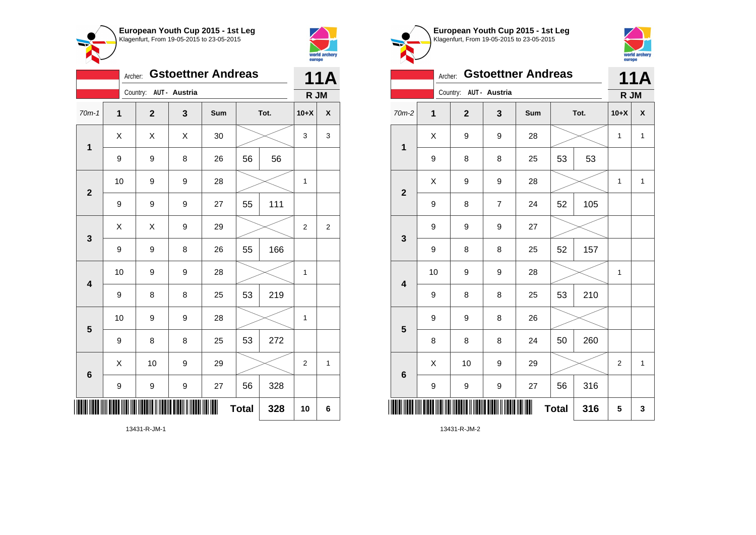



|                         | <b>Gstoettner Andreas</b><br>Archer: |                        |   |     |              |      |                  |                |
|-------------------------|--------------------------------------|------------------------|---|-----|--------------|------|------------------|----------------|
|                         |                                      | Country: AUT - Austria |   |     |              |      | R JM             |                |
| $70m-1$                 | $\mathbf 1$                          | $\mathbf{2}$           | 3 | Sum |              | Tot. | $10+X$           | X              |
| $\mathbf{1}$            | Χ                                    | Χ                      | Χ | 30  |              |      | 3                | 3              |
|                         | $\boldsymbol{9}$                     | 9                      | 8 | 26  | 56           | 56   |                  |                |
| $\overline{\mathbf{2}}$ | 10                                   | 9                      | 9 | 28  |              |      | 1                |                |
|                         | 9                                    | 9                      | 9 | 27  | 55           | 111  |                  |                |
| 3                       | X                                    | X                      | 9 | 29  |              |      | $\boldsymbol{2}$ | $\overline{2}$ |
|                         | 9                                    | 9                      | 8 | 26  | 55           | 166  |                  |                |
| $\overline{\mathbf{4}}$ | 10                                   | 9                      | 9 | 28  |              |      | $\mathbf 1$      |                |
|                         | 9                                    | 8                      | 8 | 25  | 53           | 219  |                  |                |
| 5                       | 10                                   | 9                      | 9 | 28  |              |      | 1                |                |
|                         | $\boldsymbol{9}$                     | 8                      | 8 | 25  | 53           | 272  |                  |                |
| 6                       | X                                    | 10                     | 9 | 29  |              |      | $\overline{2}$   | 1              |
|                         | 9                                    | 9                      | 9 | 27  | 56           | 328  |                  |                |
|                         |                                      |                        |   |     | <b>Total</b> | 328  | 10               | 6              |



**European Youth Cup 2015 - 1st Leg**

13431-R-JM-1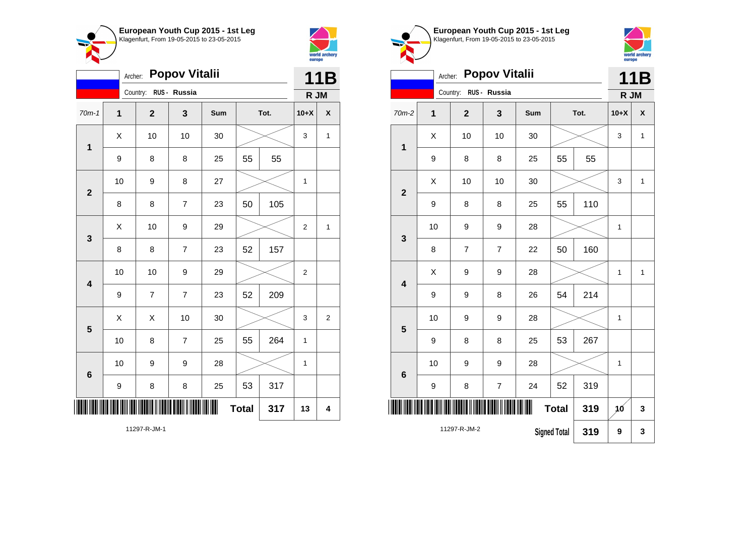



|                         | <b>Popov Vitalii</b><br>Archer: |                         |                |     |              |      |                |                    |  |
|-------------------------|---------------------------------|-------------------------|----------------|-----|--------------|------|----------------|--------------------|--|
|                         |                                 | Country: RUS - Russia   |                |     |              |      | R JM           |                    |  |
| $70m-1$                 | $\mathbf{1}$                    | $\overline{\mathbf{2}}$ | 3              | Sum |              | Tot. | $10+X$         | $\pmb{\mathsf{X}}$ |  |
| $\mathbf 1$             | Χ                               | 10                      | 10             | 30  |              |      | 3              | $\mathbf 1$        |  |
|                         | $\boldsymbol{9}$                | 8                       | 8              | 25  | 55           | 55   |                |                    |  |
| $\overline{\mathbf{2}}$ | 10                              | 9                       | 8              | 27  |              |      | 1              |                    |  |
|                         | 8                               | 8                       | $\overline{7}$ | 23  | 50           | 105  |                |                    |  |
| $\mathbf{3}$            | $\sf X$                         | 10                      | 9              | 29  |              |      | $\overline{2}$ | $\mathbf{1}$       |  |
|                         | 8                               | 8                       | $\overline{7}$ | 23  | 52           | 157  |                |                    |  |
| $\overline{\mathbf{4}}$ | 10                              | 10                      | 9              | 29  |              |      | $\overline{2}$ |                    |  |
|                         | 9                               | $\overline{\mathbf{7}}$ | $\overline{7}$ | 23  | 52           | 209  |                |                    |  |
| 5                       | Χ                               | X                       | 10             | 30  |              |      | 3              | 2                  |  |
|                         | 10                              | 8                       | $\overline{7}$ | 25  | 55           | 264  | 1              |                    |  |
| 6                       | 10                              | 9                       | 9              | 28  |              |      | 1              |                    |  |
|                         | $\boldsymbol{9}$                | 8                       | 8              | 25  | 53           | 317  |                |                    |  |
|                         |                                 |                         |                |     | <b>Total</b> | 317  | 13             | 4                  |  |

world archery<br>europe Archer: **Popov Vitalii 11B** Country: **RUS - Russia R JM** 70m-2 **1 2 3 Sum Tot. 10+X X**  $\begin{array}{|c|c|c|c|c|c|}\hline \hspace{.1cm}X & \hspace{.1cm} \text{ 10} & \hspace{.1cm} \text{ 10} & \hspace{.1cm} \text{ 30} & \hspace{.1cm} \end{array} \hspace{.2cm} \begin{array}{|c|c|c|c|c|c|}\hline \hspace{.1cm}X & \hspace{.1cm} \text{ 3} & \hspace{.1cm} \text{ 1} & \hspace{.1cm} \text{ 4} & \hspace{.1cm} \end{array}$ **1** 9 | 8 | 8 | 25 | 55 | 55  $\begin{array}{|c|c|c|c|c|c|}\hline \hspace{.1cm}X & \hspace{.1cm} \text{ 10} & \hspace{.1cm} \text{ 10} & \hspace{.1cm} \text{ 30} & \hspace{.1cm} \end{array} \hspace{.2cm} \begin{array}{|c|c|c|c|c|c|}\hline \hspace{.1cm}X & \hspace{.1cm} \text{ 3} & \hspace{.1cm} \text{ 1} & \hspace{.1cm} \text{ 4} & \hspace{.1cm} \end{array}$ **2** 9 | 8 | 8 | 25 | 55 | 110 10 | 9 | 9 | 28 |  $\times$  | 1 **3** 8 | 7 | 7 | 22 | 50 | 160  $X$  | 9 | 9 | 28 |  $\times$  | 1 | 1 **4** 9 | 9 | 8 | 26 | 54 | 214 10 | 9 | 9 | 28 |  $\times$  | 1 **5** 9 | 8 | 8 | 25 | 53 | 267 10 | 9 | 9 | 28 |  $\times$  | 1 **6** 9 | 8 | 7 | 24 | 52 | 319 \*11297-R-JM-2\* **Total 319 10 3** 11297-R-JM-2 **Signed Total 319 9 3**

**European Youth Cup 2015 - 1st Leg** Klagenfurt, From 19-05-2015 to 23-05-2015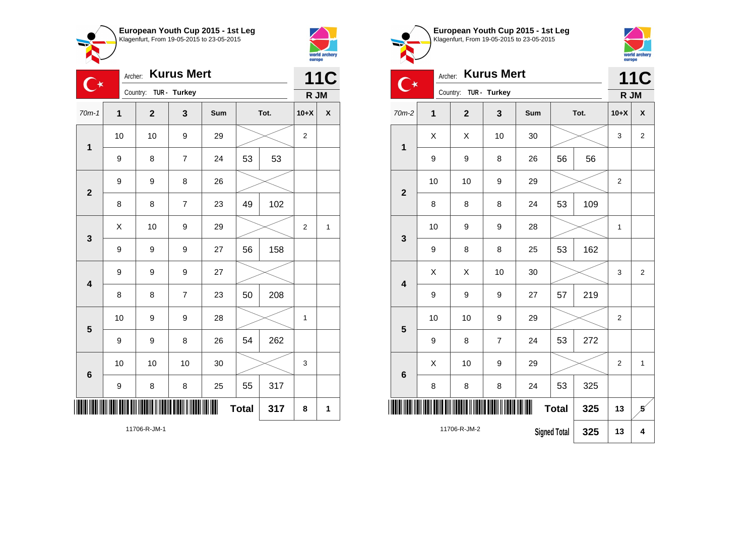



| <b>Kurus Mert</b><br>Archer:<br>$\mathbb{C}^\star$ |             |                         |                |     |              |      | <b>11C</b>       |                    |
|----------------------------------------------------|-------------|-------------------------|----------------|-----|--------------|------|------------------|--------------------|
|                                                    |             | Country: TUR - Turkey   |                |     |              |      | R JM             |                    |
| $70m-1$                                            | $\mathbf 1$ | $\overline{\mathbf{2}}$ | 3              | Sum |              | Tot. | $10+X$           | $\pmb{\mathsf{X}}$ |
| $\mathbf 1$                                        | 10          | 10                      | 9              | 29  |              |      | $\boldsymbol{2}$ |                    |
|                                                    | 9           | 8                       | $\overline{7}$ | 24  | 53           | 53   |                  |                    |
| $\mathbf{2}$                                       | 9           | 9                       | 8              | 26  |              |      |                  |                    |
|                                                    | 8           | 8                       | $\overline{7}$ | 23  | 49           | 102  |                  |                    |
| 3                                                  | Χ           | 10                      | 9              | 29  |              |      | $\boldsymbol{2}$ | 1                  |
|                                                    | 9           | 9                       | 9              | 27  | 56           | 158  |                  |                    |
| $\overline{\mathbf{4}}$                            | 9           | 9                       | 9              | 27  |              |      |                  |                    |
|                                                    | 8           | 8                       | $\overline{7}$ | 23  | 50           | 208  |                  |                    |
| 5                                                  | 10          | 9                       | 9              | 28  |              |      | $\mathbf{1}$     |                    |
|                                                    | 9           | 9                       | 8              | 26  | 54           | 262  |                  |                    |
| 6                                                  | 10          | 10                      | 10             | 30  |              |      | 3                |                    |
|                                                    | 9           | 8                       | 8              | 25  | 55           | 317  |                  |                    |
|                                                    |             |                         |                |     | <b>Total</b> | 317  | 8                | 1                  |

**European Youth Cup 2015 - 1st Leg** Klagenfurt, From 19-05-2015 to 23-05-2015



| <b>Kurus Mert</b><br>Archer: |                                     |             |                |     |              |      |                | <b>11C</b>         |
|------------------------------|-------------------------------------|-------------|----------------|-----|--------------|------|----------------|--------------------|
|                              | Country:                            |             | TUR - Turkey   |     |              |      | R JM           |                    |
| 70m-2                        | 1                                   | $\mathbf 2$ | 3              | Sum |              | Tot. | $10+X$         | $\pmb{\mathsf{X}}$ |
| $\mathbf 1$                  | Χ                                   | X           | 10             | 30  |              |      | 3              | $\overline{2}$     |
|                              | 9                                   | 9           | 8              | 26  | 56           | 56   |                |                    |
| $\overline{2}$               | 10                                  | 10          | 9              | 29  |              |      | $\overline{2}$ |                    |
|                              | 8                                   | 8           | 8              | 24  | 53           | 109  |                |                    |
| 3                            | 10                                  | 9           | 9              | 28  |              |      | $\mathbf{1}$   |                    |
|                              | 9                                   | 8           | 8              | 25  | 53           | 162  |                |                    |
| 4                            | X                                   | X           | 10             | 30  |              |      | 3              | $\overline{2}$     |
|                              | 9                                   | 9           | 9              | 27  | 57           | 219  |                |                    |
| 5                            | 10                                  | 10          | 9              | 29  |              |      | $\overline{2}$ |                    |
|                              | 9                                   | 8           | $\overline{7}$ | 24  | 53           | 272  |                |                    |
| $6\phantom{1}6$              | Χ                                   | 10          | 9              | 29  |              |      | 2              | $\mathbf{1}$       |
|                              | 8                                   | 8           | 8              | 24  | 53           | 325  |                |                    |
|                              |                                     |             |                | ║║  | <b>Total</b> | 325  | 13             | 5                  |
|                              | 11706-R-JM-2<br><b>Signed Total</b> |             |                |     |              | 325  | 13             | 4                  |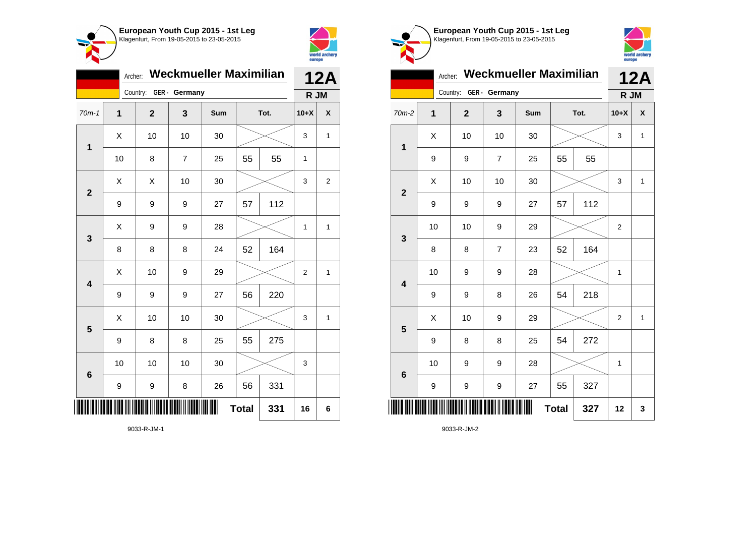



|                         |                  | <b>12A</b>   |                |     |              |      |                |                |  |
|-------------------------|------------------|--------------|----------------|-----|--------------|------|----------------|----------------|--|
|                         | Country:         |              | GER - Germany  |     |              |      | R JM           |                |  |
| $70m-1$                 | 1                | $\mathbf{2}$ | 3              | Sum |              | Tot. | $10+X$         | X              |  |
| $\mathbf{1}$            | Χ                | 10           | 10             | 30  |              |      | 3              | $\mathbf{1}$   |  |
|                         | 10               | 8            | $\overline{7}$ | 25  | 55           | 55   | 1              |                |  |
| $\overline{2}$          | X                | X            | 10             | 30  |              |      | 3              | $\overline{2}$ |  |
|                         | 9                | 9            | 9              | 27  | 57           | 112  |                |                |  |
| 3                       | X                | 9            | 9              | 28  |              |      | 1              | $\mathbf{1}$   |  |
|                         | 8                | 8            | 8              | 24  | 52           | 164  |                |                |  |
| $\overline{\mathbf{4}}$ | X                | 10           | 9              | 29  |              |      | $\overline{2}$ | $\mathbf{1}$   |  |
|                         | 9                | 9            | 9              | 27  | 56           | 220  |                |                |  |
| 5                       | Χ                | 10           | 10             | 30  |              |      | 3              | $\mathbf{1}$   |  |
|                         | 9                | 8            | 8              | 25  | 55           | 275  |                |                |  |
| $6\phantom{1}6$         | 10               | 10           | 10             | 30  |              |      | 3              |                |  |
|                         | $\boldsymbol{9}$ | 9            | 8              | 26  | 56           | 331  |                |                |  |
|                         |                  |              |                |     | <b>Total</b> | 331  | 16             | 6              |  |





|                         | <b>Weckmueller Maximilian</b><br>Archer: |                |                |            |              |      |                |              |  |  |
|-------------------------|------------------------------------------|----------------|----------------|------------|--------------|------|----------------|--------------|--|--|
|                         |                                          | Country:       | GER - Germany  |            |              |      | R JM           |              |  |  |
| $70m-2$                 | $\overline{1}$                           | $\overline{2}$ | 3              | <b>Sum</b> |              | Tot. | $10+X$         | X            |  |  |
| 1                       | Χ                                        | 10             | 10             | 30         |              |      | 3              | $\mathbf{1}$ |  |  |
|                         | 9                                        | 9              | $\overline{7}$ | 25         | 55           | 55   |                |              |  |  |
| $\overline{2}$          | Χ                                        | 10             | 10             | 30         |              |      | 3              | $\mathbf{1}$ |  |  |
|                         | 9                                        | 9              | 9              | 27         | 57           | 112  |                |              |  |  |
| 3                       | 10                                       | 10             | 9              | 29         |              |      | $\overline{2}$ |              |  |  |
|                         | 8                                        | 8              | $\overline{7}$ | 23         | 52           | 164  |                |              |  |  |
| $\overline{\mathbf{4}}$ | 10                                       | 9              | 9              | 28         |              |      | 1              |              |  |  |
|                         | 9                                        | 9              | 8              | 26         | 54           | 218  |                |              |  |  |
| 5                       | Χ                                        | 10             | 9              | 29         |              |      | $\overline{2}$ | $\mathbf{1}$ |  |  |
|                         | 9                                        | 8              | 8              | 25         | 54           | 272  |                |              |  |  |
| $6\phantom{1}6$         | 10                                       | 9              | 9              | 28         |              |      | $\mathbf{1}$   |              |  |  |
|                         | 9                                        | 9              | 9              | 27         | 55           | 327  |                |              |  |  |
| IIII                    |                                          |                |                | Ш          | <b>Total</b> | 327  | 12             | 3            |  |  |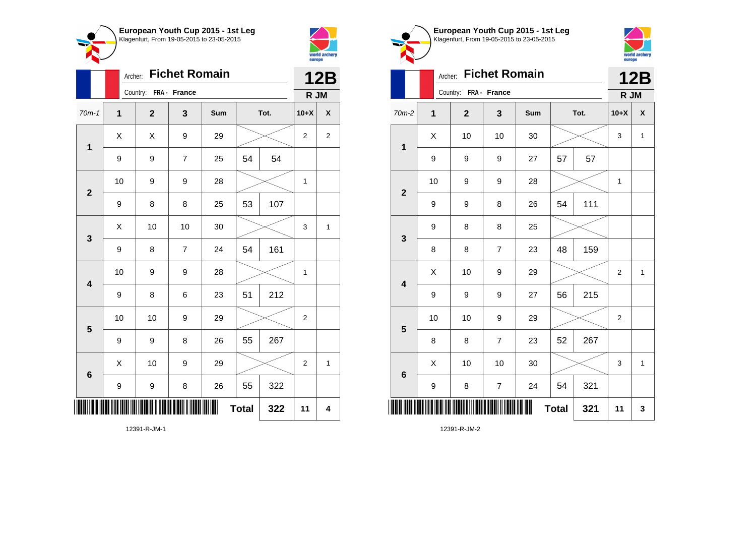



|                         | Archer:      |                       |                | <b>12B</b> |              |      |                |                    |
|-------------------------|--------------|-----------------------|----------------|------------|--------------|------|----------------|--------------------|
|                         |              | Country: FRA - France |                |            |              |      | R JM           |                    |
| $70m-1$                 | $\mathbf{1}$ | $\mathbf{2}$          | 3              | Sum        |              | Tot. | $10+X$         | $\pmb{\mathsf{X}}$ |
| $\mathbf 1$             | X            | X                     | 9              | 29         |              |      | 2              | 2                  |
|                         | 9            | 9                     | $\overline{7}$ | 25         | 54           | 54   |                |                    |
| $\mathbf{2}$            | 10           | 9                     | 9              | 28         |              |      | $\mathbf{1}$   |                    |
|                         | 9            | 8                     | 8              | 25         | 53           | 107  |                |                    |
| $\mathbf{3}$            | Χ            | 10                    | 10             | 30         |              |      | 3              | 1                  |
|                         | 9            | 8                     | $\overline{7}$ | 24         | 54           | 161  |                |                    |
| $\overline{\mathbf{4}}$ | 10           | 9                     | 9              | 28         |              |      | $\mathbf{1}$   |                    |
|                         | 9            | 8                     | 6              | 23         | 51           | 212  |                |                    |
| 5                       | 10           | 10                    | 9              | 29         |              |      | $\overline{2}$ |                    |
|                         | 9            | 9                     | 8              | 26         | 55           | 267  |                |                    |
| $6\phantom{1}6$         | X            | 10                    | 9              | 29         |              |      | $\overline{2}$ | 1                  |
|                         | 9            | 9                     | 8              | 26         | 55           | 322  |                |                    |
| ║║                      |              |                       |                | ║          | <b>Total</b> | 322  | 11             | 4                  |





|                         | Archer:      |                       |                  | <b>12B</b> |              |      |                  |              |
|-------------------------|--------------|-----------------------|------------------|------------|--------------|------|------------------|--------------|
|                         |              | Country: FRA - France |                  |            |              |      | R JM             |              |
| $70m-2$                 | $\mathbf{1}$ | $\mathbf 2$           | 3                | Sum        |              | Tot. | $10+X$           | X            |
| $\mathbf 1$             | X            | 10                    | 10               | 30         |              |      | 3                | $\mathbf{1}$ |
|                         | 9            | 9                     | 9                | 27         | 57           | 57   |                  |              |
| $\mathbf{2}$            | 10           | 9                     | 9                | 28         |              |      | 1                |              |
|                         | 9            | 9                     | 8                | 26         | 54           | 111  |                  |              |
| $\mathbf{3}$            | 9            | 8                     | 8                | 25         |              |      |                  |              |
|                         | 8            | 8                     | $\overline{7}$   | 23         | 48           | 159  |                  |              |
| $\overline{\mathbf{4}}$ | X            | 10                    | 9                | 29         |              |      | 2                | $\mathbf{1}$ |
|                         | 9            | 9                     | 9                | 27         | 56           | 215  |                  |              |
| 5                       | 10           | 10                    | 9                | 29         |              |      | $\boldsymbol{2}$ |              |
|                         | 8            | 8                     | $\overline{7}$   | 23         | 52           | 267  |                  |              |
| $6\phantom{1}6$         | X            | 10                    | 10               | 30         |              |      | 3                | $\mathbf{1}$ |
|                         | 9            | 8                     | $\boldsymbol{7}$ | 24         | 54           | 321  |                  |              |
| ║║║                     |              |                       |                  | III        | <b>Total</b> | 321  | 11               | 3            |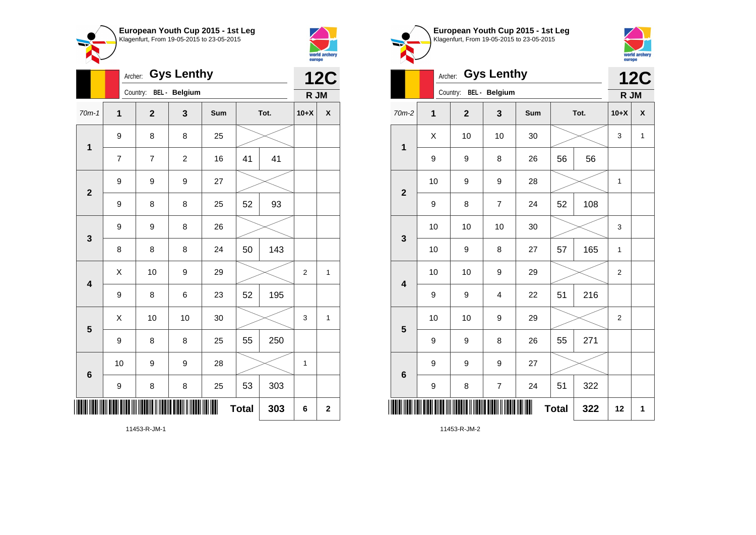



|                         |                  | Archer: |                | <b>12C</b>     |     |              |      |                |             |
|-------------------------|------------------|---------|----------------|----------------|-----|--------------|------|----------------|-------------|
|                         |                  |         | Country:       | BEL - Belgium  |     |              |      | R JM           |             |
| $70m-1$                 | 1                |         | $\overline{2}$ | 3              | Sum |              | Tot. | $10+X$         | χ           |
| 1                       | $\boldsymbol{9}$ |         | 8              | 8              | 25  |              |      |                |             |
|                         | $\overline{7}$   |         | $\overline{7}$ | $\overline{c}$ | 16  | 41           | 41   |                |             |
| $\mathbf{2}$            | $\boldsymbol{9}$ |         | 9              | 9              | 27  |              |      |                |             |
|                         | 9                |         | 8              | 8              | 25  | 52           | 93   |                |             |
| 3                       | $\boldsymbol{9}$ |         | 9              | 8              | 26  |              |      |                |             |
|                         | 8                |         | 8              | 8              | 24  | 50           | 143  |                |             |
| $\overline{\mathbf{4}}$ | Χ                |         | 10             | 9              | 29  |              |      | $\overline{2}$ | 1           |
|                         | 9                |         | 8              | 6              | 23  | 52           | 195  |                |             |
| 5                       | Χ                |         | 10             | 10             | 30  |              |      | 3              | 1           |
|                         | $\boldsymbol{9}$ |         | 8              | 8              | 25  | 55           | 250  |                |             |
| 6                       | 10               |         | 9              | 9              | 28  |              |      | $\mathbf 1$    |             |
|                         | 9                |         | 8              | 8              | 25  | 53           | 303  |                |             |
| III                     |                  |         |                |                | ║   | <b>Total</b> | 303  | 6              | $\mathbf 2$ |





|                         |                | <b>Gys Lenthy</b><br>Archer: |                         |     | <b>12C</b>   |      |                |   |
|-------------------------|----------------|------------------------------|-------------------------|-----|--------------|------|----------------|---|
|                         |                | Country: BEL - Belgium       |                         |     |              |      | R JM           |   |
| 70m-2                   | $\overline{1}$ | $\overline{\mathbf{2}}$      | 3                       | Sum |              | Tot. | $10+X$         | X |
| $\mathbf 1$             | X              | 10                           | 10                      | 30  |              |      | 3              | 1 |
|                         | 9              | 9                            | 8                       | 26  | 56           | 56   |                |   |
| $\overline{\mathbf{2}}$ | 10             | 9                            | $\boldsymbol{9}$        | 28  |              |      | 1              |   |
|                         | 9              | 8                            | $\overline{7}$          | 24  | 52           | 108  |                |   |
| 3                       | 10             | 10                           | 10                      | 30  |              |      | 3              |   |
|                         | 10             | 9                            | 8                       | 27  | 57           | 165  | $\mathbf 1$    |   |
| $\overline{\mathbf{4}}$ | 10             | 10                           | $\boldsymbol{9}$        | 29  |              |      | $\overline{2}$ |   |
|                         | 9              | 9                            | $\overline{4}$          | 22  | 51           | 216  |                |   |
| 5                       | 10             | 10                           | 9                       | 29  |              |      | $\overline{2}$ |   |
|                         | 9              | 9                            | 8                       | 26  | 55           | 271  |                |   |
| 6                       | 9              | 9                            | $\boldsymbol{9}$        | 27  |              |      |                |   |
|                         | 9              | 8                            | $\overline{\mathbf{7}}$ | 24  | 51           | 322  |                |   |
|                         |                |                              |                         | Ⅲ   | <b>Total</b> | 322  | 12             | 1 |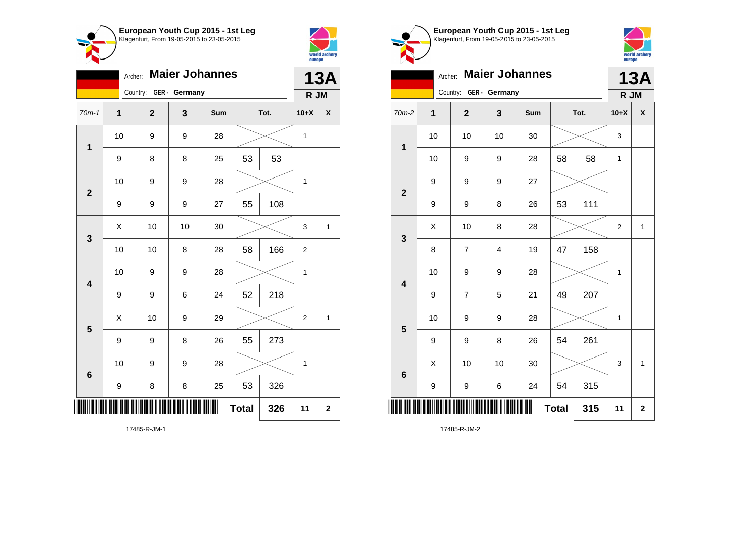



| <b>Maier Johannes</b><br>Archer: |    |                         |    |     |              |     | <b>13A</b>     |                    |
|----------------------------------|----|-------------------------|----|-----|--------------|-----|----------------|--------------------|
| Country: GER - Germany           |    |                         |    |     |              |     | R JM           |                    |
| $70m-1$                          | 1  | $\overline{\mathbf{2}}$ | 3  | Sum | Tot.         |     | $10+X$         | $\pmb{\mathsf{X}}$ |
| 1                                | 10 | 9                       | 9  | 28  |              |     | 1              |                    |
|                                  | 9  | 8                       | 8  | 25  | 53           | 53  |                |                    |
| $\overline{\mathbf{2}}$          | 10 | 9                       | 9  | 28  |              |     | $\mathbf{1}$   |                    |
|                                  | 9  | 9                       | 9  | 27  | 55           | 108 |                |                    |
| $\mathbf{3}$                     | X  | 10                      | 10 | 30  |              |     | 3              | 1                  |
|                                  | 10 | 10                      | 8  | 28  | 58           | 166 | $\overline{c}$ |                    |
| 4                                | 10 | 9                       | 9  | 28  |              |     | 1              |                    |
|                                  | 9  | 9                       | 6  | 24  | 52           | 218 |                |                    |
| 5                                | X  | 10                      | 9  | 29  |              |     | $\overline{2}$ | 1                  |
|                                  | 9  | 9                       | 8  | 26  | 55           | 273 |                |                    |
| $6\phantom{1}6$                  | 10 | 9                       | 9  | 28  |              |     | 1              |                    |
|                                  | 9  | 8                       | 8  | 25  | 53           | 326 |                |                    |
| II                               |    |                         |    |     | <b>Total</b> | 326 | 11             | $\mathbf 2$        |





| <b>Maier Johannes</b><br>Archer: |             |                |                |     |              |     | <b>13A</b>     |                    |  |
|----------------------------------|-------------|----------------|----------------|-----|--------------|-----|----------------|--------------------|--|
| Country: GER - Germany           |             |                |                |     |              |     |                | R JM               |  |
| 70m-2                            | $\mathbf 1$ | $\mathbf{2}$   | 3              | Sum | Tot.         |     | $10+X$         | $\pmb{\mathsf{X}}$ |  |
| 1                                | 10          | 10             | 10             | 30  |              |     | 3              |                    |  |
|                                  | 10          | 9              | 9              | 28  | 58           | 58  | 1              |                    |  |
| $\mathbf{2}$                     | 9           | 9              | 9              | 27  |              |     |                |                    |  |
|                                  | 9           | 9              | 8              | 26  | 53           | 111 |                |                    |  |
| 3                                | X           | 10             | 8              | 28  |              |     | $\overline{2}$ | $\mathbf{1}$       |  |
|                                  | 8           | $\overline{7}$ | $\overline{4}$ | 19  | 47           | 158 |                |                    |  |
| $\overline{\mathbf{4}}$          | 10          | 9              | 9              | 28  |              |     | 1              |                    |  |
|                                  | 9           | $\overline{7}$ | 5              | 21  | 49           | 207 |                |                    |  |
| 5                                | 10          | 9              | 9              | 28  |              |     | 1              |                    |  |
|                                  | 9           | 9              | 8              | 26  | 54           | 261 |                |                    |  |
| $6\phantom{1}6$                  | X           | 10             | 10             | 30  |              |     | 3              | $\mathbf{1}$       |  |
|                                  | 9           | 9              | 6              | 24  | 54           | 315 |                |                    |  |
|                                  |             |                |                | ∭   | <b>Total</b> | 315 | 11             | $\mathbf 2$        |  |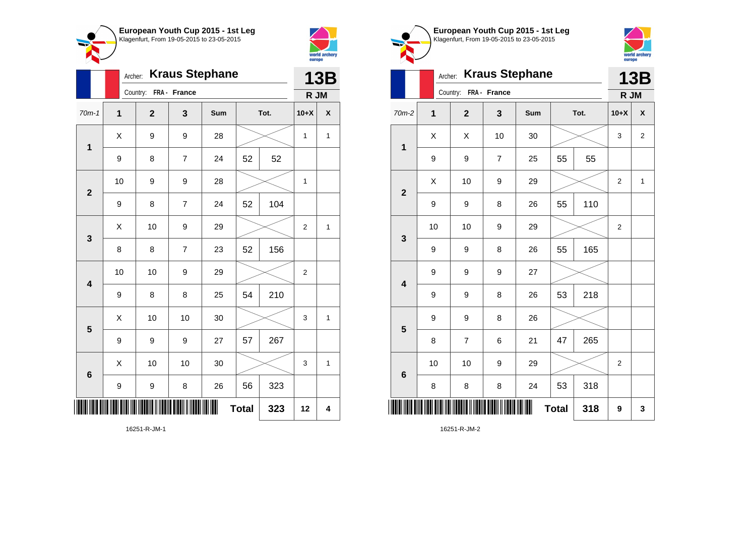



|                         | <b>Kraus Stephane</b><br>Archer: |                |                |     |              |     | <b>13B</b>     |              |
|-------------------------|----------------------------------|----------------|----------------|-----|--------------|-----|----------------|--------------|
|                         | Country:<br>FRA - France         |                |                |     |              |     | R JM           |              |
| $70m-1$                 | $\mathbf{1}$                     | $\overline{2}$ | 3              | Sum | Tot.         |     | $10+X$         | χ            |
| $\mathbf{1}$            | Χ                                | 9              | 9              | 28  |              |     | $\mathbf 1$    | $\mathbf{1}$ |
|                         | 9                                | 8              | $\overline{7}$ | 24  | 52           | 52  |                |              |
| $\mathbf{2}$            | 10                               | 9              | 9              | 28  |              |     | 1              |              |
|                         | 9                                | 8              | $\overline{7}$ | 24  | 52           | 104 |                |              |
| 3                       | X                                | 10             | 9              | 29  |              |     | $\overline{2}$ | 1            |
|                         | 8                                | 8              | $\overline{7}$ | 23  | 52           | 156 |                |              |
| $\overline{\mathbf{4}}$ | 10                               | 10             | 9              | 29  |              |     | $\overline{2}$ |              |
|                         | 9                                | 8              | 8              | 25  | 54           | 210 |                |              |
| 5                       | X                                | 10             | 10             | 30  |              |     | 3              | 1            |
|                         | 9                                | 9              | 9              | 27  | 57           | 267 |                |              |
| $6\phantom{1}6$         | X                                | 10             | 10             | 30  |              |     | 3              | 1            |
|                         | 9                                | 9              | 8              | 26  | 56           | 323 |                |              |
|                         |                                  |                |                |     | <b>Total</b> | 323 | 12             | 4            |





|                         | <b>Kraus Stephane</b><br>Archer: |                |                |     |      |     | <b>13B</b>       |                |  |  |
|-------------------------|----------------------------------|----------------|----------------|-----|------|-----|------------------|----------------|--|--|
|                         | Country:<br>FRA - France         |                |                |     |      |     |                  | R JM           |  |  |
| 70m-2                   | 1                                | $\mathbf{2}$   | 3              | Sum | Tot. |     | $10+X$           | X              |  |  |
| $\mathbf 1$             | X                                | Χ              | 10             | 30  |      |     | 3                | $\overline{2}$ |  |  |
|                         | 9                                | 9              | $\overline{7}$ | 25  | 55   | 55  |                  |                |  |  |
| $\mathbf{2}$            | Χ                                | 10             | 9              | 29  |      |     | $\overline{c}$   | 1              |  |  |
|                         | 9                                | 9              | 8              | 26  | 55   | 110 |                  |                |  |  |
| 3                       | 10                               | 10             | 9              | 29  |      |     | 2                |                |  |  |
|                         | 9                                | 9              | 8              | 26  | 55   | 165 |                  |                |  |  |
| $\overline{\mathbf{4}}$ | 9                                | 9              | 9              | 27  |      |     |                  |                |  |  |
|                         | 9                                | 9              | 8              | 26  | 53   | 218 |                  |                |  |  |
| 5                       | 9                                | 9              | 8              | 26  |      |     |                  |                |  |  |
|                         | 8                                | $\overline{7}$ | 6              | 21  | 47   | 265 |                  |                |  |  |
| $6\phantom{1}6$         | 10                               | 10             | 9              | 29  |      |     | $\boldsymbol{2}$ |                |  |  |
|                         | 8                                | 8              | 8              | 24  | 53   | 318 |                  |                |  |  |
| ║║║                     | <b>Total</b><br>318              |                |                |     |      |     | 9                | 3              |  |  |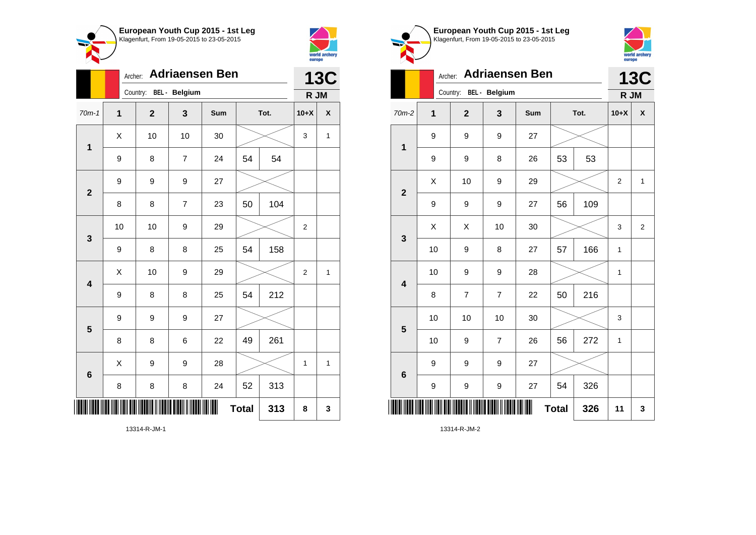



|                         | <b>Adriaensen Ben</b><br>Archer: |              |                |     |              |     | <b>13C</b>     |              |
|-------------------------|----------------------------------|--------------|----------------|-----|--------------|-----|----------------|--------------|
|                         | Country: BEL - Belgium           |              |                |     |              |     | R JM           |              |
| $70m-1$                 | $\mathbf 1$                      | $\mathbf{2}$ | 3              | Sum | Tot.         |     | $10+X$         | χ            |
| 1                       | X                                | 10           | 10             | 30  |              |     | 3              | $\mathbf{1}$ |
|                         | 9                                | 8            | $\overline{7}$ | 24  | 54           | 54  |                |              |
| $\overline{2}$          | 9                                | 9            | 9              | 27  |              |     |                |              |
|                         | 8                                | 8            | $\overline{7}$ | 23  | 50           | 104 |                |              |
| 3                       | 10                               | 10           | 9              | 29  |              |     | $\overline{2}$ |              |
|                         | 9                                | 8            | 8              | 25  | 54           | 158 |                |              |
| $\overline{\mathbf{4}}$ | X                                | 10           | 9              | 29  |              |     | $\overline{2}$ | 1            |
|                         | $\boldsymbol{9}$                 | 8            | 8              | 25  | 54           | 212 |                |              |
| 5                       | 9                                | 9            | 9              | 27  |              |     |                |              |
|                         | 8                                | 8            | 6              | 22  | 49           | 261 |                |              |
| 6                       | X                                | 9            | 9              | 28  |              |     | 1              | $\mathbf{1}$ |
|                         | 8                                | 8            | 8              | 24  | 52           | 313 |                |              |
|                         |                                  |              |                | ║║  | <b>Total</b> | 313 | 8              | 3            |



**European Youth Cup 2015 - 1st Leg** Klagenfurt, From 19-05-2015 to 23-05-2015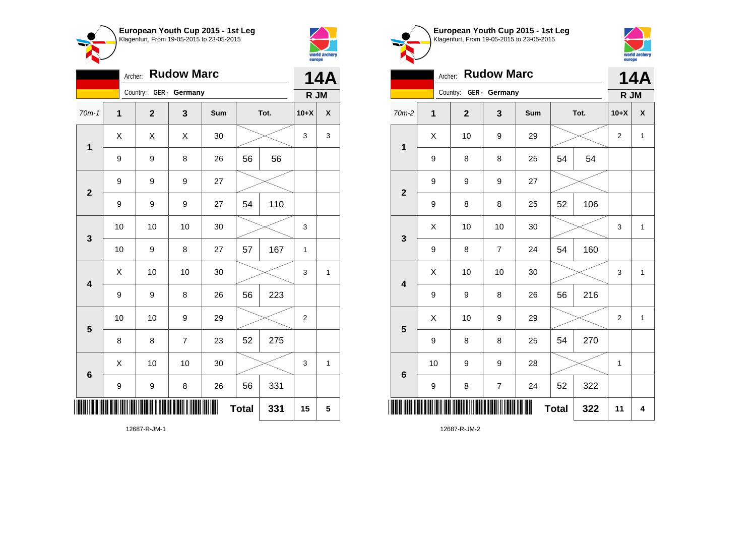



|                         | <b>Rudow Marc</b><br>Archer: |                         |               |     |              |      |                |              |  |
|-------------------------|------------------------------|-------------------------|---------------|-----|--------------|------|----------------|--------------|--|
|                         |                              | Country:                | GER - Germany |     |              |      | R JM           |              |  |
| $70m-1$                 | $\mathbf 1$                  | $\overline{\mathbf{2}}$ | 3             | Sum |              | Tot. | $10+X$         | χ            |  |
| $\mathbf{1}$            | X                            | X                       | X             | 30  |              |      | 3              | 3            |  |
|                         | 9                            | 9                       | 8             | 26  | 56           | 56   |                |              |  |
| $\overline{2}$          | 9                            | 9                       | 9             | 27  |              |      |                |              |  |
|                         | 9                            | 9                       | 9             | 27  | 54           | 110  |                |              |  |
| 3                       | 10                           | 10                      | 10            | 30  |              |      | 3              |              |  |
|                         | 10                           | 9                       | 8             | 27  | 57           | 167  | 1              |              |  |
| $\overline{\mathbf{4}}$ | X                            | 10                      | 10            | 30  |              |      | 3              | 1            |  |
|                         | 9                            | 9                       | 8             | 26  | 56           | 223  |                |              |  |
| 5                       | 10                           | 10                      | 9             | 29  |              |      | $\overline{2}$ |              |  |
|                         | 8                            | 8                       | 7             | 23  | 52           | 275  |                |              |  |
| $6\phantom{1}6$         | X                            | 10                      | 10            | 30  |              |      | 3              | $\mathbf{1}$ |  |
|                         | 9                            | 9                       | 8             | 26  | 56           | 331  |                |              |  |
|                         |                              |                         |               | Ш   | <b>Total</b> | 331  | 15             | 5            |  |





|                | <b>14A</b>   |                        |                |     |              |      |                |              |
|----------------|--------------|------------------------|----------------|-----|--------------|------|----------------|--------------|
|                |              | Country: GER - Germany |                |     |              |      | R JM           |              |
| $70m-2$        | $\mathbf{1}$ | $\mathbf{2}$           | 3              | Sum |              | Tot. | $10+X$         | X            |
| $\mathbf{1}$   | X            | 10                     | 9              | 29  |              |      | $\overline{2}$ | $\mathbf{1}$ |
|                | 9            | 8                      | 8              | 25  | 54           | 54   |                |              |
| $\overline{2}$ | 9            | 9                      | 9              | 27  |              |      |                |              |
|                | 9            | 8                      | 8              | 25  | 52           | 106  |                |              |
| $\mathbf{3}$   | Χ            | 10                     | 10             | 30  |              |      | 3              | $\mathbf{1}$ |
|                | 9            | 8                      | $\overline{7}$ | 24  | 54           | 160  |                |              |
| 4              | X            | 10                     | 10             | 30  |              |      | 3              | 1            |
|                | 9            | 9                      | 8              | 26  | 56           | 216  |                |              |
| 5              | X            | 10                     | 9              | 29  |              |      | $\overline{2}$ | $\mathbf{1}$ |
|                | 9            | 8                      | 8              | 25  | 54           | 270  |                |              |
| 6              | 10           | 9                      | 9              | 28  |              |      | 1              |              |
|                | 9            | 8                      | $\overline{7}$ | 24  | 52           | 322  |                |              |
| ║              |              |                        |                |     | <b>Total</b> | 322  | 11             | 4            |

12687-R-JM-2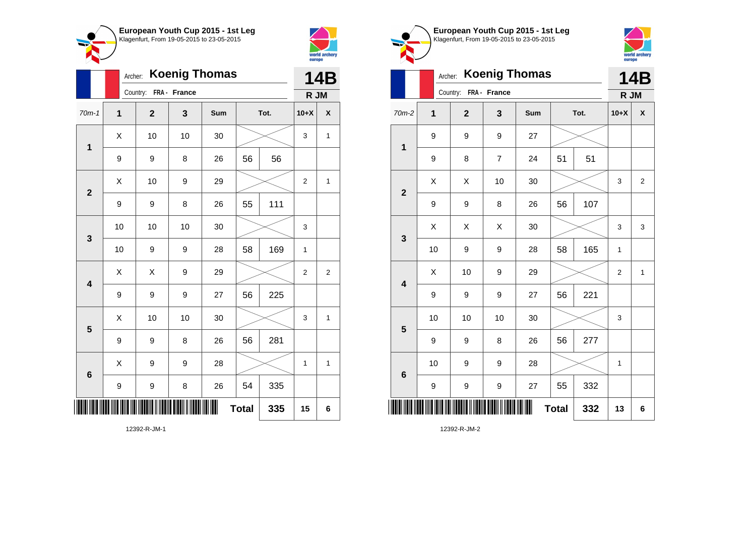



|                         | Archer:      |                         |    | 14B |              |      |                |                |  |
|-------------------------|--------------|-------------------------|----|-----|--------------|------|----------------|----------------|--|
|                         |              | Country: FRA - France   |    |     |              |      | R JM           |                |  |
| $70m-1$                 | 1            | $\overline{\mathbf{2}}$ | 3  | Sum |              | Tot. | $10+X$         | X              |  |
| 1                       | Χ            | 10                      | 10 | 30  |              |      | 3              | 1              |  |
|                         | 9            | 9                       | 8  | 26  | 56           | 56   |                |                |  |
| $\overline{2}$          | Χ            | 10                      | 9  | 29  |              |      | $\overline{2}$ | 1              |  |
|                         | 9            | 9                       | 8  | 26  | 55           | 111  |                |                |  |
| 3                       | 10           | 10                      | 10 | 30  |              |      | 3              |                |  |
|                         | 10           | 9                       | 9  | 28  | 58           | 169  | $\mathbf{1}$   |                |  |
| $\overline{\mathbf{4}}$ | Χ            | X                       | 9  | 29  |              |      | $\overline{2}$ | $\overline{c}$ |  |
|                         | 9            | 9                       | 9  | 27  | 56           | 225  |                |                |  |
| 5                       | Χ            | 10                      | 10 | 30  |              |      | 3              | 1              |  |
|                         | 9            | 9                       | 8  | 26  | 56           | 281  |                |                |  |
| $6\phantom{1}6$         | X            | 9                       | 9  | 28  |              |      | $\mathbf{1}$   | $\mathbf{1}$   |  |
|                         | 9            | 9                       | 8  | 26  | 54           | 335  |                |                |  |
| ║║║                     |              |                         |    | ∭   | <b>Total</b> | 335  | 15             | 6              |  |
|                         | 12392-R-JM-1 |                         |    |     |              |      |                |                |  |



**European Youth Cup 2015 - 1st Leg** Klagenfurt, From 19-05-2015 to 23-05-2015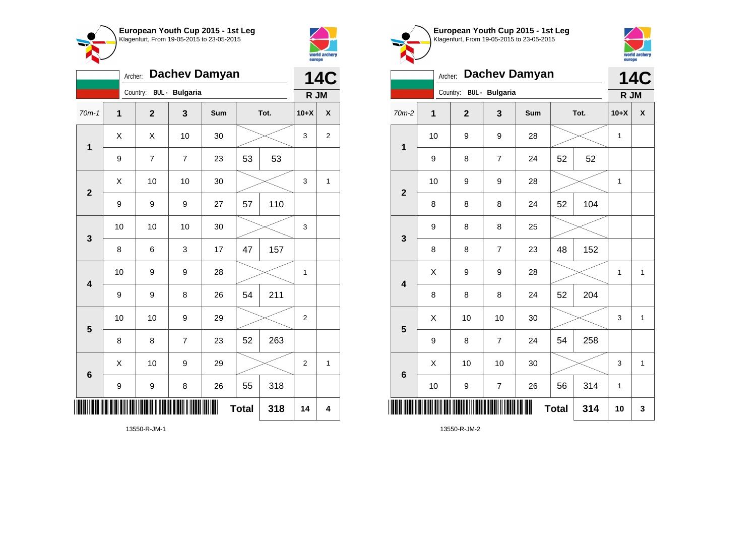

13550-R-JM-1



|                         | Dachev Damyan<br>Archer: |                         |                       |     |              |      |                |                         |  |
|-------------------------|--------------------------|-------------------------|-----------------------|-----|--------------|------|----------------|-------------------------|--|
|                         |                          | Country:                | <b>BUL</b> - Bulgaria |     |              |      | R JM           |                         |  |
| $70m-1$                 | 1                        | $\overline{\mathbf{2}}$ | 3                     | Sum |              | Tot. | $10+X$         | X                       |  |
| 1                       | X                        | X                       | 10                    | 30  |              |      | 3              | $\overline{c}$          |  |
|                         | 9                        | $\overline{7}$          | $\overline{7}$        | 23  | 53           | 53   |                |                         |  |
| $\overline{2}$          | X                        | 10                      | 10                    | 30  |              |      | 3              | 1                       |  |
|                         | 9                        | 9                       | 9                     | 27  | 57           | 110  |                |                         |  |
| 3                       | 10                       | 10                      | 10                    | 30  |              |      | 3              |                         |  |
|                         | 8                        | 6                       | 3                     | 17  | 47           | 157  |                |                         |  |
| $\overline{\mathbf{4}}$ | 10                       | 9                       | 9                     | 28  |              |      | $\mathbf 1$    |                         |  |
|                         | 9                        | 9                       | 8                     | 26  | 54           | 211  |                |                         |  |
| 5                       | 10                       | 10                      | 9                     | 29  |              |      | $\overline{2}$ |                         |  |
|                         | 8                        | 8                       | $\overline{7}$        | 23  | 52           | 263  |                |                         |  |
| 6                       | X                        | 10                      | 9                     | 29  |              |      | $\overline{2}$ | $\mathbf{1}$            |  |
|                         | 9                        | 9                       | 8                     | 26  | 55           | 318  |                |                         |  |
|                         |                          |                         |                       | Ш   | <b>Total</b> | 318  | 14             | $\overline{\mathbf{4}}$ |  |

Klagenfurt, From 19-05-2015 to 23-05-2015 world archery<br>europe Archer: **Dachev Damyan 14C** Country: **BUL - Bulgaria R JM** 70m-2 **1 2 3 Sum Tot. 10+X X** 10 | 9 | 9 | 28 |  $\times$  | 1 **1** 9 | 8 | 7 | 24 | 52 | 52 10 | 9 | 9 | 28 |  $\times$  | 1 **2** 8 | 8 | 8 | 24 | 52 | 104 9 8 8 25 **3** 8 | 8 | 7 | 23 | 48 | 152  $X$  | 9 | 9 | 28 |  $\times$  | 1 | 1 **4** 8 8 8 24 52 204  $\begin{array}{|c|c|c|c|c|c|}\hline \hspace{.1cm}X & \hspace{.1cm} \text{ 10} & \hspace{.1cm} \text{ 10} & \hspace{.1cm} \text{ 30} & \hspace{.1cm} \end{array} \hspace{1.2cm} \begin{array}{|c|c|c|c|c|c|}\hline \hspace{.1cm}X & \hspace{.1cm} \text{ 3} & \hspace{.1cm} \text{ 1} & \hspace{.1cm} \text{ 4} & \hspace{.1cm} \end{array} \hspace{1.2cm}$ **5** 9 | 8 | 7 | 24 | 54 | 258  $\begin{array}{|c|c|c|c|c|c|}\hline \hspace{.1cm}X & \hspace{.1cm} \text{ 10} & \hspace{.1cm} \text{ 10} & \hspace{.1cm} \text{ 30} & \hspace{.1cm} \end{array} \hspace{.2cm} \begin{array}{|c|c|c|c|c|c|}\hline \hspace{.1cm}X & \hspace{.1cm} \text{ 3} & \hspace{.1cm} \text{ 1} & \hspace{.1cm} \text{ 4} & \hspace{.1cm} \end{array}$ **6** 10 | 9 | 7 | 26 | 56 | 314 | 1 \*13550-R-JM-2\* **Total 314 10 3**

**European Youth Cup 2015 - 1st Leg**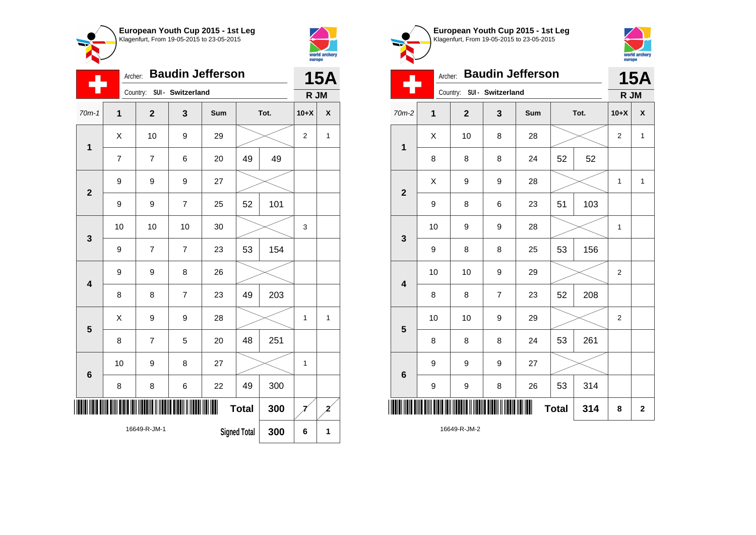



|                         | <b>Baudin Jefferson</b><br>Archer:  |                |                   |     |              |      |                |   |  |
|-------------------------|-------------------------------------|----------------|-------------------|-----|--------------|------|----------------|---|--|
|                         |                                     | Country:       | SUI - Switzerland |     |              |      | R JM           |   |  |
| $70m-1$                 | $\overline{\mathbf{1}}$             | $\overline{2}$ | 3                 | Sum |              | Tot. | $10+X$         | X |  |
| 1                       | X                                   | 10             | 9                 | 29  |              |      | $\overline{2}$ | 1 |  |
|                         | 7                                   | 7              | 6                 | 20  | 49           | 49   |                |   |  |
| $\overline{\mathbf{2}}$ | 9                                   | 9              | 9                 | 27  |              |      |                |   |  |
|                         | 9                                   | 9              | $\overline{7}$    | 25  | 52           | 101  |                |   |  |
| 3                       | 10                                  | 10             | 10                | 30  |              |      | 3              |   |  |
|                         | 9                                   | $\overline{7}$ | $\overline{7}$    | 23  | 53           | 154  |                |   |  |
| $\overline{\mathbf{4}}$ | 9                                   | 9              | 8                 | 26  |              |      |                |   |  |
|                         | 8                                   | 8              | $\overline{7}$    | 23  | 49           | 203  |                |   |  |
| 5                       | X                                   | 9              | 9                 | 28  |              |      | 1              | 1 |  |
|                         | 8                                   | 7              | 5                 | 20  | 48           | 251  |                |   |  |
| $6\phantom{1}6$         | 10                                  | 9              | 8                 | 27  |              |      | $\mathbf{1}$   |   |  |
|                         | 8                                   | 8              | 6                 | 22  | 49           | 300  |                |   |  |
| ║║║                     |                                     |                |                   | Ш   | <b>Total</b> | 300  |                | 2 |  |
|                         | 16649-R-JM-1<br><b>Signed Total</b> |                |                   |     |              | 300  | 6              | 1 |  |





|                         |                          | <b>15A</b>                 |                |     |              |      |                |              |
|-------------------------|--------------------------|----------------------------|----------------|-----|--------------|------|----------------|--------------|
|                         |                          | Country: SUI - Switzerland |                |     |              |      | R JM           |              |
| $70m-2$                 | 1                        | $\mathbf{2}$               | 3              | Sum |              | Tot. | $10+X$         | X            |
| $\mathbf 1$             | X                        | 10                         | 8              | 28  |              |      | 2              | $\mathbf{1}$ |
|                         | 8                        | 8                          | 8              | 24  | 52           | 52   |                |              |
| $\mathbf{2}$            | X                        | 9                          | 9              | 28  |              |      | $\mathbf{1}$   | $\mathbf{1}$ |
|                         | 9                        | 8                          | 6              | 23  | 51           | 103  |                |              |
| 3                       | 10                       | 9                          | 9              | 28  |              |      | $\mathbf{1}$   |              |
|                         | 9                        | 8                          | 8              | 25  | 53           | 156  |                |              |
| $\overline{\mathbf{4}}$ | 10                       | 10                         | 9              | 29  |              |      | $\overline{2}$ |              |
|                         | 8                        | 8                          | $\overline{7}$ | 23  | 52           | 208  |                |              |
| 5                       | 10                       | 10                         | 9              | 29  |              |      | $\overline{2}$ |              |
|                         | 8                        | 8                          | 8              | 24  | 53           | 261  |                |              |
| $6\phantom{1}6$         | 9                        | 9                          | 9              | 27  |              |      |                |              |
|                         | 9                        | 9                          | 8              | 26  | 53           | 314  |                |              |
| ║║║                     | <u> Andria Millian I</u> |                            |                | Ш   | <b>Total</b> | 314  | 8              | $\mathbf 2$  |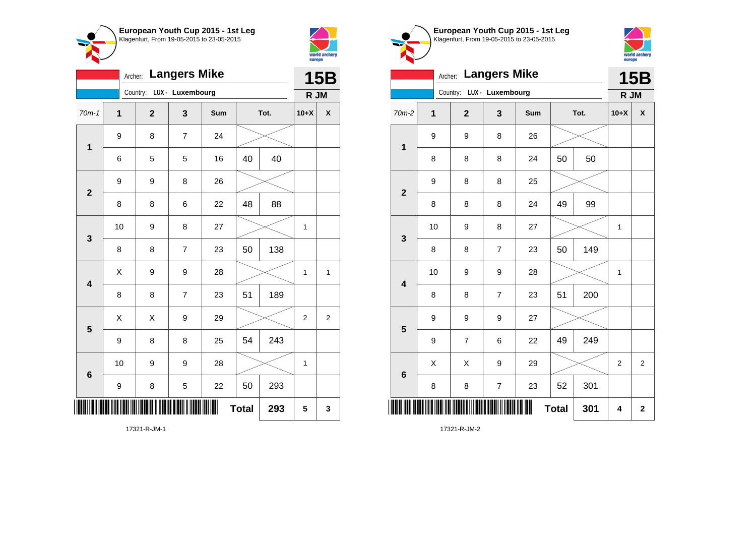



|                         | Archer: Langers Mike |                           |                |     |              |      |                |                |  |
|-------------------------|----------------------|---------------------------|----------------|-----|--------------|------|----------------|----------------|--|
|                         |                      | Country: LUX - Luxembourg |                |     |              |      | R JM           |                |  |
| $70m-1$                 | 1                    | $\overline{2}$            | 3              | Sum |              | Tot. | $10+X$         | χ              |  |
| 1                       | 9                    | 8                         | $\overline{7}$ | 24  |              |      |                |                |  |
|                         | 6                    | 5                         | 5              | 16  | 40           | 40   |                |                |  |
| $\overline{2}$          | 9                    | 9                         | 8              | 26  |              |      |                |                |  |
|                         | 8                    | 8                         | 6              | 22  | 48           | 88   |                |                |  |
| 3                       | 10                   | 9                         | 8              | 27  |              |      | 1              |                |  |
|                         | 8                    | 8                         | $\overline{7}$ | 23  | 50           | 138  |                |                |  |
| $\overline{\mathbf{4}}$ | X                    | 9                         | 9              | 28  |              |      | 1              | 1              |  |
|                         | 8                    | 8                         | $\overline{7}$ | 23  | 51           | 189  |                |                |  |
| 5                       | X                    | X                         | 9              | 29  |              |      | $\overline{2}$ | $\overline{c}$ |  |
|                         | 9                    | 8                         | 8              | 25  | 54           | 243  |                |                |  |
| $6\phantom{1}6$         | 10                   | 9                         | 9              | 28  |              |      | $\mathbf{1}$   |                |  |
|                         | 9                    | 8                         | 5              | 22  | 50           | 293  |                |                |  |
| IIII                    |                      |                           |                |     | <b>Total</b> | 293  | 5              | 3              |  |

**European Youth Cup 2015 - 1st Leg** Klagenfurt, From 19-05-2015 to 23-05-2015



| Archer: Langers Mike    |             |  |                          |                           |     |              |      |                | <b>15B</b>     |  |
|-------------------------|-------------|--|--------------------------|---------------------------|-----|--------------|------|----------------|----------------|--|
|                         |             |  |                          | Country: LUX - Luxembourg |     |              |      | R JM           |                |  |
| 70m-2                   | $\mathbf 1$ |  | $\mathbf{2}$             | 3                         | Sum |              | Tot. | $10+X$         | X              |  |
| $\mathbf 1$             | 9           |  | 9                        | 8                         | 26  |              |      |                |                |  |
|                         | 8           |  | 8                        | 8                         | 24  | 50           | 50   |                |                |  |
| $\overline{\mathbf{2}}$ | 9           |  | 8                        | 8                         | 25  |              |      |                |                |  |
|                         | 8           |  | 8                        | 8                         | 24  | 49           | 99   |                |                |  |
| $\mathbf{3}$            | 10          |  | 9                        | 8                         | 27  |              |      | $\mathbf 1$    |                |  |
|                         | 8           |  | 8                        | $\overline{7}$            | 23  | 50           | 149  |                |                |  |
| 4                       | 10          |  | 9                        | 9                         | 28  |              |      | 1              |                |  |
|                         | 8           |  | 8                        | $\overline{7}$            | 23  | 51           | 200  |                |                |  |
| 5                       | 9           |  | 9                        | 9                         | 27  |              |      |                |                |  |
|                         | 9           |  | $\overline{\mathcal{I}}$ | $\,6$                     | 22  | 49           | 249  |                |                |  |
| $6\phantom{1}6$         | X           |  | X                        | 9                         | 29  |              |      | $\overline{2}$ | $\overline{2}$ |  |
|                         | 8           |  | 8                        | $\overline{\mathcal{I}}$  | 23  | 52           | 301  |                |                |  |
| ║║║                     |             |  |                          |                           | ∭   | <b>Total</b> | 301  | 4              | $\bf{2}$       |  |

17321-R-JM-2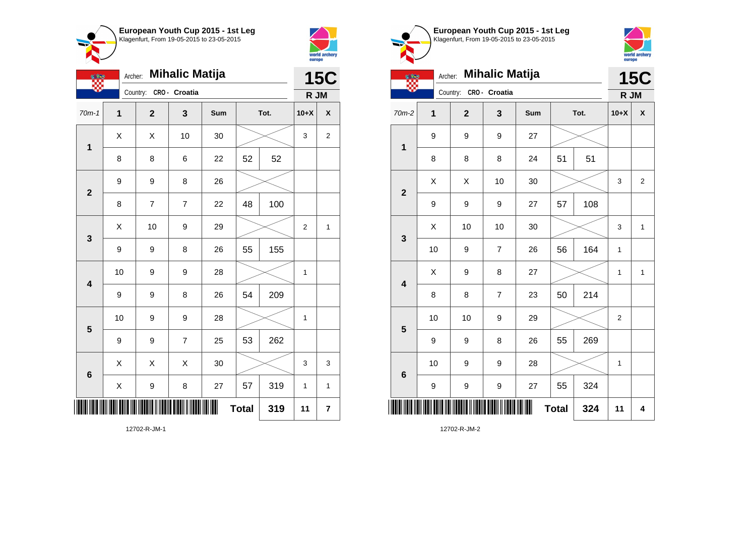

12702-R-JM-1



|                         | <b>Mihalic Matija</b><br>Archer: |                |                |     |    |      |                | <b>15C</b>              |  |
|-------------------------|----------------------------------|----------------|----------------|-----|----|------|----------------|-------------------------|--|
|                         |                                  | Country:       | CRO- Croatia   |     |    |      | R JM           |                         |  |
| $70m-1$                 | $\mathbf 1$                      | $\mathbf{2}$   | 3              | Sum |    | Tot. | $10+X$         | $\pmb{\mathsf{X}}$      |  |
| $\mathbf{1}$            | X                                | Χ              | 10             | 30  |    |      |                | 2                       |  |
|                         | 8                                | 8              | 6              | 22  | 52 | 52   |                |                         |  |
| $\overline{\mathbf{2}}$ | 9                                | 9              | 8              | 26  |    |      |                |                         |  |
|                         | 8                                | $\overline{7}$ | $\overline{7}$ | 22  | 48 | 100  |                |                         |  |
| $\mathbf{3}$            | X                                | 10             | 9              | 29  |    |      | $\overline{2}$ | 1                       |  |
|                         | 9                                | 9              | 8              | 26  | 55 | 155  |                |                         |  |
| $\overline{\mathbf{4}}$ | 10                               | 9              | 9              | 28  |    |      | 1              |                         |  |
|                         | 9                                | 9              | 8              | 26  | 54 | 209  |                |                         |  |
| $5\phantom{1}$          | 10                               | 9              | 9              | 28  |    |      | $\mathbf 1$    |                         |  |
|                         | 9                                | 9              | $\overline{7}$ | 25  | 53 | 262  |                |                         |  |
| $6\phantom{1}6$         | X                                | Χ              | X              | 30  |    |      | 3              | 3                       |  |
|                         | X                                | 9              | 8              | 27  | 57 | 319  | 1              | $\mathbf{1}$            |  |
|                         | <b>Total</b><br>319              |                |                |     |    |      | 11             | $\overline{\mathbf{r}}$ |  |

**European Youth Cup 2015 - 1st Leg** Klagenfurt, From 19-05-2015 to 23-05-2015 Archer: **Mihalic Matija** Country: **CRO - Croatia** 9 9 9 27



|                         | <b>Mihalic Matija</b><br>Archer: |              |                |     |              |      |                | <b>15C</b>     |
|-------------------------|----------------------------------|--------------|----------------|-----|--------------|------|----------------|----------------|
|                         |                                  | Country:     | CRO- Croatia   |     |              |      | R JM           |                |
| 70m-2                   | 1                                | $\mathbf{2}$ | 3              | Sum |              | Tot. | $10+X$         | X              |
| $\mathbf 1$             | 9                                | 9            | 9              | 27  |              |      |                |                |
|                         | 8                                | 8            | 8              | 24  | 51           | 51   |                |                |
| $\overline{2}$          | X                                | X            | 10             | 30  |              |      | 3              | $\overline{2}$ |
|                         | 9                                | 9            | 9              | 27  | 57           | 108  |                |                |
| 3                       | X                                | 10           | 10             | 30  |              |      | 3              | 1              |
|                         | 10                               | 9            | $\overline{7}$ | 26  | 56           | 164  | 1              |                |
| $\overline{\mathbf{4}}$ | Χ                                | 9            | 8              | 27  |              |      | 1              | 1              |
|                         | 8                                | 8            | $\overline{7}$ | 23  | 50           | 214  |                |                |
| 5                       | 10                               | 10           | 9              | 29  |              |      | $\overline{2}$ |                |
|                         | 9                                | 9            | 8              | 26  | 55           | 269  |                |                |
| $6\phantom{1}6$         | 10                               | 9            | 9              | 28  |              |      | 1              |                |
|                         | 9                                | 9            | 9              | 27  | 55           | 324  |                |                |
|                         |                                  |              |                |     | <b>Total</b> | 324  | 11             | 4              |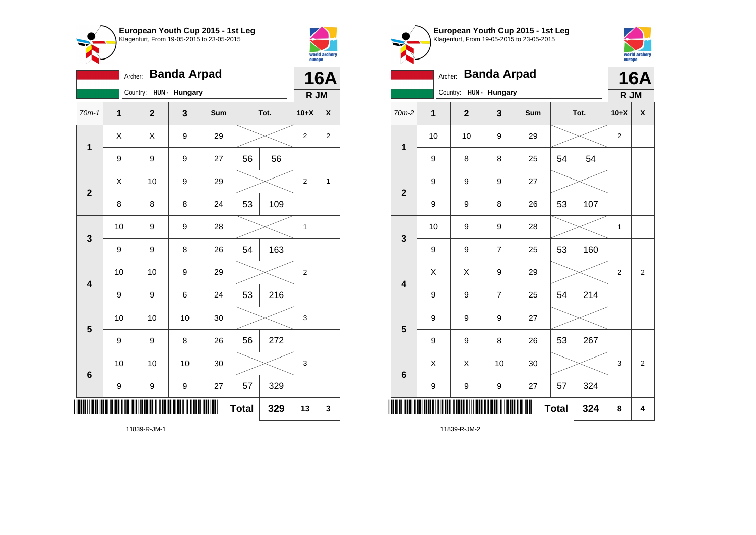

11839-R-JM-1



|                         | <b>Banda Arpad</b><br>Archer: |                         |               |     |              |      |                |                |  |
|-------------------------|-------------------------------|-------------------------|---------------|-----|--------------|------|----------------|----------------|--|
|                         |                               | Country:                | HUN - Hungary |     |              |      | R JM           |                |  |
| $70m-1$                 | $\mathbf 1$                   | $\overline{\mathbf{2}}$ | 3             | Sum |              | Tot. | $10+X$         | χ              |  |
| $\mathbf{1}$            | X                             | X                       | 9             | 29  |              |      | $\overline{2}$ | $\overline{2}$ |  |
|                         | 9                             | 9                       | 9             | 27  | 56           | 56   |                |                |  |
| $\overline{2}$          | X                             | 10                      | 9             | 29  |              |      | $\overline{2}$ | $\mathbf{1}$   |  |
|                         | 8                             | 8                       | 8             | 24  | 53           | 109  |                |                |  |
| 3                       | 10                            | 9                       | 9             | 28  |              |      | 1              |                |  |
|                         | 9                             | 9                       | 8             | 26  | 54           | 163  |                |                |  |
| $\overline{\mathbf{4}}$ | 10                            | 10                      | 9             | 29  |              |      | $\overline{2}$ |                |  |
|                         | 9                             | 9                       | 6             | 24  | 53           | 216  |                |                |  |
| 5                       | 10                            | 10                      | 10            | 30  |              |      | 3              |                |  |
|                         | 9                             | 9                       | 8             | 26  | 56           | 272  |                |                |  |
| $\boldsymbol{6}$        | 10                            | 10                      | 10            | 30  |              |      | 3              |                |  |
|                         | 9                             | 9                       | 9             | 27  | 57           | 329  |                |                |  |
|                         |                               |                         |               | ║║  | <b>Total</b> | 329  | 13             | 3              |  |





|                         | <b>Banda Arpad</b><br>Archer: |                |                  |     |              |      |                |                |  |
|-------------------------|-------------------------------|----------------|------------------|-----|--------------|------|----------------|----------------|--|
|                         |                               | Country:       | HUN - Hungary    |     |              |      | R JM           | <b>16A</b>     |  |
| 70m-2                   | $\mathbf{1}$                  | $\overline{2}$ | 3                | Sum |              | Tot. | $10+X$         | X              |  |
| $\mathbf{1}$            | 10                            | 10             | $\boldsymbol{9}$ | 29  |              |      | $\overline{2}$ |                |  |
|                         | 9                             | 8              | 8                | 25  | 54           | 54   |                |                |  |
| $\overline{2}$          | 9                             | 9              | $\boldsymbol{9}$ | 27  |              |      |                |                |  |
|                         | 9                             | 9              | 8                | 26  | 53           | 107  |                |                |  |
| 3                       | 10                            | 9              | 9                | 28  |              |      | 1              |                |  |
|                         | 9                             | 9              | $\overline{7}$   | 25  | 53           | 160  |                |                |  |
| $\overline{\mathbf{4}}$ | X                             | X              | 9                | 29  |              |      | $\overline{2}$ | $\overline{2}$ |  |
|                         | 9                             | 9              | $\overline{7}$   | 25  | 54           | 214  |                |                |  |
| 5                       | 9                             | 9              | $\boldsymbol{9}$ | 27  |              |      |                |                |  |
|                         | 9                             | 9              | 8                | 26  | 53           | 267  |                |                |  |
| $6\phantom{1}6$         | X                             | X              | 10               | 30  |              |      | 3              | $\overline{2}$ |  |
|                         | 9                             | 9              | $\boldsymbol{9}$ | 27  | 57           | 324  |                |                |  |
| I                       |                               |                |                  | Ш   | <b>Total</b> | 324  | 8              | 4              |  |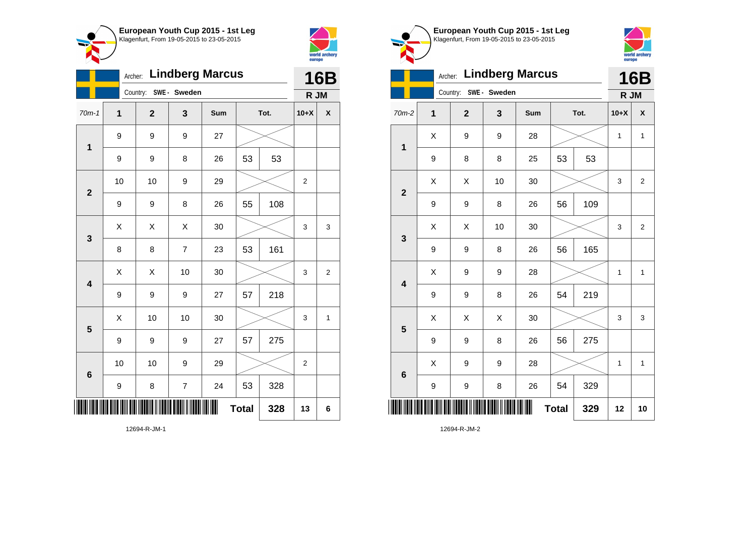



|                         |    | 16B            |                          |     |              |      |                  |                |
|-------------------------|----|----------------|--------------------------|-----|--------------|------|------------------|----------------|
|                         |    | Country:       | SWE - Sweden             |     |              |      | R JM             |                |
| $70m-1$                 | 1  | $\overline{2}$ | 3                        | Sum |              | Tot. | $10+X$           | X              |
| $\mathbf{1}$            | 9  | 9              | 9                        | 27  |              |      |                  |                |
|                         | 9  | 9              | 8                        | 26  | 53           | 53   |                  |                |
| $\mathbf{2}$            | 10 | 10             | 9                        | 29  |              |      | $\boldsymbol{2}$ |                |
|                         | 9  | 9              | 8                        | 26  | 55           | 108  |                  |                |
| 3                       | X  | X              | X                        | 30  |              |      | 3                | 3              |
|                         | 8  | 8              | $\overline{7}$           | 23  | 53           | 161  |                  |                |
| $\overline{\mathbf{4}}$ | X  | X              | 10                       | 30  |              |      | 3                | $\overline{2}$ |
|                         | 9  | 9              | 9                        | 27  | 57           | 218  |                  |                |
| 5                       | X  | 10             | 10                       | 30  |              |      | 3                | 1              |
|                         | 9  | 9              | 9                        | 27  | 57           | 275  |                  |                |
| $6\phantom{1}6$         | 10 | 10             | 9                        | 29  |              |      | $\overline{c}$   |                |
|                         | 9  | 8              | $\overline{\mathcal{I}}$ | 24  | 53           | 328  |                  |                |
|                         |    |                |                          |     | <b>Total</b> | 328  | 13               | 6              |

**European Youth Cup 2015 - 1st Leg** Klagenfurt, From 19-05-2015 to 23-05-2015



|                         | <b>16B</b> |              |                  |     |              |      |        |                |
|-------------------------|------------|--------------|------------------|-----|--------------|------|--------|----------------|
|                         | Country:   |              | SWE- Sweden      |     |              |      | R JM   |                |
| 70m-2                   | 1          | $\mathbf{2}$ | 3                | Sum |              | Tot. | $10+X$ | X              |
| $\mathbf{1}$            | X          | 9            | 9                | 28  |              |      | 1      | $\mathbf{1}$   |
|                         | 9          | 8            | 8                | 25  | 53           | 53   |        |                |
| $\overline{2}$          | X          | Χ            | 10               | 30  |              |      | 3      | $\overline{2}$ |
|                         | 9          | 9            | 8                | 26  | 56           | 109  |        |                |
| 3                       | X          | Χ            | 10               | 30  |              |      | 3      | $\overline{2}$ |
|                         | 9          | 9            | 8                | 26  | 56           | 165  |        |                |
| $\overline{\mathbf{4}}$ | X          | 9            | $\boldsymbol{9}$ | 28  |              |      | 1      | $\mathbf{1}$   |
|                         | 9          | 9            | 8                | 26  | 54           | 219  |        |                |
| 5                       | X          | Χ            | Χ                | 30  |              |      | 3      | 3              |
|                         | 9          | 9            | 8                | 26  | 56           | 275  |        |                |
| $6\phantom{1}6$         | X          | 9            | 9                | 28  |              |      | 1      | 1              |
|                         | 9          | 9            | 8                | 26  | 54           | 329  |        |                |
| I                       |            |              |                  | ║   | <b>Total</b> | 329  | 12     | 10             |

12694-R-JM-2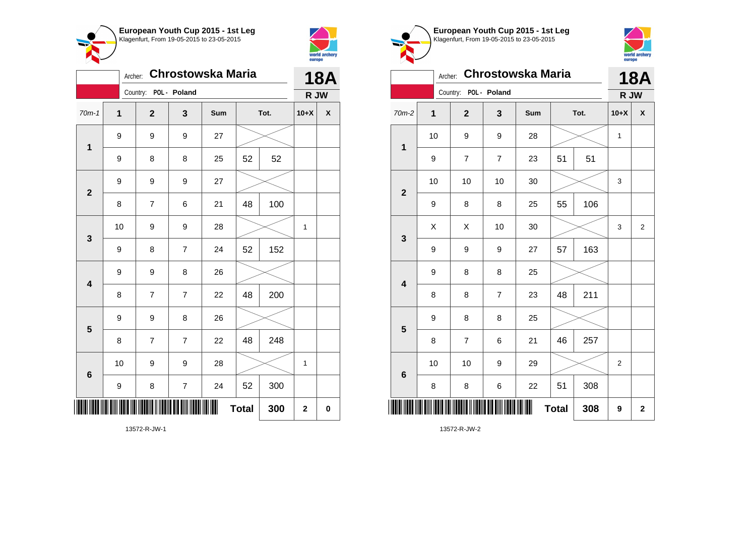



| <b>Chrostowska Maria</b><br>Archer: |                  |                         |                          |     |              |      |             | <b>18A</b>   |  |
|-------------------------------------|------------------|-------------------------|--------------------------|-----|--------------|------|-------------|--------------|--|
|                                     |                  | Country: POL - Poland   |                          |     |              |      | R JW        |              |  |
| $70m-1$                             | 1                | $\mathbf 2$             | 3                        | Sum |              | Tot. | $10+X$      | $\mathsf{X}$ |  |
| $\mathbf 1$                         | 9                | 9                       | 9                        | 27  |              |      |             |              |  |
|                                     | 9                | 8                       | 8                        | 25  | 52           | 52   |             |              |  |
| $\overline{\mathbf{2}}$             | $\boldsymbol{9}$ | 9                       | 9                        | 27  |              |      |             |              |  |
|                                     | 8                | $\overline{\mathbf{7}}$ | 6                        | 21  | 48           | 100  |             |              |  |
|                                     | 10               | 9                       | 9                        | 28  |              |      | 1           |              |  |
| 3                                   | $\boldsymbol{9}$ | 8                       | $\overline{7}$           | 24  | 52           | 152  |             |              |  |
| 4                                   | $\boldsymbol{9}$ | 9                       | 8                        | 26  |              |      |             |              |  |
|                                     | 8                | $\overline{7}$          | $\overline{7}$           | 22  | 48           | 200  |             |              |  |
| 5                                   | 9                | 9                       | 8                        | 26  |              |      |             |              |  |
|                                     | 8                | $\overline{7}$          | $\overline{7}$           | 22  | 48           | 248  |             |              |  |
| 6                                   | 10               | 9                       | 9                        | 28  |              |      | 1           |              |  |
|                                     | 9                | 8                       | $\overline{\mathcal{I}}$ | 24  | 52           | 300  |             |              |  |
|                                     |                  |                         |                          | ║║  | <b>Total</b> | 300  | $\mathbf 2$ | 0            |  |

Klagenfurt, From 19-05-2015 to 23-05-2015 world archery<br>europe Archer: **Chrostowska Maria 18A** Country: **POL - Poland R JW** 70m-2 **1 2 3 Sum Tot. 10+X X** 10 | 9 | 9 | 28 |  $\times$  | 1 **1** 9 | 7 | 7 | 23 | 51 | 51 10 | 10 | 10 | 30 |  $\times$  | 3 **2** 9 | 8 | 8 | 25 | 55 | 106 X X 10 30 3 2 **3** 9 | 9 | 9 | 27 | 57 | 163 9 8 8 25 **4** 8 8 7 23 48 211 9 8 8 25 **5** 8 | 7 | 6 | 21 | 46 | 257 10 | 10 | 9 | 29 |  $\times$  | 2 **6** 8 | 8 | 6 | 22 | 51 | 308 \*13572-R-JW-2\*  $Total | 308 | 9 | 2$ 

**European Youth Cup 2015 - 1st Leg**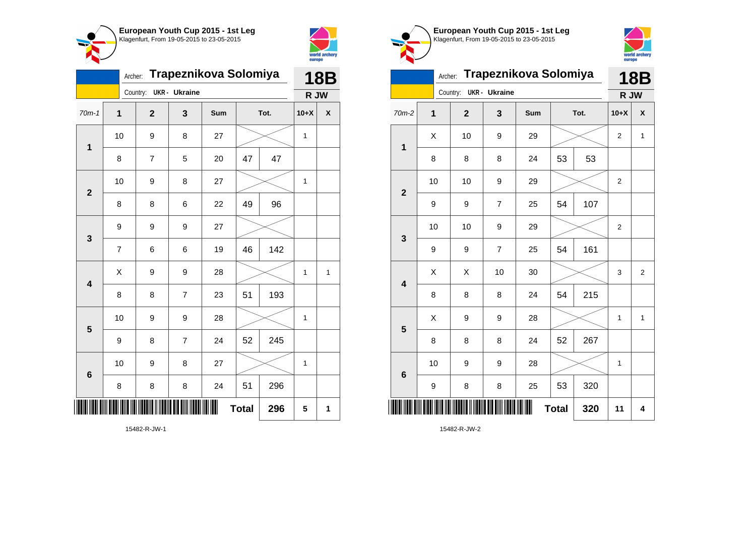



|                         | Trapeznikova Solomiya | <b>18B</b>     |                      |     |              |      |             |                    |
|-------------------------|-----------------------|----------------|----------------------|-----|--------------|------|-------------|--------------------|
|                         |                       | Country:       | <b>UKR</b> - Ukraine |     |              |      | R JW        |                    |
| $70m-1$                 | $\mathbf 1$           | $\overline{2}$ | 3                    | Sum |              | Tot. | $10+X$      | $\pmb{\mathsf{X}}$ |
| 1                       | 10                    | 9              | 8                    | 27  |              |      | 1           |                    |
|                         | 8                     | $\overline{7}$ | 5                    | 20  | 47<br>47     |      |             |                    |
| $\overline{2}$          | 10                    | 9              | 8                    | 27  |              |      | 1           |                    |
|                         | 8                     | 8              | 6                    | 22  | 49           | 96   |             |                    |
| 3                       | 9                     | 9              | 9                    | 27  |              |      |             |                    |
|                         | $\overline{7}$        | 6              | 6                    | 19  | 46           | 142  |             |                    |
| $\overline{\mathbf{4}}$ | X                     | 9              | 9                    | 28  |              |      | $\mathbf 1$ | $\mathbf{1}$       |
|                         | 8                     | 8              | $\overline{7}$       | 23  | 51           | 193  |             |                    |
| 5                       | 10                    | 9              | 9                    | 28  |              |      | 1           |                    |
|                         | 9                     | 8              | $\overline{7}$       | 24  | 52           | 245  |             |                    |
| $\bf 6$                 | 10                    | 9              | 8                    | 27  |              |      | 1           |                    |
|                         | 8                     | 8              | 8                    | 24  | 51           | 296  |             |                    |
| II                      |                       |                |                      |     | <b>Total</b> | 296  | 5           | 1                  |





|  | europe                  |                |                |                      |                       |              |      |                |                |
|--|-------------------------|----------------|----------------|----------------------|-----------------------|--------------|------|----------------|----------------|
|  |                         | Archer:        |                |                      | Trapeznikova Solomiya |              |      |                | 18B            |
|  |                         |                | Country:       | <b>UKR</b> - Ukraine |                       |              |      | R JW           |                |
|  | $70m-2$                 | $\overline{1}$ | $\overline{2}$ | 3                    | Sum                   |              | Tot. | $10+X$         | X              |
|  | 1                       | X              | 10             | 9                    | 29                    |              |      | $\overline{2}$ | 1              |
|  |                         | 8              | 8              | 8                    | 24                    | 53           | 53   |                |                |
|  | $\overline{2}$          | 10             | 10             | 9                    | 29                    |              |      | 2              |                |
|  |                         | 9              | 9              | $\overline{7}$       | 25                    | 54           | 107  |                |                |
|  | 3                       | 10             | 10             | 9                    | 29                    |              |      | $\overline{2}$ |                |
|  |                         | 9              | 9              | $\overline{7}$       | 25                    | 54           | 161  |                |                |
|  | $\overline{\mathbf{4}}$ | X              | X              | 10                   | 30                    |              |      | 3              | $\overline{2}$ |
|  |                         | 8              | 8              | 8                    | 24                    | 54           | 215  |                |                |
|  | 5                       | X              | 9              | 9                    | 28                    |              |      | 1              | $\mathbf{1}$   |
|  |                         | 8              | 8              | 8                    | 24                    | 52           | 267  |                |                |
|  | 6                       | 10             | 9              | 9                    | 28                    |              |      | $\mathbf 1$    |                |
|  |                         | 9              | 8              | 8                    | 25                    | 53           | 320  |                |                |
|  |                         |                |                |                      |                       | <b>Total</b> | 320  | 11             | 4              |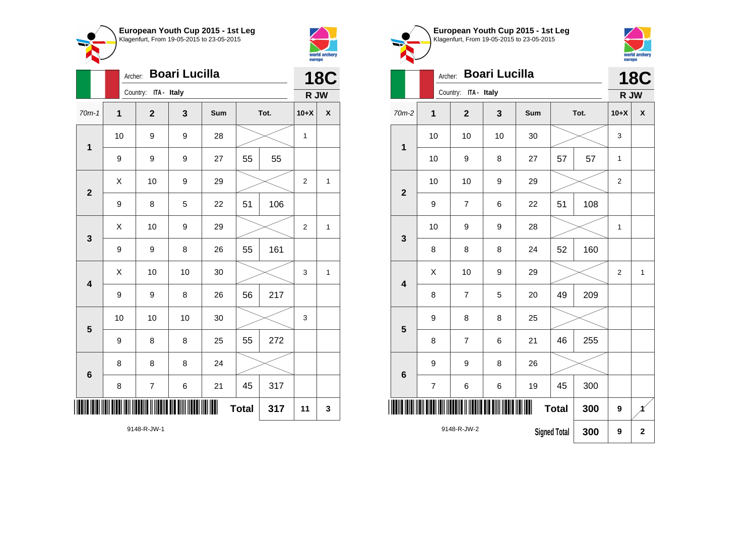



|                         | Archer: |                      |       | <b>18C</b> |              |      |                  |             |
|-------------------------|---------|----------------------|-------|------------|--------------|------|------------------|-------------|
|                         |         | Country: ITA - Italy |       |            |              |      | R JW             |             |
| $70m-1$                 | 1       | $\overline{2}$       | 3     | Sum        |              | Tot. | $10+X$           | χ           |
| 1                       | 10      | 9                    | 9     | 28         |              |      | 1                |             |
|                         | 9       | 9                    | 9     | 27         | 55           | 55   |                  |             |
| $\mathbf{2}$            | Χ       | 10                   | 9     | 29         |              |      | $\boldsymbol{2}$ | 1           |
|                         | 9       | 8                    | 5     | 22         | 51           | 106  |                  |             |
| 3                       | X       | 10                   | 9     | 29         |              |      | $\overline{2}$   | $\mathbf 1$ |
|                         | 9       | 9                    | 8     | 26         | 55           | 161  |                  |             |
| $\overline{\mathbf{4}}$ | Χ       | 10                   | 10    | 30         |              |      | 3                | 1           |
|                         | 9       | 9                    | 8     | 26         | 56           | 217  |                  |             |
| 5                       | 10      | 10                   | 10    | 30         |              |      | 3                |             |
|                         | 9       | 8                    | 8     | 25         | 55           | 272  |                  |             |
| $6\phantom{1}6$         | 8       | 8                    | 8     | 24         |              |      |                  |             |
|                         | 8       | $\boldsymbol{7}$     | $\,6$ | 21         | 45           | 317  |                  |             |
|                         |         |                      |       |            | <b>Total</b> | 317  | 11               | 3           |

world archery<br>europe Archer: **Boari Lucilla 18C** Country: **ITA - Italy R JW** 70m-2 **1 2 3 Sum Tot. 10+X X** 10 | 10 | 10 | 30 |  $\times$  | 3 **1** 10 | 9 | 8 | 27 | 57 | 57 | 1 10 | 10 | 9 | 29 |  $\times$  | 2 **2** 9 | 7 | 6 | 22 | 51 | 108 10 | 9 | 9 | 28 |  $\times$  | 1 **3** 8 | 8 | 8 | 24 | 52 | 160  $\begin{array}{|c|c|c|c|c|c|}\hline \hspace{.1cm}X & \hspace{.1cm} \text{ 10} & \hspace{.1cm} \text{9} & \hspace{.1cm} \text{29} & \hspace{.1cm} \text{20} & \hspace{.1cm} \text{3} & \hspace{.1cm} \text{2} & \hspace{.1cm} \text{21} & \hspace{.1cm} \text{11} & \hspace{.1cm} \hline \end{array}$ **4** 8 | 7 | 5 | 20 | 49 | 209 9 8 8 25 **5** 8 | 7 | 6 | 21 | 46 | 255 9 | 9 | 8 | 26 **6** 7 | 6 | 6 | 19 | 45 | 300 <u>\* 1148 - 1148 - 1148 - 1148 - 1148 - 1148 - 1148 - 1148 - 1148 - 1148 - 1148 - 1148 - 1148 - 1148 - 1148 - 11</u>  $Total | 300 | 9$ 

**Signed Total 300 9 2**

9148-R-JW-2

**European Youth Cup 2015 - 1st Leg** Klagenfurt, From 19-05-2015 to 23-05-2015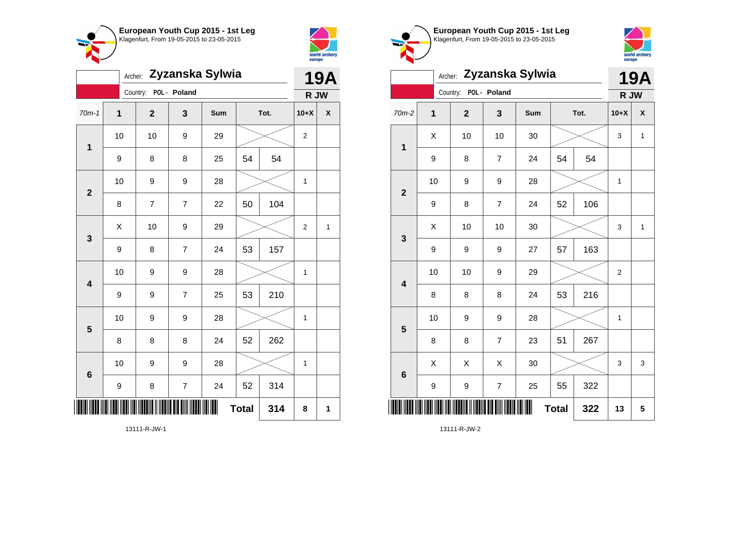



|                         | Archer: Zyzanska Sylwia |                         |                         |     |              |      |                |                    |  |
|-------------------------|-------------------------|-------------------------|-------------------------|-----|--------------|------|----------------|--------------------|--|
|                         |                         | Country: POL - Poland   |                         |     |              |      | R JW           |                    |  |
| $70m-1$                 | $\mathbf 1$             | $\overline{\mathbf{2}}$ | 3                       | Sum |              | Tot. | $10+X$         | $\pmb{\mathsf{X}}$ |  |
| $\mathbf 1$             | 10                      | 10                      | 9                       | 29  |              |      | $\overline{2}$ |                    |  |
|                         | $\boldsymbol{9}$        | 8                       | 8                       | 25  | 54           | 54   |                |                    |  |
| $\overline{2}$          | 10                      | 9                       | 9                       | 28  |              |      | 1              |                    |  |
|                         | 8                       | 7                       | $\overline{\mathbf{7}}$ | 22  | 50           | 104  |                |                    |  |
| 3                       | X                       | 10                      | 9                       | 29  |              |      | $\overline{2}$ | $\mathbf{1}$       |  |
|                         | 9                       | 8                       | $\overline{7}$          | 24  | 53           | 157  |                |                    |  |
| $\overline{\mathbf{4}}$ | 10                      | 9                       | 9                       | 28  |              |      | 1              |                    |  |
|                         | 9                       | 9                       | $\overline{7}$          | 25  | 53           | 210  |                |                    |  |
| 5                       | 10                      | 9                       | 9                       | 28  |              |      | 1              |                    |  |
|                         | 8                       | 8                       | 8                       | 24  | 52           | 262  |                |                    |  |
| 6                       | 10                      | 9                       | 9                       | 28  |              |      | 1              |                    |  |
|                         | 9                       | 8                       | $\overline{\mathbf{7}}$ | 24  | 52           | 314  |                |                    |  |
| IIII                    |                         |                         |                         |     | <b>Total</b> | 314  | 8              | 1                  |  |

world archery<br>europe Archer: **Zyzanska Sylwia 19A** Country: **POL - Poland R JW** 70m-2 **1 2 3 Sum Tot. 10+X X**  $\begin{array}{|c|c|c|c|c|c|}\hline \hspace{.1cm}X & \hspace{.1cm} \text{ 10} & \hspace{.1cm} \text{ 10} & \hspace{.1cm} \text{ 30} & \hspace{.1cm} \end{array} \hspace{.2cm} \begin{array}{|c|c|c|c|c|c|}\hline \hspace{.1cm}X & \hspace{.1cm} \text{ 3} & \hspace{.1cm} \text{ 1} & \hspace{.1cm} \text{ 4} & \hspace{.1cm} \end{array}$ **1** 9 | 8 | 7 | 24 | 54 | 54 10 | 9 | 9 | 28 |  $\times$  | 1 **2** 9 | 8 | 7 | 24 | 52 | 106  $\textsf{X}$  | 10 | 10 | 30 |  $\textcolor{blue}{\swarrow}$  | 3 | 1 **3** 9 | 9 | 9 | 27 | 57 | 163 10 | 10 | 9 | 29 |  $\times$  | 2 **4** 8 | 8 | 8 | 24 | 53 | 216 10 | 9 | 9 | 28 |  $\times$  | 1 **5** 8 | 8 | 7 | 23 | 51 | 267  $\begin{array}{|c|c|c|c|c|}\hline \hspace{0.8cm}X & X & X & 30 & \nearrow & \end{array} \hspace{0.2cm} \begin{array}{|c|c|c|c|c|}\hline \hspace{0.8cm}X & 3 & 3 & 3 \end{array}$ **6** 9 | 9 | 7 | 25 |  $55$  |  $322$ 

**Total 322 13 5**

**European Youth Cup 2015 - 1st Leg** Klagenfurt, From 19-05-2015 to 23-05-2015

13111-R-JW-2

\*13111-R-JW-2\*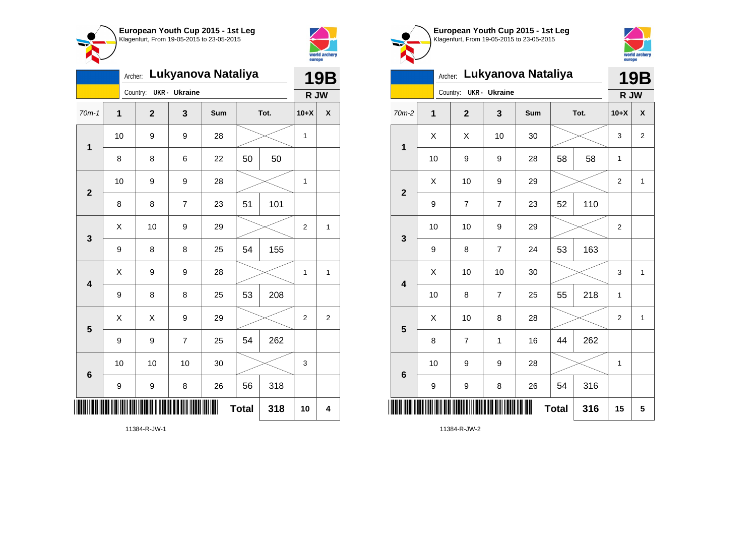



|                         | Lukyanova Nataliya<br>Archer: |                |                |     |    |      |                |                         |  |
|-------------------------|-------------------------------|----------------|----------------|-----|----|------|----------------|-------------------------|--|
|                         |                               | Country:       | UKR - Ukraine  |     |    |      | R JW           |                         |  |
| $70m-1$                 | $\mathbf 1$                   | $\overline{2}$ | 3              | Sum |    | Tot. | $10+X$         | χ                       |  |
| 1                       | 10                            | 9              | 9              | 28  |    |      | $\mathbf 1$    |                         |  |
|                         | 8                             | 8              | 6              | 22  | 50 | 50   |                |                         |  |
| $\mathbf{2}$            | 10                            | 9              | 9              | 28  |    |      | 1              |                         |  |
|                         | 8                             | 8              | $\overline{7}$ | 23  | 51 | 101  |                |                         |  |
| 3                       | Χ                             | 10             | 9              | 29  |    |      | $\mathbf 2$    | $\mathbf{1}$            |  |
|                         | 9                             | 8              | 8              | 25  | 54 | 155  |                |                         |  |
| $\overline{\mathbf{4}}$ | X                             | 9              | 9              | 28  |    |      | 1              | 1                       |  |
|                         | 9                             | 8              | 8              | 25  | 53 | 208  |                |                         |  |
| 5                       | X                             | X              | 9              | 29  |    |      | $\overline{2}$ | $\overline{\mathbf{c}}$ |  |
|                         | 9                             | 9              | $\overline{7}$ | 25  | 54 | 262  |                |                         |  |
| $6\phantom{1}6$         | 10                            | 10             | 10             | 30  |    |      | 3              |                         |  |
|                         | 9                             | 9              | 8              | 26  | 56 | 318  |                |                         |  |
| ║║║                     | <b>Total</b><br>318           |                |                |     |    |      | 10             | $\overline{\mathbf{4}}$ |  |





|                         | Archer:                 |                |                      | Lukyanova Nataliya |              |      |                | <b>19B</b>     |
|-------------------------|-------------------------|----------------|----------------------|--------------------|--------------|------|----------------|----------------|
|                         |                         | Country:       | <b>UKR</b> - Ukraine |                    |              |      | R JW           |                |
| $70m-2$                 | $\overline{\mathbf{1}}$ | $\overline{2}$ | 3                    | Sum                |              | Tot. | $10+X$         | X              |
| $\overline{\mathbf{1}}$ | X                       | X              | 10                   | 30                 |              |      | 3              | $\overline{2}$ |
|                         | 10                      | 9              | 9                    | 28                 | 58           | 58   | 1              |                |
| $\overline{2}$          | X                       | 10             | 9                    | 29                 |              |      | $\overline{2}$ | $\mathbf{1}$   |
|                         | 9                       | 7              | $\overline{7}$       | 23                 | 52           | 110  |                |                |
| 3                       | 10                      | 10             | 9                    | 29                 |              |      | 2              |                |
|                         | 9                       | 8              | $\overline{7}$       | 24                 | 53           | 163  |                |                |
| $\overline{\mathbf{4}}$ | X                       | 10             | 10                   | 30                 |              |      | 3              | $\mathbf{1}$   |
|                         | 10                      | 8              | $\overline{7}$       | 25                 | 55           | 218  | 1              |                |
| 5                       | Χ                       | 10             | 8                    | 28                 |              |      | 2              | 1              |
|                         | 8                       | 7              | 1                    | 16                 | 44           | 262  |                |                |
| 6                       | 10                      | 9              | 9                    | 28                 |              |      | 1              |                |
|                         | 9                       | 9              | 8                    | 26                 | 54           | 316  |                |                |
|                         |                         |                |                      |                    | <b>Total</b> | 316  | 15             | 5              |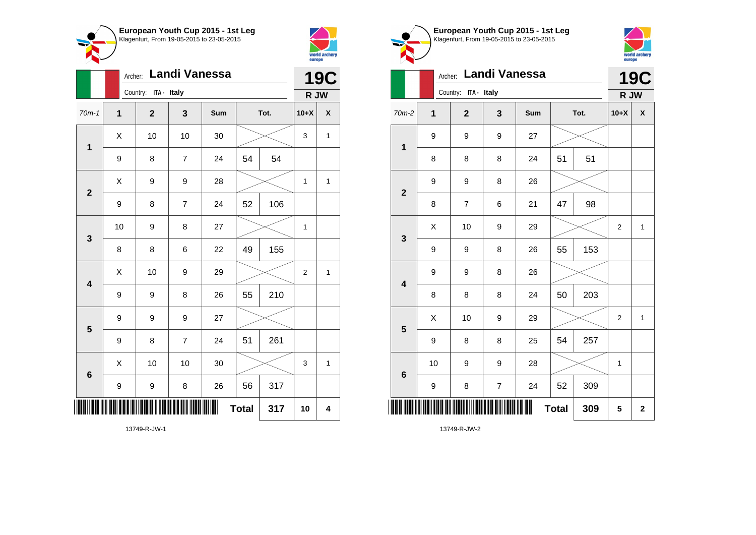



|                         |             | Archer: |                         |                         | <b>19C</b> |              |      |                |              |
|-------------------------|-------------|---------|-------------------------|-------------------------|------------|--------------|------|----------------|--------------|
|                         |             |         | Country: ITA - Italy    |                         |            |              |      | R JW           |              |
| $70m-1$                 | $\mathbf 1$ |         | $\overline{\mathbf{2}}$ | 3                       | Sum        |              | Tot. | $10+X$         | X            |
| $\mathbf 1$             | X           |         | 10                      | 10                      | 30         |              |      | 3              | $\mathbf{1}$ |
|                         | 9           |         | 8                       | $\overline{7}$          | 24         | 54           | 54   |                |              |
| $\overline{2}$          | X           |         | 9                       | 9                       | 28         |              |      | 1              | $\mathbf{1}$ |
|                         | 9           |         | 8                       | $\overline{\mathbf{7}}$ | 24         | 52           | 106  |                |              |
| 3                       | 10          |         | 9                       | 8                       | 27         |              |      | $\mathbf{1}$   |              |
|                         | 8           |         | 8                       | 6                       | 22         | 49           | 155  |                |              |
| $\overline{\mathbf{4}}$ | X           |         | 10                      | 9                       | 29         |              |      | $\overline{2}$ | $\mathbf{1}$ |
|                         | 9           |         | 9                       | 8                       | 26         | 55           | 210  |                |              |
| 5                       | 9           |         | 9                       | 9                       | 27         |              |      |                |              |
|                         | 9           |         | 8                       | $\overline{7}$          | 24         | 51           | 261  |                |              |
| 6                       | X           |         | 10                      | 10                      | 30         |              |      | 3              | $\mathbf{1}$ |
|                         | 9           |         | 9                       | 8                       | 26         | 56           | 317  |                |              |
|                         |             |         |                         |                         | ∭          | <b>Total</b> | 317  | 10             | 4            |

Klagenfurt, From 19-05-2015 to 23-05-2015 world archery<br>europe Archer: **Landi Vanessa 19C** Country: **ITA - Italy R JW** 70m-2 **1 2 3 Sum Tot. 10+X X** 9 9 9 27 **1** 8 | 8 | 8 | 24 | 51 | 51 9 | 9 | 8 | 26 **2** 8 | 7 | 6 | 21 | 47 | 98  $\begin{array}{|c|c|c|c|c|c|}\hline \hspace{.1cm}X & \hspace{.1cm} & \textbf{10} & \hspace{.1cm} & \textbf{9} & \hspace{.1cm} & \textbf{29} & \hspace{.1cm} & \hspace{.1cm} & \hspace{.1cm} & \hspace{.1cm} & \hspace{.1cm} & \hspace{.1cm} & \hspace{.1cm} & \hspace{.1cm} & \hspace{.1cm} & \hspace{.1cm} & \hspace{.1cm} & \hspace{.1cm} & \hspace{.1cm} & \hspace{.1cm} & \hspace{.1cm} & \hspace{$ **3** 9 | 9 | 8 | 26 | 55 | 153 9 | 9 | 8 | 26 **4** 8 8 8 24 50 203  $\begin{array}{|c|c|c|c|c|c|}\hline \hspace{.1cm}X & \hspace{.1cm} & \textbf{10} & \hspace{.1cm} & \textbf{9} & \hspace{.1cm} & \textbf{29} & \hspace{.1cm} & \hspace{.1cm} & \hspace{.1cm} & \hspace{.1cm} & \hspace{.1cm} & \hspace{.1cm} & \hspace{.1cm} & \hspace{.1cm} & \hspace{.1cm} & \hspace{.1cm} & \hspace{.1cm} & \hspace{.1cm} \hline \end{array}$ **5** 9 | 8 | 8 | 25 | 54 | 257 10 | 9 | 9 | 28 |  $\times$  | 1 **6** 9 | 8 | 7 | 24 | 52 | 309 \*13749-R-JW-2\* **Total 309 5 2**

**European Youth Cup 2015 - 1st Leg**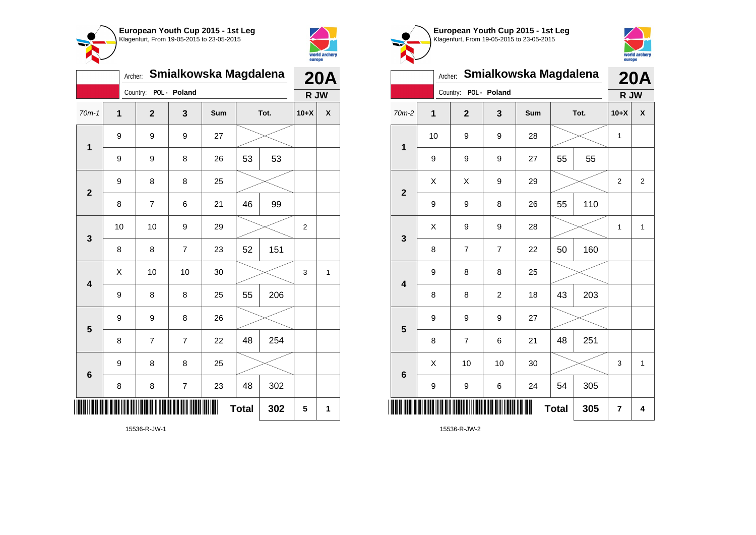



| Smialkowska Magdalena<br>Archer: |    |              |                |     |              |      |                | <b>20A</b>   |  |
|----------------------------------|----|--------------|----------------|-----|--------------|------|----------------|--------------|--|
|                                  |    | Country:     | POL - Poland   |     |              |      | R JW           |              |  |
| $70m-1$                          | 1  | $\mathbf{2}$ | 3              | Sum |              | Tot. | $10+X$         | X            |  |
| 1                                | 9  | 9            | 9              | 27  |              |      |                |              |  |
|                                  | 9  | 9            | 8              | 26  | 53           | 53   |                |              |  |
| $\overline{2}$                   | 9  | 8            | 8              | 25  |              |      |                |              |  |
|                                  | 8  | 7            | 6              | 21  | 46           | 99   |                |              |  |
| 3                                | 10 | 10           | 9              | 29  |              |      | $\overline{2}$ |              |  |
|                                  | 8  | 8            | $\overline{7}$ | 23  | 52           | 151  |                |              |  |
| $\overline{\mathbf{4}}$          | X  | 10           | 10             | 30  |              |      | 3              | $\mathbf{1}$ |  |
|                                  | 9  | 8            | 8              | 25  | 55           | 206  |                |              |  |
| 5                                | 9  | 9            | 8              | 26  |              |      |                |              |  |
|                                  | 8  | 7            | $\overline{7}$ | 22  | 48           | 254  |                |              |  |
| 6                                | 9  | 8            | 8              | 25  |              |      |                |              |  |
|                                  | 8  | 8            | $\overline{7}$ | 23  | 48           | 302  |                |              |  |
|                                  |    |              |                |     | <b>Total</b> | 302  | 5              | 1            |  |

world archery<br>europe Archer: **Smialkowska Magdalena 20A** Country: **POL - Poland R JW** 70m-2 **1 2 3 Sum Tot. 10+X X** 10 | 9 | 9 | 28 |  $\times$  | 1 **1** 9 | 9 | 9 | 27 | 55 | 55  $X$   $\mid$   $X$   $\mid$   $9$   $\mid$   $29$   $\mid$   $\gg$   $\mid$  2  $\mid$  2 **2** 9 | 9 | 8 | 26 | 55 | 110  $\begin{array}{|c|c|c|c|c|c|}\hline \hspace{.1cm}X & \hspace{.1cm} 9 & \hspace{.1cm} 9 & \hspace{.1cm} 28 & \hspace{.1cm} 28 & \hspace{.1cm} & \hline \end{array} \hspace{.2cm} \begin{array}{c} \hline \hspace{.1cm}X & \hspace{.1cm} 1 & \hspace{.1cm} 1 & \hspace{.1cm} 1 \hspace{.1cm} \end{array}$ **3** 8 | 7 | 7 | 22 | 50 | 160 9 8 8 25 **4** 8 8 2 18 43 203 9 9 9 27 **5** 8 | 7 | 6 | 21 | 48 | 251  $\begin{array}{|c|c|c|c|c|c|}\hline \hspace{.1cm}X & \hspace{.1cm} \text{ 10} & \hspace{.1cm} \text{ 10} & \hspace{.1cm} \text{ 30} & \hspace{.1cm} \end{array} \hspace{.2cm} \begin{array}{|c|c|c|c|c|c|}\hline \hspace{.1cm}X & \hspace{.1cm} \text{ 3} & \hspace{.1cm} \text{ 1} & \hspace{.1cm} \text{ 4} & \hspace{.1cm} \end{array}$ **6** 9 | 9 | 6 | 24 | 54 | 305 \*15536-R-JW-2\* **Total**  $305$   $7$   $4$ 

**European Youth Cup 2015 - 1st Leg** Klagenfurt, From 19-05-2015 to 23-05-2015

15536-R-JW-2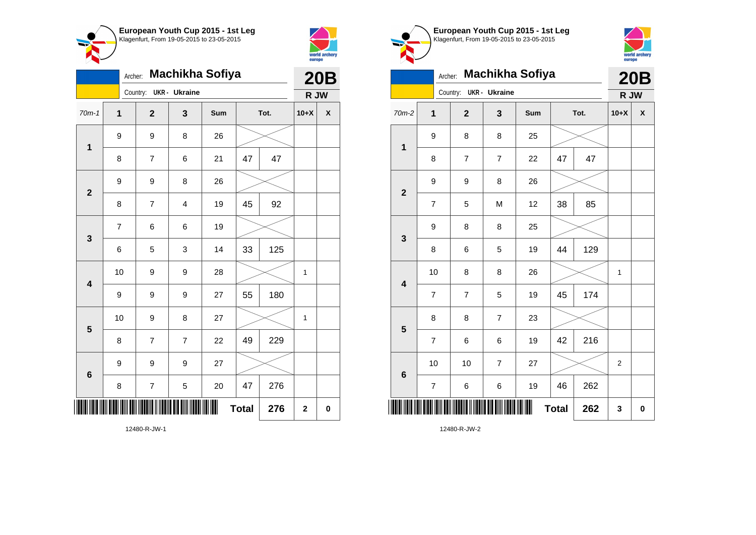



|                         | Machikha Sofiya<br>Archer: |                |                |     |              |      |              |                    |  |
|-------------------------|----------------------------|----------------|----------------|-----|--------------|------|--------------|--------------------|--|
|                         |                            | Country:       | UKR - Ukraine  |     |              |      | R JW         |                    |  |
| $70m-1$                 | $\overline{1}$             | $\mathbf{2}$   | 3              | Sum |              | Tot. | $10+X$       | $\pmb{\mathsf{X}}$ |  |
| $\mathbf 1$             | 9                          | 9              | 8              | 26  |              |      |              |                    |  |
|                         | 8                          | $\overline{7}$ | 6              | 21  | 47           | 47   |              |                    |  |
| $\overline{2}$          | 9                          | 9              | 8              | 26  |              |      |              |                    |  |
|                         | 8                          | $\overline{7}$ | 4              | 19  | 45           | 92   |              |                    |  |
| 3                       | $\overline{7}$             | 6              | 6              | 19  |              |      |              |                    |  |
|                         | 6                          | 5              | 3              | 14  | 33           | 125  |              |                    |  |
| $\overline{\mathbf{4}}$ | 10                         | 9              | 9              | 28  |              |      | $\mathbf 1$  |                    |  |
|                         | 9                          | 9              | 9              | 27  | 55           | 180  |              |                    |  |
| 5                       | 10                         | 9              | 8              | 27  |              |      | $\mathbf{1}$ |                    |  |
|                         | 8                          | $\overline{7}$ | $\overline{7}$ | 22  | 49           | 229  |              |                    |  |
| $6\phantom{1}6$         | 9                          | 9              | 9              | 27  |              |      |              |                    |  |
|                         | 8                          | 7              | 5              | 20  | 47           | 276  |              |                    |  |
|                         |                            |                |                |     | <b>Total</b> | 276  | $\mathbf 2$  | $\mathbf 0$        |  |





| ×                       | Archer:                 |                        | <b>Machikha Sofiya</b> |     |              |      | <b>20B</b>     |          |
|-------------------------|-------------------------|------------------------|------------------------|-----|--------------|------|----------------|----------|
|                         |                         | Country: UKR - Ukraine |                        |     |              |      | R JW           |          |
| $70m-2$                 | $\overline{\mathbf{1}}$ | $\overline{2}$         | 3                      | Sum |              | Tot. | $10+X$         | X        |
| $\mathbf 1$             | 9                       | 8                      | 8                      | 25  |              |      |                |          |
|                         | 8                       | $\overline{7}$         | $\overline{7}$         | 22  | 47           | 47   |                |          |
| $\overline{\mathbf{2}}$ | 9                       | 9                      | 8                      | 26  |              |      |                |          |
|                         | $\overline{7}$          | 5                      | M                      | 12  | 38           | 85   |                |          |
| 3                       | 9                       | 8                      | 8                      | 25  |              |      |                |          |
|                         | 8                       | 6                      | 5                      | 19  | 44           | 129  |                |          |
| $\overline{\mathbf{4}}$ | 10                      | 8                      | 8                      | 26  |              |      | $\mathbf{1}$   |          |
|                         | $\overline{7}$          | 7                      | 5                      | 19  | 45           | 174  |                |          |
| 5                       | 8                       | 8                      | $\overline{7}$         | 23  |              |      |                |          |
|                         | 7                       | 6                      | 6                      | 19  | 42           | 216  |                |          |
| $6\phantom{1}6$         | 10                      | 10                     | $\overline{7}$         | 27  |              |      | $\overline{2}$ |          |
|                         | $\overline{7}$          | 6                      | 6                      | 19  | 46           | 262  |                |          |
|                         |                         |                        |                        |     | <b>Total</b> | 262  | 3              | $\bf{0}$ |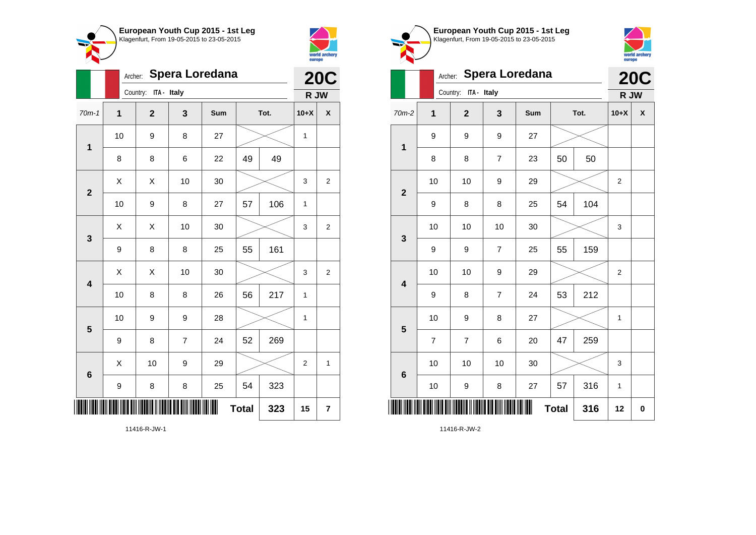



|                         |              | Spera Loredana<br>Archer: |                |     |              |      |                |                |  |
|-------------------------|--------------|---------------------------|----------------|-----|--------------|------|----------------|----------------|--|
|                         |              | Country: ITA - Italy      |                |     |              |      | R JW           |                |  |
| $70m-1$                 | $\mathbf{1}$ | $\overline{\mathbf{2}}$   | 3              | Sum |              | Tot. | $10+X$         | χ              |  |
| $\mathbf 1$             | 10           | 9                         | 8              | 27  |              |      | $\mathbf{1}$   |                |  |
|                         | 8            | 8                         | 6              | 22  | 49           | 49   |                |                |  |
| $\overline{2}$          | X            | X                         | 10             | 30  |              |      | 3              | 2              |  |
|                         | 10           | 9                         | 8              | 27  | 57           | 106  | 1              |                |  |
| 3                       | X            | X                         | 10             | 30  |              |      | 3              | $\mathbf{2}$   |  |
|                         | 9            | 8                         | 8              | 25  | 55           | 161  |                |                |  |
| $\overline{\mathbf{4}}$ | X            | X                         | 10             | 30  |              |      | 3              | $\overline{c}$ |  |
|                         | 10           | 8                         | 8              | 26  | 56           | 217  | 1              |                |  |
| 5                       | 10           | 9                         | 9              | 28  |              |      | 1              |                |  |
|                         | 9            | 8                         | $\overline{7}$ | 24  | 52           | 269  |                |                |  |
| $\boldsymbol{6}$        | X            | 10                        | 9              | 29  |              |      | $\overline{2}$ | $\mathbf{1}$   |  |
|                         | 9            | 8                         | 8              | 25  | 54           | 323  |                |                |  |
|                         |              |                           |                | ∭   | <b>Total</b> | 323  | 15             | 7              |  |

**European Youth Cup 2015 - 1st Leg** Klagenfurt, From 19-05-2015 to 23-05-2015 world archery<br>europe Archer: **Spera Loredana 20C** Country: **ITA - Italy R JW** 70m-2 **1 2 3 Sum Tot. 10+X X** 9 9 9 27 **1** 8 | 8 | 7 | 23 | 50 | 50 10 | 10 | 9 | 29 |  $\times$  | 2 **2** 9 | 8 | 8 | 25 | 54 | 104 10 | 10 | 10 | 30 |  $\times$  | 3 **3** 9 | 9 | 7 | 25 | 55 | 159 10 | 10 | 9 | 29 |  $\times$  | 2 **4** 9 | 8 | 7 | 24 | 53 | 212 10 | 9 | 8 | 27 |  $\times$  | 1 **5** 7 | 7 | 6 | 20 | 47 | 259 10 | 10 | 10 | 30 |  $\swarrow$  | 3 **6** 10 | 9 | 8 | 27 | 57 | 316 | 1 \*11416-R-JW-2\* **Total 316 12 0**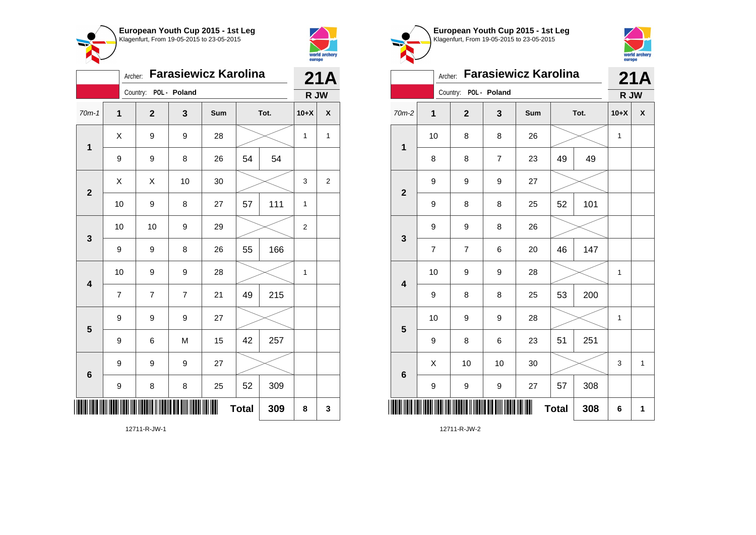



|                         |                | 21A                   |                |     |              |      |        |                |
|-------------------------|----------------|-----------------------|----------------|-----|--------------|------|--------|----------------|
|                         |                | Country: POL - Poland |                |     |              |      | R JW   |                |
| $70m-1$                 | 1              | $\mathbf{2}$          | 3              | Sum |              | Tot. | $10+X$ | X              |
| 1                       | X              | 9                     | 9              | 28  |              |      | 1      | $\mathbf{1}$   |
|                         | 9              | 9                     | 8              | 26  | 54           | 54   |        |                |
| $\overline{\mathbf{2}}$ | X              | X                     | 10             | 30  |              |      | 3      | $\overline{c}$ |
|                         | 10             | 9                     | 8              | 27  | 57           | 111  | 1      |                |
| 3                       | 10             | 10                    | 9              | 29  |              |      | 2      |                |
|                         | 9              | 9                     | 8              | 26  | 55           | 166  |        |                |
| $\overline{\mathbf{4}}$ | 10             | 9                     | 9              | 28  |              |      | 1      |                |
|                         | $\overline{7}$ | $\overline{7}$        | $\overline{7}$ | 21  | 49           | 215  |        |                |
| 5                       | 9              | 9                     | 9              | 27  |              |      |        |                |
|                         | 9              | 6                     | M              | 15  | 42           | 257  |        |                |
| $6\phantom{1}6$         | 9              | 9                     | 9              | 27  |              |      |        |                |
|                         | 9              | 8                     | 8              | 25  | 52           | 309  |        |                |
|                         |                |                       |                | ║   | <b>Total</b> | 309  | 8      | 3              |

**European Youth Cup 2015 - 1st Leg** Klagenfurt, From 19-05-2015 to 23-05-2015 world archery<br>europe Archer: **Farasiewicz Karolina 21A** Country: **POL - Poland R JW** 70m-2 **1 2 3 Sum Tot. 10+X X** 10 | 8 | 8 | 26 |  $\times$  | 1 **1** 8 8 7 23 49 49 9 9 9 27 **2** 9 | 8 | 8 | 25 | 52 | 101 9 9 8 26 **3** 7 | 7 | 6 | 20 | 46 | 147 10 | 9 | 9 | 28 |  $\times$  | 1 **4** 9 | 8 | 8 | 25 | 53 | 200 10 | 9 | 9 | 28 |  $\times$  | 1 **5** 9 | 8 | 6 | 23 | 51 | 251  $\begin{array}{|c|c|c|c|c|c|}\hline \hspace{.1cm}X & \hspace{.1cm} \text{ 10} & \hspace{.1cm} \text{ 10} & \hspace{.1cm} \text{ 30} & \hspace{.1cm} \end{array} \hspace{.2cm} \begin{array}{|c|c|c|c|c|c|}\hline \hspace{.1cm}X & \hspace{.1cm} \text{ 3} & \hspace{.1cm} \text{ 1} & \hspace{.1cm} \text{ 4} & \hspace{.1cm} \end{array}$ **6** 9 | 9 | 9 | 27 | 57 | 308 \*12711-R-JW-2\* **Total 308 6 1**

12711-R-JW-2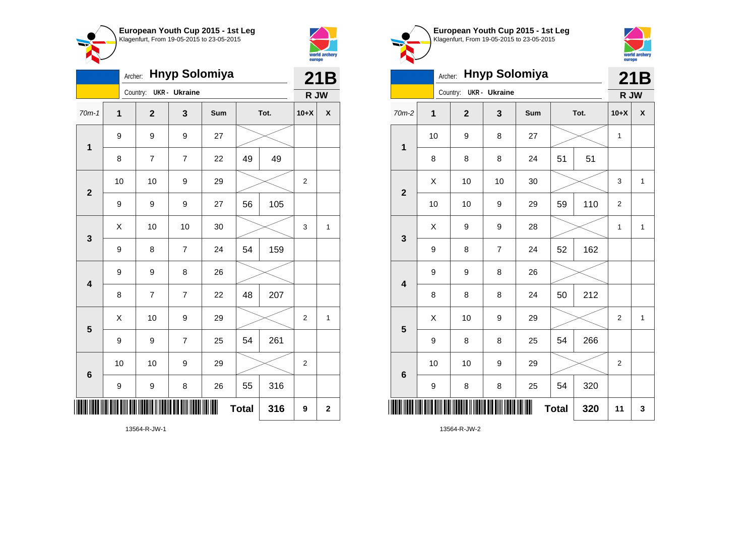



|                         | Archer: Hnyp Solomiya |                         |                      |     |              |      |                  |             |
|-------------------------|-----------------------|-------------------------|----------------------|-----|--------------|------|------------------|-------------|
|                         |                       | Country:                | <b>UKR</b> - Ukraine |     |              |      | R JW             |             |
| $70m-1$                 | $\mathbf{1}$          | $\overline{\mathbf{2}}$ | 3                    | Sum |              | Tot. | $10+X$           | X           |
| $\mathbf 1$             | 9                     | 9                       | 9                    | 27  |              |      |                  |             |
|                         | 8                     | $\overline{7}$          | 7                    | 22  | 49           | 49   |                  |             |
| $\mathbf{2}$            | 10                    | 10                      | 9                    | 29  |              |      | $\overline{c}$   |             |
|                         | 9                     | 9                       | 9                    | 27  | 56           | 105  |                  |             |
| 3                       | Χ                     | 10                      | 10                   | 30  |              |      | 3                | 1           |
|                         | 9                     | 8                       | $\overline{7}$       | 24  | 54           | 159  |                  |             |
| $\overline{\mathbf{4}}$ | 9                     | 9                       | 8                    | 26  |              |      |                  |             |
|                         | 8                     | $\overline{7}$          | $\overline{7}$       | 22  | 48           | 207  |                  |             |
| 5                       | X                     | 10                      | 9                    | 29  |              |      | $\overline{c}$   | 1           |
|                         | 9                     | 9                       | $\overline{7}$       | 25  | 54           | 261  |                  |             |
| $6\phantom{1}6$         | 10                    | 10                      | 9                    | 29  |              |      | $\boldsymbol{2}$ |             |
|                         | 9                     | 9                       | 8                    | 26  | 55           | 316  |                  |             |
| ║║                      |                       |                         |                      | III | <b>Total</b> | 316  | 9                | $\mathbf 2$ |

**European Youth Cup 2015 - 1st Leg** Klagenfurt, From 19-05-2015 to 23-05-2015



|                         | <b>Hnyp Solomiya</b><br>Archer: |    |                |                     |     |              |      |                  | 21B          |
|-------------------------|---------------------------------|----|----------------|---------------------|-----|--------------|------|------------------|--------------|
|                         |                                 |    | Country:       | <b>UKR- Ukraine</b> |     |              |      | R JW             |              |
| 70m-2                   | $\mathbf{1}$                    |    | $\overline{2}$ | 3                   | Sum |              | Tot. | $10+X$           | X            |
| $\mathbf 1$             |                                 | 10 | 9              | 8                   | 27  |              |      | 1                |              |
|                         |                                 | 8  | 8              | 8                   | 24  | 51           | 51   |                  |              |
| $\overline{2}$          |                                 | Χ  | 10             | 10                  | 30  |              |      | 3                | $\mathbf{1}$ |
|                         |                                 | 10 | 10             | 9                   | 29  | 59           | 110  | $\overline{2}$   |              |
| $\mathbf{3}$            |                                 | X  | 9              | 9                   | 28  |              |      | 1                | $\mathbf{1}$ |
|                         | 9                               |    | 8              | 7                   | 24  | 52           | 162  |                  |              |
| $\overline{\mathbf{4}}$ | 9                               |    | 9              | 8                   | 26  |              |      |                  |              |
|                         | 8                               |    | 8              | 8                   | 24  | 50           | 212  |                  |              |
| 5                       |                                 | Χ  | 10             | 9                   | 29  |              |      | $\boldsymbol{2}$ | $\mathbf{1}$ |
|                         |                                 | 9  | 8              | 8                   | 25  | 54           | 266  |                  |              |
| $6\phantom{1}6$         |                                 | 10 | 10             | 9                   | 29  |              |      | $\overline{2}$   |              |
|                         |                                 | 9  | 8              | 8                   | 25  | 54           | 320  |                  |              |
| Ш                       |                                 |    |                |                     |     | <b>Total</b> | 320  | 11               | 3            |

13564-R-JW-2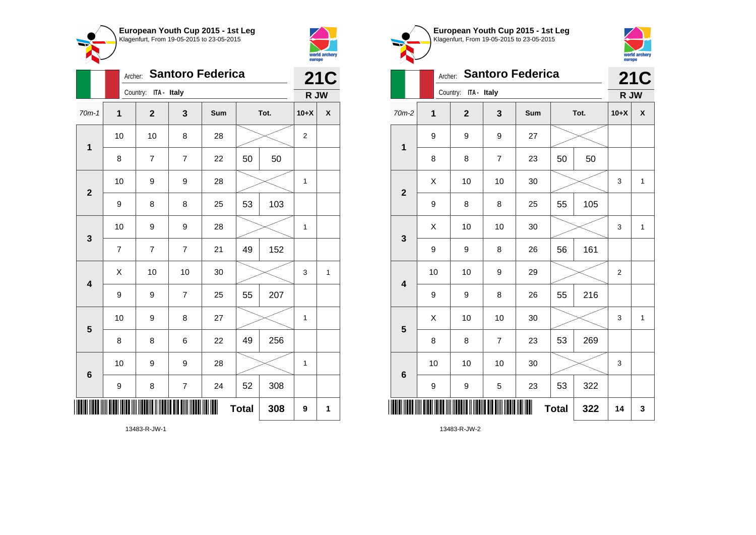



|                         |                  | <b>Santoro Federica</b><br>Archer: |                         |     |              |      |                  |                    |  |
|-------------------------|------------------|------------------------------------|-------------------------|-----|--------------|------|------------------|--------------------|--|
|                         |                  | Country: ITA - Italy               |                         |     |              |      | R JW             |                    |  |
| $70m-1$                 | $\overline{1}$   | $\mathbf{2}$                       | 3                       | Sum |              | Tot. | $10+X$           | $\pmb{\mathsf{X}}$ |  |
| $\mathbf 1$             | 10               | 10                                 | 8                       | 28  |              |      | $\boldsymbol{2}$ |                    |  |
|                         | 8                | 7                                  | $\overline{7}$          | 22  | 50           | 50   |                  |                    |  |
| $\overline{\mathbf{2}}$ | 10               | 9                                  | 9                       | 28  |              |      | $\mathbf{1}$     |                    |  |
|                         | 9                | 8                                  | 8                       | 25  | 53           | 103  |                  |                    |  |
| 3                       | 10               | 9                                  | 9                       | 28  |              |      | 1                |                    |  |
|                         | $\overline{7}$   | $\overline{7}$                     | $\overline{7}$          | 21  | 49           | 152  |                  |                    |  |
| $\overline{\mathbf{4}}$ | Χ                | 10                                 | 10                      | 30  |              |      | 3                | $\mathbf{1}$       |  |
|                         | $\boldsymbol{9}$ | 9                                  | $\overline{7}$          | 25  | 55           | 207  |                  |                    |  |
| 5                       | 10               | 9                                  | 8                       | 27  |              |      | 1                |                    |  |
|                         | 8                | 8                                  | 6                       | 22  | 49           | 256  |                  |                    |  |
| 6                       | 10               | 9                                  | 9                       | 28  |              |      | 1                |                    |  |
|                         | $\boldsymbol{9}$ | 8                                  | $\overline{\mathbf{7}}$ | 24  | 52           | 308  |                  |                    |  |
|                         |                  |                                    |                         |     | <b>Total</b> | 308  | 9                | 1                  |  |

world archery<br>europe **21C** Archer: **Santoro Federica** Country: **ITA - Italy R JW** 70m-2 **1 2 3 Sum Tot. 10+X X** 9 9 9 27 **1** 8 | 8 | 7 | 23 | 50 | 50  $\begin{array}{|c|c|c|c|c|c|}\hline \hspace{.1cm}X & \hspace{.1cm} \text{ 10} & \hspace{.1cm} \text{ 10} & \hspace{.1cm} \text{ 30} & \hspace{.1cm} \end{array} \hspace{.2cm} \begin{array}{|c|c|c|c|c|c|}\hline \hspace{.1cm}X & \hspace{.1cm} \text{ 3} & \hspace{.1cm} \text{ 1} & \hspace{.1cm} \text{ 4} & \hspace{.1cm} \end{array}$ **2** 9 | 8 | 8 | 25 | 55 | 105  $\textsf{X}$  | 10 | 10 | 30 |  $\textcolor{blue}{\swarrow}$  | 3 | 1 **3** 9 | 9 | 8 | 26 | 56 | 161 10 | 10 | 9 | 29 |  $\times$  | 2 **4** 9 | 9 | 8 | 26 | 55 | 216  $\begin{array}{|c|c|c|c|c|c|}\hline \hspace{.1cm}X & \hspace{.1cm} \text{ 10} & \hspace{.1cm} \text{ 10} & \hspace{.1cm} \text{ 30} & \hspace{.1cm} \end{array} \hspace{1.2cm} \begin{array}{|c|c|c|c|c|c|}\hline \hspace{.1cm}X & \hspace{.1cm} \text{ 3} & \hspace{.1cm} \text{ 1} & \hspace{.1cm} \text{ 4} & \hspace{.1cm} \end{array} \hspace{1.2cm}$ **5** 8 | 8 | 7 | 23 | 53 | 269 10 | 10 | 10 | 30 |  $\times$  | 3 **6** 9 | 9 | 5 | 23 | 53 | 322 \*13483-R-JW-2\* **Total 322 14 3**

**European Youth Cup 2015 - 1st Leg** Klagenfurt, From 19-05-2015 to 23-05-2015

13483-R-JW-1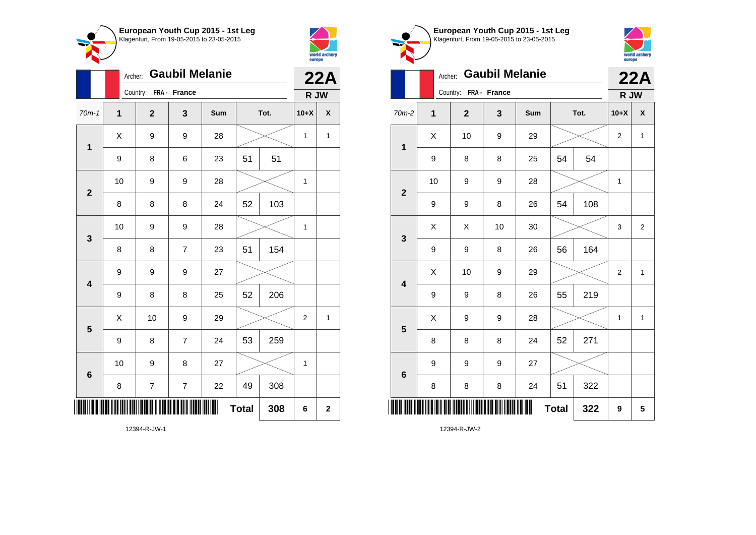



|                         |                  | Archer: |                  |                         | <b>22A</b> |              |      |        |              |
|-------------------------|------------------|---------|------------------|-------------------------|------------|--------------|------|--------|--------------|
|                         |                  |         | Country:         | FRA - France            |            |              |      | R JW   |              |
| $70m-1$                 | $\mathbf{1}$     |         | $\overline{2}$   | 3                       | Sum        |              | Tot. | $10+X$ | X            |
| $\mathbf 1$             |                  | Χ       | 9                | 9                       | 28         |              |      | 1      | 1            |
|                         | $\boldsymbol{9}$ |         | 8                | 6                       | 23         | 51           | 51   |        |              |
| $\overline{\mathbf{2}}$ |                  | 10      | 9                | 9                       | 28         |              |      | 1      |              |
|                         |                  | 8       | 8                | 8                       | 24         | 52           | 103  |        |              |
| 3                       |                  | 10      | 9                | 9                       | 28         |              |      | 1      |              |
|                         | 8                |         | 8                | $\overline{7}$          | 23         | 51           | 154  |        |              |
| $\overline{\mathbf{4}}$ | 9                |         | 9                | 9                       | 27         |              |      |        |              |
|                         | 9                |         | 8                | 8                       | 25         | 52           | 206  |        |              |
| 5                       |                  | X       | 10               | 9                       | 29         |              |      | 2      | $\mathbf{1}$ |
|                         |                  | 9       | 8                | $\overline{7}$          | 24         | 53           | 259  |        |              |
| 6                       |                  | 10      | 9                | 8                       | 27         |              |      | 1      |              |
|                         | 8                |         | $\boldsymbol{7}$ | $\overline{\mathbf{7}}$ | 22         | 49           | 308  |        |              |
| III                     |                  |         |                  |                         | ∭          | <b>Total</b> | 308  | 6      | $\mathbf{2}$ |
|                         |                  |         | 12394-R-JW-1     |                         |            |              |      |        |              |

world archery<br>europe Archer: **Gaubil Melanie 22A** Country: **FRA - France R JW** 70m-2 **1 2 3 Sum Tot. 10+X X**  $\begin{array}{|c|c|c|c|c|c|}\hline \hspace{.1cm}X & \hspace{.1cm} & \textbf{10} & \hspace{.1cm} & \textbf{9} & \hspace{.1cm} & \textbf{29} & \hspace{.1cm} & \hspace{.1cm} & \hspace{.1cm} & \hspace{.1cm} & \hspace{.1cm} & \hspace{.1cm} & \hspace{.1cm} & \hspace{.1cm} & \hspace{.1cm} & \hspace{.1cm} & \hspace{.1cm} & \hspace{.1cm} & \hspace{.1cm} & \hspace{.1cm} & \hspace{.1cm} & \hspace{$ **1** 9 | 8 | 8 | 25 | 54 | 54 10 | 9 | 9 | 28 |  $\times$  | 1 **2** 9 | 9 | 8 | 26 | 54 | 108 X X 10 30 3 2 **3** 9 | 9 | 8 | 26 | 56 | 164  $\begin{array}{|c|c|c|c|c|c|}\hline \hspace{.1cm}X & \hspace{.1cm} \text{ 10} & \hspace{.1cm} \text{9} & \hspace{.1cm} \text{29} & \hspace{.1cm} \text{20} & \hspace{.1cm} \text{3} & \hspace{.1cm} \text{2} & \hspace{.1cm} \text{21} & \hspace{.1cm} \text{11} & \hspace{.1cm} \hline \end{array}$ **4** 9 | 9 | 8 | 26 | 55 | 219  $X$  | 9 | 9 | 28 |  $\times$  | 1 | 1 **5** 8 | 8 | 8 | 24 | 52 | 271 9 9 9 27 **6** 8 | 8 | 8 | 24 | 51 | 322 \*12394-R-JW-2\*  $Total \, | \, 322 \, | \, 9 \, | \, 5$ 

**European Youth Cup 2015 - 1st Leg** Klagenfurt, From 19-05-2015 to 23-05-2015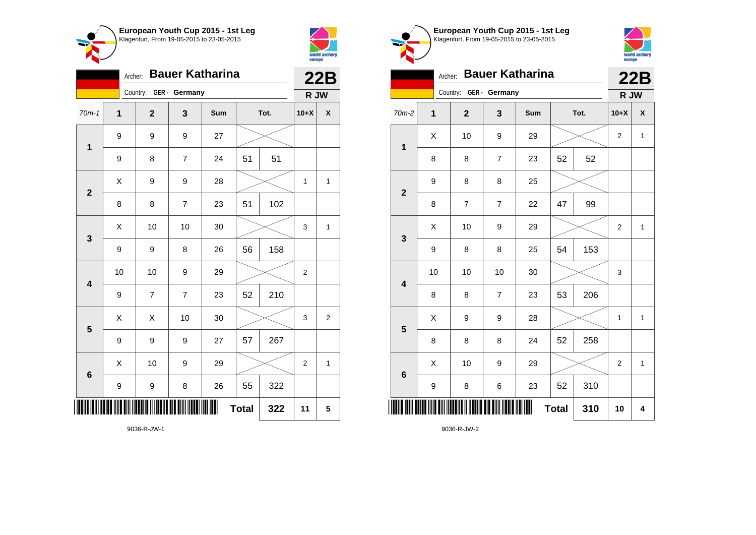



|                         | <b>Bauer Katharina</b><br>Archer: |                        |                |     |              |      |                |                |  |
|-------------------------|-----------------------------------|------------------------|----------------|-----|--------------|------|----------------|----------------|--|
|                         |                                   | Country: GER - Germany |                |     |              |      | R JW           |                |  |
| $70m-1$                 | $\mathbf 1$                       | $\mathbf{2}$           | 3              | Sum |              | Tot. | $10+X$         | X              |  |
| 1                       | 9                                 | 9                      | 9              | 27  |              |      |                |                |  |
|                         | 9                                 | 8                      | $\overline{7}$ | 24  | 51           | 51   |                |                |  |
| $\overline{2}$          | X                                 | 9                      | 9              | 28  |              |      | 1              | $\mathbf{1}$   |  |
|                         | 8                                 | 8                      | $\overline{7}$ | 23  | 51           | 102  |                |                |  |
| 3                       | X                                 | 10                     | 10             | 30  |              |      | 3              | $\mathbf{1}$   |  |
|                         | 9                                 | 9                      | 8              | 26  | 56           | 158  |                |                |  |
| $\overline{\mathbf{4}}$ | 10                                | 10                     | 9              | 29  |              |      | $\overline{2}$ |                |  |
|                         | 9                                 | $\overline{7}$         | 7              | 23  | 52           | 210  |                |                |  |
| 5                       | X                                 | Χ                      | 10             | 30  |              |      | 3              | $\overline{c}$ |  |
|                         | 9                                 | 9                      | 9              | 27  | 57           | 267  |                |                |  |
| $6\phantom{1}6$         | X                                 | 10                     | 9              | 29  |              |      | $\overline{2}$ | $\mathbf{1}$   |  |
|                         | 9                                 | 9                      | 8              | 26  | 55           | 322  |                |                |  |
|                         |                                   |                        |                | Ш   | <b>Total</b> | 322  | 11             | 5              |  |





|                         | <b>Bauer Katharina</b><br>Archer: |                        |                         |     |              |      |                |              |
|-------------------------|-----------------------------------|------------------------|-------------------------|-----|--------------|------|----------------|--------------|
|                         |                                   | Country: GER - Germany |                         |     |              |      | R JW           |              |
| $70m-2$                 | $\mathbf 1$                       | $\mathbf{2}$           | 3                       | Sum |              | Tot. | $10+X$         | X            |
| $\mathbf{1}$            | Χ                                 | 10                     | 9                       | 29  |              |      | 2              | $\mathbf{1}$ |
|                         | 8                                 | 8                      | $\overline{\mathbf{7}}$ | 23  | 52           | 52   |                |              |
| $\overline{\mathbf{2}}$ | 9                                 | 8                      | 8                       | 25  |              |      |                |              |
|                         | 8                                 | $\overline{7}$         | $\overline{7}$          | 22  | 47           | 99   |                |              |
| $\mathbf 3$             | X                                 | 10                     | 9                       | 29  |              |      | $\mathbf 2$    | $\mathbf{1}$ |
|                         | 9                                 | 8                      | 8                       | 25  | 54           | 153  |                |              |
| $\overline{\mathbf{4}}$ | 10                                | 10                     | 10                      | 30  |              |      | 3              |              |
|                         | 8                                 | 8                      | $\overline{7}$          | 23  | 53           | 206  |                |              |
| 5                       | X                                 | 9                      | 9                       | 28  |              |      | $\mathbf{1}$   | $\mathbf{1}$ |
|                         | 8                                 | 8                      | 8                       | 24  | 52           | 258  |                |              |
| $6\phantom{1}$          | Χ                                 | 10                     | 9                       | 29  |              |      | $\overline{c}$ | 1            |
|                         | 9                                 | 8                      | 6                       | 23  | 52           | 310  |                |              |
|                         |                                   |                        |                         |     | <b>Total</b> | 310  | 10             | 4            |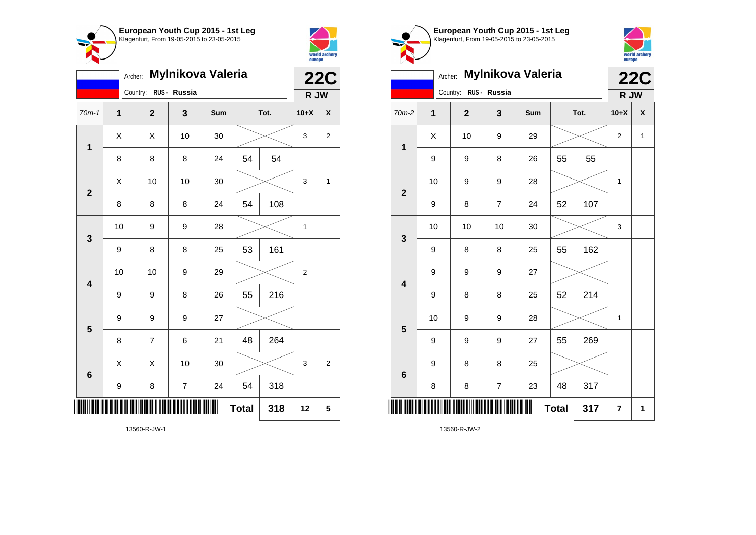



| Mylnikova Valeria<br>Archer: |             |                       |                |     |              |      |                | <b>22C</b>         |
|------------------------------|-------------|-----------------------|----------------|-----|--------------|------|----------------|--------------------|
|                              |             | Country: RUS - Russia |                |     |              |      | R JW           |                    |
| $70m-1$                      | $\mathbf 1$ | $\mathbf{2}$          | 3              | Sum |              | Tot. | $10+X$         | $\pmb{\mathsf{X}}$ |
| $\mathbf 1$                  | X           | X                     | 10             | 30  |              |      | 3              | $\overline{c}$     |
|                              | 8           | 8                     | 8              | 24  | 54           | 54   |                |                    |
| $\overline{\mathbf{2}}$      | X           | 10                    | 10             | 30  |              |      | 3              | 1                  |
|                              | 8           | 8                     | 8              | 24  | 54           | 108  |                |                    |
| 3                            | 10          | 9                     | 9              | 28  |              |      | 1              |                    |
|                              | 9           | 8                     | 8              | 25  | 53           | 161  |                |                    |
| 4                            | 10          | 10                    | 9              | 29  |              |      | $\overline{2}$ |                    |
|                              | 9           | 9                     | 8              | 26  | 55           | 216  |                |                    |
| 5                            | 9           | 9                     | 9              | 27  |              |      |                |                    |
|                              | 8           | 7                     | 6              | 21  | 48           | 264  |                |                    |
| 6                            | X           | X                     | 10             | 30  |              |      | 3              | $\overline{c}$     |
|                              | 9           | 8                     | $\overline{7}$ | 24  | 54           | 318  |                |                    |
| III                          |             |                       |                |     | <b>Total</b> | 318  | 12             | 5                  |

Klagenfurt, From 19-05-2015 to 23-05-2015 world archery<br>europe **22C** Archer: **Mylnikova Valeria** Country: **RUS - Russia R JW** 70m-2 **1 2 3 Sum Tot. 10+X X**  $\begin{array}{|c|c|c|c|c|c|}\hline \hspace{.1cm}X & \hspace{.1cm} & \textbf{10} & \hspace{.1cm} & \textbf{9} & \hspace{.1cm} & \textbf{29} & \hspace{.1cm} & \hspace{.1cm} & \hspace{.1cm} & \hspace{.1cm} & \hspace{.1cm} & \hspace{.1cm} & \hspace{.1cm} & \hspace{.1cm} & \hspace{.1cm} & \hspace{.1cm} & \hspace{.1cm} & \hspace{.1cm} & \hspace{.1cm} & \hspace{.1cm} & \hspace{.1cm} & \hspace{$ **1** 9 | 9 | 8 | 26 | 55 | 55 10 | 9 | 9 | 28 |  $\times$  | 1 **2** 9 | 8 | 7 | 24 | 52 | 107 10 | 10 | 10 | 30 |  $\times$  | 3 **3** 9 | 8 | 8 | 25 | 55 | 162 9 9 9 27 **4** 9 | 8 | 8 | 25 | 52 | 214 10 | 9 | 9 | 28 |  $\times$  | 1 **5** 9 | 9 | 9 | 27 | 55 | 269 9 8 8 25 **6** 8 | 8 | 7 | 23 | 48 | 317 \*13560-R-JW-2\*  $Total | 317 | 7 | 1$ 

**European Youth Cup 2015 - 1st Leg**

13560-R-JW-2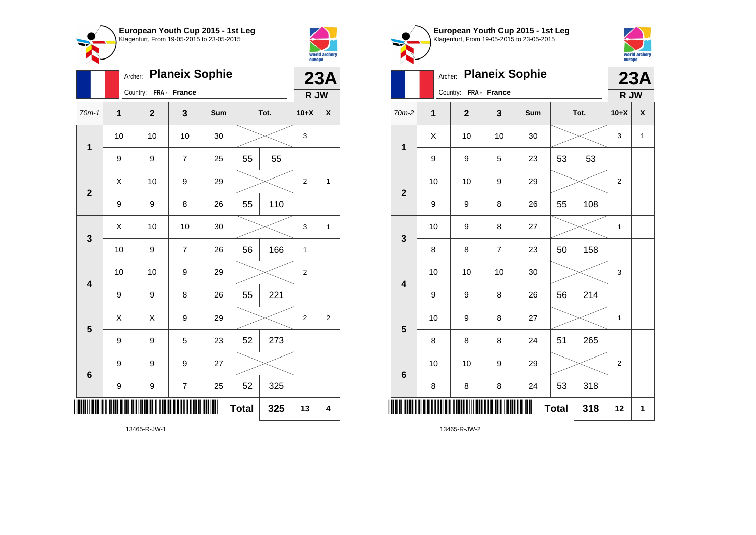



|                         | Archer:          |                       |                          | 23A |              |      |                |   |
|-------------------------|------------------|-----------------------|--------------------------|-----|--------------|------|----------------|---|
|                         |                  | Country: FRA - France |                          |     |              |      | R JW           |   |
| $70m-1$                 | $\mathbf{1}$     | $\overline{2}$        | 3                        | Sum |              | Tot. | $10+X$         | X |
| 1                       | 10               | 10                    | 10                       | 30  |              |      | 3              |   |
|                         | 9                | 9                     | $\overline{7}$           | 25  | 55           | 55   |                |   |
| $\mathbf{2}$            | X                | 10                    | 9                        | 29  |              |      | $\overline{2}$ | 1 |
|                         | 9                | 9                     | 8                        | 26  | 55           | 110  |                |   |
| 3                       | Χ                | 10                    | 10                       | 30  |              |      | 3              | 1 |
|                         | 10               | 9                     | $\overline{7}$           | 26  | 56           | 166  | $\mathbf{1}$   |   |
| $\overline{\mathbf{4}}$ | 10               | 10                    | 9                        | 29  |              |      | $\overline{2}$ |   |
|                         | 9                | 9                     | 8                        | 26  | 55           | 221  |                |   |
| 5                       | X                | Χ                     | 9                        | 29  |              |      | $\overline{2}$ | 2 |
|                         | $\boldsymbol{9}$ | 9                     | 5                        | 23  | 52           | 273  |                |   |
| 6                       | 9                | 9                     | 9                        | 27  |              |      |                |   |
|                         | 9                | 9                     | $\overline{\mathcal{I}}$ | 25  | 52           | 325  |                |   |
| III                     |                  |                       |                          |     | <b>Total</b> | 325  | 13             | 4 |

**European Youth Cup 2015 - 1st Leg** Klagenfurt, From 19-05-2015 to 23-05-2015 Archer: **Planeix Sophie** Country: **FRA - France**



|                         | Archer:      |                       |                  | 23A |              |      |        |   |
|-------------------------|--------------|-----------------------|------------------|-----|--------------|------|--------|---|
|                         |              | Country: FRA - France |                  |     |              |      | R JW   |   |
| $70m-2$                 | $\mathbf{1}$ | $\mathbf{2}$          | 3                | Sum |              | Tot. | $10+X$ | X |
| $\mathbf 1$             | Χ            | 10                    | 10               | 30  |              |      | 3      | 1 |
|                         | 9            | 9                     | 5                | 23  | 53           | 53   |        |   |
| $\overline{2}$          | 10           | 10                    | 9                | 29  |              |      | 2      |   |
|                         | 9            | 9                     | 8                | 26  | 55           | 108  |        |   |
| 3                       | 10           | 9                     | 8                | 27  |              |      | 1      |   |
|                         | 8            | 8                     | $\overline{7}$   | 23  | 50           | 158  |        |   |
| $\overline{\mathbf{4}}$ | 10           | 10                    | 10               | 30  |              |      | 3      |   |
|                         | 9            | 9                     | 8                | 26  | 56           | 214  |        |   |
| 5                       | 10           | 9                     | 8                | 27  |              |      | 1      |   |
|                         | 8            | 8                     | 8                | 24  | 51           | 265  |        |   |
| $6\phantom{1}6$         | 10           | 10                    | $\boldsymbol{9}$ | 29  |              |      | 2      |   |
|                         | 8            | 8                     | 8                | 24  | 53           | 318  |        |   |
| ║║                      |              |                       |                  | Ⅲ   | <b>Total</b> | 318  | 12     | 1 |

13465-R-JW-2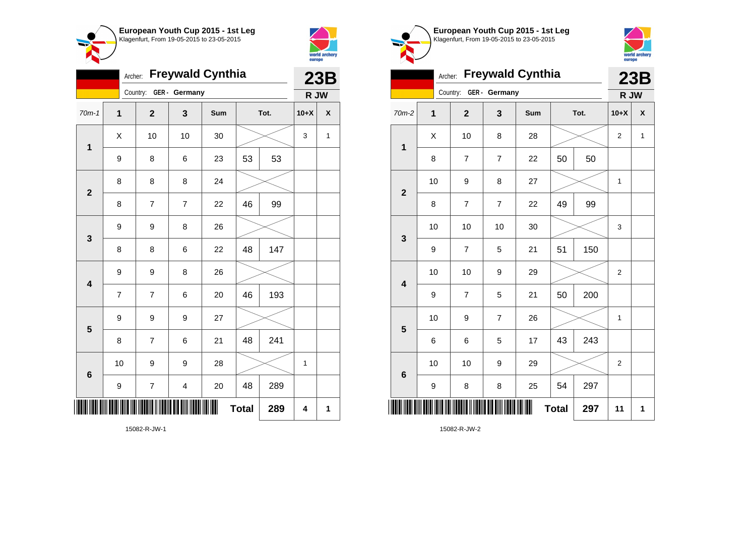



|                         | <b>Freywald Cynthia</b><br>Archer: |                         |                |     |              |      |              |                    |  |
|-------------------------|------------------------------------|-------------------------|----------------|-----|--------------|------|--------------|--------------------|--|
|                         |                                    | Country: GER - Germany  |                |     |              |      | R JW         |                    |  |
| $70m-1$                 | $\overline{1}$                     | $\overline{\mathbf{2}}$ | 3              | Sum |              | Tot. | $10+X$       | $\pmb{\mathsf{X}}$ |  |
| $\mathbf 1$             | Χ                                  | 10                      | 10             | 30  |              |      | 3            | 1                  |  |
|                         | 9                                  | 8                       | 6              | 23  | 53           | 53   |              |                    |  |
| $\overline{2}$          | 8                                  | 8                       | 8              | 24  |              |      |              |                    |  |
|                         | 8                                  | $\overline{\mathbf{7}}$ | $\overline{7}$ | 22  | 46           | 99   |              |                    |  |
| 3                       | 9                                  | 9                       | 8              | 26  |              |      |              |                    |  |
|                         | 8                                  | 8                       | 6              | 22  | 48           | 147  |              |                    |  |
| $\overline{\mathbf{4}}$ | $\boldsymbol{9}$                   | 9                       | 8              | 26  |              |      |              |                    |  |
|                         | $\overline{7}$                     | $\overline{7}$          | 6              | 20  | 46           | 193  |              |                    |  |
| $\overline{\mathbf{5}}$ | 9                                  | 9                       | 9              | 27  |              |      |              |                    |  |
|                         | 8                                  | $\overline{7}$          | 6              | 21  | 48           | 241  |              |                    |  |
| 6                       | 10                                 | 9                       | 9              | 28  |              |      | $\mathbf{1}$ |                    |  |
|                         | 9                                  | $\boldsymbol{7}$        | 4              | 20  | 48           | 289  |              |                    |  |
| ║║                      |                                    |                         |                |     | <b>Total</b> | 289  | 4            | 1                  |  |





| $\sim$ $\sim$           |             |                |                |                         |              |      |                |             |
|-------------------------|-------------|----------------|----------------|-------------------------|--------------|------|----------------|-------------|
|                         | Archer:     |                |                | <b>Freywald Cynthia</b> |              |      |                | 23B         |
|                         |             | Country:       | GER - Germany  |                         |              |      | R JW           |             |
| 70m-2                   | $\mathbf 1$ | $\overline{2}$ | 3              | Sum                     |              | Tot. | $10+X$         | X           |
| 1                       | X           | 10             | 8              | 28                      |              |      | 2              | $\mathbf 1$ |
|                         | 8           | $\overline{7}$ | $\overline{7}$ | 22                      | 50           | 50   |                |             |
| $\overline{2}$          | 10          | 9              | 8              | 27                      |              |      | 1              |             |
|                         | 8           | $\overline{7}$ | $\overline{7}$ | 22                      | 49           | 99   |                |             |
| 3                       | 10          | 10             | 10             | 30                      |              |      | 3              |             |
|                         | 9           | $\overline{7}$ | 5              | 21                      | 51           | 150  |                |             |
| $\overline{\mathbf{4}}$ | 10          | 10             | 9              | 29                      |              |      | $\overline{2}$ |             |
|                         | 9           | $\overline{7}$ | 5              | 21                      | 50           | 200  |                |             |
| 5                       | 10          | 9              | $\overline{7}$ | 26                      |              |      | 1              |             |
|                         | 6           | 6              | 5              | 17                      | 43           | 243  |                |             |
| $6\phantom{1}6$         | 10          | 10             | 9              | 29                      |              |      | $\overline{2}$ |             |
|                         | 9           | 8              | 8              | 25                      | 54           | 297  |                |             |
|                         |             |                |                |                         | <b>Total</b> | 297  | 11             | 1           |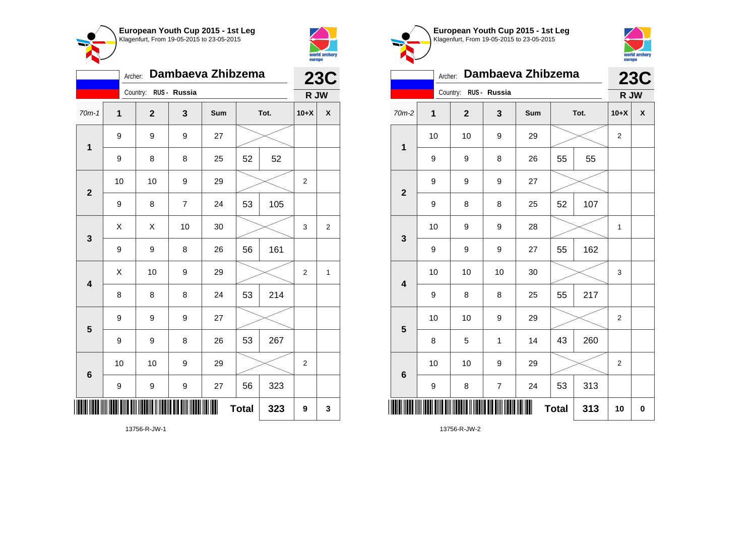



|                | Dambaeva Zhibzema |                       | <b>23C</b>     |     |              |      |                |                    |
|----------------|-------------------|-----------------------|----------------|-----|--------------|------|----------------|--------------------|
|                |                   | Country: RUS - Russia |                |     |              |      | R JW           |                    |
| $70m-1$        | $\mathbf{1}$      | $\mathbf{2}$          | 3              | Sum |              | Tot. | $10+X$         | $\pmb{\mathsf{X}}$ |
| $\mathbf 1$    | $\boldsymbol{9}$  | 9                     | 9              | 27  |              |      |                |                    |
|                | 9                 | 8                     | 8              | 25  | 52           | 52   |                |                    |
| $\mathbf{2}$   | 10                | 10                    | 9              | 29  |              |      | $\overline{2}$ |                    |
|                | 9                 | 8                     | $\overline{7}$ | 24  | 53           | 105  |                |                    |
| 3              | X                 | X                     | 10             | 30  |              |      | 3              | $\overline{2}$     |
|                | $\boldsymbol{9}$  | 9                     | 8              | 26  | 56           | 161  |                |                    |
| 4              | X                 | 10                    | 9              | 29  |              |      | $\overline{2}$ | $\mathbf{1}$       |
|                | 8                 | 8                     | 8              | 24  | 53           | 214  |                |                    |
| 5              | 9                 | 9                     | 9              | 27  |              |      |                |                    |
|                | 9                 | 9                     | 8              | 26  | 53           | 267  |                |                    |
| $6\phantom{1}$ | 10                | 10                    | 9              | 29  |              |      | $\overline{2}$ |                    |
|                | $\boldsymbol{9}$  | 9                     | 9              | 27  | 56           | 323  |                |                    |
|                |                   |                       |                |     | <b>Total</b> | 323  | 9              | 3                  |

world archery<br>europe Archer: **Dambaeva Zhibzema 23C** Country: **RUS - Russia R JW** 70m-2 **1 2 3 Sum Tot. 10+X X** 10 | 10 | 9 | 29 |  $\times$  | 2 **1** 9 | 9 | 8 | 26 | 55 | 55 9 9 9 27 **2** 9 | 8 | 8 | 25 | 52 | 107 10 | 9 | 9 | 28 |  $\times$  | 1 **3** 9 | 9 | 9 | 27 | 55 | 162 10 | 10 | 10 | 30 |  $\times$  | 3 **4** 9 | 8 | 8 | 25 | 55 | 217 10 | 10 | 9 | 29 |  $\times$  | 2 **5** 8 | 5 | 1 | 14 | 43 | 260 10 | 10 | 9 | 29 |  $\times$  | 2 **6** 9 | 8 | 7 | 24 | 53 | 313 \*13756-R-JW-2\* **Total 313 10 0**

**European Youth Cup 2015 - 1st Leg** Klagenfurt, From 19-05-2015 to 23-05-2015

13756-R-JW-1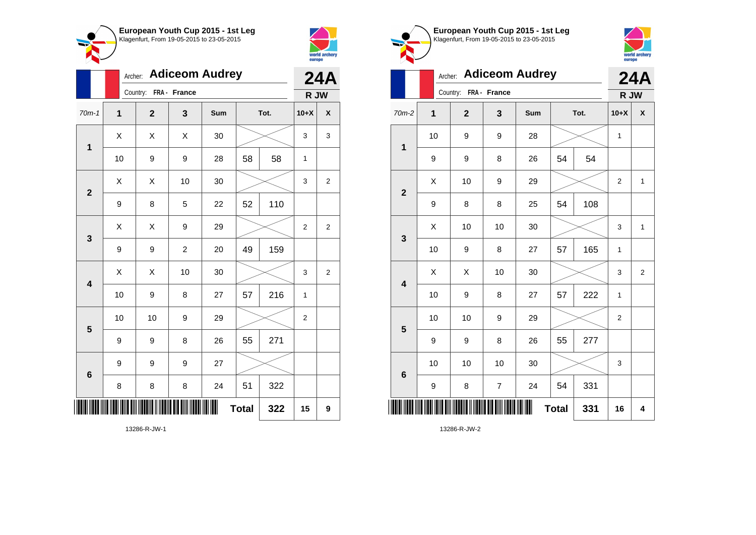



|                         |    | Archer: Adiceom Audrey |                |     |              |      |                  |                         |  |
|-------------------------|----|------------------------|----------------|-----|--------------|------|------------------|-------------------------|--|
|                         |    | Country:               | FRA - France   |     |              |      | R JW             |                         |  |
| $70m-1$                 | 1  | $\overline{2}$         | 3              | Sum |              | Tot. | $10+X$           | $\pmb{\mathsf{X}}$      |  |
| $\mathbf 1$             | Χ  | X                      | X              | 30  |              |      | 3                | 3                       |  |
|                         | 10 | 9                      | 9              | 28  | 58           | 58   | $\mathbf{1}$     |                         |  |
| $\overline{\mathbf{2}}$ | Χ  | Χ                      | 10             | 30  |              |      | 3                | $\overline{\mathbf{c}}$ |  |
|                         | 9  | 8                      | 5              | 22  | 52           | 110  |                  |                         |  |
| 3                       | X  | X                      | 9              | 29  |              |      | $\overline{2}$   | $\overline{2}$          |  |
|                         | 9  | 9                      | $\overline{c}$ | 20  | 49           | 159  |                  |                         |  |
| $\overline{\mathbf{4}}$ | X  | X                      | 10             | 30  |              |      | 3                | $\overline{2}$          |  |
|                         | 10 | 9                      | 8              | 27  | 57           | 216  | 1                |                         |  |
| 5                       | 10 | 10                     | 9              | 29  |              |      | $\boldsymbol{2}$ |                         |  |
|                         | 9  | 9                      | 8              | 26  | 55           | 271  |                  |                         |  |
| 6                       | 9  | 9                      | 9              | 27  |              |      |                  |                         |  |
|                         | 8  | 8                      | 8              | 24  | 51           | 322  |                  |                         |  |
| Ш                       |    |                        |                |     | <b>Total</b> | 322  | 15               | 9                       |  |
|                         |    |                        |                |     |              |      |                  |                         |  |





|                         |    | <b>Adiceom Audrey</b><br>Archer: |                          |     |              |      |                |                  |  |
|-------------------------|----|----------------------------------|--------------------------|-----|--------------|------|----------------|------------------|--|
|                         |    | Country:                         | FRA - France             |     |              |      | R JW           |                  |  |
| $70m-2$                 | 1  | $\mathbf{2}$                     | 3                        | Sum |              | Tot. | $10+X$         | X                |  |
| $\mathbf 1$             | 10 | 9                                | 9                        | 28  |              |      |                |                  |  |
|                         | 9  | 9                                | 8                        | 26  | 54           | 54   |                |                  |  |
| $\overline{\mathbf{2}}$ | X  | 10                               | 9                        | 29  |              |      | $\mathbf 2$    | $\mathbf{1}$     |  |
|                         | 9  | 8                                | 8                        | 25  | 54           | 108  |                |                  |  |
| 3                       | X  | 10                               | 10                       | 30  |              |      | 3              | $\mathbf{1}$     |  |
|                         | 10 | 9                                | 8                        | 27  | 57           | 165  | 1              |                  |  |
| $\overline{\mathbf{4}}$ | X  | Χ                                | 10                       | 30  |              |      | 3              | $\boldsymbol{2}$ |  |
|                         | 10 | 9                                | 8                        | 27  | 57           | 222  | 1              |                  |  |
| 5                       | 10 | 10                               | 9                        | 29  |              |      | $\overline{2}$ |                  |  |
|                         | 9  | 9                                | 8                        | 26  | 55           | 277  |                |                  |  |
| $6\phantom{1}6$         | 10 | 10                               | 10                       | 30  |              |      | 3              |                  |  |
|                         | 9  | 8                                | $\overline{\mathcal{I}}$ | 24  | 54           | 331  |                |                  |  |
| ║║║                     |    |                                  |                          | Ш   | <b>Total</b> | 331  | 16             | 4                |  |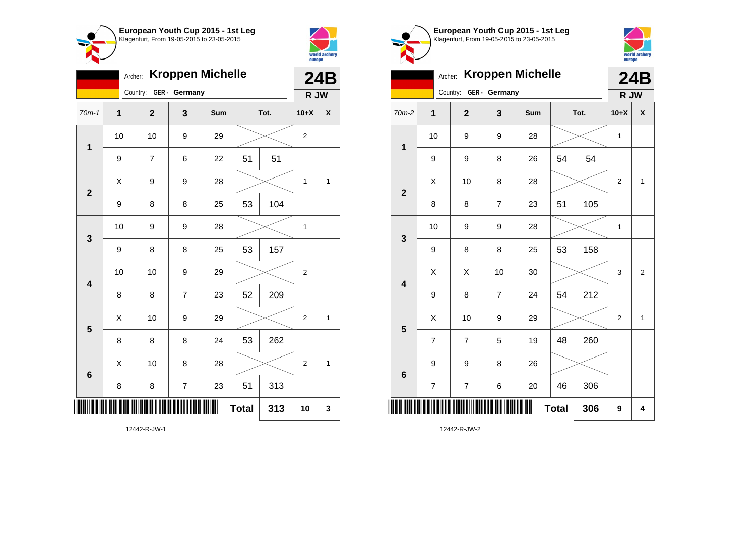



| <b>Kroppen Michelle</b><br>Archer: |    |                        |                          |     |              |      |                | <b>24B</b> |  |
|------------------------------------|----|------------------------|--------------------------|-----|--------------|------|----------------|------------|--|
|                                    |    | Country: GER - Germany |                          |     |              |      | R JW           |            |  |
| $70m-1$                            | 1  | $\mathbf{2}$           | 3                        | Sum |              | Tot. | $10+X$         | χ          |  |
| 1                                  | 10 | 10                     | 9                        | 29  |              |      | $\overline{c}$ |            |  |
|                                    | 9  | $\overline{7}$         | 6                        | 22  | 51<br>51     |      |                |            |  |
| $\mathbf{2}$                       | Χ  | 9                      | 9                        | 28  |              |      | 1              | 1          |  |
|                                    | 9  | 8                      | 8                        | 25  | 53           | 104  |                |            |  |
| 3                                  | 10 | 9                      | 9                        | 28  |              |      | 1              |            |  |
|                                    | 9  | 8                      | 8                        | 25  | 53           | 157  |                |            |  |
| $\overline{\mathbf{4}}$            | 10 | 10                     | 9                        | 29  |              |      | $\overline{2}$ |            |  |
|                                    | 8  | 8                      | $\overline{7}$           | 23  | 52           | 209  |                |            |  |
| 5                                  | X  | 10                     | 9                        | 29  |              |      | $\overline{2}$ | 1          |  |
|                                    | 8  | 8                      | 8                        | 24  | 53           | 262  |                |            |  |
| $6\phantom{1}6$                    | X  | 10                     | 8                        | 28  |              |      | $\overline{2}$ | 1          |  |
|                                    | 8  | 8                      | $\overline{\mathcal{I}}$ | 23  | 51           | 313  |                |            |  |
| I                                  |    |                        |                          | ║║  | <b>Total</b> | 313  | 10             | 3          |  |





|                           | <b>Kroppen Michelle</b><br>Archer: |                          |                |     |    |      |                |                |  |
|---------------------------|------------------------------------|--------------------------|----------------|-----|----|------|----------------|----------------|--|
|                           |                                    | Country:                 | GER - Germany  |     |    |      | R JW           | <b>24B</b>     |  |
| 70m-2                     | 1                                  | $\mathbf{2}$             | 3              | Sum |    | Tot. | $10+X$         | X              |  |
| $\mathbf 1$               | 10                                 | 9                        | 9              | 28  |    |      | $\mathbf{1}$   |                |  |
|                           | 9                                  | 9                        | 8              | 26  | 54 | 54   |                |                |  |
| $\overline{2}$            | X                                  | 10                       | 8              | 28  |    |      | $\overline{2}$ | $\mathbf{1}$   |  |
|                           | 8                                  | 8                        | $\overline{7}$ | 23  | 51 | 105  |                |                |  |
| 3                         | 10                                 | 9                        | 9              | 28  |    |      | 1              |                |  |
|                           | 9                                  | 8                        | 8              | 25  | 53 | 158  |                |                |  |
| $\overline{\mathbf{4}}$   | X                                  | Χ                        | 10             | 30  |    |      | 3              | $\overline{2}$ |  |
|                           | 9                                  | 8                        | $\overline{7}$ | 24  | 54 | 212  |                |                |  |
| 5                         | X                                  | 10                       | 9              | 29  |    |      | $\overline{2}$ | 1              |  |
|                           | $\overline{7}$                     | $\overline{7}$           | 5              | 19  | 48 | 260  |                |                |  |
| $6\phantom{1}6$           | 9                                  | 9                        | 8              | 26  |    |      |                |                |  |
|                           | $\overline{\mathbf{7}}$            | $\overline{\mathcal{I}}$ | 6              | 20  | 46 | 306  |                |                |  |
| ║║<br><b>Total</b><br>306 |                                    |                          |                |     |    |      |                | 4              |  |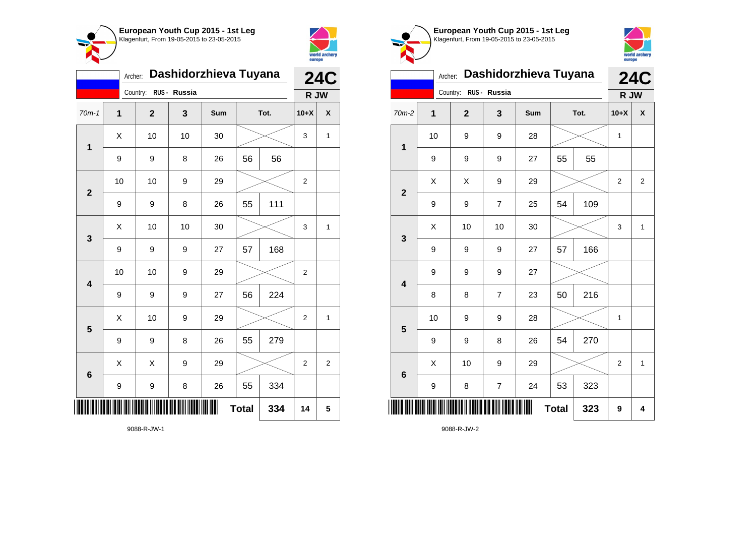



|                         |              | <b>24C</b>  |              |     |              |      |                |              |
|-------------------------|--------------|-------------|--------------|-----|--------------|------|----------------|--------------|
|                         |              | Country:    | RUS - Russia |     |              |      | R JW           |              |
| $70m-1$                 | $\mathbf{1}$ | $\mathbf 2$ | 3            | Sum |              | Tot. | $10+X$         | χ            |
| 1                       | Χ            | 10          | 10           | 30  |              |      | 3              | 1            |
|                         | 9            | 9           | 8            | 26  | 56           | 56   |                |              |
| $\overline{\mathbf{2}}$ | 10           | 10          | 9            | 29  |              |      | 2              |              |
|                         | 9            | 9           | 8            | 26  | 55           | 111  |                |              |
| 3                       | Χ            | 10          | 10           | 30  |              |      | 3              | 1            |
|                         | 9            | 9           | 9            | 27  | 57           | 168  |                |              |
| $\overline{\mathbf{4}}$ | 10           | 10          | 9            | 29  |              |      | 2              |              |
|                         | 9            | 9           | 9            | 27  | 56           | 224  |                |              |
| 5                       | X            | 10          | 9            | 29  |              |      | $\overline{2}$ | $\mathbf{1}$ |
|                         | 9            | 9           | 8            | 26  | 55           | 279  |                |              |
| $6\phantom{a}$          | X            | Χ           | 9            | 29  |              |      | 2              | 2            |
|                         | 9            | 9           | 8            | 26  | 55           | 334  |                |              |
|                         |              |             |              |     | <b>Total</b> | 334  | 14             | 5            |

**European Youth Cup 2015 - 1st Leg** Klagenfurt, From 19-05-2015 to 23-05-2015 world archery<br>europe Archer: **Dashidorzhieva Tuyana 24C** Country: **RUS - Russia R JW** 70m-2 **1 2 3 Sum Tot. 10+X X** 10 | 9 | 9 | 28 |  $\times$  | 1 **1** 9 | 9 | 9 | 27 | 55 | 55  $X$   $\mid$   $X$   $\mid$   $9$   $\mid$   $29$   $\mid$   $\gg$   $\mid$  2  $\mid$  2 **2** 9 | 9 | 7 | 25 | 54 | 109  $\textsf{X}$  | 10 | 10 | 30 |  $\textcolor{blue}{\swarrow}$  | 3 | 1 **3** 9 | 9 | 9 | 27 | 57 | 166 9 9 9 27 **4** 8 | 8 | 7 | 23 | 50 | 216 10 | 9 | 9 | 28 |  $\times$  | 1 **5** 9 | 9 | 8 | 26 | 54 | 270  $\begin{array}{|c|c|c|c|c|c|}\hline \hspace{.1cm}X & \hspace{.1cm} \text{ 10} & \hspace{.1cm} \text{9} & \hspace{.1cm} \text{29} & \hspace{.1cm} \text{20} & \hspace{.1cm} \text{3} & \hspace{.1cm} \text{2} & \hspace{.1cm} \text{21} & \hspace{.1cm} \text{11} & \hspace{.1cm} \hline \end{array}$ **6** 9 | 8 | 7 | 24 | 53 | 323 \*9088-R-JW-2\*  $Total \, | \, 323 \, | \, 9 \, | \, 4$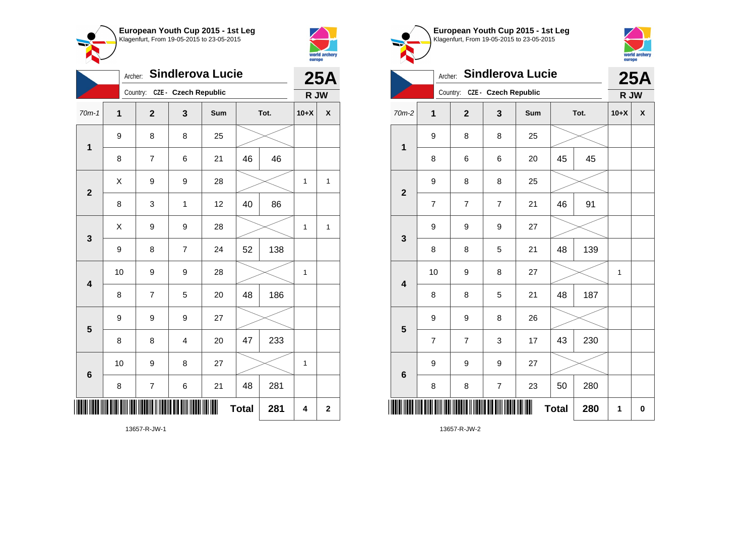



| <b>Sindlerova Lucie</b><br>Archer: |              |                               |                         |     |              |      |             | <b>25A</b>              |  |
|------------------------------------|--------------|-------------------------------|-------------------------|-----|--------------|------|-------------|-------------------------|--|
|                                    |              | Country: CZE - Czech Republic |                         |     |              |      | R JW        |                         |  |
| $70m-1$                            | $\mathbf{1}$ | $\overline{2}$                | 3                       | Sum |              | Tot. | $10+X$      | X                       |  |
| $\mathbf 1$                        | 9            | 8                             | 8                       | 25  |              |      |             |                         |  |
|                                    | 8            | 7                             | 6                       | 21  | 46           | 46   |             |                         |  |
| $\overline{\mathbf{2}}$            | X            | 9                             | 9                       | 28  |              |      | $\mathbf 1$ | $\mathbf{1}$            |  |
|                                    | 8            | 3                             | $\mathbf{1}$            | 12  | 40           | 86   |             |                         |  |
| 3                                  | X            | 9                             | 9                       | 28  |              |      | 1           | 1                       |  |
|                                    | 9            | 8                             | $\overline{7}$          | 24  | 52           | 138  |             |                         |  |
| $\overline{\mathbf{4}}$            | 10           | 9                             | 9                       | 28  |              |      | 1           |                         |  |
|                                    | 8            | 7                             | 5                       | 20  | 48           | 186  |             |                         |  |
| 5                                  | 9            | 9                             | 9                       | 27  |              |      |             |                         |  |
|                                    | 8            | 8                             | $\overline{\mathbf{4}}$ | 20  | 47           | 233  |             |                         |  |
| $\bf 6$                            | 10           | 9                             | 8                       | 27  |              |      | 1           |                         |  |
|                                    | 8            | 7                             | 6                       | 21  | 48           | 281  |             |                         |  |
|                                    |              |                               |                         | III | <b>Total</b> | 281  | 4           | $\overline{\mathbf{2}}$ |  |

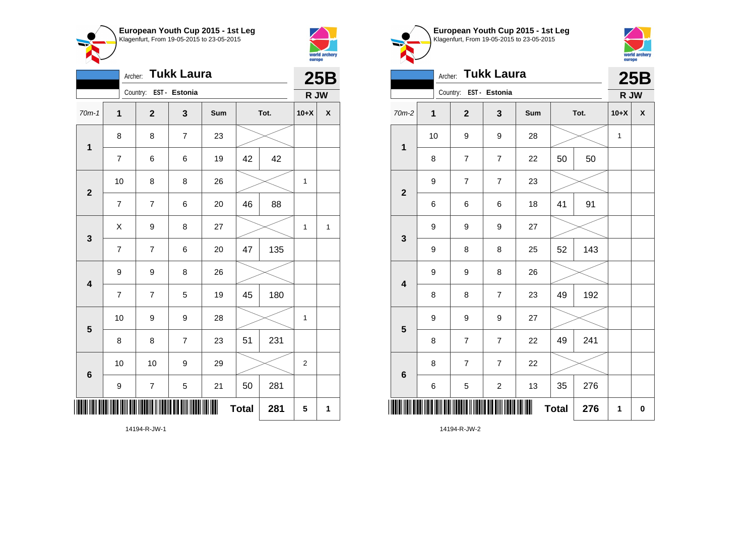



|                         | <b>Tukk Laura</b><br>Archer: |                          |                |     |              |      |                  |              |  |
|-------------------------|------------------------------|--------------------------|----------------|-----|--------------|------|------------------|--------------|--|
|                         |                              | Country: EST - Estonia   |                |     |              |      | R JW             |              |  |
| $70m-1$                 | $\mathbf{1}$                 | $\mathbf{2}$             | 3              | Sum |              | Tot. | $10+X$           | X            |  |
| 1                       | 8                            | 8                        | $\overline{7}$ | 23  |              |      |                  |              |  |
|                         | $\overline{7}$               | 6                        | 6              | 19  | 42           | 42   |                  |              |  |
| $\mathbf{2}$            | 10                           | 8                        | 8              | 26  |              |      | 1                |              |  |
|                         | $\overline{7}$               | $\overline{7}$           | 6              | 20  | 46           | 88   |                  |              |  |
| $\mathbf{3}$            | X                            | 9                        | 8              | 27  |              |      | 1                | $\mathbf{1}$ |  |
|                         | $\overline{7}$               | $\overline{7}$           | 6              | 20  | 47           | 135  |                  |              |  |
| $\overline{\mathbf{4}}$ | 9                            | 9                        | 8              | 26  |              |      |                  |              |  |
|                         | $\overline{7}$               | 7                        | 5              | 19  | 45           | 180  |                  |              |  |
| 5                       | 10                           | 9                        | 9              | 28  |              |      | 1                |              |  |
|                         | 8                            | 8                        | $\overline{7}$ | 23  | 51           | 231  |                  |              |  |
| 6                       | 10                           | 10                       | 9              | 29  |              |      | $\boldsymbol{2}$ |              |  |
|                         | 9                            | $\overline{\mathcal{I}}$ | 5              | 21  | 50           | 281  |                  |              |  |
|                         |                              |                          |                | ∭   | <b>Total</b> | 281  | 5                | 1            |  |





|                         | <b>Tukk Laura</b><br>Archer: |                         |                |     |              |      |              |                    |  |  |
|-------------------------|------------------------------|-------------------------|----------------|-----|--------------|------|--------------|--------------------|--|--|
|                         |                              | Country: EST - Estonia  |                |     |              |      | R JW         |                    |  |  |
| $70m-2$                 | $\overline{\mathbf{1}}$      | $\overline{\mathbf{2}}$ | 3              | Sum |              | Tot. | $10+X$       | $\pmb{\mathsf{X}}$ |  |  |
| $\mathbf{1}$            | 10                           | 9                       | 9              | 28  |              |      | $\mathbf{1}$ |                    |  |  |
|                         | 8                            | 7                       | $\overline{7}$ | 22  | 50           | 50   |              |                    |  |  |
| $\overline{\mathbf{2}}$ | 9                            | $\overline{7}$          | $\overline{7}$ | 23  |              |      |              |                    |  |  |
|                         | 6                            | 6                       | 6              | 18  | 41           | 91   |              |                    |  |  |
| 3                       | 9                            | 9                       | 9              | 27  |              |      |              |                    |  |  |
|                         | 9                            | 8                       | 8              | 25  | 52           | 143  |              |                    |  |  |
| $\overline{\mathbf{4}}$ | 9                            | 9                       | 8              | 26  |              |      |              |                    |  |  |
|                         | 8                            | 8                       | $\overline{7}$ | 23  | 49           | 192  |              |                    |  |  |
| $\overline{\mathbf{5}}$ | 9                            | 9                       | 9              | 27  |              |      |              |                    |  |  |
|                         | 8                            | $\overline{7}$          | $\overline{7}$ | 22  | 49           | 241  |              |                    |  |  |
| 6                       | 8                            | $\overline{7}$          | $\overline{7}$ | 22  |              |      |              |                    |  |  |
|                         | 6                            | 5                       | $\overline{c}$ | 13  | 35           | 276  |              |                    |  |  |
|                         |                              |                         |                |     | <b>Total</b> | 276  | 1            | $\pmb{0}$          |  |  |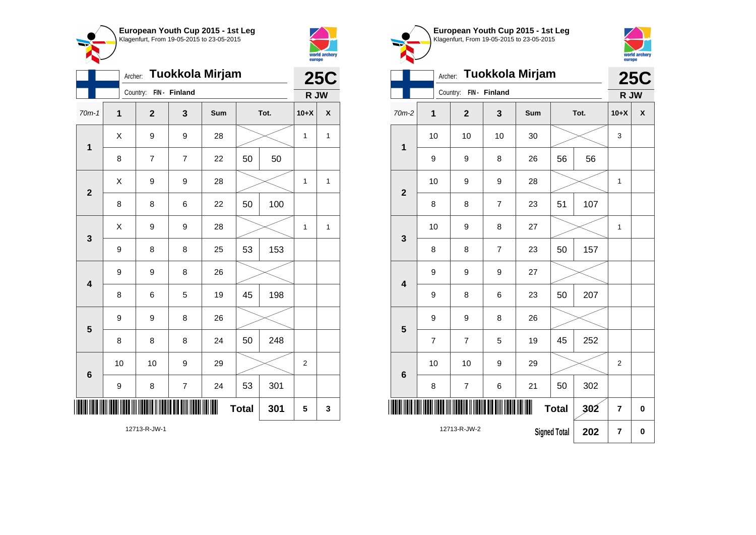



|                         | Tuokkola Mirjam<br>Archer: |              |                          |     |              |      |                |              |  |
|-------------------------|----------------------------|--------------|--------------------------|-----|--------------|------|----------------|--------------|--|
|                         |                            | Country:     | FIN- Finland             |     |              |      | R JW           |              |  |
| $70m-1$                 | $\mathbf 1$                | $\mathbf{2}$ | 3                        | Sum |              | Tot. | $10+X$         | X            |  |
| $\mathbf{1}$            | X                          | 9            | 9                        | 28  |              |      | $\mathbf 1$    | $\mathbf{1}$ |  |
|                         | 8                          | 7            | $\overline{7}$           | 22  | 50           | 50   |                |              |  |
| $\overline{\mathbf{2}}$ | X                          | 9            | 9                        | 28  |              |      | 1              | 1            |  |
|                         | 8                          | 8            | 6                        | 22  | 50           | 100  |                |              |  |
| 3                       | Χ                          | 9            | 9                        | 28  |              |      | 1              | 1            |  |
|                         | 9                          | 8            | 8                        | 25  | 53           | 153  |                |              |  |
| $\overline{\mathbf{4}}$ | 9                          | 9            | 8                        | 26  |              |      |                |              |  |
|                         | 8                          | 6            | 5                        | 19  | 45           | 198  |                |              |  |
| 5                       | 9                          | 9            | 8                        | 26  |              |      |                |              |  |
|                         | 8                          | 8            | 8                        | 24  | 50           | 248  |                |              |  |
| $\bf 6$                 | 10                         | 10           | 9                        | 29  |              |      | $\overline{2}$ |              |  |
|                         | 9                          | 8            | $\overline{\mathcal{I}}$ | 24  | 53           | 301  |                |              |  |
|                         |                            |              |                          | ║║  | <b>Total</b> | 301  | 5              | 3            |  |

world archery<br>europe Archer: **Tuokkola Mirjam 25C** Country: **FIN - Finland R JW** 70m-2 **1 2 3 Sum Tot. 10+X X** 10 | 10 | 10 | 30 |  $\times$  | 3 **1** 9 | 9 | 8 | 26 | 56 | 56 10 | 9 | 9 | 28 |  $\times$  | 1 **2** 8 | 8 | 7 | 23 | 51 | 107 10 | 9 | 8 | 27 |  $\times$  | 1 **3** 8 | 8 | 7 | 23 | 50 | 157 9 9 9 27 **4** 9 | 8 | 6 | 23 | 50 | 207 9 9 8 26 **5** 7 | 7 | 5 | 19 | 45 | 252 10 | 10 | 9 | 29 |  $\times$  | 2 **6** 8 | 7 | 6 | 21 | 50 | 302 \*12713-R-JW-2\*  $Total | 302 | 7 | 0$ 12713-R-JW-2 **Signed Total 202 7 0**

**European Youth Cup 2015 - 1st Leg** Klagenfurt, From 19-05-2015 to 23-05-2015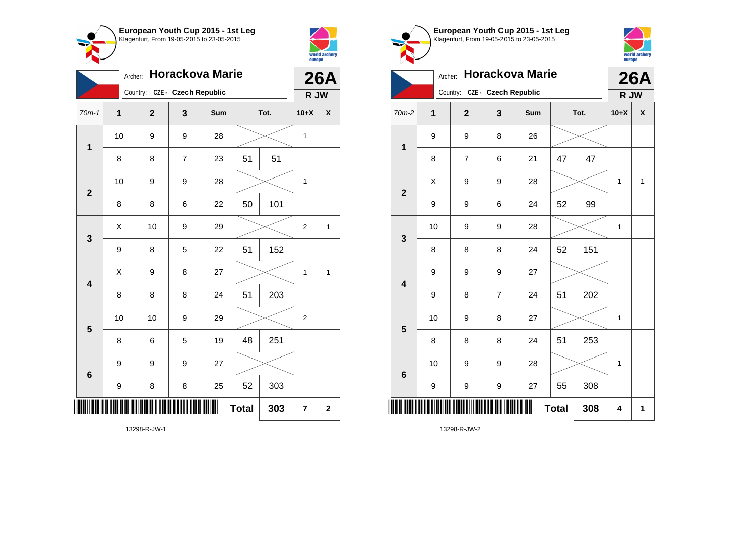



| <b>Horackova Marie</b><br>Archer: |                               |              |                |     |              | <b>26A</b> |                  |             |
|-----------------------------------|-------------------------------|--------------|----------------|-----|--------------|------------|------------------|-------------|
|                                   | Country: CZE - Czech Republic |              |                |     |              |            | R JW             |             |
| $70m-1$                           | 1                             | $\mathbf{2}$ | 3              | Sum | Tot.         |            | $10+X$           | χ           |
| 1                                 | 10                            | 9            | 9              | 28  |              |            | $\mathbf{1}$     |             |
|                                   | 8                             | 8            | $\overline{7}$ | 23  | 51           | 51         |                  |             |
| $\overline{\mathbf{2}}$           | 10                            | 9            | 9              | 28  |              |            | 1                |             |
|                                   | 8                             | 8            | 6              | 22  | 50           | 101        |                  |             |
| 3                                 | Χ                             | 10           | 9              | 29  |              |            | $\boldsymbol{2}$ | 1           |
|                                   | 9                             | 8            | 5              | 22  | 51           | 152        |                  |             |
| $\overline{\mathbf{4}}$           | Χ                             | 9            | 8              | 27  |              |            | 1                | 1           |
|                                   | 8                             | 8            | 8              | 24  | 51           | 203        |                  |             |
| 5                                 | 10                            | 10           | 9              | 29  |              |            | $\overline{2}$   |             |
|                                   | 8                             | 6            | 5              | 19  | 48           | 251        |                  |             |
| 6                                 | 9                             | 9            | 9              | 27  |              |            |                  |             |
|                                   | 9                             | 8            | 8              | 25  | 52           | 303        |                  |             |
|                                   |                               |              |                | ║║  | <b>Total</b> | 303        | $\overline{7}$   | $\mathbf 2$ |

**European Youth Cup 2015 - 1st Leg** Klagenfurt, From 19-05-2015 to 23-05-2015 world archery<br>europe Archer: **Horackova Marie 26A** Country: **CZE - Czech Republic R JW** 70m-2 **1 2 3 Sum Tot. 10+X X** 9 9 8 26 **1** 8 | 7 | 6 | 21 | 47 | 47  $X$  | 9 | 9 | 28 |  $\times$  | 1 | 1 **2** 9 | 9 | 6 | 24 | 52 | 99 10 | 9 | 9 | 28 |  $\times$  | 1 **3** 8 8 8 24 52 151 9 9 9 27 **4** 9 | 8 | 7 | 24 | 51 | 202 10 | 9 | 8 | 27 |  $\times$  | 1 **5** 8 | 8 | 8 | 24 | 51 | 253 10 | 9 | 9 | 28 |  $\times$  | 1 **6** 9 | 9 | 9 | 27 | 55 | 308 \*13298-R-JW-2\*  $Total | 308 | 4 | 1$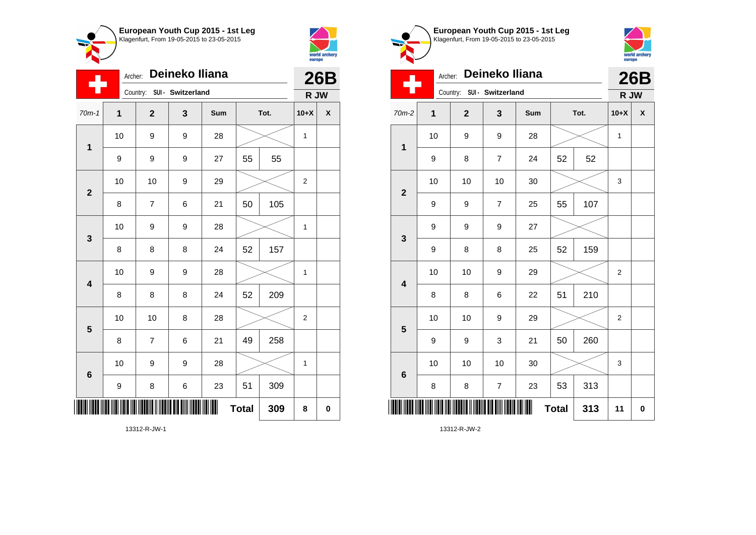



| Deineko Iliana<br>Archer: |             |                |   |                   |              |     | <b>26B</b>       |                    |
|---------------------------|-------------|----------------|---|-------------------|--------------|-----|------------------|--------------------|
|                           |             | Country:       |   | SUI - Switzerland |              |     |                  | R JW               |
| $70m-1$                   | $\mathbf 1$ | $\mathbf{2}$   | 3 | Sum               | Tot.         |     | $10+X$           | $\pmb{\mathsf{X}}$ |
| $\mathbf{1}$              | 10          | 9              | 9 | 28                |              |     | $\mathbf 1$      |                    |
|                           | 9           | 9              | 9 | 27                | 55           | 55  |                  |                    |
| $\mathbf{2}$              | 10          | 10             | 9 | 29                |              |     | $\boldsymbol{2}$ |                    |
|                           | 8           | $\overline{7}$ | 6 | 21                | 50           | 105 |                  |                    |
| $\mathbf{3}$              | 10          | 9              | 9 | 28                |              |     | $\mathbf 1$      |                    |
|                           | 8           | 8              | 8 | 24                | 52           | 157 |                  |                    |
| $\overline{\mathbf{4}}$   | 10          | 9              | 9 | 28                |              |     | 1                |                    |
|                           | 8           | 8              | 8 | 24                | 52           | 209 |                  |                    |
| 5                         | 10          | 10             | 8 | 28                |              |     | $\boldsymbol{2}$ |                    |
|                           | 8           | 7              | 6 | 21                | 49           | 258 |                  |                    |
| $\bf 6$                   | 10          | 9              | 9 | 28                |              |     | $\mathbf 1$      |                    |
|                           | 9           | 8              | 6 | 23                | 51           | 309 |                  |                    |
|                           |             |                |   |                   | <b>Total</b> | 309 | 8                | $\bf{0}$           |





| Deineko Iliana<br>Archer: |                               |             |                |     |              |      | <b>26B</b>     |   |
|---------------------------|-------------------------------|-------------|----------------|-----|--------------|------|----------------|---|
|                           | Country:<br>SUI - Switzerland |             |                |     |              | R JW |                |   |
| 70m-2                     | $\mathbf{1}$                  | $\mathbf 2$ | 3              | Sum | Tot.         |      | $10+X$         | X |
| 1                         | 10                            | 9           | 9              | 28  |              |      | $\mathbf{1}$   |   |
|                           | 9                             | 8           | $\overline{7}$ | 24  | 52           | 52   |                |   |
| $\overline{2}$            | 10                            | 10          | 10             | 30  |              |      | 3              |   |
|                           | 9                             | 9           | $\overline{7}$ | 25  | 55           | 107  |                |   |
| 3                         | 9                             | 9           | 9              | 27  |              |      |                |   |
|                           | 9                             | 8           | 8              | 25  | 52           | 159  |                |   |
| $\overline{\mathbf{4}}$   | 10                            | 10          | 9              | 29  |              |      | $\overline{2}$ |   |
|                           | 8                             | 8           | 6              | 22  | 51           | 210  |                |   |
| 5                         | 10                            | 10          | 9              | 29  |              |      | $\overline{2}$ |   |
|                           | 9                             | 9           | 3              | 21  | 50           | 260  |                |   |
| $6\phantom{1}6$           | 10                            | 10          | 10             | 30  |              |      | 3              |   |
|                           | 8                             | 8           | 7              | 23  | 53           | 313  |                |   |
|                           |                               |             |                | ∭   | <b>Total</b> | 313  | 11             | 0 |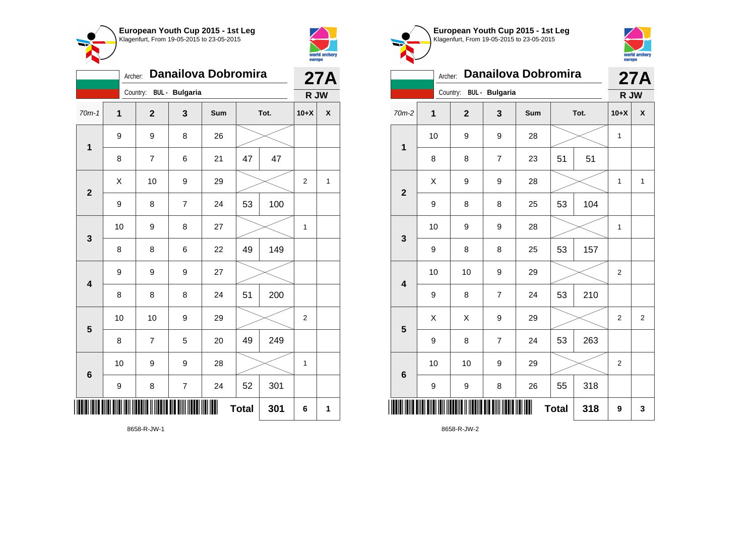



| <b>Danailova Dobromira</b><br>Archer: |                                   |                |                |     |              |     |                | 27A  |  |
|---------------------------------------|-----------------------------------|----------------|----------------|-----|--------------|-----|----------------|------|--|
|                                       | <b>BUL</b> - Bulgaria<br>Country: |                |                |     |              |     |                | R JW |  |
| $70m-1$                               | 1                                 | $\overline{2}$ | 3              | Sum | Tot.         |     | $10+X$         | X    |  |
| $\overline{\mathbf{1}}$               | 9                                 | 9              | 8              | 26  |              |     |                |      |  |
|                                       | 8                                 | $\overline{7}$ | 6              | 21  | 47           | 47  |                |      |  |
| $\overline{\mathbf{2}}$               | X                                 | 10             | 9              | 29  |              |     | $\overline{2}$ | 1    |  |
|                                       | 9                                 | 8              | $\overline{7}$ | 24  | 53           | 100 |                |      |  |
| 3                                     | 10                                | 9              | 8              | 27  |              |     | 1              |      |  |
|                                       | 8                                 | 8              | 6              | 22  | 49           | 149 |                |      |  |
| $\overline{\mathbf{4}}$               | 9                                 | 9              | 9              | 27  |              |     |                |      |  |
|                                       | 8                                 | 8              | 8              | 24  | 51           | 200 |                |      |  |
| 5                                     | 10                                | 10             | 9              | 29  |              |     | $\overline{2}$ |      |  |
|                                       | 8                                 | $\overline{7}$ | 5              | 20  | 49           | 249 |                |      |  |
| 6                                     | 10                                | 9              | 9              | 28  |              |     | 1              |      |  |
|                                       | 9                                 | 8              | $\overline{7}$ | 24  | 52           | 301 |                |      |  |
|                                       |                                   |                |                | Ш   | <b>Total</b> | 301 | 6              | 1    |  |

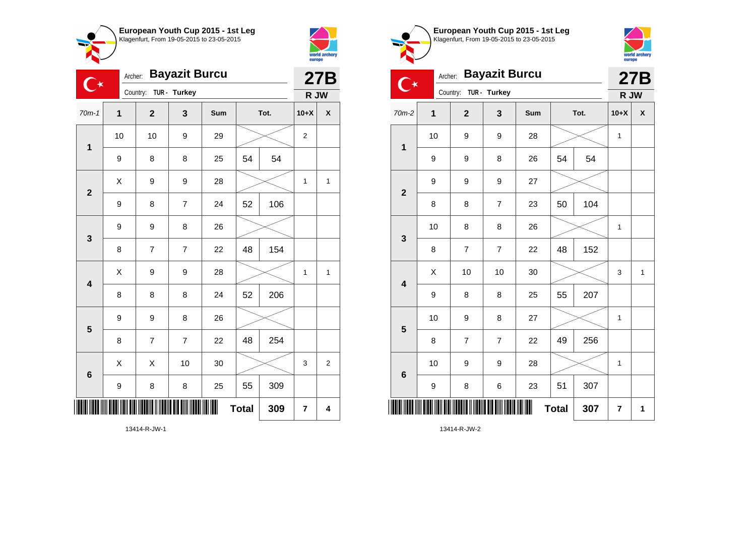



 $\bullet$  $\sim$ 

|                         | <b>Bayazit Burcu</b><br>Archer:<br>$\mathbb{C}^\star$ |                |                |     |              |     |                | <b>27B</b>     |  |
|-------------------------|-------------------------------------------------------|----------------|----------------|-----|--------------|-----|----------------|----------------|--|
|                         | TUR - Turkey<br>Country:                              |                |                |     |              |     | R JW           |                |  |
| $70m-1$                 | 1                                                     | $\overline{2}$ | 3              | Sum | Tot.         |     | $10+X$         | X              |  |
| $\mathbf 1$             | 10                                                    | 10             | 9              | 29  |              |     | $\overline{c}$ |                |  |
|                         | 9                                                     | 8              | 8              | 25  | 54           | 54  |                |                |  |
| $\overline{2}$          | X                                                     | 9              | 9              | 28  |              |     | 1              | $\mathbf{1}$   |  |
|                         | 9                                                     | 8              | $\overline{7}$ | 24  | 52           | 106 |                |                |  |
| 3                       | $\boldsymbol{9}$                                      | 9              | 8              | 26  |              |     |                |                |  |
|                         | 8                                                     | $\overline{7}$ | $\overline{7}$ | 22  | 48           | 154 |                |                |  |
| $\overline{\mathbf{4}}$ | X                                                     | 9              | 9              | 28  |              |     | 1              | 1              |  |
|                         | 8                                                     | 8              | 8              | 24  | 52           | 206 |                |                |  |
| 5                       | 9                                                     | 9              | 8              | 26  |              |     |                |                |  |
|                         | 8                                                     | $\overline{7}$ | $\overline{7}$ | 22  | 48           | 254 |                |                |  |
| $6\phantom{1}6$         | X                                                     | X              | 10             | 30  |              |     | 3              | $\overline{2}$ |  |
|                         | 9                                                     | 8              | 8              | 25  | 55           | 309 |                |                |  |
| III                     |                                                       |                |                | ║   | <b>Total</b> | 309 | $\overline{7}$ | 4              |  |
| 13414-R-JW-1            |                                                       |                |                |     |              |     |                |                |  |

world archery<br>europe Archer: **Bayazit Burcu 27B**  $\overline{C^*}$ Country: **TUR - Turkey R JW** 70m-2 **1 2 3 Sum Tot. 10+X X** 10 | 9 | 9 | 28 |  $\times$  | 1 **1** 9 | 9 | 8 | 26 | 54 | 54 9 9 9 27 **2** 8 | 8 | 7 | 23 | 50 | 104 10 | 8 | 8 | 26 |  $\times$  | 1 **3** 8 | 7 | 7 | 22 | 48 | 152  $\begin{array}{|c|c|c|c|c|c|}\hline \hspace{.1cm}X & \hspace{.1cm} \text{ 10} & \hspace{.1cm} \text{ 10} & \hspace{.1cm} \text{ 30} & \hspace{.1cm} \end{array} \hspace{1.2cm} \begin{array}{|c|c|c|c|c|c|}\hline \hspace{.1cm}X & \hspace{.1cm} \text{ 3} & \hspace{.1cm} \text{ 1} & \hspace{.1cm} \text{ 4} & \hspace{.1cm} \end{array} \hspace{1.2cm}$ **4** 9 | 8 | 8 | 25 | 55 | 207 10 | 9 | 8 | 27 |  $\times$  | 1 **5** 8 | 7 | 7 | 22 | 49 | 256 10 | 9 | 9 | 28 |  $\times$  | 1 **6**

**European Youth Cup 2015 - 1st Leg** Klagenfurt, From 19-05-2015 to 23-05-2015

9 | 8 | 6 | 23 | 51 | 307 \*13414-R-JW-2\*  $\textbf{Total}$  307  $\mid$  7  $\mid$  1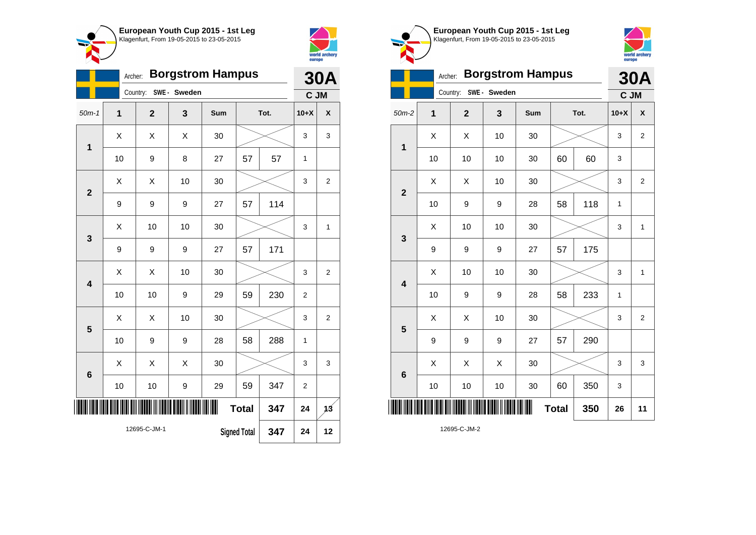



|                         | Archer:                                    |                |              | <b>Borgstrom Hampus</b> |              |      |                | <b>30A</b>     |
|-------------------------|--------------------------------------------|----------------|--------------|-------------------------|--------------|------|----------------|----------------|
|                         |                                            | Country:       | SWE - Sweden |                         |              |      | C JM           |                |
| $50m-1$                 | $\overline{1}$                             | $\overline{2}$ | 3            | Sum                     |              | Tot. | $10+X$         | X              |
| 1                       | Χ                                          | Χ              | X            | 30                      |              |      | 3              | 3              |
|                         | 10                                         | 9              | 8            | 27                      | 57           | 57   | 1              |                |
| $\overline{2}$          | X                                          | X              | 10           | 30                      |              |      | 3              | $\overline{2}$ |
|                         | 9                                          | 9              | 9            | 27                      | 57           | 114  |                |                |
| 3                       | X                                          | 10             | 10           | 30                      |              |      | 3              | $\mathbf{1}$   |
|                         | 9                                          | 9              | 9            | 27                      | 57           | 171  |                |                |
| $\overline{\mathbf{4}}$ | X                                          | X              | 10           | 30                      |              |      | 3              | $\overline{2}$ |
|                         | 10                                         | 10             | 9            | 29                      | 59           | 230  | $\overline{2}$ |                |
| 5                       | Χ                                          | Χ              | 10           | 30                      |              |      | 3              | $\overline{2}$ |
|                         | 10                                         | 9              | 9            | 28                      | 58           | 288  | 1              |                |
| 6                       | X                                          | X              | X            | 30                      |              |      | 3              | 3              |
|                         | 10                                         | 10             | 9            | 29                      | 59           | 347  | $\overline{2}$ |                |
| III                     |                                            |                |              | III                     | <b>Total</b> | 347  | 24             | 13             |
|                         | 12695-C-JM-1<br><b>Signed Total</b><br>347 |                |              |                         |              | 24   | 12             |                |







|                         |             | Country:     | SWE - Sweden     |     |              |      | C JM        |                    |
|-------------------------|-------------|--------------|------------------|-----|--------------|------|-------------|--------------------|
| $50m-2$                 | $\mathbf 1$ | $\mathbf{2}$ | $\mathbf{3}$     | Sum |              | Tot. | $10+X$      | $\pmb{\mathsf{X}}$ |
| 1                       | Χ           | Χ            | 10               | 30  |              |      | 3           | $\overline{c}$     |
|                         | 10          | 10           | 10               | 30  | 60           | 60   | 3           |                    |
| $\mathbf{2}$            | Χ           | Χ            | 10               | 30  |              |      | 3           | $\overline{2}$     |
|                         | 10          | 9            | 9                | 28  | 58           | 118  | 1           |                    |
| $\mathbf 3$             | Χ           | 10           | 10               | 30  |              |      | 3           | 1                  |
|                         | 9           | 9            | $\boldsymbol{9}$ | 27  | 57           | 175  |             |                    |
| $\overline{\mathbf{4}}$ | X           | $10$         | 10               | 30  |              |      | 3           | $\mathbf{1}$       |
|                         | 10          | 9            | $\boldsymbol{9}$ | 28  | 58           | 233  | $\mathbf 1$ |                    |
| $5\phantom{1}$          | X           | X            | 10               | 30  |              |      | 3           | $\overline{c}$     |
|                         | 9           | 9            | $\boldsymbol{9}$ | 27  | 57           | 290  |             |                    |
| $\bf 6$                 | X           | X            | X                | 30  |              |      | 3           | 3                  |
|                         | 10          | $10$         | $10$             | 30  | 60           | 350  | 3           |                    |
| ║║                      |             |              |                  | Ш   | <b>Total</b> | 350  | 26          | 11                 |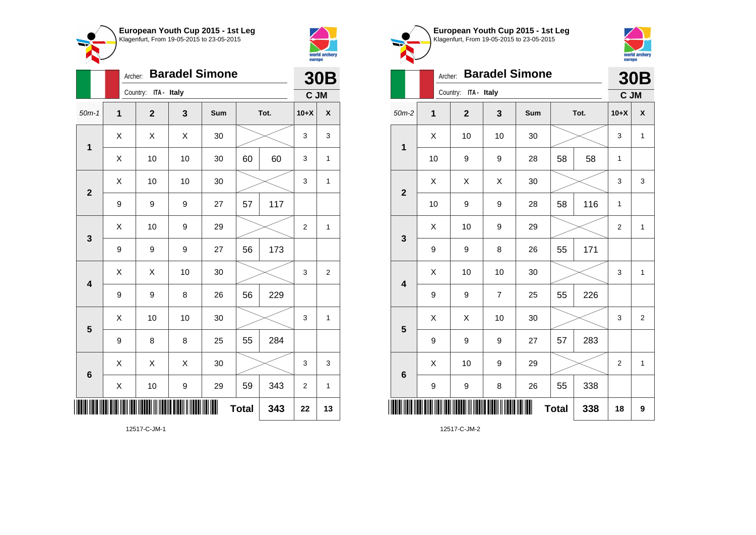



|                         |   | Archer:              |    | <b>Baradel Simone</b> |              |      |                  | <b>30B</b>     |
|-------------------------|---|----------------------|----|-----------------------|--------------|------|------------------|----------------|
|                         |   | Country: ITA - Italy |    |                       |              |      | C JM             |                |
| $50m-1$                 | 1 | $\mathbf{2}$         | 3  | Sum                   |              | Tot. | $10+X$           | χ              |
| 1                       | X | X                    | X  | 30                    |              |      | 3                | 3              |
|                         | X | 10                   | 10 | 30                    | 60           | 60   | 3                | 1              |
| $\mathbf{2}$            | Χ | 10                   | 10 | 30                    |              |      | 3                | $\mathbf{1}$   |
|                         | 9 | 9                    | 9  | 27                    | 57           | 117  |                  |                |
| 3                       | X | 10                   | 9  | 29                    |              |      | 2                | 1              |
|                         | 9 | 9                    | 9  | 27                    | 56           | 173  |                  |                |
| $\overline{\mathbf{4}}$ | X | X                    | 10 | 30                    |              |      | 3                | $\overline{2}$ |
|                         | 9 | 9                    | 8  | 26                    | 56           | 229  |                  |                |
| 5                       | X | 10                   | 10 | 30                    |              |      | 3                | 1              |
|                         | 9 | 8                    | 8  | 25                    | 55           | 284  |                  |                |
| $6\phantom{1}6$         | Χ | X                    | X  | 30                    |              |      | 3                | 3              |
|                         | Χ | 10                   | 9  | 29                    | 59           | 343  | $\boldsymbol{2}$ | 1              |
| ║║                      |   |                      |    |                       | <b>Total</b> | 343  | 22               | 13             |

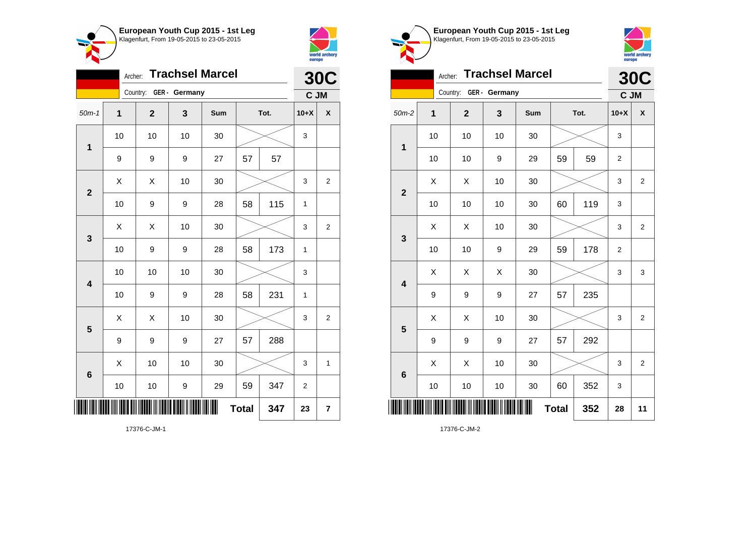



|                         | Archer: |                         |    | <b>Trachsel Marcel</b> |              |      |              | <b>30C</b>              |
|-------------------------|---------|-------------------------|----|------------------------|--------------|------|--------------|-------------------------|
|                         |         | Country: GER - Germany  |    |                        |              |      | C JM         |                         |
| $50m-1$                 | 1       | $\overline{\mathbf{2}}$ | 3  | Sum                    |              | Tot. | $10+X$       | χ                       |
| 1                       | 10      | 10                      | 10 | 30                     |              |      | 3            |                         |
|                         | 9       | 9                       | 9  | 27                     | 57           | 57   |              |                         |
| $\overline{2}$          | X       | X                       | 10 | 30                     |              |      | 3            | $\overline{2}$          |
|                         | 10      | 9                       | 9  | 28                     | 58           | 115  | $\mathbf{1}$ |                         |
| 3                       | X       | Χ                       | 10 | 30                     |              |      | 3            | $\overline{2}$          |
|                         | 10      | 9                       | 9  | 28                     | 58           | 173  | 1            |                         |
| $\overline{\mathbf{4}}$ | 10      | 10                      | 10 | 30                     |              |      | 3            |                         |
|                         | 10      | 9                       | 9  | 28                     | 58           | 231  | 1            |                         |
| 5                       | X       | X                       | 10 | 30                     |              |      | 3            | $\overline{2}$          |
|                         | 9       | 9                       | 9  | 27                     | 57           | 288  |              |                         |
| $6\phantom{1}6$         | X       | 10                      | 10 | 30                     |              |      | 3            | 1                       |
|                         | 10      | 10                      | 9  | 29                     | 59           | 347  | 2            |                         |
|                         |         |                         |    |                        | <b>Total</b> | 347  | 23           | $\overline{\mathbf{r}}$ |





|                         | Archer:      |                        |    | <b>Trachsel Marcel</b> |              |      | <b>30C</b>     |                    |
|-------------------------|--------------|------------------------|----|------------------------|--------------|------|----------------|--------------------|
|                         |              | Country: GER - Germany |    |                        |              |      | C JM           |                    |
| $50m-2$                 | $\mathbf{1}$ | $\overline{2}$         | 3  | <b>Sum</b>             |              | Tot. | $10+X$         | $\pmb{\mathsf{X}}$ |
| 1                       | 10           | 10                     | 10 | 30                     |              |      | 3              |                    |
|                         | 10           | 10                     | 9  | 29                     | 59           | 59   | $\overline{2}$ |                    |
| $\overline{2}$          | X            | X                      | 10 | 30                     |              |      | 3              | $\overline{2}$     |
|                         | 10           | 10                     | 10 | 30                     | 60           | 119  | 3              |                    |
| 3                       | X            | X                      | 10 | 30                     |              |      | 3              | $\overline{2}$     |
|                         | 10           | 10                     | 9  | 29                     | 59           | 178  | $\overline{2}$ |                    |
| $\overline{\mathbf{4}}$ | X            | Χ                      | X  | 30                     |              |      | 3              | 3                  |
|                         | 9            | 9                      | 9  | 27                     | 57           | 235  |                |                    |
| 5                       | Χ            | Χ                      | 10 | 30                     |              |      | 3              | $\overline{2}$     |
|                         | 9            | 9                      | 9  | 27                     | 57           | 292  |                |                    |
| $6\phantom{1}6$         | X            | Χ                      | 10 | 30                     |              |      | 3              | $\overline{2}$     |
|                         | 10           | 10                     | 10 | 30                     | 60           | 352  | 3              |                    |
|                         |              |                        |    |                        | <b>Total</b> | 352  | 28             | 11                 |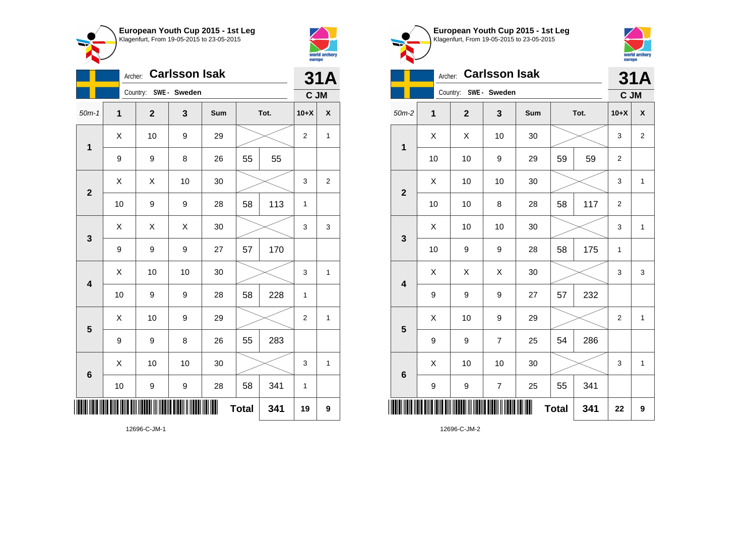



 $\bullet$  $\sim$ 

|                         |                  | Archer:                 | <b>Carlsson Isak</b> |     |              |      |                | <b>31A</b>     |
|-------------------------|------------------|-------------------------|----------------------|-----|--------------|------|----------------|----------------|
|                         |                  | Country: SWE - Sweden   |                      |     |              |      | C JM           |                |
| $50m-1$                 | 1                | $\overline{\mathbf{2}}$ | 3                    | Sum |              | Tot. | $10+X$         | X              |
| $\mathbf 1$             | Χ                | 10                      | 9                    | 29  |              |      | $\overline{c}$ | 1              |
|                         | 9                | 9                       | 8                    | 26  | 55           | 55   |                |                |
| $\overline{\mathbf{2}}$ | X                | Χ                       | 10                   | 30  |              |      | 3              | $\overline{2}$ |
|                         | 10               | 9                       | 9                    | 28  | 58           | 113  | 1              |                |
| 3                       | Χ                | Χ                       | Χ                    | 30  |              |      | 3              | 3              |
|                         | $\boldsymbol{9}$ | 9                       | 9                    | 27  | 57           | 170  |                |                |
| $\overline{\mathbf{4}}$ | X                | 10                      | 10                   | 30  |              |      | 3              | 1              |
|                         | 10               | 9                       | 9                    | 28  | 58           | 228  | 1              |                |
| 5                       | X                | 10                      | 9                    | 29  |              |      | $\overline{2}$ | $\mathbf{1}$   |
|                         | 9                | 9                       | 8                    | 26  | 55           | 283  |                |                |
| $6\phantom{1}6$         | X                | 10                      | 10                   | 30  |              |      | 3              | $\mathbf{1}$   |
|                         | 10               | 9                       | 9                    | 28  | 58           | 341  | 1              |                |
| ║║                      |                  |                         |                      | III | <b>Total</b> | 341  | 19             | 9              |

world archery<br>europe Archer: **Carlsson Isak 31A** Country: **SWE - Sweden C JM** 50m-2 **1 2 3 Sum Tot. 10+X X**  $X$   $\mid$   $X$   $\mid$  10  $\mid$  30  $\mid$   $\gg$   $\mid$  3  $\mid$  2 **1** 10 | 10 | 9 | 29 | 59 | 59 | 2  $\begin{array}{|c|c|c|c|c|c|}\hline \hspace{.1cm}X & \hspace{.1cm} \text{ 10} & \hspace{.1cm} \text{ 10} & \hspace{.1cm} \text{ 30} & \hspace{.1cm} \end{array} \hspace{.2cm} \begin{array}{|c|c|c|c|c|c|}\hline \hspace{.1cm}X & \hspace{.1cm} \text{ 3} & \hspace{.1cm} \text{ 1} & \hspace{.1cm} \text{ 4} & \hspace{.1cm} \end{array}$ **2** 10 | 10 | 8 | 28 | 58 | 117 | 2  $\textsf{X}$  | 10 | 10 | 30 |  $\textcolor{blue}{\swarrow}$  | 3 | 1 **3** 10 | 9 | 9 | 28 | 58 | 175 | 1  $\begin{array}{|c|c|c|c|c|}\hline \text{X} & \text{X} & \text{X} & \text{30} & \text{\hspace{1em}}\hline \end{array} \hspace{0.2cm} \begin{array}{|c|c|c|c|c|}\hline \text{X} & \text{3} & \text{3} & \text{3} & \text{3} & \text{3} & \text{3} & \text{3} & \text{3} & \text{3} & \text{3} & \text{3} & \text{3} & \text{3} & \text{3} & \text{3} & \text{3} & \text{3} & \text{3} & \text{3} & \text{3} & \text{3}$ **4** 9 9 9 27 57 232  $\begin{array}{|c|c|c|c|c|c|}\hline \hspace{.1cm}X & \hspace{.1cm} & \textbf{10} & \hspace{.1cm} & \textbf{9} & \hspace{.1cm} & \textbf{29} & \hspace{.1cm} & \hspace{.1cm} & \hspace{.1cm} & \hspace{.1cm} & \hspace{.1cm} & \hspace{.1cm} & \hspace{.1cm} & \hspace{.1cm} & \hspace{.1cm} & \hspace{.1cm} & \hspace{.1cm} & \hspace{.1cm} \hline \end{array}$ **5** 9 | 9 | 7 | 25 | 54 | 286  $\begin{array}{|c|c|c|c|c|c|}\hline \hspace{.1cm}X & \hspace{.1cm} \text{ 10} & \hspace{.1cm} \text{ 10} & \hspace{.1cm} \text{ 30} & \hspace{.1cm} \end{array} \hspace{.2cm} \begin{array}{|c|c|c|c|c|c|}\hline \hspace{.1cm}X & \hspace{.1cm} \text{ 3} & \hspace{.1cm} \text{ 1} & \hspace{.1cm} \text{ 4} & \hspace{.1cm} \end{array}$ **6** 9 | 9 | 7 | 25 |  $55$  |  $341$ \*12696-C-JM-2\*  $\textbf{Total}$  341 22 9

**European Youth Cup 2015 - 1st Leg** Klagenfurt, From 19-05-2015 to 23-05-2015

12696-C-JM-1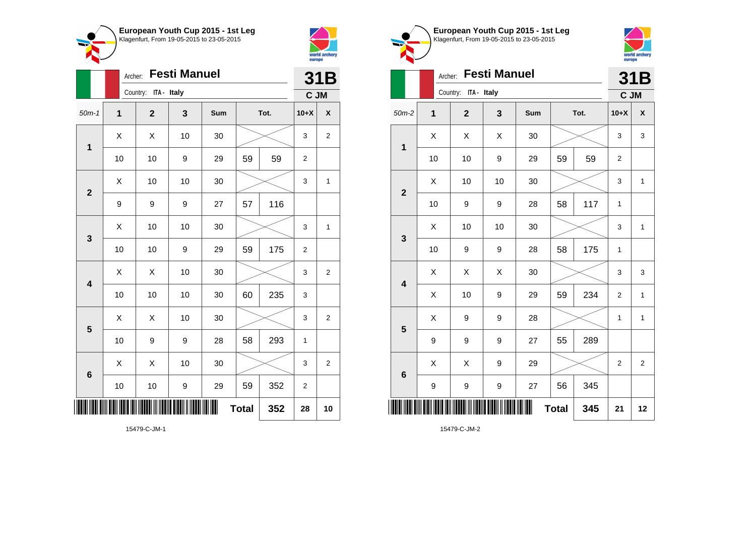



|                 | Archer:      |                      | <b>Festi Manuel</b> |     |              |      |                  | 31B                |
|-----------------|--------------|----------------------|---------------------|-----|--------------|------|------------------|--------------------|
|                 |              | Country: ITA - Italy |                     |     |              |      | C JM             |                    |
| $50m-1$         | $\mathbf{1}$ | $\overline{2}$       | 3                   | Sum |              | Tot. | $10+X$           | $\pmb{\mathsf{X}}$ |
| $\mathbf 1$     | X            | X                    | 10                  | 30  |              |      | 3                | $\mathbf 2$        |
|                 | 10           | 10                   | 9                   | 29  | 59           | 59   | $\boldsymbol{2}$ |                    |
| $\overline{2}$  | X            | 10                   | 10                  | 30  |              |      | 3                | 1                  |
|                 | 9            | 9                    | 9                   | 27  | 57           | 116  |                  |                    |
| 3               | X            | 10                   | 10                  | 30  |              |      | 3                | 1                  |
|                 | 10           | 10                   | 9                   | 29  | 59           | 175  | $\overline{c}$   |                    |
| 4               | Χ            | Χ                    | 10                  | 30  |              |      | 3                | $\mathbf 2$        |
|                 | 10           | 10                   | 10                  | 30  | 60           | 235  | 3                |                    |
| 5               | X            | X                    | 10                  | 30  |              |      | 3                | $\overline{c}$     |
|                 | 10           | 9                    | 9                   | 28  | 58           | 293  | $\mathbf 1$      |                    |
| $6\phantom{1}6$ | X            | X                    | 10                  | 30  |              |      | 3                | $\boldsymbol{2}$   |
|                 | 10           | 10                   | 9                   | 29  | 59           | 352  | $\mathbf 2$      |                    |
| II              |              |                      |                     |     | <b>Total</b> | 352  | 28               | 10                 |



**European Youth Cup 2015 - 1st Leg** Klagenfurt, From 19-05-2015 to 23-05-2015

9 | 9 | 9 | 27 | 56 | 345 \*15479-C-JM-2\* **Total 345 21 12**

15479-C-JM-1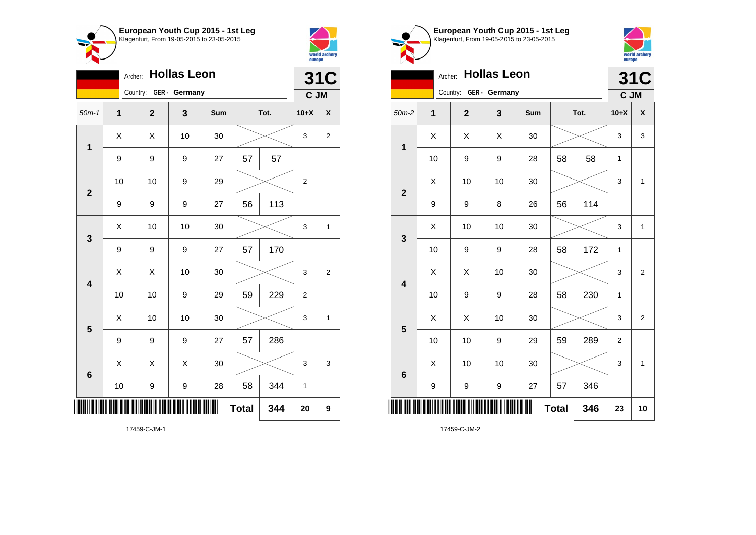



|                         |      | <b>Hollas Leon</b><br>Archer: |    |     |              |      | <b>31C</b>     |                         |
|-------------------------|------|-------------------------------|----|-----|--------------|------|----------------|-------------------------|
|                         |      | Country: GER - Germany        |    |     |              |      | C JM           |                         |
| $50m-1$                 | 1    | $\mathbf 2$                   | 3  | Sum |              | Tot. | $10+X$         | $\pmb{\mathsf{X}}$      |
| $\mathbf 1$             | X    | Χ                             | 10 | 30  |              |      | 3              | $\overline{\mathbf{c}}$ |
|                         | 9    | 9                             | 9  | 27  | 57           | 57   |                |                         |
| $\mathbf{2}$            | 10   | 10                            | 9  | 29  |              |      | $\overline{2}$ |                         |
|                         | 9    | 9                             | 9  | 27  | 56           | 113  |                |                         |
| 3                       | X    | 10                            | 10 | 30  |              |      | 3              | $\mathbf{1}$            |
|                         | 9    | 9                             | 9  | 27  | 57           | 170  |                |                         |
| $\overline{\mathbf{4}}$ | Χ    | Χ                             | 10 | 30  |              |      | 3              | $\overline{\mathbf{c}}$ |
|                         | 10   | 10                            | 9  | 29  | 59           | 229  | $\overline{2}$ |                         |
| 5                       | X    | 10                            | 10 | 30  |              |      | 3              | $\mathbf{1}$            |
|                         | 9    | 9                             | 9  | 27  | 57           | 286  |                |                         |
| $6\phantom{1}6$         | X    | Χ                             | X  | 30  |              |      | 3              | 3                       |
|                         | $10$ | 9                             | 9  | 28  | 58           | 344  | 1              |                         |
|                         |      |                               |    |     | <b>Total</b> | 344  | 20             | 9                       |





|                         | Archer:      |                        | <b>Hollas Leon</b> |     |              |      |                  | <b>31C</b>     |
|-------------------------|--------------|------------------------|--------------------|-----|--------------|------|------------------|----------------|
|                         |              | Country: GER - Germany |                    |     |              |      | C JM             |                |
| $50m-2$                 | $\mathbf{1}$ | $\mathbf{2}$           | 3                  | Sum |              | Tot. | $10+X$           | X              |
| 1                       | X            | X                      | X                  | 30  |              |      | 3                | 3              |
|                         | 10           | 9                      | 9                  | 28  | 58           | 58   | 1                |                |
| $\overline{2}$          | Χ            | 10                     | 10                 | 30  |              |      | 3                | 1              |
|                         | 9            | 9                      | 8                  | 26  | 56           | 114  |                  |                |
| $\mathbf{3}$            | Χ            | 10                     | 10                 | 30  |              |      | 3                | 1              |
|                         | 10           | 9                      | 9                  | 28  | 58           | 172  | 1                |                |
| $\overline{\mathbf{4}}$ | X            | X                      | 10                 | 30  |              |      | 3                | $\overline{2}$ |
|                         | 10           | 9                      | 9                  | 28  | 58           | 230  | 1                |                |
| 5                       | X            | X                      | 10                 | 30  |              |      | 3                | $\overline{2}$ |
|                         | 10           | 10                     | $\boldsymbol{9}$   | 29  | 59           | 289  | $\boldsymbol{2}$ |                |
| 6                       | X            | 10                     | 10                 | 30  |              |      | 3                | 1              |
|                         | 9            | 9                      | 9                  | 27  | 57           | 346  |                  |                |
|                         |              |                        |                    |     | <b>Total</b> | 346  | 23               | 10             |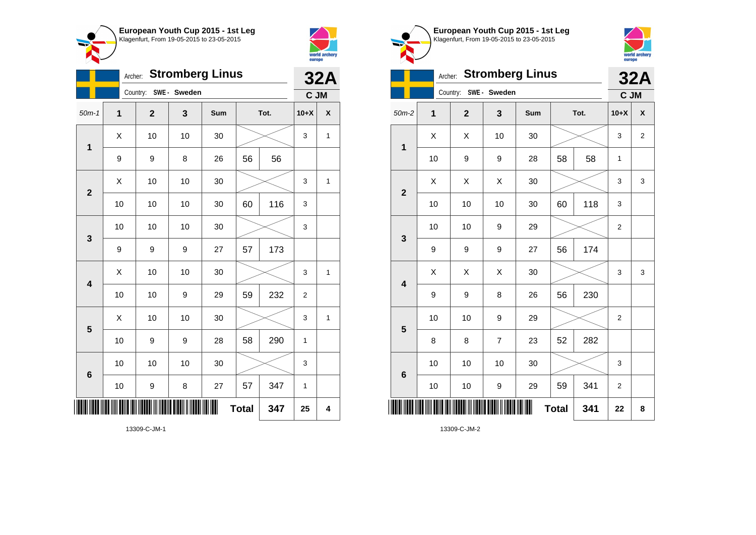



|                 |    |                       |    | Archer: Stromberg Linus |              |      |                | <b>32A</b>         |
|-----------------|----|-----------------------|----|-------------------------|--------------|------|----------------|--------------------|
|                 |    | Country: SWE - Sweden |    |                         |              |      | C JM           |                    |
| $50m-1$         | 1  | $\mathbf 2$           | 3  | Sum                     |              | Tot. | $10+X$         | $\pmb{\mathsf{X}}$ |
| $\mathbf 1$     | X  | 10                    | 10 | 30                      |              |      | 3              | 1                  |
|                 | 9  | 9                     | 8  | 26                      | 56           | 56   |                |                    |
| $\mathbf{2}$    | X  | 10                    | 10 | 30                      |              |      | 3              | $\mathbf{1}$       |
|                 | 10 | 10                    | 10 | 30                      | 60           | 116  | 3              |                    |
| 3               | 10 | 10                    | 10 | 30                      |              |      | 3              |                    |
|                 | 9  | 9                     | 9  | 27                      | 57           | 173  |                |                    |
| 4               | Χ  | 10                    | 10 | 30                      |              |      | 3              | 1                  |
|                 | 10 | 10                    | 9  | 29                      | 59           | 232  | $\overline{2}$ |                    |
| 5               | X  | 10                    | 10 | 30                      |              |      | 3              | $\overline{1}$     |
|                 | 10 | 9                     | 9  | 28                      | 58           | 290  | 1              |                    |
| $6\phantom{1}6$ | 10 | 10                    | 10 | 30                      |              |      | 3              |                    |
|                 | 10 | 9                     | 8  | 27                      | 57           | 347  | 1              |                    |
| ║║              |    |                       |    | ∭                       | <b>Total</b> | 347  | 25             | 4                  |



**European Youth Cup 2015 - 1st Leg**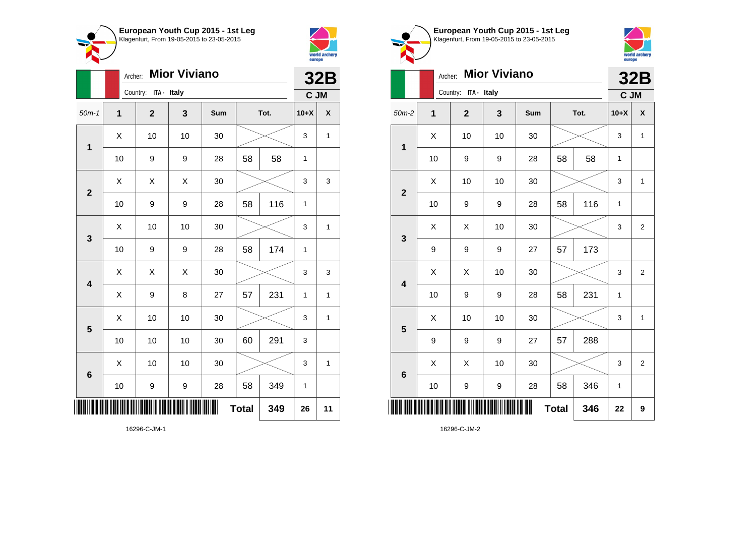



|                         | Archer: |                         | <b>Mior Viviano</b> |     |              |      |              | <b>32B</b>   |
|-------------------------|---------|-------------------------|---------------------|-----|--------------|------|--------------|--------------|
|                         |         | Country:<br>ITA - Italy |                     |     |              |      | C JM         |              |
| $50m-1$                 | 1       | $\mathbf{2}$            | 3                   | Sum |              | Tot. | $10+X$       | X            |
| 1                       | X       | 10                      | 10                  | 30  |              |      | 3            | $\mathbf{1}$ |
|                         | 10      | 9                       | 9                   | 28  | 58           | 58   | 1            |              |
| $\overline{2}$          | Χ       | X                       | X                   | 30  |              |      | 3            | 3            |
|                         | 10      | 9                       | 9                   | 28  | 58           | 116  | 1            |              |
| 3                       | X       | 10                      | 10                  | 30  |              |      | 3            | 1            |
|                         | 10      | 9                       | 9                   | 28  | 58           | 174  | 1            |              |
| $\overline{\mathbf{4}}$ | X       | X                       | X                   | 30  |              |      | 3            | 3            |
|                         | Χ       | 9                       | 8                   | 27  | 57           | 231  | $\mathbf{1}$ | $\mathbf{1}$ |
| 5                       | X       | 10                      | 10                  | 30  |              |      | 3            | 1            |
|                         | 10      | 10                      | 10                  | 30  | 60           | 291  | 3            |              |
| $6\phantom{1}6$         | Χ       | 10                      | 10                  | 30  |              |      | 3            | 1            |
|                         | 10      | 9                       | 9                   | 28  | 58           | 349  | $\mathbf{1}$ |              |
|                         |         |                         |                     | ║   | <b>Total</b> | 349  | 26           | 11           |





|                         | Archer: |                      | <b>Mior Viviano</b> |     |              |      |        | <b>32B</b>     |
|-------------------------|---------|----------------------|---------------------|-----|--------------|------|--------|----------------|
|                         |         | Country: ITA - Italy |                     |     |              |      | C JM   |                |
| $50m-2$                 | 1       | $\overline{2}$       | 3                   | Sum |              | Tot. | $10+X$ | X              |
| $\overline{\mathbf{1}}$ | X       | 10                   | 10                  | 30  |              |      | 3      | $\mathbf{1}$   |
|                         | 10      | 9                    | 9                   | 28  | 58           | 58   | 1      |                |
| $\overline{2}$          | X       | 10                   | 10                  | 30  |              |      | 3      | 1              |
|                         | 10      | 9                    | 9                   | 28  | 58           | 116  | 1      |                |
| 3                       | X       | X                    | 10                  | 30  |              |      | 3      | $\overline{2}$ |
|                         | 9       | 9                    | 9                   | 27  | 57           | 173  |        |                |
| $\overline{\mathbf{4}}$ | Χ       | X                    | 10                  | 30  |              |      | 3      | $\overline{2}$ |
|                         | 10      | 9                    | 9                   | 28  | 58           | 231  | 1      |                |
| 5                       | X       | 10                   | 10                  | 30  |              |      | 3      | $\mathbf{1}$   |
|                         | 9       | 9                    | 9                   | 27  | 57           | 288  |        |                |
| $6\phantom{1}6$         | X       | Χ                    | 10                  | 30  |              |      | 3      | $\overline{2}$ |
|                         | 10      | 9                    | 9                   | 28  | 58           | 346  | 1      |                |
|                         |         |                      |                     |     | <b>Total</b> | 346  | 22     | 9              |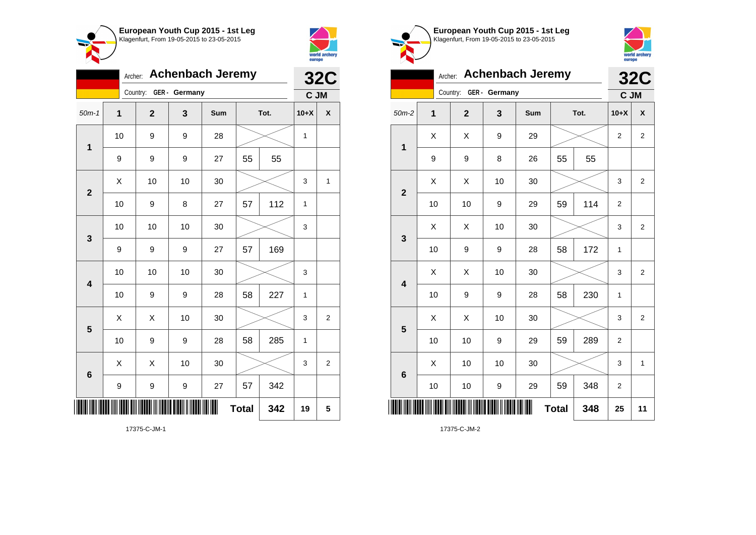

Country: **GER - Germany**

**1**

**2**

**3**

**4**

**5**

**6**

Archer: **Achenbach Jeremy**

50m-1 **1 2 3 Sum Tot. 10+X X**

9 | 9 | 27 | 55 | 55

10 | 9 | 9 | 28 |  $\times$  | 1

10 | 9 | 8 | 27 | 57 | 112 | 1

10 | 10 | 10 | 30 |  $\times$  | 3

10 | 10 | 10 | 30 |  $\times$  | 3

10 | 9 | 9 | 28 | 58 | 227 | 1

10 | 9 | 9 | 28 | 58 | 285 | 1

9 | 9 | 9 | 27 | 57 | 342

 $\begin{array}{|c|c|c|c|c|}\hline \hspace{0.8cm}X & X & 10 & 30 & X \ \hline \end{array} \hspace{0.2cm} \begin{array}{|c|c|c|c|c|}\hline \hspace{0.8cm}3 & 3 & 2 \ \hline \end{array}$ 

 $\begin{array}{|c|c|c|c|c|}\hline \hspace{0.8cm}X & X & 10 & 30 & X \ \hline \end{array} \hspace{0.2cm} \begin{array}{|c|c|c|c|c|}\hline \hspace{0.8cm}3 & 3 & 2 \ \hline \end{array}$ 

**Total 342 19 5**

9 | 9 | 9 | 27 | 57 | 169

 $\begin{array}{|c|c|c|c|c|c|}\hline \hspace{.1cm}X & \hspace{.1cm} \text{ 10} & \hspace{.1cm} \text{ 10} & \hspace{.1cm} \text{ 30} & \hspace{.1cm} \end{array} \hspace{.2cm} \begin{array}{|c|c|c|c|c|c|}\hline \hspace{.1cm}X & \hspace{.1cm} \text{ 3} & \hspace{.1cm} \text{ 1} & \hspace{.1cm} \text{ 4} & \hspace{.1cm} \end{array}$ 



**32C C JM**

| European Youth Cup 2015 - 1st Leg<br>Klagenfurt, From 19-05-2015 to 23-05-2015 |
|--------------------------------------------------------------------------------|
|                                                                                |
|                                                                                |



|                |    | Archer:                |    | <b>Achenbach Jeremy</b> |              |      |                | <b>32C</b>     |
|----------------|----|------------------------|----|-------------------------|--------------|------|----------------|----------------|
|                |    | Country: GER - Germany |    |                         |              |      | C JM           |                |
| $50m-2$        | 1  | $\overline{2}$         | 3  | <b>Sum</b>              |              | Tot. | $10+X$         | X              |
| $\mathbf{1}$   | X  | X                      | 9  | 29                      |              |      | 2              | 2              |
|                | 9  | 9                      | 8  | 26                      | 55           | 55   |                |                |
| $\overline{2}$ | Χ  | X                      | 10 | 30                      |              |      | 3              | $\overline{2}$ |
|                | 10 | 10                     | 9  | 29                      | 59           | 114  | $\overline{2}$ |                |
| 3              | X  | X                      | 10 | 30                      |              |      | 3              | $\mathbf 2$    |
|                | 10 | 9                      | 9  | 28                      | 58           | 172  | 1              |                |
| 4              | X  | X                      | 10 | 30                      |              |      | 3              | $\overline{c}$ |
|                | 10 | 9                      | 9  | 28                      | 58           | 230  | $\mathbf{1}$   |                |
| 5              | X  | X                      | 10 | 30                      |              |      | 3              | $\overline{2}$ |
|                | 10 | 10                     | 9  | 29                      | 59           | 289  | $\overline{2}$ |                |
| 6              | X  | 10                     | 10 | 30                      |              |      | 3              | $\mathbf{1}$   |
|                | 10 | 10                     | 9  | 29                      | 59           | 348  | $\overline{2}$ |                |
|                |    |                        |    |                         | <b>Total</b> | 348  | 25             | 11             |

17375-C-JM-1

\*17375-C-JM-1\*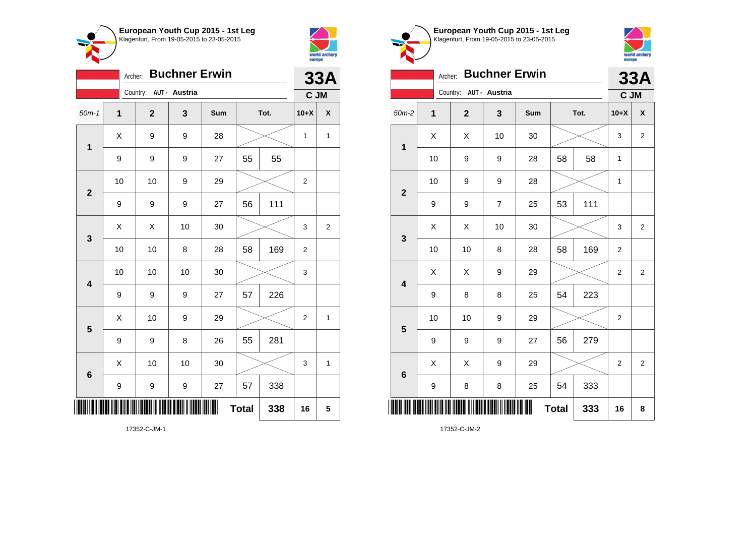



|                         | Archer: |                        | <b>Buchner Erwin</b> |     |              |      |                  | <b>33A</b>         |
|-------------------------|---------|------------------------|----------------------|-----|--------------|------|------------------|--------------------|
|                         |         | Country: AUT - Austria |                      |     |              |      | C JM             |                    |
| $50m-1$                 | 1       | $\overline{2}$         | 3                    | Sum |              | Tot. | $10+X$           | $\pmb{\mathsf{X}}$ |
| 1                       | Χ       | 9                      | 9                    | 28  |              |      | $\mathbf{1}$     | 1                  |
|                         | 9       | 9                      | 9                    | 27  | 55           | 55   |                  |                    |
| $\mathbf{2}$            | 10      | 10                     | 9                    | 29  |              |      | 2                |                    |
|                         | 9       | 9                      | 9                    | 27  | 56           | 111  |                  |                    |
| 3                       | Χ       | Χ                      | 10                   | 30  |              |      | 3                | 2                  |
|                         | 10      | 10                     | 8                    | 28  | 58           | 169  | $\boldsymbol{2}$ |                    |
| $\overline{\mathbf{4}}$ | 10      | 10                     | 10                   | 30  |              |      | 3                |                    |
|                         | 9       | 9                      | 9                    | 27  | 57           | 226  |                  |                    |
| 5                       | X       | 10                     | 9                    | 29  |              |      | 2                | 1                  |
|                         | 9       | 9                      | 8                    | 26  | 55           | 281  |                  |                    |
| $6\phantom{1}6$         | X       | 10                     | 10                   | 30  |              |      | 3                | 1                  |
|                         | 9       | 9                      | 9                    | 27  | 57           | 338  |                  |                    |
| ║                       |         |                        |                      |     | <b>Total</b> | 338  | 16               | 5                  |

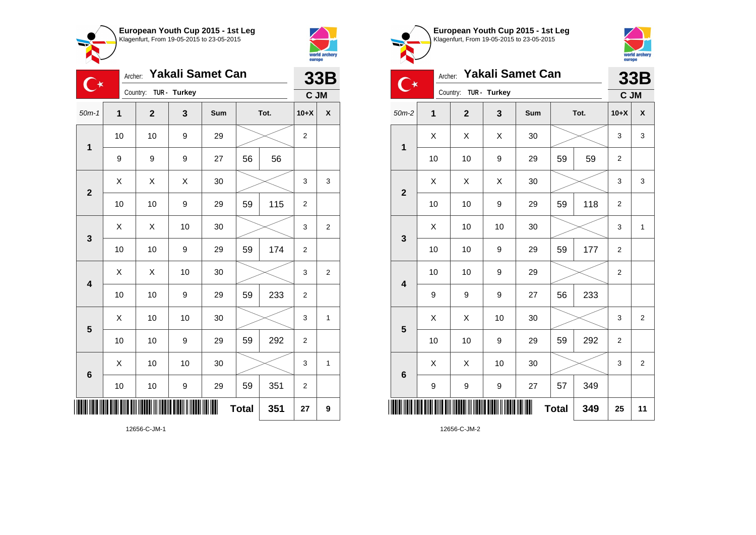



| $\mathsf{C}^\star$ |              | Archer:                 |    | <b>Yakali Samet Can</b> |              |      |                | <b>33B</b>     |
|--------------------|--------------|-------------------------|----|-------------------------|--------------|------|----------------|----------------|
|                    |              | Country: TUR - Turkey   |    |                         |              |      | C JM           |                |
| $50m-1$            | $\mathbf{1}$ | $\overline{\mathbf{2}}$ | 3  | Sum                     |              | Tot. | $10+X$         | χ              |
| 1                  | 10           | 10                      | 9  | 29                      |              |      | $\overline{c}$ |                |
|                    | 9            | 9                       | 9  | 27                      | 56           | 56   |                |                |
| $\overline{2}$     | Χ            | X                       | X  | 30                      |              |      | 3              | 3              |
|                    | 10           | 10                      | 9  | 29                      | 59           | 115  | $\overline{2}$ |                |
| $\mathbf{3}$       | X            | Χ                       | 10 | 30                      |              |      | 3              | $\mathbf{2}$   |
|                    | 10           | 10                      | 9  | 29                      | 59           | 174  | 2              |                |
| 4                  | X            | X                       | 10 | 30                      |              |      | 3              | $\overline{c}$ |
|                    | 10           | 10                      | 9  | 29                      | 59           | 233  | $\overline{2}$ |                |
| 5                  | X            | 10                      | 10 | 30                      |              |      | 3              | 1              |
|                    | 10           | 10                      | 9  | 29                      | 59           | 292  | $\overline{2}$ |                |
| $\boldsymbol{6}$   | Χ            | 10                      | 10 | 30                      |              |      | 3              | 1              |
|                    | 10           | 10                      | 9  | 29                      | 59           | 351  | $\overline{2}$ |                |
| Ⅲ                  |              |                         |    | ∭                       | <b>Total</b> | 351  | 27             | 9              |





|                         | Archer:      |              |                  | <b>Yakali Samet Can</b> |              |      |                | 33B            |
|-------------------------|--------------|--------------|------------------|-------------------------|--------------|------|----------------|----------------|
|                         |              | Country:     | TUR - Turkey     |                         |              |      | C JM           |                |
| $50m-2$                 | $\mathbf{1}$ | $\mathbf{2}$ | 3                | Sum                     |              | Tot. | $10+X$         | X              |
| $\mathbf{1}$            | X            | X            | Χ                | 30                      |              |      | 3              | 3              |
|                         | 10           | 10           | 9                | 29                      | 59           | 59   | 2              |                |
| $\overline{2}$          | X            | X            | X                | 30                      |              |      | 3              | 3              |
|                         | 10           | 10           | 9                | 29                      | 59           | 118  | $\overline{2}$ |                |
| 3                       | X            | 10           | 10               | 30                      |              |      | 3              | $\mathbf{1}$   |
|                         | 10           | 10           | 9                | 29                      | 59           | 177  | $\overline{2}$ |                |
| $\overline{\mathbf{4}}$ | 10           | 10           | $\boldsymbol{9}$ | 29                      |              |      | 2              |                |
|                         | 9            | 9            | 9                | 27                      | 56           | 233  |                |                |
| 5                       | Χ            | X            | 10               | 30                      |              |      | 3              | 2              |
|                         | 10           | 10           | 9                | 29                      | 59           | 292  | $\overline{2}$ |                |
| $6\phantom{1}6$         | X            | X            | 10               | 30                      |              |      | 3              | $\overline{2}$ |
|                         | 9            | 9            | 9                | 27                      | 57           | 349  |                |                |
| ║║║                     |              |              |                  | ∭                       | <b>Total</b> | 349  | 25             | 11             |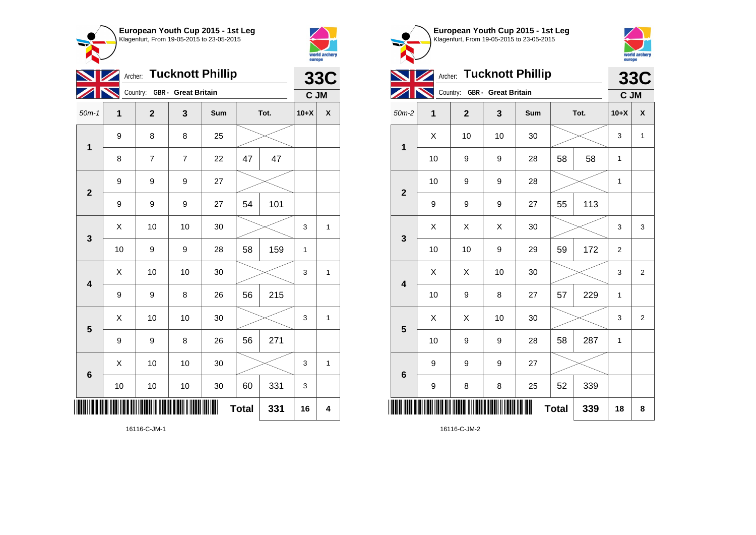



|                         |                  |                              |                | Archer: Tucknott Phillip |              |      |              | <b>33C</b>              |
|-------------------------|------------------|------------------------------|----------------|--------------------------|--------------|------|--------------|-------------------------|
|                         |                  | Country: GBR - Great Britain |                |                          |              |      | C JM         |                         |
| $50m-1$                 | 1                | $\overline{\mathbf{2}}$      | 3              | Sum                      |              | Tot. | $10+X$       | X                       |
| $\mathbf 1$             | 9                | 8                            | 8              | 25                       |              |      |              |                         |
|                         | 8                | $\overline{7}$               | $\overline{7}$ | 22                       | 47           | 47   |              |                         |
| $\overline{\mathbf{2}}$ | $\boldsymbol{9}$ | 9                            | 9              | 27                       |              |      |              |                         |
|                         | $\boldsymbol{9}$ | 9                            | 9              | 27                       | 54           | 101  |              |                         |
| $\mathbf{3}$            | Χ                | 10                           | 10             | 30                       |              |      | 3            | $\mathbf{1}$            |
|                         | 10               | 9                            | 9              | 28                       | 58           | 159  | $\mathbf{1}$ |                         |
| $\overline{\mathbf{4}}$ | Χ                | 10                           | 10             | 30                       |              |      | 3            | $\mathbf{1}$            |
|                         | 9                | 9                            | 8              | 26                       | 56           | 215  |              |                         |
| 5                       | Χ                | 10                           | 10             | 30                       |              |      | 3            | $\mathbf{1}$            |
|                         | 9                | 9                            | 8              | 26                       | 56           | 271  |              |                         |
| $6\phantom{1}6$         | Χ                | 10                           | 10             | 30                       |              |      | 3            | $\mathbf{1}$            |
|                         | 10               | 10                           | 10             | 30                       | 60           | 331  | 3            |                         |
|                         |                  |                              |                |                          | <b>Total</b> | 331  | 16           | $\overline{\mathbf{4}}$ |



**European Youth Cup 2015 - 1st Leg**

16116-C-JM-2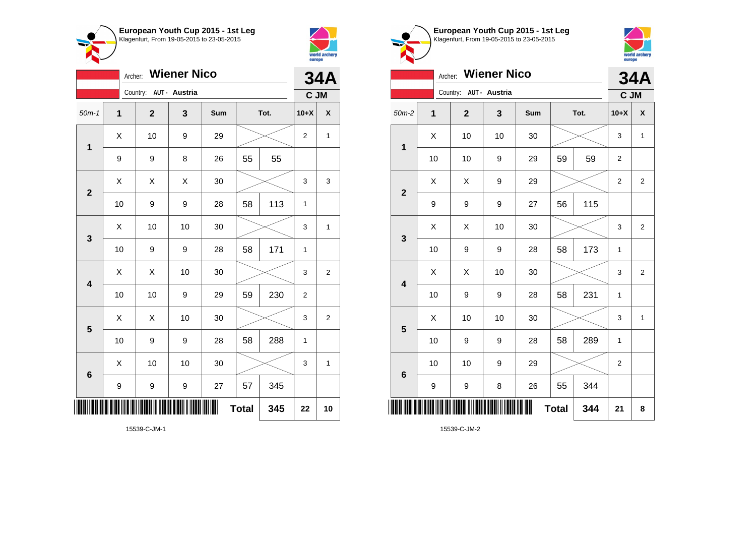



|                         |    | Archer:                 | <b>Wiener Nico</b> |     |              |      |                | <b>34A</b>         |
|-------------------------|----|-------------------------|--------------------|-----|--------------|------|----------------|--------------------|
|                         |    | Country: AUT - Austria  |                    |     |              |      | C JM           |                    |
| $50m-1$                 | 1  | $\overline{\mathbf{2}}$ | 3                  | Sum |              | Tot. | $10+X$         | $\pmb{\mathsf{X}}$ |
| $\mathbf{1}$            | X  | 10                      | 9                  | 29  |              |      | $\overline{2}$ | 1                  |
|                         | 9  | 9                       | 8                  | 26  | 55           | 55   |                |                    |
| $\mathbf{2}$            | Χ  | Χ                       | X                  | 30  |              |      | 3              | 3                  |
|                         | 10 | 9                       | 9                  | 28  | 58           | 113  | $\mathbf{1}$   |                    |
| 3                       | Χ  | 10                      | 10                 | 30  |              |      | 3              | 1                  |
|                         | 10 | 9                       | 9                  | 28  | 58           | 171  | 1              |                    |
| $\overline{\mathbf{4}}$ | X  | X                       | 10                 | 30  |              |      | 3              | $\overline{c}$     |
|                         | 10 | 10                      | 9                  | 29  | 59           | 230  | $\overline{2}$ |                    |
| 5                       | Χ  | X                       | 10                 | 30  |              |      | 3              | $\overline{2}$     |
|                         | 10 | 9                       | 9                  | 28  | 58           | 288  | 1              |                    |
| $6\phantom{1}6$         | Χ  | 10                      | 10                 | 30  |              |      | 3              | 1                  |
|                         | 9  | 9                       | 9                  | 27  | 57           | 345  |                |                    |
| ║║║                     |    |                         |                    | Ш   | <b>Total</b> | 345  | 22             | 10                 |





|                         | Archer: |                        | <b>Wiener Nico</b> |     |              |      |                | <b>34A</b>         |
|-------------------------|---------|------------------------|--------------------|-----|--------------|------|----------------|--------------------|
|                         |         | Country: AUT - Austria |                    |     |              |      | C JM           |                    |
| $50m-2$                 | 1       | $\mathbf 2$            | 3                  | Sum |              | Tot. | $10+X$         | $\pmb{\mathsf{X}}$ |
| $\mathbf 1$             | X       | 10                     | 10                 | 30  |              |      | 3              | $\mathbf{1}$       |
|                         | 10      | 10                     | 9                  | 29  | 59           | 59   | $\mathbf 2$    |                    |
| $\overline{\mathbf{2}}$ | X       | Χ                      | 9                  | 29  |              |      | $\overline{2}$ | $\overline{2}$     |
|                         | 9       | 9                      | 9                  | 27  | 56           | 115  |                |                    |
| $\mathbf{3}$            | X       | Χ                      | 10                 | 30  |              |      | 3              | $\overline{2}$     |
|                         | 10      | 9                      | 9                  | 28  | 58           | 173  | $\mathbf{1}$   |                    |
| $\overline{\mathbf{4}}$ | Χ       | Χ                      | 10                 | 30  |              |      | 3              | $\overline{2}$     |
|                         | 10      | 9                      | 9                  | 28  | 58           | 231  | $\mathbf{1}$   |                    |
| 5                       | X       | 10                     | 10                 | 30  |              |      | 3              | 1                  |
|                         | 10      | 9                      | 9                  | 28  | 58           | 289  | $\mathbf{1}$   |                    |
| $6\phantom{1}6$         | 10      | 10                     | 9                  | 29  |              |      | $\overline{2}$ |                    |
|                         | 9       | 9                      | 8                  | 26  | 55           | 344  |                |                    |
| ║                       |         |                        |                    |     | <b>Total</b> | 344  | 21             | 8                  |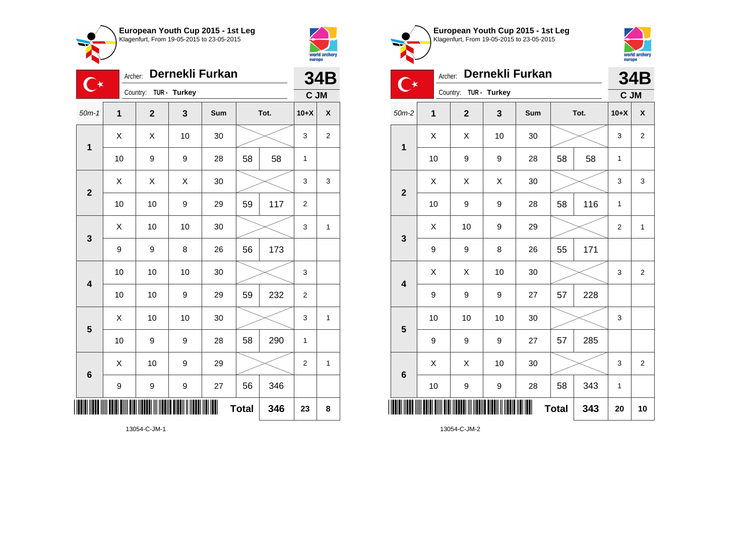



| $\mathbb{C}^\star$      | Archer:        |                         |              | Dernekli Furkan |              |      |                  | 34B            |
|-------------------------|----------------|-------------------------|--------------|-----------------|--------------|------|------------------|----------------|
|                         |                | Country:                | TUR - Turkey |                 |              |      | C JM             |                |
| $50m-1$                 | $\overline{1}$ | $\overline{\mathbf{2}}$ | 3            | Sum             |              | Tot. | $10+X$           | X              |
| 1                       | X              | X                       | 10           | 30              |              |      | 3                | $\overline{c}$ |
|                         | 10             | 9                       | 9            | 28              | 58           | 58   | 1                |                |
| $\overline{\mathbf{2}}$ | X              | Χ                       | X            | 30              |              |      | 3                | 3              |
|                         | 10             | 10                      | 9            | 29              | 59           | 117  | $\overline{2}$   |                |
| 3                       | Χ              | 10                      | 10           | 30              |              |      | 3                | $\mathbf{1}$   |
|                         | 9              | 9                       | 8            | 26              | 56           | 173  |                  |                |
| $\overline{\mathbf{4}}$ | 10             | 10                      | 10           | 30              |              |      | 3                |                |
|                         | 10             | 10                      | 9            | 29              | 59           | 232  | $\boldsymbol{2}$ |                |
| 5                       | X              | 10                      | 10           | 30              |              |      | 3                | 1              |
|                         | 10             | 9                       | 9            | 28              | 58           | 290  | 1                |                |
| 6                       | X              | 10                      | 9            | 29              |              |      | $\overline{2}$   | 1              |
|                         | 9              | 9                       | 9            | 27              | 56           | 346  |                  |                |
|                         |                |                         |              | ║║              | <b>Total</b> | 346  | 23               | 8              |





|                         | Archer: |                         |              | Dernekli Furkan |              |      |                | <b>34B</b>              |
|-------------------------|---------|-------------------------|--------------|-----------------|--------------|------|----------------|-------------------------|
|                         |         | Country:                | TUR - Turkey |                 |              |      | C JM           |                         |
| $50m-2$                 | 1       | $\overline{\mathbf{2}}$ | 3            | Sum             |              | Tot. | $10+X$         | $\pmb{\mathsf{X}}$      |
| $\mathbf 1$             | X       | X                       | 10           | 30              |              |      | 3              | $\overline{\mathbf{c}}$ |
|                         | 10      | 9                       | 9            | 28              | 58           | 58   | 1              |                         |
| $\overline{2}$          | Χ       | Χ                       | Χ            | 30              |              |      | 3              | 3                       |
|                         | 10      | 9                       | 9            | 28              | 58           | 116  | $\mathbf{1}$   |                         |
| $\mathbf{3}$            | X       | 10                      | 9            | 29              |              |      | $\overline{2}$ | $\mathbf{1}$            |
|                         | 9       | 9                       | 8            | 26              | 55           | 171  |                |                         |
| $\overline{\mathbf{4}}$ | X       | X                       | 10           | 30              |              |      | 3              | $\overline{2}$          |
|                         | 9       | 9                       | 9            | 27              | 57           | 228  |                |                         |
| 5                       | 10      | 10                      | 10           | 30              |              |      | 3              |                         |
|                         | 9       | 9                       | 9            | 27              | 57           | 285  |                |                         |
| $6\phantom{1}6$         | X       | X                       | 10           | 30              |              |      | 3              | $\overline{2}$          |
|                         | 10      | 9                       | 9            | 28              | 58           | 343  | 1              |                         |
|                         |         |                         |              |                 | <b>Total</b> | 343  | 20             | 10                      |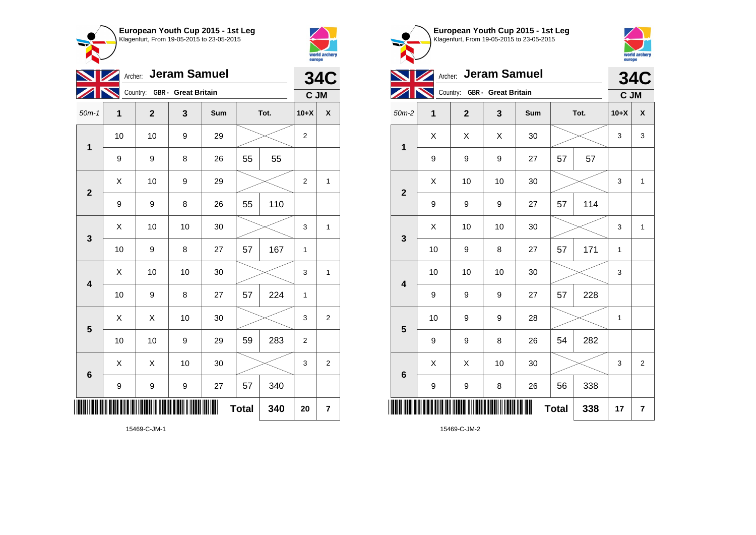



|                         |    | Archer: Jeram Samuel         |    |     |              |      |                  | <b>34C</b>              |
|-------------------------|----|------------------------------|----|-----|--------------|------|------------------|-------------------------|
|                         |    | Country: GBR - Great Britain |    |     |              |      | C JM             |                         |
| $50m-1$                 | 1  | $\overline{\mathbf{2}}$      | 3  | Sum |              | Tot. | $10+X$           | X                       |
| $\mathbf{1}$            | 10 | 10                           | 9  | 29  |              |      | $\overline{c}$   |                         |
|                         | 9  | 9                            | 8  | 26  | 55           | 55   |                  |                         |
| $\overline{\mathbf{2}}$ | Χ  | 10                           | 9  | 29  |              |      | $\overline{c}$   | $\mathbf{1}$            |
|                         | 9  | 9                            | 8  | 26  | 55           | 110  |                  |                         |
| 3                       | Χ  | 10                           | 10 | 30  |              |      | 3                | 1                       |
|                         | 10 | 9                            | 8  | 27  | 57           | 167  | 1                |                         |
| $\overline{\mathbf{4}}$ | X  | 10                           | 10 | 30  |              |      | 3                | 1                       |
|                         | 10 | 9                            | 8  | 27  | 57           | 224  | 1                |                         |
| 5                       | X  | X                            | 10 | 30  |              |      | 3                | $\overline{2}$          |
|                         | 10 | 10                           | 9  | 29  | 59           | 283  | $\boldsymbol{2}$ |                         |
| $6\phantom{1}6$         | X  | Χ                            | 10 | 30  |              |      | 3                | $\overline{2}$          |
|                         | 9  | 9                            | 9  | 27  | 57           | 340  |                  |                         |
|                         |    |                              |    | Ш   | <b>Total</b> | 340  | 20               | $\overline{\mathbf{r}}$ |



**European Youth Cup 2015 - 1st Leg**

15469-C-JM-2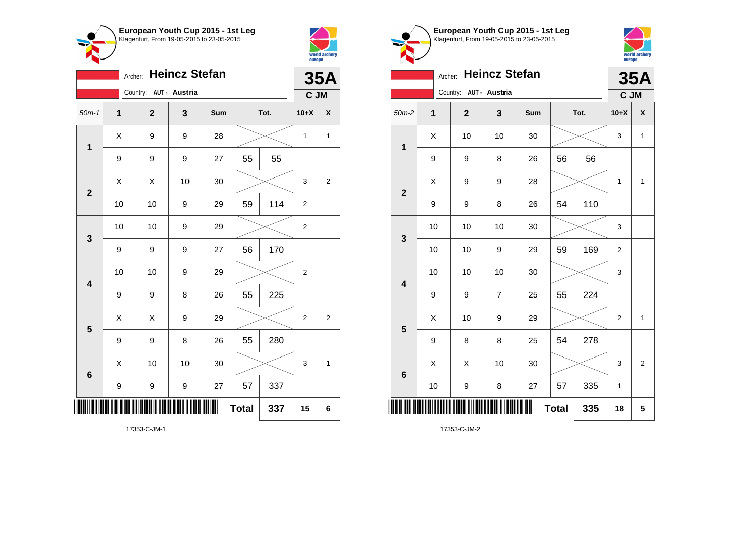



**1**

|                         | Archer: |                        | <b>Heincz Stefan</b> |     |              |      |                | <b>35A</b>         |
|-------------------------|---------|------------------------|----------------------|-----|--------------|------|----------------|--------------------|
|                         |         | Country: AUT - Austria |                      |     |              |      | C JM           |                    |
| $50m-1$                 | 1       | $\mathbf{2}$           | 3                    | Sum |              | Tot. | $10+X$         | $\pmb{\mathsf{X}}$ |
| $\mathbf{1}$            | Χ       | 9                      | 9                    | 28  |              |      | 1              | $\mathbf{1}$       |
|                         | 9       | 9                      | 9                    | 27  | 55           | 55   |                |                    |
| $\mathbf{2}$            | X       | X                      | 10                   | 30  |              |      | 3              | $\overline{2}$     |
|                         | 10      | 10                     | 9                    | 29  | 59           | 114  | $\overline{2}$ |                    |
| $\mathbf{3}$            | 10      | 10                     | 9                    | 29  |              |      | $\overline{c}$ |                    |
|                         | 9       | 9                      | 9                    | 27  | 56           | 170  |                |                    |
| $\overline{\mathbf{4}}$ | 10      | 10                     | 9                    | 29  |              |      | 2              |                    |
|                         | 9       | 9                      | 8                    | 26  | 55           | 225  |                |                    |
| 5                       | X       | Χ                      | 9                    | 29  |              |      | $\overline{2}$ | $\overline{c}$     |
|                         | 9       | 9                      | 8                    | 26  | 55           | 280  |                |                    |
| 6                       | Χ       | 10                     | 10                   | 30  |              |      | 3              | 1                  |
|                         | 9       | 9                      | $\mathsf g$          | 27  | 57           | 337  |                |                    |
|                         |         |                        |                      |     | <b>Total</b> | 337  | 15             | 6                  |

**European Youth Cup 2015 - 1st Leg** Klagenfurt, From 19-05-2015 to 23-05-2015 Archer: **Heincz Stefan** Country: **AUT - Austria** 50m-2 **1 2 3 Sum Tot. 10+X X**  $\begin{array}{|c|c|c|c|c|c|}\hline \hspace{.1cm}X & \hspace{.1cm} \text{ 10} & \hspace{.1cm} \text{ 10} & \hspace{.1cm} \text{ 30} & \hspace{.1cm} \end{array} \hspace{.2cm} \begin{array}{|c|c|c|c|c|c|}\hline \hspace{.1cm}X & \hspace{.1cm} \text{ 3} & \hspace{.1cm} \text{ 1} & \hspace{.1cm} \text{ 4} & \hspace{.1cm} \end{array}$ 9 | 9 | 8 | 26 | 56 | 56

**35A**

world archery<br>europe

**C JM**

| $\mathbf{2}$            | $\sf X$ | 9            | 9                | 28 |    |     | $\mathbf{1}$              | $\mathbf{1}$            |
|-------------------------|---------|--------------|------------------|----|----|-----|---------------------------|-------------------------|
|                         | 9       | 9            | 8                | 26 | 54 | 110 |                           |                         |
| $\mathbf{3}$            | 10      | 10           | 10               | 30 |    |     | 3                         |                         |
|                         | 10      | $10$         | $\boldsymbol{9}$ | 29 | 59 | 169 | $\mathbf 2$               |                         |
| $\overline{\mathbf{4}}$ | 10      | 10           | 10               | 30 |    |     | 3                         |                         |
|                         | 9       | 9            | $\boldsymbol{7}$ | 25 | 55 | 224 |                           |                         |
| $5\phantom{.0}$         | X       | 10           | $\boldsymbol{9}$ | 29 |    |     | $\boldsymbol{2}$          | $\mathbf{1}$            |
|                         | 9       | 8            | 8                | 25 | 54 | 278 |                           |                         |
| $\bf 6$                 | X       | X            | 10               | 30 |    |     | $\ensuremath{\mathsf{3}}$ | $\overline{\mathbf{c}}$ |
|                         | 10      | 9            | 8                | 27 | 57 | 335 | 1                         |                         |
| ║║                      |         | <b>Total</b> | 335              | 18 | 5  |     |                           |                         |

17353-C-JM-2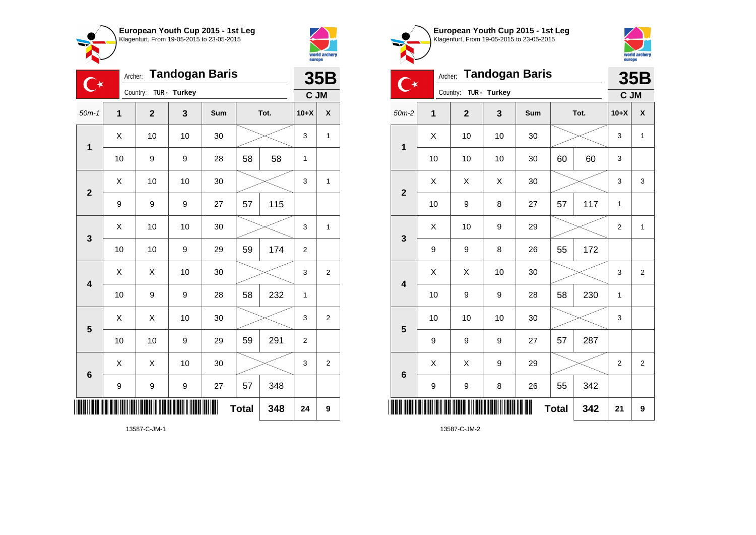



| <b>Tandogan Baris</b><br>Archer:<br>∁∗ |                  |                |              |            |              |      |                | 35B            |  |
|----------------------------------------|------------------|----------------|--------------|------------|--------------|------|----------------|----------------|--|
|                                        |                  | Country:       | TUR - Turkey |            |              |      | C JM           |                |  |
| $50m-1$                                | 1                | $\overline{2}$ | 3            | <b>Sum</b> |              | Tot. | $10+X$         | X              |  |
| $\mathbf 1$                            | Χ                | 10             | 10           | 30         |              |      | 3              | $\mathbf{1}$   |  |
|                                        | 10               | 9              | 9            | 28         | 58           | 58   | 1              |                |  |
| $\overline{2}$                         | X                | 10             | 10           | 30         |              |      | 3              | $\mathbf{1}$   |  |
|                                        | 9                | 9              | 9            | 27         | 57           | 115  |                |                |  |
| 3                                      | X                | 10             | 10           | 30         |              |      | 3              | 1              |  |
|                                        | 10               | 10             | 9            | 29         | 59           | 174  | $\overline{2}$ |                |  |
| $\overline{\mathbf{4}}$                | Χ                | X              | 10           | 30         |              |      | 3              | 2              |  |
|                                        | 10               | 9              | 9            | 28         | 58           | 232  | $\mathbf{1}$   |                |  |
| 5                                      | X                | X              | 10           | 30         |              |      | 3              | 2              |  |
|                                        | 10               | 10             | 9            | 29         | 59           | 291  | $\overline{2}$ |                |  |
| $6\phantom{1}$                         | X                | X              | 10           | 30         |              |      | 3              | $\overline{c}$ |  |
|                                        | $\boldsymbol{9}$ | 9              | 9            | 27         | 57           | 348  |                |                |  |
| ║                                      |                  |                |              | ║║         | <b>Total</b> | 348  | 24             | 9              |  |
| 13587-C-JM-1                           |                  |                |              |            |              |      |                |                |  |





| 【 ★                     | <b>35B</b> |              |              |     |              |      |                |                |
|-------------------------|------------|--------------|--------------|-----|--------------|------|----------------|----------------|
|                         |            | Country:     | TUR - Turkey |     |              |      | C JM           |                |
| $50m-2$                 | 1          | $\mathbf{2}$ | 3            | Sum |              | Tot. | $10+X$         | χ              |
| 1                       | Χ          | 10           | 10           | 30  |              |      | 3              | 1              |
|                         | 10         | 10           | 10           | 30  | 60           | 60   | 3              |                |
| $\overline{\mathbf{2}}$ | X          | X            | Χ            | 30  |              |      | 3              | 3              |
|                         | 10         | 9            | 8            | 27  | 57           | 117  | 1              |                |
| 3                       | X          | 10           | 9            | 29  |              |      | $\overline{2}$ | 1              |
|                         | 9          | 9            | 8            | 26  | 55           | 172  |                |                |
| $\overline{\mathbf{4}}$ | X          | Χ            | 10           | 30  |              |      | 3              | 2              |
|                         | 10         | 9            | 9            | 28  | 58           | 230  | 1              |                |
| 5                       | 10         | 10           | 10           | 30  |              |      | 3              |                |
|                         | 9          | 9            | 9            | 27  | 57           | 287  |                |                |
| $6\phantom{1}6$         | X          | X            | 9            | 29  |              |      | $\overline{2}$ | $\overline{2}$ |
|                         | 9          | 9            | 8            | 26  | 55           | 342  |                |                |
| ║║                      |            |              |              |     | <b>Total</b> | 342  | 21             | 9              |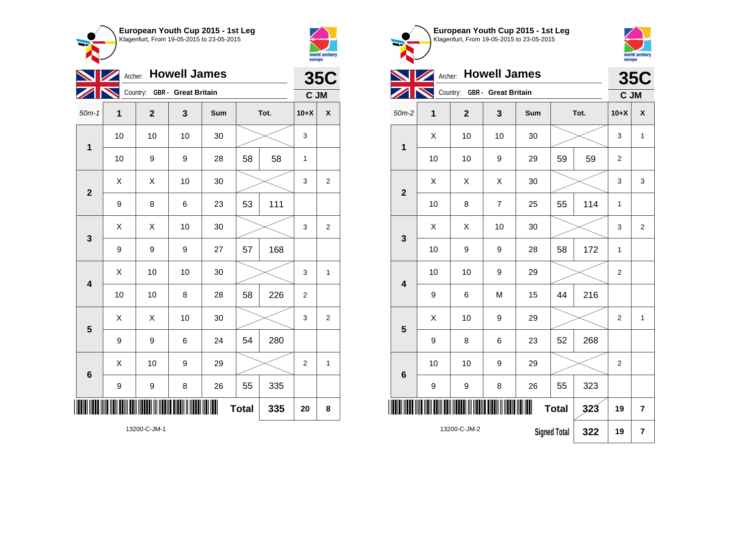



| <b>NZ</b>               | Archer: Howell James | <b>35C</b>                   |    |     |              |      |                |                    |
|-------------------------|----------------------|------------------------------|----|-----|--------------|------|----------------|--------------------|
|                         |                      | Country: GBR - Great Britain |    |     |              |      | C JM           |                    |
| $50m-1$                 | $\overline{1}$       | $\overline{2}$               | 3  | Sum |              | Tot. | $10+X$         | $\pmb{\mathsf{X}}$ |
| 1                       | 10                   | 10                           | 10 | 30  |              |      | 3              |                    |
|                         | 10                   | 9                            | 9  | 28  | 58           | 58   | $\mathbf{1}$   |                    |
| $\overline{\mathbf{2}}$ | Χ                    | X                            | 10 | 30  |              |      | 3              | $\overline{2}$     |
|                         | 9                    | 8                            | 6  | 23  | 53           | 111  |                |                    |
| 3                       | Χ                    | Χ                            | 10 | 30  |              |      | 3              | $\overline{2}$     |
|                         | 9                    | 9                            | 9  | 27  | 57           | 168  |                |                    |
| $\overline{\mathbf{4}}$ | Χ                    | 10                           | 10 | 30  |              |      | 3              | $\mathbf{1}$       |
|                         | 10                   | 10                           | 8  | 28  | 58           | 226  | $\overline{2}$ |                    |
| 5                       | X                    | X                            | 10 | 30  |              |      | 3              | $\overline{2}$     |
|                         | 9                    | 9                            | 6  | 24  | 54           | 280  |                |                    |
| 6                       | $\sf X$              | 10                           | 9  | 29  |              |      | $\overline{2}$ | 1                  |
|                         | $\boldsymbol{9}$     | 9                            | 8  | 26  | 55           | 335  |                |                    |
|                         |                      |                              |    | ║   | <b>Total</b> | 335  | 20             | 8                  |

|                         |             | world archery<br>europe      |                     |     |              |      |                  |                    |
|-------------------------|-------------|------------------------------|---------------------|-----|--------------|------|------------------|--------------------|
|                         | Archer:     |                              | <b>Howell James</b> |     |              |      |                  | <b>35C</b>         |
|                         |             | Country: GBR - Great Britain |                     |     |              |      | C JM             |                    |
| $50m-2$                 | $\mathbf 1$ | $\overline{2}$               | 3                   | Sum |              | Tot. | $10+X$           | $\pmb{\mathsf{X}}$ |
| $\mathbf{1}$            | X           | 10                           | 10                  | 30  |              |      | 3                | $\mathbf{1}$       |
|                         | 10          | 10                           | 9                   | 29  | 59           | 59   | 2                |                    |
| $\overline{2}$          | X           | X                            | X                   | 30  |              |      | 3                | 3                  |
|                         | 10          | 8                            | $\overline{7}$      | 25  | 55           | 114  | 1                |                    |
| $\mathbf{3}$            | X           | X                            | 10                  | 30  |              |      | 3                | $\overline{2}$     |
|                         | 10          | 9                            | 9                   | 28  | 58           | 172  | 1                |                    |
| $\overline{\mathbf{4}}$ | 10          | 10                           | 9                   | 29  |              |      | $\boldsymbol{2}$ |                    |
|                         | 9           | 6                            | M                   | 15  | 44           | 216  |                  |                    |
| 5                       | X           | 10                           | 9                   | 29  |              |      | $\overline{2}$   | $\mathbf{1}$       |
|                         | 9           | 8                            | 6                   | 23  | 52           | 268  |                  |                    |
| $6\phantom{1}6$         | 10          | 10                           | 9                   | 29  |              |      | $\overline{2}$   |                    |
|                         | 9           | 9                            | 8                   | 26  | 55           | 323  |                  |                    |
|                         |             |                              |                     |     | <b>Total</b> | 323  | 19               | 7                  |

**Signed Total 322 19 7**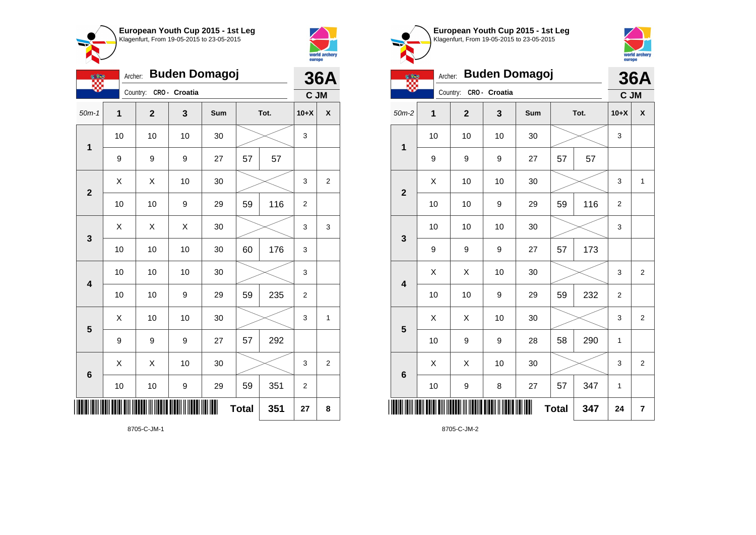



|                         | <b>Buden Domagoj</b><br>Archer:<br><u>othe</u> |                |               |     |              |      |                  | <b>36A</b>     |  |
|-------------------------|------------------------------------------------|----------------|---------------|-----|--------------|------|------------------|----------------|--|
|                         |                                                | Country:       | CRO - Croatia |     |              |      | C JM             |                |  |
| $50m-1$                 | $\overline{1}$                                 | $\overline{2}$ | 3             | Sum |              | Tot. | $10+X$           | X              |  |
| 1                       | 10                                             | 10             | 10            | 30  |              |      | 3                |                |  |
|                         | 9                                              | 9              | 9             | 27  | 57           | 57   |                  |                |  |
| $\overline{\mathbf{2}}$ | Χ                                              | X              | 10            | 30  |              |      | 3                | $\overline{2}$ |  |
|                         | 10                                             | 10             | 9             | 29  | 59           | 116  | $\overline{2}$   |                |  |
| 3                       | Χ                                              | Χ              | X             | 30  |              |      | 3                | 3              |  |
|                         | 10                                             | 10             | 10            | 30  | 60           | 176  | 3                |                |  |
| $\overline{\mathbf{4}}$ | 10                                             | 10             | 10            | 30  |              |      | 3                |                |  |
|                         | 10                                             | 10             | 9             | 29  | 59           | 235  | 2                |                |  |
| 5                       | Χ                                              | 10             | 10            | 30  |              |      | 3                | 1              |  |
|                         | 9                                              | 9              | 9             | 27  | 57           | 292  |                  |                |  |
| 6                       | Χ                                              | X              | 10            | 30  |              |      | 3                | $\overline{c}$ |  |
|                         | 10                                             | 10             | 9             | 29  | 59           | 351  | $\boldsymbol{2}$ |                |  |
|                         |                                                |                |               |     | <b>Total</b> | 351  | 27               | 8              |  |

Klagenfurt, From 19-05-2015 to 23-05-2015 world archery<br>europe Archer: **Buden Domagoj 36A** ₩. Country: **CRO - Croatia C JM** 50m-2 **1 2 3 Sum Tot. 10+X X** 10 | 10 | 10 | 30 |  $\times$  | 3 **1** 9 | 9 | 27 | 57 | 57  $\begin{array}{|c|c|c|c|c|c|}\hline \hspace{.1cm}X & \hspace{.1cm} \text{ 10} & \hspace{.1cm} \text{ 10} & \hspace{.1cm} \text{ 30} & \hspace{.1cm} \end{array} \hspace{.2cm} \begin{array}{|c|c|c|c|c|c|}\hline \hspace{.1cm}X & \hspace{.1cm} \text{ 3} & \hspace{.1cm} \text{ 1} & \hspace{.1cm} \text{ 4} & \hspace{.1cm} \end{array}$ **2** 10 | 10 | 9 | 29 | 59 | 116 | 2 10 | 10 | 10 | 30 |  $\times$  | 3 **3** 9 | 9 | 9 | 27 | 57 | 173  $\begin{array}{|c|c|c|c|c|}\hline \hspace{0.8cm}X & \hspace{0.8cm}X & \hspace{0.8cm}10 & \hspace{0.8cm}30 & \hspace{0.8cm}\hline \end{array} \hspace{0.2cm}\rightarrow \hspace{0.2cm}\begin{array}{|c|c|c|c|c|}\hline \hspace{0.8cm}X & \hspace{0.8cm}3 & \hspace{0.8cm}2 & \hspace{0.8cm}\hline \end{array}$ **4** 10 | 10 | 9 | 29 | 59 | 232 | 2  $\begin{array}{|c|c|c|c|c|}\hline \text{X} & \text{X} & \text{10} & \text{30} & \text{\hspace{1em}}\hline \end{array} \hspace{.1cm} \begin{array}{|c|c|c|c|c|}\hline \text{3} & \text{3} & \text{2} & \text{3} & \text{2} \\\hline \end{array}$ **5** 10 | 9 | 9 | 28 | 58 | 290 | 1  $\begin{array}{|c|c|c|c|c|c|}\hline \hspace{.1cm}X & \hspace{.1cm} \hspace{.1cm}X & \hspace{.1cm} \hspace{.1cm}10 & \hspace{.1cm} \hspace{.1cm}30 & \hspace{.1cm} \end{array} \hspace{.2cm} \begin{array}{c|c|c|c|c|c|c|c} \hline \hspace{.1cm}X & \hspace{.1cm} \hspace{.1cm}3 & \hspace{.1cm} \end{array} \hspace{.1cm} \begin{array}{|c|c|c|c|c|c|c|c|c|c|c|c|c|c|c|c|c$ **6** 10 | 9 | 8 | 27 | 57 | 347 | 1 \*8705-C-JM-2\* **Total 347 24 7**

**European Youth Cup 2015 - 1st Leg**

8705-C-JM-2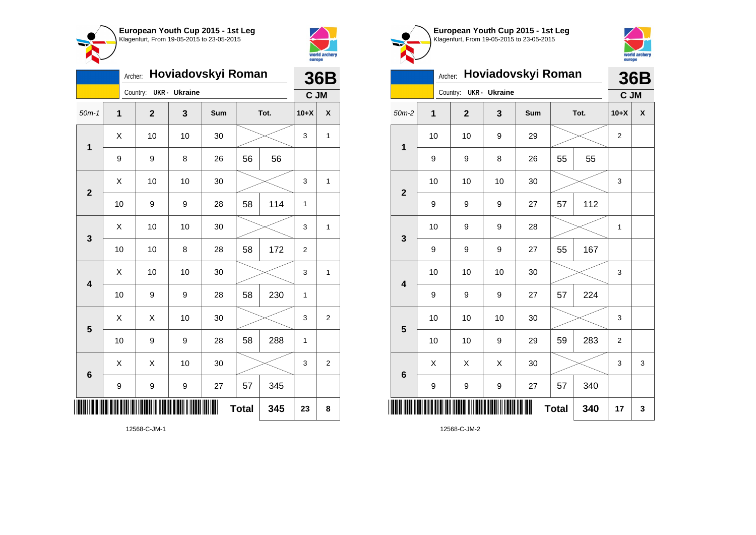



| Hoviadovskyi Roman<br>Archer: |    |  |                |                      |     |              |      |                | <b>36B</b>     |  |
|-------------------------------|----|--|----------------|----------------------|-----|--------------|------|----------------|----------------|--|
|                               |    |  | Country:       | <b>UKR</b> - Ukraine |     |              |      | C JM           |                |  |
| $50m-1$                       | 1  |  | $\overline{2}$ | 3                    | Sum |              | Tot. | $10+X$         | X              |  |
| 1                             | X  |  | 10             | 10                   | 30  |              |      | 3              | 1              |  |
|                               | 9  |  | 9              | 8                    | 26  | 56           | 56   |                |                |  |
| $\overline{\mathbf{2}}$       | X  |  | 10             | 10                   | 30  |              |      | 3              | 1              |  |
|                               | 10 |  | 9              | 9                    | 28  | 58           | 114  | 1              |                |  |
| 3                             | X  |  | 10             | 10                   | 30  |              |      | 3              | 1              |  |
|                               | 10 |  | 10             | 8                    | 28  | 58           | 172  | $\overline{2}$ |                |  |
| 4                             | X  |  | 10             | 10                   | 30  |              |      | 3              | $\mathbf{1}$   |  |
|                               | 10 |  | 9              | 9                    | 28  | 58           | 230  | 1              |                |  |
| 5                             | X  |  | Χ              | 10                   | 30  |              |      | 3              | $\overline{2}$ |  |
|                               | 10 |  | 9              | 9                    | 28  | 58           | 288  | 1              |                |  |
| 6                             | Χ  |  | X              | 10                   | 30  |              |      | 3              | $\overline{2}$ |  |
|                               | 9  |  | 9              | 9                    | 27  | 57           | 345  |                |                |  |
|                               |    |  |                |                      |     | <b>Total</b> | 345  | 23             | 8              |  |



**1**

**2**



## Archer: **Hoviadovskyi Roman** Country: **UKR - Ukraine 36B C JM** 50m-2 **1 2 3 Sum Tot. 10+X X** 10 | 10 | 9 | 29 |  $\times$  | 2 9 | 9 | 8 | 26 | 55 | 55 10 | 10 | 10 | 30 |  $\times$  | 3 9 | 9 | 9 | 27 | 57 | 112 10 | 9 | 9 | 28 |  $\times$  | 1

|                         |                  |      |                  | W  | <b>Total</b> | 340 | 17                        | 3 |
|-------------------------|------------------|------|------------------|----|--------------|-----|---------------------------|---|
|                         | 9                | 9    | 9                | 27 | 57           | 340 |                           |   |
| $\bf 6$                 | X                | X    | X                | 30 |              |     | $\ensuremath{\mathsf{3}}$ | 3 |
|                         | 10               | $10$ | $\boldsymbol{9}$ | 29 | 59           | 283 | $\overline{c}$            |   |
| 5                       | 10               | 10   | 10               | 30 |              |     | $\mathsf 3$               |   |
|                         | 9                | 9    | $\boldsymbol{9}$ | 27 | 57           | 224 |                           |   |
| $\overline{\mathbf{4}}$ | 10               | $10$ | $10$             | 30 |              |     | 3                         |   |
|                         | $\boldsymbol{9}$ | 9    | 9                | 27 | 55           | 167 |                           |   |
| $\mathbf{3}$            | 10               | 9    | 9                | 28 |              |     | 1                         |   |
|                         | 9                | 9    | 9                | 27 | 57           | 112 |                           |   |

12568-C-JM-2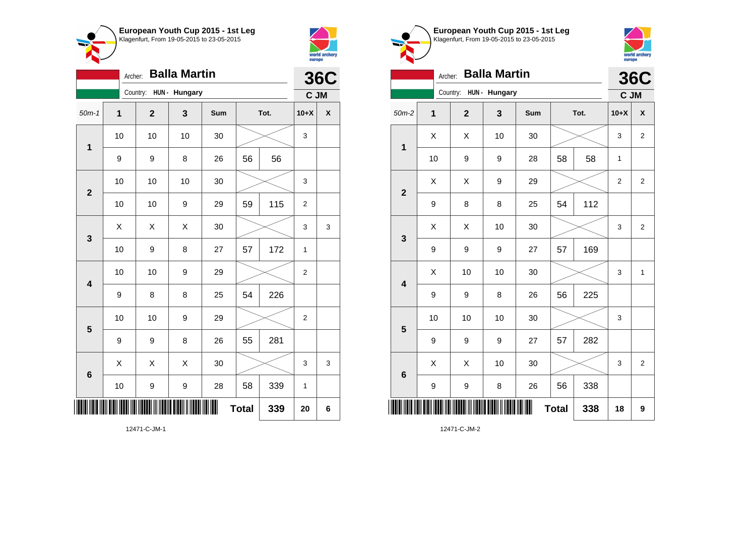



|                         | <b>Balla Martin</b><br>Archer: |              |               |     |              |      |                |            |  |
|-------------------------|--------------------------------|--------------|---------------|-----|--------------|------|----------------|------------|--|
|                         |                                | Country:     | HUN - Hungary |     |              |      | C JM           | <b>36C</b> |  |
| $50m-1$                 | $\overline{1}$                 | $\mathbf{2}$ | 3             | Sum |              | Tot. | $10+X$         | X          |  |
| $\mathbf 1$             | 10                             | 10           | 10            | 30  |              |      | 3              |            |  |
|                         | 9                              | 9            | 8             | 26  | 56           | 56   |                |            |  |
| $\overline{\mathbf{2}}$ | 10                             | 10           | 10            | 30  |              |      | 3              |            |  |
|                         | 10                             | 10           | 9             | 29  | 59           | 115  | $\overline{2}$ |            |  |
| $\mathbf{3}$            | X                              | X            | Χ             | 30  |              |      | 3              | 3          |  |
|                         | 10                             | 9            | 8             | 27  | 57           | 172  | 1              |            |  |
| $\overline{\mathbf{4}}$ | 10                             | 10           | 9             | 29  |              |      | $\overline{2}$ |            |  |
|                         | 9                              | 8            | 8             | 25  | 54           | 226  |                |            |  |
| 5                       | 10                             | 10           | 9             | 29  |              |      | $\overline{2}$ |            |  |
|                         | 9                              | 9            | 8             | 26  | 55           | 281  |                |            |  |
| $6\phantom{1}6$         | X                              | X            | X             | 30  |              |      | 3              | 3          |  |
|                         | 10                             | 9            | 9             | 28  | 58           | 339  | $\mathbf{1}$   |            |  |
|                         |                                |              |               | Ш   | <b>Total</b> | 339  | 20             | 6          |  |

**European Youth Cup 2015 - 1st Leg** Klagenfurt, From 19-05-2015 to 23-05-2015



|                         | <b>Balla Martin</b><br>Archer: |                        |    |     |              |      |                  |                |
|-------------------------|--------------------------------|------------------------|----|-----|--------------|------|------------------|----------------|
|                         |                                | Country: HUN - Hungary |    |     |              |      | C JM             | <b>36C</b>     |
| $50m-2$                 | 1                              | $\mathbf 2$            | 3  | Sum |              | Tot. | $10+X$           | X              |
| $\mathbf 1$             | X                              | Χ                      | 10 | 30  |              |      | 3                | $\overline{2}$ |
|                         | 10                             | 9                      | 9  | 28  | 58           | 58   | 1                |                |
| $\overline{2}$          | X                              | X                      | 9  | 29  |              |      | $\boldsymbol{2}$ | $\overline{2}$ |
|                         | 9                              | 8                      | 8  | 25  | 54           | 112  |                  |                |
| $\mathbf{3}$            | X                              | X                      | 10 | 30  |              |      | 3                | $\overline{2}$ |
|                         | 9                              | 9                      | 9  | 27  | 57           | 169  |                  |                |
| $\overline{\mathbf{4}}$ | Χ                              | 10                     | 10 | 30  |              |      | 3                | $\mathbf 1$    |
|                         | 9                              | 9                      | 8  | 26  | 56           | 225  |                  |                |
| 5                       | 10                             | 10                     | 10 | 30  |              |      | 3                |                |
|                         | 9                              | 9                      | 9  | 27  | 57           | 282  |                  |                |
| $6\phantom{1}6$         | X                              | X                      | 10 | 30  |              |      | 3                | $\overline{2}$ |
|                         | 9                              | 9                      | 8  | 26  | 56           | 338  |                  |                |
| ║                       |                                |                        |    |     | <b>Total</b> | 338  | 18               | 9              |

12471-C-JM-2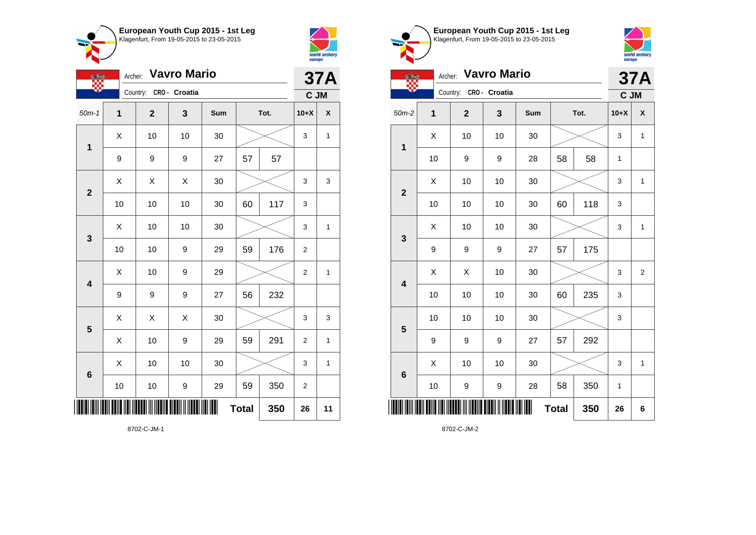



|                           | <b>Vavro Mario</b><br>Archer:<br><b>CERS</b> |                         |    |     |    |      |                  | <b>37A</b>   |  |
|---------------------------|----------------------------------------------|-------------------------|----|-----|----|------|------------------|--------------|--|
|                           |                                              | Country: CRO - Croatia  |    |     |    |      | C JM             |              |  |
| $50m-1$                   | 1                                            | $\overline{\mathbf{2}}$ | 3  | Sum |    | Tot. | $10+X$           | χ            |  |
| 1                         | X                                            | 10                      | 10 | 30  |    |      | 3                | $\mathbf{1}$ |  |
|                           | 9                                            | 9                       | 9  | 27  | 57 | 57   |                  |              |  |
| $\overline{2}$            | X                                            | Χ                       | X  | 30  |    |      | 3                | 3            |  |
|                           | 10                                           | 10                      | 10 | 30  | 60 | 117  | 3                |              |  |
| $\mathbf{3}$              | X                                            | 10                      | 10 | 30  |    |      | 3                | 1            |  |
|                           | 10                                           | 10                      | 9  | 29  | 59 | 176  | 2                |              |  |
| 4                         | Χ                                            | 10                      | 9  | 29  |    |      | $\overline{2}$   | 1            |  |
|                           | 9                                            | 9                       | 9  | 27  | 56 | 232  |                  |              |  |
| 5                         | Χ                                            | Χ                       | Χ  | 30  |    |      | 3                | 3            |  |
|                           | X                                            | 10                      | 9  | 29  | 59 | 291  | $\overline{2}$   | 1            |  |
| $6\phantom{1}6$           | X                                            | 10                      | 10 | 30  |    |      | 3                | 1            |  |
|                           | 10                                           | 10                      | 9  | 29  | 59 | 350  | $\boldsymbol{2}$ |              |  |
| <b>Total</b><br>350<br>26 |                                              |                         |    |     |    |      |                  | 11           |  |





world archery<br>europe



8702-C-JM-2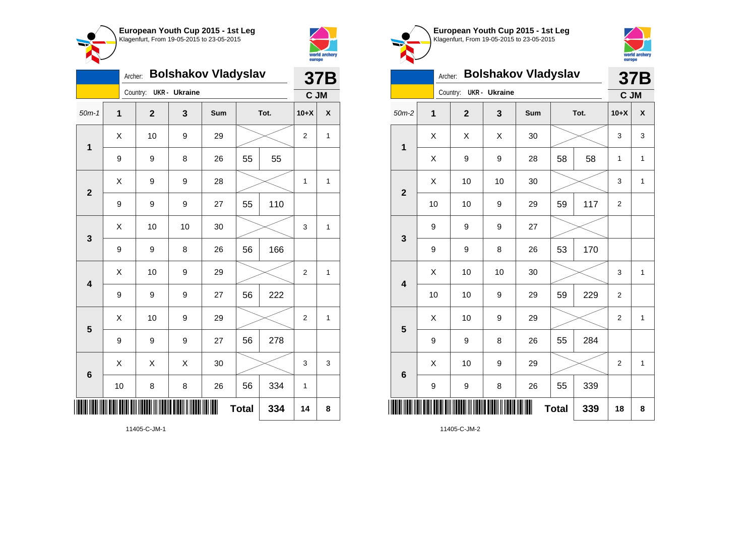



|                         | <b>Bolshakov Vladyslav</b> |             | 37B                  |     |              |      |                |                    |
|-------------------------|----------------------------|-------------|----------------------|-----|--------------|------|----------------|--------------------|
|                         |                            | Country:    | <b>UKR</b> - Ukraine |     |              |      | C JM           |                    |
| $50m-1$                 | $\mathbf{1}$               | $\mathbf 2$ | 3                    | Sum |              | Tot. | $10+X$         | $\pmb{\mathsf{X}}$ |
| $\mathbf 1$             | Χ                          | 10          | 9                    | 29  |              |      | $\overline{2}$ | 1                  |
|                         | 9                          | 9           | 8                    | 26  | 55           | 55   |                |                    |
| $\overline{\mathbf{2}}$ | X                          | 9           | 9                    | 28  |              |      | 1              | 1                  |
|                         | 9                          | 9           | 9                    | 27  | 55           | 110  |                |                    |
| 3                       | Χ                          | 10          | 10                   | 30  |              |      | 3              | 1                  |
|                         | $\boldsymbol{9}$           | 9           | 8                    | 26  | 56           | 166  |                |                    |
| $\overline{\mathbf{4}}$ | X                          | 10          | 9                    | 29  |              |      | $\overline{2}$ | 1                  |
|                         | $\boldsymbol{9}$           | 9           | 9                    | 27  | 56           | 222  |                |                    |
| 5                       | Χ                          | 10          | 9                    | 29  |              |      | $\overline{2}$ | $\mathbf{1}$       |
|                         | 9                          | 9           | 9                    | 27  | 56           | 278  |                |                    |
| 6                       | X                          | Χ           | X                    | 30  |              |      | 3              | 3                  |
|                         | 10                         | 8           | 8                    | 26  | 56           | 334  | 1              |                    |
| ║║║                     |                            |             |                      |     | <b>Total</b> | 334  | 14             | 8                  |





| $\triangleright$        |                |              |                      |                            |              |      | <u>concept</u> |              |
|-------------------------|----------------|--------------|----------------------|----------------------------|--------------|------|----------------|--------------|
|                         | Archer:        |              |                      | <b>Bolshakov Vladyslav</b> |              |      |                | 37B          |
|                         |                | Country:     | <b>UKR</b> - Ukraine |                            |              |      | C JM           |              |
| $50m-2$                 | $\overline{1}$ | $\mathbf{2}$ | 3                    | Sum                        |              | Tot. | $10+X$         | X            |
| $\mathbf{1}$            | X              | X            | X                    | 30                         |              |      | 3              | 3            |
|                         | X              | 9            | 9                    | 28                         | 58           | 58   | $\mathbf{1}$   | $\mathbf{1}$ |
| $\overline{\mathbf{2}}$ | Χ              | 10           | 10                   | 30                         |              |      | 3              | 1            |
|                         | 10             | 10           | 9                    | 29                         | 59           | 117  | $\overline{2}$ |              |
| 3                       | 9              | 9            | 9                    | 27                         |              |      |                |              |
|                         | 9              | 9            | 8                    | 26                         | 53           | 170  |                |              |
| $\overline{\mathbf{4}}$ | X              | 10           | 10                   | 30                         |              |      | 3              | $\mathbf{1}$ |
|                         | 10             | 10           | 9                    | 29                         | 59           | 229  | 2              |              |
| 5                       | X              | 10           | 9                    | 29                         |              |      | $\overline{2}$ | 1            |
|                         | 9              | 9            | 8                    | 26                         | 55           | 284  |                |              |
| $6\phantom{1}6$         | X              | 10           | 9                    | 29                         |              |      | 2              | $\mathbf{1}$ |
|                         | 9              | 9            | 8                    | 26                         | 55           | 339  |                |              |
|                         |                |              |                      |                            | <b>Total</b> | 339  | 18             | 8            |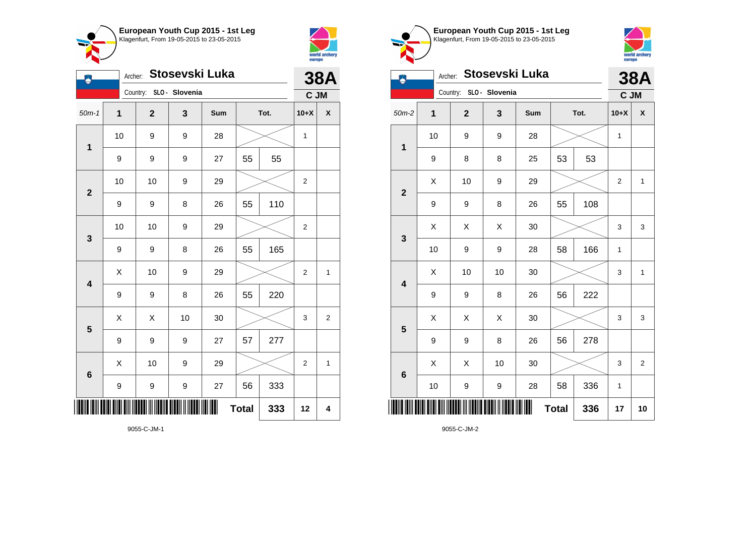



| Å                       | Stosevski Luka<br>Archer:<br>Country: SLO - Slovenia |                |    |     |              |      |                |                |  |
|-------------------------|------------------------------------------------------|----------------|----|-----|--------------|------|----------------|----------------|--|
|                         |                                                      |                |    |     |              |      | C JM           |                |  |
| $50m-1$                 | $\mathbf 1$                                          | $\overline{2}$ | 3  | Sum |              | Tot. | $10+X$         | $\mathsf{X}$   |  |
| $\mathbf 1$             | 10                                                   | 9              | 9  | 28  |              |      |                |                |  |
|                         | 9                                                    | 9              | 9  | 27  | 55           | 55   |                |                |  |
| $\mathbf{2}$            | 10                                                   | 10             | 9  | 29  |              |      | 2              |                |  |
|                         | 9                                                    | 9              | 8  | 26  | 55           | 110  |                |                |  |
| $\mathbf{3}$            | 10                                                   | 10             | 9  | 29  |              |      | 2              |                |  |
|                         | 9                                                    | 9              | 8  | 26  | 55           | 165  |                |                |  |
| $\overline{\mathbf{4}}$ | Χ                                                    | 10             | 9  | 29  |              |      | $\overline{2}$ | $\mathbf{1}$   |  |
|                         | $\boldsymbol{9}$                                     | 9              | 8  | 26  | 55           | 220  |                |                |  |
| 5                       | X                                                    | X              | 10 | 30  |              |      | 3              | $\overline{2}$ |  |
|                         | 9                                                    | 9              | 9  | 27  | 57           | 277  |                |                |  |
| $6\phantom{1}6$         | X                                                    | 10             | 9  | 29  |              |      | $\overline{2}$ | $\mathbf{1}$   |  |
|                         | $\boldsymbol{9}$                                     | 9              | 9  | 27  | 56           | 333  |                |                |  |
| Ш                       |                                                      |                |    |     | <b>Total</b> | 333  | 12             | 4              |  |

**European Youth Cup 2015 - 1st Leg** Klagenfurt, From 19-05-2015 to 23-05-2015 world archery<br>europe Archer: **Stosevski Luka 38A** Country: **SLO - Slovenia C JM** 50m-2 **1 2 3 Sum Tot. 10+X X** 10 | 9 | 9 | 28 |  $\times$  | 1 **1** 9 | 8 | 8 | 25 | 53 | 53  $\begin{array}{|c|c|c|c|c|c|}\hline \hspace{.1cm}X & \hspace{.1cm} & \textbf{10} & \hspace{.1cm} & \textbf{9} & \hspace{.1cm} & \textbf{29} & \hspace{.1cm} & \hspace{.1cm} & \hspace{.1cm} & \hspace{.1cm} & \hspace{.1cm} & \hspace{.1cm} & \hspace{.1cm} & \hspace{.1cm} & \hspace{.1cm} & \hspace{.1cm} & \hspace{.1cm} & \hspace{.1cm} & \hspace{.1cm} & \hspace{.1cm} & \hspace{.1cm} & \hspace{$ **2** 9 | 9 | 8 | 26 | 55 | 108  $\begin{array}{|c|c|c|c|c|}\hline \text{X} & \text{X} & \text{X} & \text{30} & \text{X} & \text{X} & \text{3} & \text{3} \ \hline \end{array}$ **3** 10 | 9 | 9 | 28 | 58 | 166 | 1  $\begin{array}{|c|c|c|c|c|c|}\hline \hspace{.1cm}X & \hspace{.1cm} \text{ 10} & \hspace{.1cm} \text{ 10} & \hspace{.1cm} \text{ 30} & \hspace{.1cm} \end{array} \hspace{1.2cm} \begin{array}{|c|c|c|c|c|c|}\hline \hspace{.1cm}X & \hspace{.1cm} \text{ 3} & \hspace{.1cm} \text{ 1} & \hspace{.1cm} \text{ 4} & \hspace{.1cm} \end{array} \hspace{1.2cm}$ **4** 9 | 9 | 8 | 26 | 56 | 222  $\begin{array}{|c|c|c|c|c|}\hline \hspace{0.8cm}X & X & X & 30 & \nearrow & \end{array} \hspace{0.2cm} \begin{array}{|c|c|c|c|c|}\hline \hspace{0.8cm}X & 3 & 3 & 3 \end{array}$ **5** 9 | 9 | 8 | 26 | 56 | 278  $\begin{array}{|c|c|c|c|c|c|}\hline \hspace{.1cm}X & \hspace{.1cm} \hspace{.1cm}X & \hspace{.1cm} \hspace{.1cm}10 & \hspace{.1cm} \hspace{.1cm}30 & \hspace{.1cm} \end{array} \hspace{.2cm} \begin{array}{c|c|c|c|c|c|c|c} \hline \hspace{.1cm}X & \hspace{.1cm} \hspace{.1cm}3 & \hspace{.1cm} \end{array} \hspace{.1cm} \begin{array}{|c|c|c|c|c|c|c|c|c|c|c|c|c|c|c|c|c$ **6** 10 | 9 | 9 | 28 | 58 | 336 | 1 \*9055-C-JM-2\* **Total 336 17 10**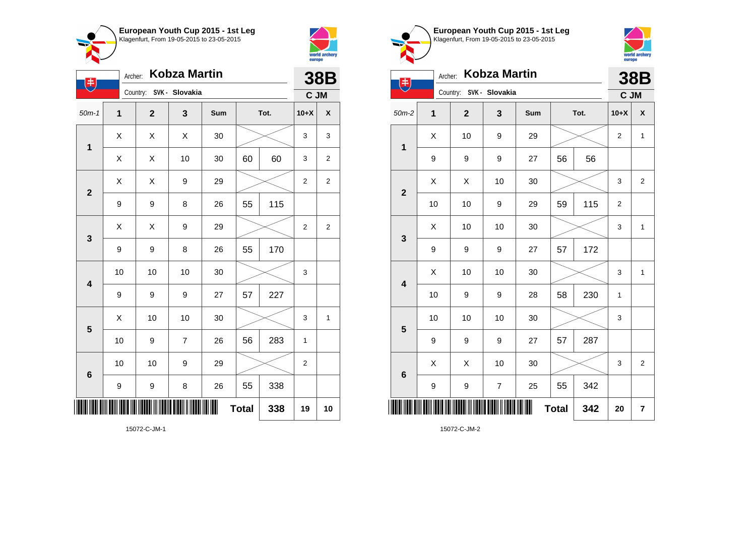



| $(\ddagger)$            | Archer:     | Kobza Martin |                |     | <b>38B</b>   |      |                |                |
|-------------------------|-------------|--------------|----------------|-----|--------------|------|----------------|----------------|
|                         |             | Country:     | SVK - Slovakia |     |              |      | C JM           |                |
| $50m-1$                 | $\mathbf 1$ | $\mathbf{2}$ | 3              | Sum |              | Tot. |                | χ              |
| $\mathbf 1$             | X           | X            | X              | 30  |              |      | 3              | 3              |
|                         | X           | X            | 10             | 30  | 60           | 60   | 3              | $\overline{2}$ |
| $\overline{\mathbf{2}}$ | Χ           | X            | 9              | 29  |              |      | $\overline{2}$ | $\overline{2}$ |
|                         | 9           | 9            | 8              | 26  | 55           | 115  |                |                |
| $\mathbf{3}$            | Χ           | Χ            | 9              | 29  |              |      | $\overline{2}$ | $\overline{2}$ |
|                         | 9           | 9            | 8              | 26  | 55           | 170  |                |                |
| $\overline{\mathbf{4}}$ | 10          | 10           | 10             | 30  |              |      | 3              |                |
|                         | 9           | 9            | 9              | 27  | 57           | 227  |                |                |
| $\overline{\mathbf{5}}$ | Χ           | 10           | 10             | 30  |              |      | 3              | 1              |
|                         | 10          | 9            | $\overline{7}$ | 26  | 56           | 283  | $\mathbf{1}$   |                |
| $6\phantom{1}6$         | 10          | 10           | 9              | 29  |              |      | 2              |                |
|                         | 9           | 9            | 8              | 26  | 55           | 338  |                |                |
|                         |             |              |                |     | <b>Total</b> | 338  | 19             | 10             |





| $\left( \begin{matrix} \frac{1}{2} \end{matrix} \right)$ | Archer:     |                         | Kobza Martin   |     |              |      |                | <b>38B</b>              |
|----------------------------------------------------------|-------------|-------------------------|----------------|-----|--------------|------|----------------|-------------------------|
|                                                          |             | Country: SVK - Slovakia |                |     |              |      | C JM           |                         |
| $50m-2$                                                  | $\mathbf 1$ | $\overline{2}$          | 3              | Sum |              | Tot. | $10+X$         | $\pmb{\mathsf{X}}$      |
| 1                                                        | X           | 10                      | 9              | 29  |              |      | 2              | $\mathbf 1$             |
|                                                          | 9           | 9                       | 9              | 27  | 56           | 56   |                |                         |
| $\mathbf{2}$                                             | X           | X                       | 10             | 30  |              |      | 3              | $\overline{2}$          |
|                                                          | 10          | 10                      | 9              | 29  | 59           | 115  | $\overline{2}$ |                         |
| 3                                                        | Χ           | 10                      | 10             | 30  |              |      | 3              | $\mathbf{1}$            |
|                                                          | 9           | 9                       | 9              | 27  | 57           | 172  |                |                         |
| $\overline{\mathbf{4}}$                                  | Χ           | 10                      | 10             | 30  |              |      | 3              | $\mathbf{1}$            |
|                                                          | 10          | 9                       | 9              | 28  | 58           | 230  | 1              |                         |
| 5                                                        | 10          | 10                      | 10             | 30  |              |      | 3              |                         |
|                                                          | 9           | 9                       | 9              | 27  | 57           | 287  |                |                         |
| 6                                                        | X           | X                       | 10             | 30  |              |      | 3              | $\overline{\mathbf{c}}$ |
|                                                          | 9           | 9                       | $\overline{7}$ | 25  | 55           | 342  |                |                         |
|                                                          |             |                         |                | Ш   | <b>Total</b> | 342  | 20             | $\overline{\mathbf{r}}$ |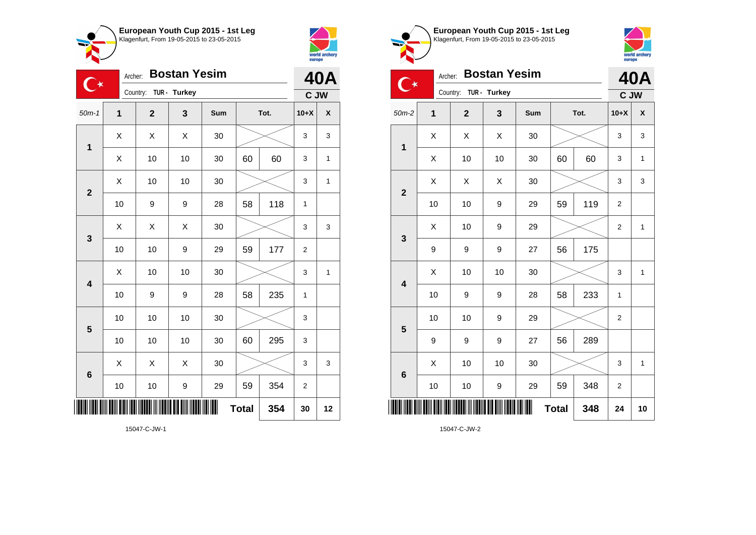



|                         | <b>Bostan Yesim</b><br>Archer:<br>$\mathbb{C}^\star$<br>Country:<br>TUR - Turkey |                         |    |     |              |      |                |    |  |  |
|-------------------------|----------------------------------------------------------------------------------|-------------------------|----|-----|--------------|------|----------------|----|--|--|
|                         |                                                                                  |                         |    |     |              |      | C JW           |    |  |  |
| $50m-1$                 | $\overline{1}$                                                                   | $\overline{\mathbf{2}}$ | 3  | Sum |              | Tot. | $10+X$         | X  |  |  |
| $\mathbf 1$             | Χ                                                                                | X                       | X  | 30  |              |      | 3              | 3  |  |  |
|                         | X                                                                                | 10                      | 10 | 30  | 60           | 60   | 3              | 1  |  |  |
| $\overline{2}$          | X                                                                                | 10                      | 10 | 30  |              |      | 3              | 1  |  |  |
|                         | 10                                                                               | 9                       | 9  | 28  | 58           | 118  | $\mathbf{1}$   |    |  |  |
| 3                       | X                                                                                | Χ                       | Χ  | 30  |              |      | 3              | 3  |  |  |
|                         | 10                                                                               | 10                      | 9  | 29  | 59           | 177  | $\overline{2}$ |    |  |  |
| $\overline{\mathbf{4}}$ | X                                                                                | 10                      | 10 | 30  |              |      | 3              | 1  |  |  |
|                         | 10                                                                               | 9                       | 9  | 28  | 58           | 235  | $\mathbf 1$    |    |  |  |
| 5                       | 10                                                                               | 10                      | 10 | 30  |              |      | 3              |    |  |  |
|                         | 10                                                                               | 10                      | 10 | 30  | 60           | 295  | 3              |    |  |  |
| $6\phantom{1}6$         | X                                                                                | X                       | X  | 30  |              |      | 3              | 3  |  |  |
|                         | 10                                                                               | 10                      | 9  | 29  | 59           | 354  | 2              |    |  |  |
|                         |                                                                                  |                         |    | ║║  | <b>Total</b> | 354  | 30             | 12 |  |  |





| <b>Bostan Yesim</b><br>Archer:<br>$\bullet\star$ |                           |             |                |              |     |    |      |                | <b>40A</b>   |  |
|--------------------------------------------------|---------------------------|-------------|----------------|--------------|-----|----|------|----------------|--------------|--|
|                                                  |                           |             | Country:       | TUR - Turkey |     |    |      | C JW           |              |  |
| $50m-2$                                          |                           | $\mathbf 1$ | $\overline{2}$ | 3            | Sum |    | Tot. | $10+X$         | X            |  |
| $\mathbf 1$                                      |                           | Χ           | X              | X            | 30  |    |      | 3              | 3            |  |
|                                                  |                           | X           | 10             | 10           | 30  | 60 | 60   | 3              | $\mathbf{1}$ |  |
| $\overline{\mathbf{2}}$                          |                           | X           | X              | X            | 30  |    |      | 3              | 3            |  |
|                                                  |                           | 10          | 10             | 9            | 29  | 59 | 119  | $\overline{2}$ |              |  |
| $\mathbf{3}$                                     |                           | X           | 10             | 9            | 29  |    |      | $\overline{2}$ | $\mathbf{1}$ |  |
|                                                  |                           | 9           | 9              | 9            | 27  | 56 | 175  |                |              |  |
| 4                                                |                           | X           | 10             | 10           | 30  |    |      | 3              | $\mathbf{1}$ |  |
|                                                  |                           | 10          | 9              | 9            | 28  | 58 | 233  | 1              |              |  |
| 5                                                |                           | 10          | 10             | 9            | 29  |    |      | $\overline{2}$ |              |  |
|                                                  |                           | 9           | 9              | 9            | 27  | 56 | 289  |                |              |  |
| $6\phantom{1}6$                                  |                           | Χ           | 10             | 10           | 30  |    |      | 3              | $\mathbf{1}$ |  |
|                                                  |                           | 10          | 10             | 9            | 29  | 59 | 348  | 2              |              |  |
| ║║║                                              | ║║<br><b>Total</b><br>348 |             |                |              |     |    |      | 24             | 10           |  |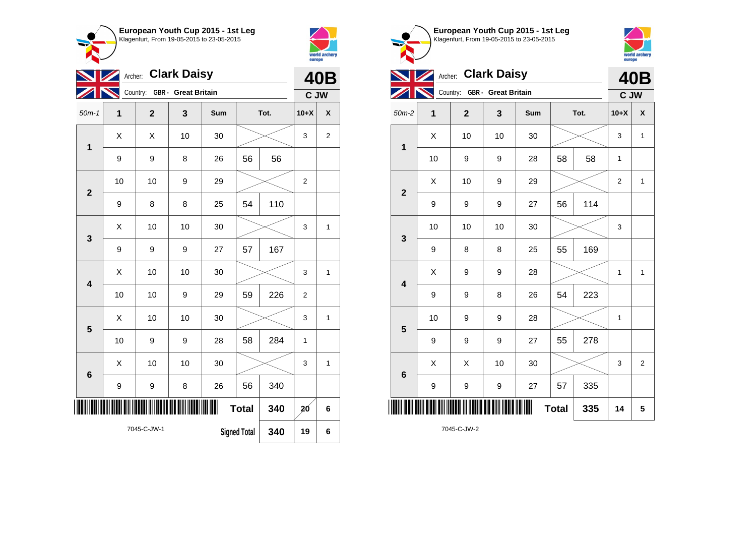



|                         | <b>Clark Daisy</b><br>Archer:<br>Country:<br><b>GBR</b> - Great Britain |                |    |     |              |     |                |                |  |  |  |
|-------------------------|-------------------------------------------------------------------------|----------------|----|-----|--------------|-----|----------------|----------------|--|--|--|
|                         |                                                                         |                |    |     |              |     | C JW           | <b>40B</b>     |  |  |  |
| $50m-1$                 | 1                                                                       | $\overline{2}$ | 3  | Sum | Tot.         |     | $10+X$         | X              |  |  |  |
| 1                       | Χ                                                                       | Χ              | 10 | 30  |              |     |                | $\overline{2}$ |  |  |  |
|                         | 9                                                                       | 9              | 8  | 26  | 56           | 56  |                |                |  |  |  |
| $\overline{2}$          | 10                                                                      | 10             | 9  | 29  |              |     | $\overline{2}$ |                |  |  |  |
|                         | 9                                                                       | 8              | 8  | 25  | 54           | 110 |                |                |  |  |  |
|                         | X                                                                       | 10             | 10 | 30  |              |     | 3              | 1              |  |  |  |
| 3                       | 9                                                                       | 9              | 9  | 27  | 57           | 167 |                |                |  |  |  |
| $\overline{\mathbf{4}}$ | X                                                                       | 10             | 10 | 30  |              |     | 3              | $\mathbf{1}$   |  |  |  |
|                         | 10                                                                      | 10             | 9  | 29  | 59           | 226 | $\overline{2}$ |                |  |  |  |
| 5                       | X                                                                       | 10             | 10 | 30  |              |     | 3              | $\mathbf{1}$   |  |  |  |
|                         | 10                                                                      | 9              | 9  | 28  | 58           | 284 | 1              |                |  |  |  |
| $6\phantom{a}$          | X                                                                       | 10             | 10 | 30  |              |     | 3              | $\mathbf{1}$   |  |  |  |
|                         | $\boldsymbol{9}$                                                        | 9              | 8  | 26  | 56           | 340 |                |                |  |  |  |
|                         |                                                                         |                |    | Ш   | <b>Total</b> | 340 | 20             | 6              |  |  |  |
|                         | 7045-C-JW-1<br>340<br><b>Signed Total</b>                               |                |    |     |              |     |                |                |  |  |  |



**40B C JW**

world archery<br>europe

| $10$ | 9  | 9                | 28 | 58 | 58           | $\mathbf 1$      |                         |
|------|----|------------------|----|----|--------------|------------------|-------------------------|
| Χ    | 10 | 9                | 29 |    |              | $\boldsymbol{2}$ | $\mathbf{1}$            |
| 9    | 9  | 9                | 27 | 56 | 114          |                  |                         |
| $10$ | 10 | $10$             | 30 |    |              | $\mathsf 3$      |                         |
| 9    | 8  | 8                | 25 | 55 | 169          |                  |                         |
| X    | 9  | $\boldsymbol{9}$ | 28 |    |              | 1                | $\mathbf{1}$            |
| 9    | 9  | 8                | 26 | 54 | 223          |                  |                         |
| 10   | 9  | 9                | 28 |    |              | 1                |                         |
| 9    | 9  | $\boldsymbol{9}$ | 27 | 55 | 278          |                  |                         |
| X    | X  | 10               | 30 |    |              | 3                | $\overline{\mathbf{c}}$ |
| 9    | 9  | $\boldsymbol{9}$ | 27 | 57 | 335          |                  |                         |
|      |    |                  |    |    | 335          | 14               | 5                       |
|      |    |                  |    |    | <b>Total</b> |                  |                         |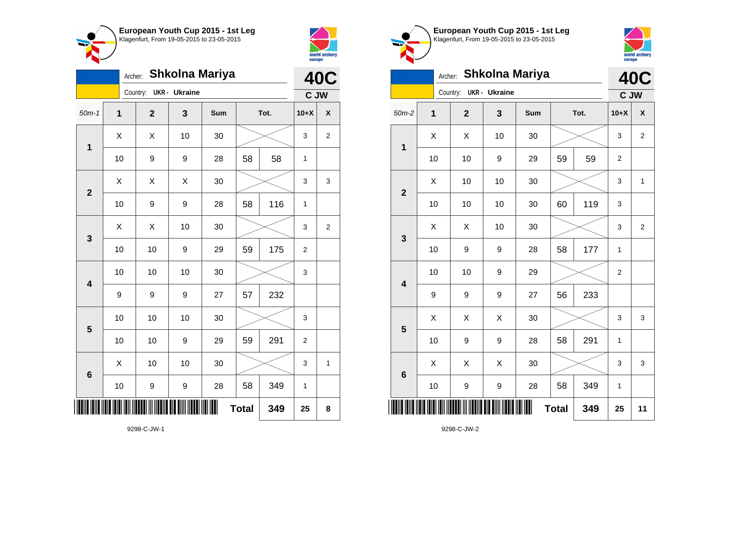



|                         | Archer:        |                         |                      | Shkolna Mariya |              |      |                | <b>40C</b>     |
|-------------------------|----------------|-------------------------|----------------------|----------------|--------------|------|----------------|----------------|
|                         |                | Country:                | <b>UKR</b> - Ukraine |                |              |      | C JW           |                |
| $50m-1$                 | $\overline{1}$ | $\overline{\mathbf{2}}$ | 3                    | Sum            |              | Tot. | $10+X$         | χ              |
| $\mathbf 1$             | X              | X                       | 10                   | 30             |              |      | 3              | $\overline{c}$ |
|                         | 10             | 9                       | 9                    | 28             | 58           | 58   | $\mathbf{1}$   |                |
| $\overline{2}$          | X              | Χ                       | Χ                    | 30             |              |      | 3              | 3              |
|                         | 10             | 9                       | 9                    | 28             | 58           | 116  | $\mathbf{1}$   |                |
| 3                       | X              | Χ                       | 10                   | 30             |              |      | 3              | 2              |
|                         | 10             | 10                      | 9                    | 29             | 59           | 175  | $\overline{2}$ |                |
| $\overline{\mathbf{4}}$ | 10             | 10                      | 10                   | 30             |              |      | 3              |                |
|                         | 9              | 9                       | 9                    | 27             | 57           | 232  |                |                |
| 5                       | 10             | 10                      | 10                   | 30             |              |      | 3              |                |
|                         | 10             | 10                      | 9                    | 29             | 59           | 291  | $\mathbf 2$    |                |
| $6\phantom{a}$          | X              | 10                      | 10                   | 30             |              |      | 3              | $\mathbf{1}$   |
|                         | 10             | 9                       | 9                    | 28             | 58           | 349  | 1              |                |
| ║                       |                |                         |                      |                | <b>Total</b> | 349  | 25             | 8              |





|                         | Archer: |                |                      | <b>Shkolna Mariya</b> |              |      |                | <b>40C</b>     |
|-------------------------|---------|----------------|----------------------|-----------------------|--------------|------|----------------|----------------|
|                         |         | Country:       | <b>UKR</b> - Ukraine |                       |              |      | C JW           |                |
| $50m-2$                 | 1       | $\overline{2}$ | 3                    | <b>Sum</b>            |              | Tot. | $10+X$         | X              |
| $\mathbf 1$             | X       | Χ              | 10                   | 30                    |              |      | 3              | $\overline{2}$ |
|                         | 10      | 10             | 9                    | 29                    | 59           | 59   | $\overline{2}$ |                |
| $\overline{2}$          | X       | 10             | 10                   | 30                    |              |      | 3              | 1              |
|                         | 10      | 10             | 10                   | 30                    | 60           | 119  | 3              |                |
| 3                       | Χ       | Χ              | 10                   | 30                    |              |      | 3              | $\overline{2}$ |
|                         | 10      | 9              | 9                    | 28                    | 58           | 177  | 1              |                |
| $\overline{\mathbf{4}}$ | 10      | 10             | 9                    | 29                    |              |      | $\overline{c}$ |                |
|                         | 9       | 9              | 9                    | 27                    | 56           | 233  |                |                |
| 5                       | Χ       | Χ              | Χ                    | 30                    |              |      | 3              | 3              |
|                         | 10      | 9              | 9                    | 28                    | 58           | 291  | 1              |                |
| $6\phantom{1}6$         | Χ       | X              | Χ                    | 30                    |              |      | 3              | 3              |
|                         | 10      | 9              | 9                    | 28                    | 58           | 349  | $\mathbf 1$    |                |
|                         |         |                |                      |                       | <b>Total</b> | 349  | 25             | 11             |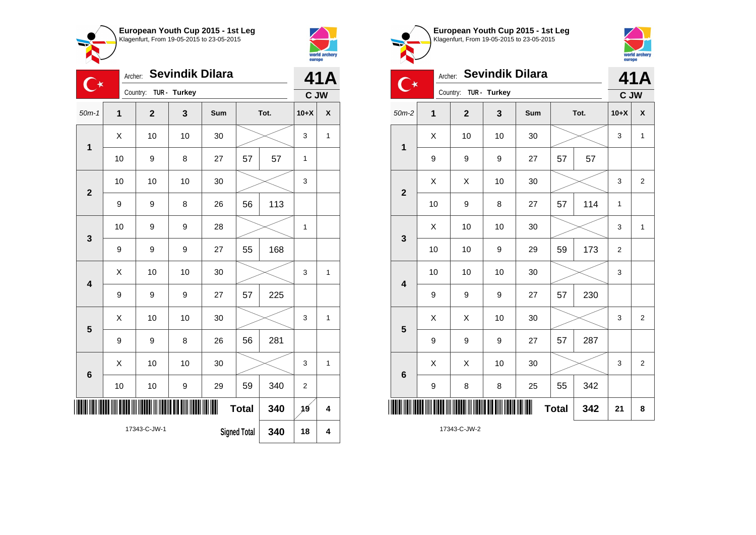



|                         | <b>Sevindik Dilara</b><br>Archer:<br>$\mathbb{C}^\star$<br>Country:<br>TUR - Turkey |              |    |     |                     |      |                |              |  |
|-------------------------|-------------------------------------------------------------------------------------|--------------|----|-----|---------------------|------|----------------|--------------|--|
|                         |                                                                                     |              |    |     |                     |      | C JW           |              |  |
| $50m-1$                 | $\overline{1}$                                                                      | $\mathbf{2}$ | 3  | Sum |                     | Tot. | $10+X$         | X            |  |
| $\mathbf{1}$            | X                                                                                   | 10           | 10 | 30  |                     |      | 3              | 1            |  |
|                         | 10                                                                                  | 9            | 8  | 27  | 57                  | 57   | $\mathbf{1}$   |              |  |
| $\overline{\mathbf{2}}$ | 10                                                                                  | 10           | 10 | 30  |                     |      | 3              |              |  |
|                         | 9                                                                                   | 9            | 8  | 26  | 56                  | 113  |                |              |  |
| 3                       | 10                                                                                  | 9            | 9  | 28  |                     |      | 1              |              |  |
|                         | 9                                                                                   | 9            | 9  | 27  | 55                  | 168  |                |              |  |
| $\overline{\mathbf{4}}$ | X                                                                                   | 10           | 10 | 30  |                     |      | 3              | 1            |  |
|                         | 9                                                                                   | 9            | 9  | 27  | 57                  | 225  |                |              |  |
| 5                       | Χ                                                                                   | 10           | 10 | 30  |                     |      | 3              | 1            |  |
|                         | 9                                                                                   | 9            | 8  | 26  | 56                  | 281  |                |              |  |
| 6                       | Χ                                                                                   | 10           | 10 | 30  |                     |      | 3              | $\mathbf{1}$ |  |
|                         | 10                                                                                  | 10           | 9  | 29  | 59                  | 340  | $\overline{c}$ |              |  |
|                         |                                                                                     |              |    | Ш   | <b>Total</b>        | 340  | 19             | 4            |  |
|                         |                                                                                     | 17343-C-JW-1 |    |     | <b>Signed Total</b> | 340  | 18             | 4            |  |





| <b>Sevindik Dilara</b><br>Archer:<br>⋰ |                |                       |    |     |      |     |                | 41A                |  |
|----------------------------------------|----------------|-----------------------|----|-----|------|-----|----------------|--------------------|--|
|                                        |                | Country: TUR - Turkey |    |     |      |     | C JW           |                    |  |
| $50m-2$                                | $\overline{1}$ | $\mathbf{2}$          | 3  | Sum | Tot. |     | $10+X$         | $\pmb{\mathsf{X}}$ |  |
| $\mathbf 1$                            | X              | 10                    | 10 | 30  |      |     | 3              | $\mathbf{1}$       |  |
|                                        | 9              | 9                     | 9  | 27  | 57   | 57  |                |                    |  |
| $\mathbf{2}$                           | X              | X                     | 10 | 30  |      |     | 3              | $\overline{2}$     |  |
|                                        | 10             | 9                     | 8  | 27  | 57   | 114 | 1              |                    |  |
| $\mathbf{3}$                           | X              | 10                    | 10 | 30  |      |     | 3              | $\mathbf{1}$       |  |
|                                        | 10             | 10                    | 9  | 29  | 59   | 173 | $\overline{2}$ |                    |  |
| $\overline{\mathbf{4}}$                | 10             | 10                    | 10 | 30  |      |     | 3              |                    |  |
|                                        | 9              | 9                     | 9  | 27  | 57   | 230 |                |                    |  |
| 5                                      | X              | X                     | 10 | 30  |      |     | 3              | $\overline{2}$     |  |
|                                        | 9              | 9                     | 9  | 27  | 57   | 287 |                |                    |  |
| $6\phantom{1}6$                        | X              | X                     | 10 | 30  |      |     | 3              | $\overline{2}$     |  |
|                                        | 9              | 8                     | 8  | 25  | 55   | 342 |                |                    |  |
|                                        | 21             | 8                     |    |     |      |     |                |                    |  |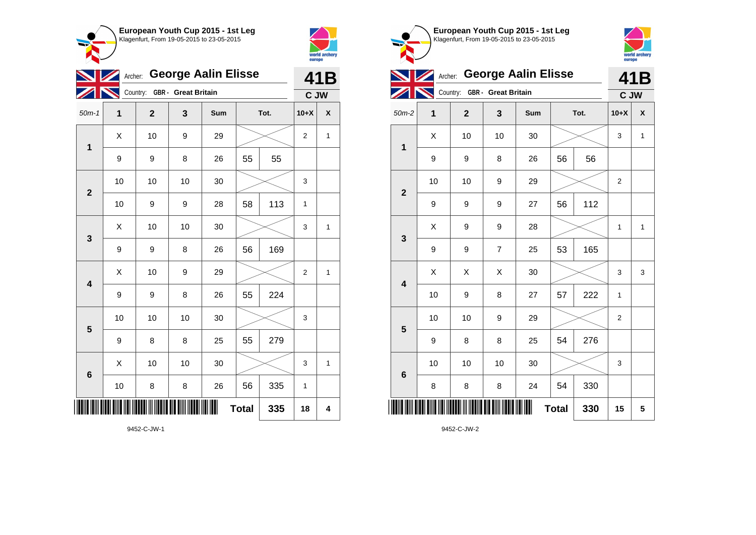



|                         | Archer: George Aalin Elisse |                              |    |     |              |      |                |              |
|-------------------------|-----------------------------|------------------------------|----|-----|--------------|------|----------------|--------------|
|                         |                             | Country: GBR - Great Britain |    |     |              |      | C JW           |              |
| $50m-1$                 | 1                           | $\overline{\mathbf{2}}$      | 3  | Sum |              | Tot. | $10+X$         | χ            |
| 1                       | Χ                           | 10                           | 9  | 29  |              |      | 2              | 1            |
|                         | 9                           | 9                            | 8  | 26  | 55           | 55   |                |              |
| $\overline{\mathbf{2}}$ | 10                          | 10                           | 10 | 30  |              |      | 3              |              |
|                         | 10                          | 9                            | 9  | 28  | 58           | 113  | 1              |              |
| 3                       | Χ                           | 10                           | 10 | 30  |              |      | 3              | 1            |
|                         | 9                           | 9                            | 8  | 26  | 56           | 169  |                |              |
| $\overline{\mathbf{4}}$ | X                           | 10                           | 9  | 29  |              |      | $\overline{2}$ | $\mathbf 1$  |
|                         | 9                           | 9                            | 8  | 26  | 55           | 224  |                |              |
| 5                       | 10                          | 10                           | 10 | 30  |              |      | 3              |              |
|                         | 9                           | 8                            | 8  | 25  | 55           | 279  |                |              |
| $\boldsymbol{6}$        | Χ                           | 10                           | 10 | 30  |              |      | 3              | $\mathbf{1}$ |
|                         | 10                          | 8                            | 8  | 26  | 56           | 335  | 1              |              |
|                         |                             |                              |    |     | <b>Total</b> | 335  | 18             | 4            |

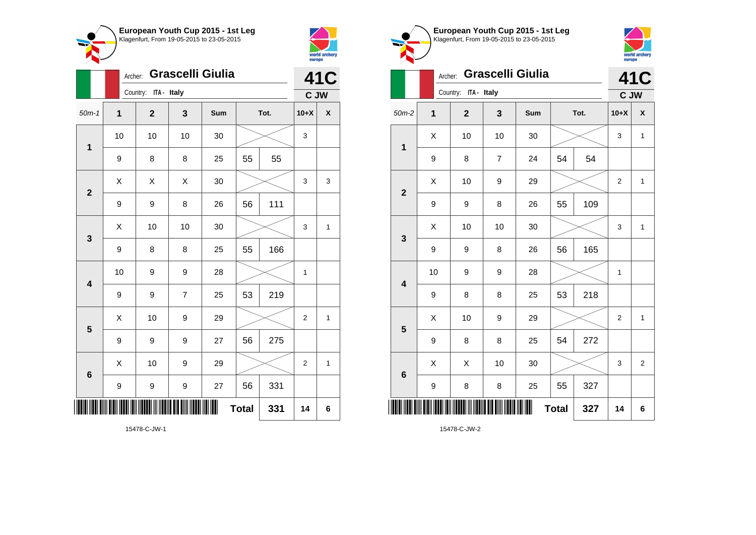



|                         | Grascelli Giulia<br>Archer: |                         |                |     |              |      |                | <b>41C</b>   |
|-------------------------|-----------------------------|-------------------------|----------------|-----|--------------|------|----------------|--------------|
|                         |                             | Country: ITA - Italy    |                |     |              |      |                | C JW         |
| $50m-1$                 | $\overline{1}$              | $\overline{\mathbf{2}}$ | 3              | Sum |              | Tot. | $10+X$         | X            |
| 1                       | 10                          | 10                      | 10             | 30  |              |      | 3              |              |
|                         | 9                           | 8                       | 8              | 25  | 55           | 55   |                |              |
| $\overline{\mathbf{2}}$ | X                           | X                       | X              | 30  |              |      | 3              | 3            |
|                         | 9                           | 9                       | 8              | 26  | 56           | 111  |                |              |
| 3                       | Χ                           | 10                      | 10             | 30  |              |      | 3              | $\mathbf{1}$ |
|                         | 9                           | 8                       | 8              | 25  | 55           | 166  |                |              |
| $\overline{\mathbf{4}}$ | 10                          | 9                       | 9              | 28  |              |      | $\mathbf{1}$   |              |
|                         | 9                           | 9                       | $\overline{7}$ | 25  | 53           | 219  |                |              |
| 5                       | X                           | 10                      | 9              | 29  |              |      | 2              | 1            |
|                         | $\boldsymbol{9}$            | 9                       | 9              | 27  | 56           | 275  |                |              |
| 6                       | Χ                           | 10                      | 9              | 29  |              |      | $\overline{c}$ | $\mathbf{1}$ |
|                         | 9                           | 9                       | 9              | 27  | 56           | 331  |                |              |
|                         |                             |                         |                |     | <b>Total</b> | 331  | 14             | 6            |

world archery<br>europe Archer: **Grascelli Giulia 41C** Country: **ITA - Italy C JW** 50m-2 **1 2 3 Sum Tot. 10+X X**  $\begin{array}{|c|c|c|c|c|c|}\hline \hspace{.1cm}X & \hspace{.1cm} \text{ 10} & \hspace{.1cm} \text{ 10} & \hspace{.1cm} \text{ 30} & \hspace{.1cm} \end{array} \hspace{.2cm} \begin{array}{|c|c|c|c|c|c|}\hline \hspace{.1cm}X & \hspace{.1cm} \text{ 3} & \hspace{.1cm} \text{ 1} & \hspace{.1cm} \text{ 4} & \hspace{.1cm} \end{array}$ **1** 9 | 8 | 7 | 24 | 54 | 54  $\begin{array}{|c|c|c|c|c|c|}\hline \hspace{.1cm}X & \hspace{.1cm} & \textbf{10} & \hspace{.1cm} & \textbf{9} & \hspace{.1cm} & \textbf{29} & \hspace{.1cm} & \hspace{.1cm} & \hspace{.1cm} & \hspace{.1cm} & \hspace{.1cm} & \hspace{.1cm} & \hspace{.1cm} & \hspace{.1cm} & \hspace{.1cm} & \hspace{.1cm} & \hspace{.1cm} & \hspace{.1cm} & \hspace{.1cm} & \hspace{.1cm} & \hspace{.1cm} & \hspace{$ **2** 9 | 9 | 8 | 26 | 55 | 109  $\textsf{X}$  | 10 | 10 | 30 |  $\textcolor{blue}{\swarrow}$  | 3 | 1 **3** 9 | 9 | 8 | 26 | 56 | 165 10 | 9 | 9 | 28 |  $\times$  | 1 **4** 9 | 8 | 8 | 25 | 53 | 218  $\begin{array}{|c|c|c|c|c|c|}\hline \hspace{.1cm}X & \hspace{.1cm} & \textbf{10} & \hspace{.1cm} & \textbf{9} & \hspace{.1cm} & \textbf{29} & \hspace{.1cm} & \hspace{.1cm} & \hspace{.1cm} & \hspace{.1cm} & \hspace{.1cm} & \hspace{.1cm} & \hspace{.1cm} & \hspace{.1cm} & \hspace{.1cm} & \hspace{.1cm} & \hspace{.1cm} & \hspace{.1cm} \hline \end{array}$ **5** 9 | 8 | 8 | 25 | 54 | 272  $\begin{array}{|c|c|c|c|c|c|}\hline \hspace{.1cm}X & \hspace{.1cm} \hspace{.1cm}X & \hspace{.1cm} \hspace{.1cm}10 & \hspace{.1cm} \hspace{.1cm}30 & \hspace{.1cm} \end{array} \hspace{.2cm} \begin{array}{c|c|c|c|c|c|c|c} \hline \hspace{.1cm}X & \hspace{.1cm} \hspace{.1cm}3 & \hspace{.1cm} \end{array} \hspace{.1cm} \begin{array}{|c|c|c|c|c|c|c|c|c|c|c|c|c|c|c|c|c$ **6** 9 | 8 | 8 | 25 | 55 | 327 \*15478-C-JW-2\* **Total 327 14 6**

**European Youth Cup 2015 - 1st Leg** Klagenfurt, From 19-05-2015 to 23-05-2015

15478-C-JW-2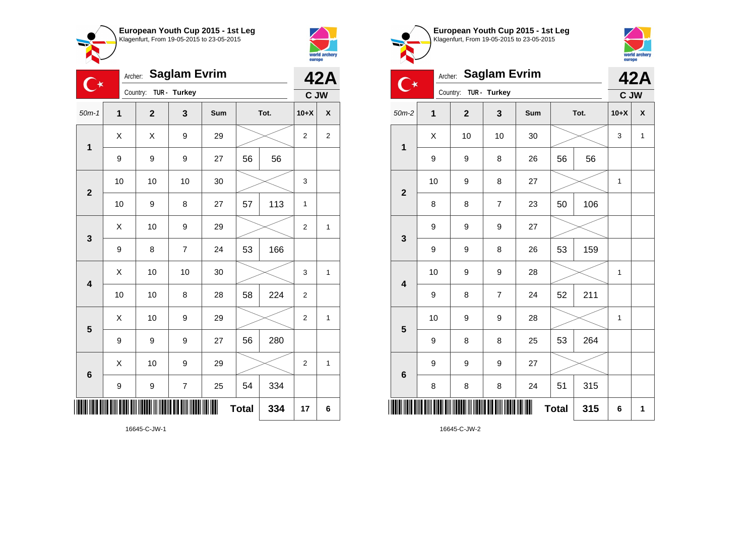



| <b>Saglam Evrim</b><br>Archer:<br>$\mathbb{C}^\star$ |                          |                         |                          |     |              |     | 42A            |                |
|------------------------------------------------------|--------------------------|-------------------------|--------------------------|-----|--------------|-----|----------------|----------------|
|                                                      | TUR - Turkey<br>Country: |                         |                          |     | C JW         |     |                |                |
| $50m-1$                                              | 1                        | $\overline{\mathbf{2}}$ | 3                        | Sum | Tot.         |     | $10+X$         | χ              |
| 1                                                    | X                        | X                       | 9                        | 29  |              |     | $\overline{2}$ | $\overline{c}$ |
|                                                      | 9                        | 9                       | 9                        | 27  | 56           | 56  |                |                |
| $\overline{2}$                                       | 10                       | 10                      | 10                       | 30  |              |     | 3              |                |
|                                                      | 10                       | 9                       | 8                        | 27  | 57           | 113 | 1              |                |
| 3                                                    | X                        | 10                      | 9                        | 29  |              |     | $\overline{2}$ | $\mathbf{1}$   |
|                                                      | $\boldsymbol{9}$         | 8                       | $\overline{7}$           | 24  | 53           | 166 |                |                |
| $\overline{\mathbf{4}}$                              | X                        | 10                      | 10                       | 30  |              |     | 3              | $\overline{1}$ |
|                                                      | 10                       | 10                      | 8                        | 28  | 58           | 224 | $\overline{c}$ |                |
| 5                                                    | X                        | 10                      | 9                        | 29  |              |     | $\overline{2}$ | 1              |
|                                                      | 9                        | 9                       | 9                        | 27  | 56           | 280 |                |                |
| $6\phantom{1}6$                                      | X                        | 10                      | 9                        | 29  |              |     | $\overline{2}$ | 1              |
|                                                      | $\boldsymbol{9}$         | 9                       | $\overline{\mathcal{I}}$ | 25  | 54           | 334 |                |                |
|                                                      |                          |                         |                          | Ш   | <b>Total</b> | 334 | 17             | 6              |

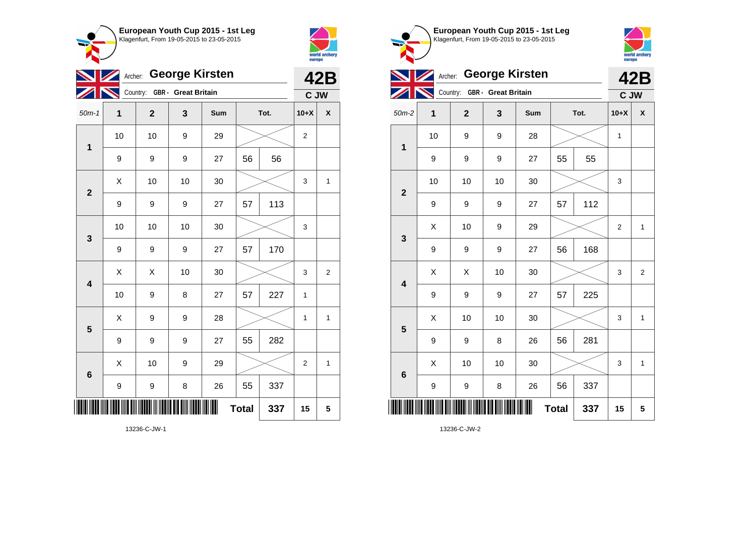



|                         | <b>George Kirsten</b><br>Archer: |              |                  |     |              |      |             | <b>42B</b>     |  |
|-------------------------|----------------------------------|--------------|------------------|-----|--------------|------|-------------|----------------|--|
|                         | Country: GBR - Great Britain     |              |                  |     |              |      |             | C JW           |  |
| $50m-1$                 | 1                                | $\mathbf{2}$ | 3                | Sum |              | Tot. | $10+X$      | X              |  |
| $\mathbf{1}$            | 10                               | 10           | 9                | 29  |              |      | 2           |                |  |
|                         | 9                                | 9            | 9                | 27  | 56           | 56   |             |                |  |
| $\overline{\mathbf{2}}$ | Χ                                | 10           | 10               | 30  |              |      | 3           | 1              |  |
|                         | 9                                | 9            | $\boldsymbol{9}$ | 27  | 57           | 113  |             |                |  |
| 3                       | 10                               | 10           | 10               | 30  |              |      | 3           |                |  |
|                         | 9                                | 9            | 9                | 27  | 57           | 170  |             |                |  |
| $\overline{\mathbf{4}}$ | Χ                                | X            | 10               | 30  |              |      | 3           | $\overline{2}$ |  |
|                         | 10                               | 9            | 8                | 27  | 57           | 227  | 1           |                |  |
| 5                       | X                                | 9            | 9                | 28  |              |      | 1           | 1              |  |
|                         | 9                                | 9            | 9                | 27  | 55           | 282  |             |                |  |
| $6\phantom{1}$          | Χ                                | 10           | 9                | 29  |              |      | $\mathbf 2$ | $\mathbf{1}$   |  |
|                         | 9                                | 9            | 8                | 26  | 55           | 337  |             |                |  |
|                         |                                  |              |                  |     | <b>Total</b> | 337  | 15          | 5              |  |

**European Youth Cup 2015 - 1st Leg** Klagenfurt, From 19-05-2015 to 23-05-2015  $\sim$ world archery<br>europe Archer: George Kirsten **42B** Country: **GBR - Great Britain C JW** 50m-2 **1 2 3 Sum Tot. 10+X X** 10 | 9 | 9 | 28 |  $\times$  | 1 **1** 9 | 9 | 27 | 55 | 55 10 | 10 | 10 | 30 |  $\times$  | 3 **2** 9 | 9 | 9 | 27 | 57 | 112  $\begin{array}{|c|c|c|c|c|c|}\hline \hspace{.1cm}X & \hspace{.1cm} & \textbf{10} & \hspace{.1cm} & \textbf{9} & \hspace{.1cm} & \textbf{29} & \hspace{.1cm} & \hspace{.1cm} & \hspace{.1cm} & \hspace{.1cm} & \hspace{.1cm} & \hspace{.1cm} & \hspace{.1cm} & \hspace{.1cm} & \hspace{.1cm} & \hspace{.1cm} & \hspace{.1cm} & \hspace{.1cm} & \hspace{.1cm} & \hspace{.1cm} & \hspace{.1cm} & \hspace{$ **3** 9 | 9 | 9 | 27 | 56 | 168  $\begin{array}{|c|c|c|c|c|}\hline \hspace{0.8cm}X & \hspace{0.8cm}X & \hspace{0.8cm}10 & \hspace{0.8cm}30 & \hspace{0.8cm}\hline \end{array} \hspace{0.2cm}\rightarrow \hspace{0.2cm}\begin{array}{|c|c|c|c|c|}\hline \hspace{0.8cm}X & \hspace{0.8cm}3 & \hspace{0.8cm}2 & \hspace{0.8cm}\hline \end{array}$ **4** 9 9 9 27 57 225  $\begin{array}{|c|c|c|c|c|c|}\hline \hspace{.1cm}X & \hspace{.1cm} \text{ 10} & \hspace{.1cm} \text{ 10} & \hspace{.1cm} \text{ 30} & \hspace{.1cm} \end{array} \hspace{1.2cm} \begin{array}{|c|c|c|c|c|c|}\hline \hspace{.1cm}X & \hspace{.1cm} \text{ 3} & \hspace{.1cm} \text{ 1} & \hspace{.1cm} \text{ 4} & \hspace{.1cm} \end{array} \hspace{1.2cm}$ **5** 9 | 9 | 8 | 26 | 56 | 281  $\begin{array}{|c|c|c|c|c|c|}\hline \hspace{.1cm}X & \hspace{.1cm} \text{ 10} & \hspace{.1cm} \text{ 10} & \hspace{.1cm} \text{ 30} & \hspace{.1cm} \end{array} \hspace{.2cm} \begin{array}{|c|c|c|c|c|c|}\hline \hspace{.1cm}X & \hspace{.1cm} \text{ 3} & \hspace{.1cm} \text{ 1} & \hspace{.1cm} \text{ 4} & \hspace{.1cm} \end{array}$ **6** 9 | 9 | 8 | 26 | 56 | 337 \*13236-C-JW-2\* **Total 337 15 5**

13236-C-JW-2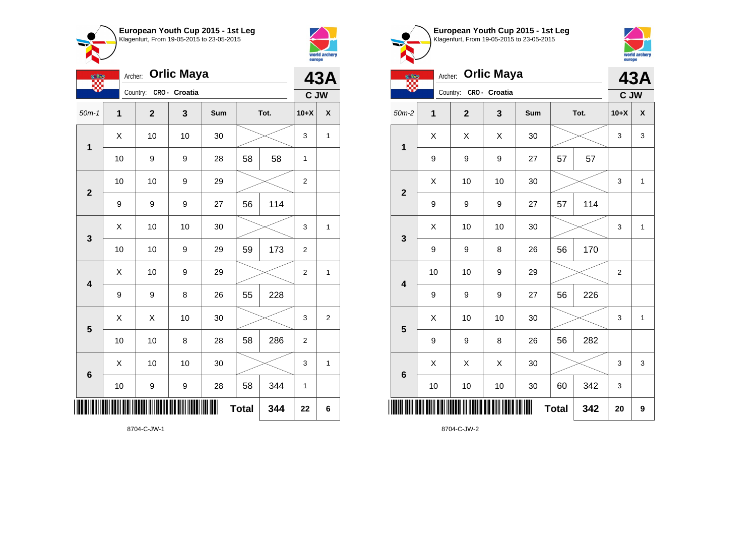



| <b>Orlic Maya</b><br>Archer:<br><b>OF THE</b> |                |                |               |     |              |      | <b>43A</b>       |                    |  |  |
|-----------------------------------------------|----------------|----------------|---------------|-----|--------------|------|------------------|--------------------|--|--|
|                                               |                | Country:       | CRO - Croatia |     |              |      |                  | C JW               |  |  |
| $50m-1$                                       | $\overline{1}$ | $\overline{2}$ | 3             | Sum |              | Tot. | $10+X$           | $\pmb{\mathsf{X}}$ |  |  |
| 1                                             | X              | 10             | 10            | 30  |              |      | 3                | 1                  |  |  |
|                                               | 10             | 9              | 9             | 28  | 58           | 58   | 1                |                    |  |  |
| $\overline{\mathbf{2}}$                       | 10             | 10             | 9             | 29  |              |      | $\boldsymbol{2}$ |                    |  |  |
|                                               | 9              | 9              | 9             | 27  | 56           | 114  |                  |                    |  |  |
| 3                                             | Χ              | 10             | 10            | 30  |              |      | 3                | 1                  |  |  |
|                                               | 10             | 10             | 9             | 29  | 59           | 173  | $\boldsymbol{2}$ |                    |  |  |
| $\overline{\mathbf{4}}$                       | X              | 10             | 9             | 29  |              |      | $\overline{2}$   | 1                  |  |  |
|                                               | 9              | 9              | 8             | 26  | 55           | 228  |                  |                    |  |  |
| 5                                             | X              | Χ              | 10            | 30  |              |      | 3                | $\overline{2}$     |  |  |
|                                               | 10             | 10             | 8             | 28  | 58           | 286  | $\overline{c}$   |                    |  |  |
| 6                                             | X              | 10             | 10            | 30  |              |      | 3                | 1                  |  |  |
|                                               | 10             | 9              | 9             | 28  | 58           | 344  | 1                |                    |  |  |
|                                               |                |                |               | III | <b>Total</b> | 344  | 22               | 6                  |  |  |

**European Youth Cup 2015 - 1st Leg** Klagenfurt, From 19-05-2015 to 23-05-2015



| <b>Orlic Maya</b><br>Archer:<br><b>CH</b> |    |              |               |     |              |      | <b>43A</b>              |                    |
|-------------------------------------------|----|--------------|---------------|-----|--------------|------|-------------------------|--------------------|
|                                           |    | Country:     | CRO - Croatia |     |              | C JW |                         |                    |
| $50m-2$                                   | 1  | $\mathbf{2}$ | 3             | Sum |              | Tot. | $10+X$                  | $\pmb{\mathsf{X}}$ |
| $\mathbf 1$                               | X  | X            | X             | 30  |              |      | 3                       | 3                  |
|                                           | 9  | 9            | 9             | 27  | 57           | 57   |                         |                    |
| $\overline{\mathbf{2}}$                   | X  | 10           | 10            | 30  |              |      | 3                       | $\mathbf{1}$       |
|                                           | 9  | 9            | 9             | 27  | 57           | 114  |                         |                    |
| 3                                         | X  | 10           | 10            | 30  |              |      | 3                       | 1                  |
|                                           | 9  | 9            | 8             | 26  | 56           | 170  |                         |                    |
| $\overline{\mathbf{4}}$                   | 10 | 10           | 9             | 29  |              |      | $\overline{\mathbf{c}}$ |                    |
|                                           | 9  | 9            | 9             | 27  | 56           | 226  |                         |                    |
| 5                                         | X  | 10           | 10            | 30  |              |      | 3                       | $\mathbf{1}$       |
|                                           | 9  | 9            | 8             | 26  | 56           | 282  |                         |                    |
| $6\phantom{1}6$                           | X  | X            | X             | 30  |              |      | 3                       | 3                  |
|                                           | 10 | $10$         | 10            | 30  | 60           | 342  | 3                       |                    |
| ║║                                        |    |              |               |     | <b>Total</b> | 342  | 20                      | 9                  |

8704-C-JW-2